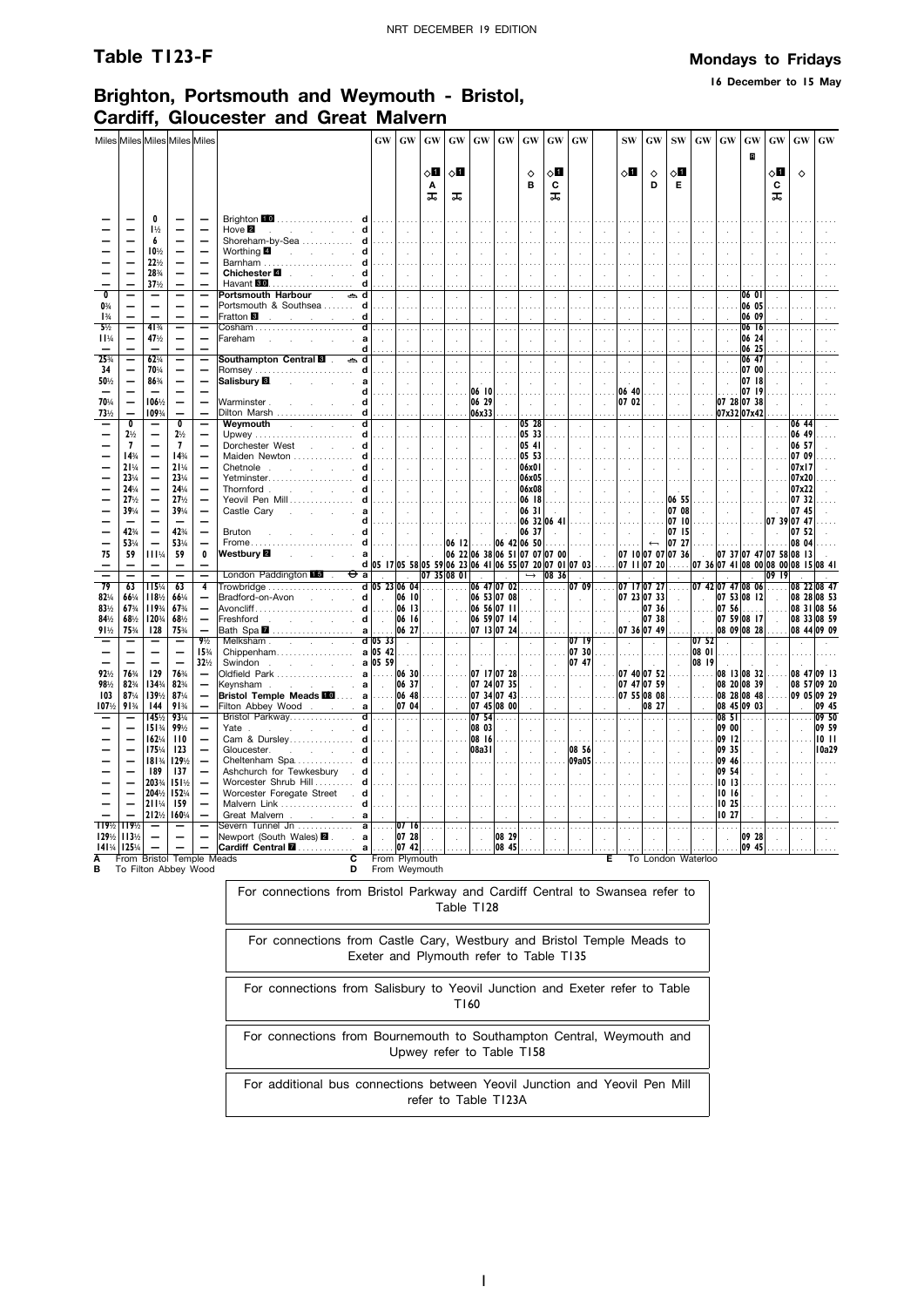**16 December to 15 May**

### **Brighton, Portsmouth and Weymouth - Bristol, Cardiff, Gloucester and Great Malvern**

|                                    |                                                      |                                                      | Miles Miles Miles Miles Miles    |                                                      |                                                                                                          | <b>GW</b>                                               | GW                  | GW                   | GW                          | GW                          | GW                          | GW                                           | <b>GW</b>                       | GW                          |                        | <b>SW</b>                  | $\boldsymbol{\mathsf{G}}\boldsymbol{\mathsf{W}}$ | ${\bf SW}$                 | $\boldsymbol{\mathbf{G}}\boldsymbol{\mathbf{W}}$ | GW             | GW                         | GW                                  | $\boldsymbol{\mathrm{GW}}$ | GW                         |
|------------------------------------|------------------------------------------------------|------------------------------------------------------|----------------------------------|------------------------------------------------------|----------------------------------------------------------------------------------------------------------|---------------------------------------------------------|---------------------|----------------------|-----------------------------|-----------------------------|-----------------------------|----------------------------------------------|---------------------------------|-----------------------------|------------------------|----------------------------|--------------------------------------------------|----------------------------|--------------------------------------------------|----------------|----------------------------|-------------------------------------|----------------------------|----------------------------|
|                                    |                                                      |                                                      |                                  |                                                      |                                                                                                          |                                                         |                     |                      |                             |                             |                             |                                              |                                 |                             |                        |                            |                                                  |                            |                                                  |                | B                          |                                     |                            |                            |
|                                    |                                                      |                                                      |                                  |                                                      |                                                                                                          |                                                         |                     | ◇О                   | ◇Ø                          |                             |                             | ♦                                            | ◇Ø                              |                             |                        | √П                         | $\Diamond$                                       | $\diamond$ l               |                                                  |                |                            | √П                                  | $\Diamond$                 |                            |
|                                    |                                                      |                                                      |                                  |                                                      |                                                                                                          |                                                         |                     | Α<br>ᠼ               | ᠼ                           |                             |                             | B                                            | C<br>ᠼ                          |                             |                        |                            | D                                                | E                          |                                                  |                |                            | C<br>ᠼ                              |                            |                            |
|                                    |                                                      |                                                      |                                  |                                                      |                                                                                                          |                                                         |                     |                      |                             |                             |                             |                                              |                                 |                             |                        |                            |                                                  |                            |                                                  |                |                            |                                     |                            |                            |
|                                    |                                                      | 0<br>$1\frac{1}{2}$                                  |                                  |                                                      | Brighton 10<br>.<br>d<br>Hove $2$<br>contract and states                                                 | $\sim$                                                  | .<br>$\sim$         | $\sim$               | $\sim$                      | $\mathcal{L}$               |                             |                                              |                                 |                             |                        |                            | $\mathcal{L}$                                    |                            |                                                  |                |                            |                                     |                            |                            |
|                                    |                                                      | 6                                                    |                                  |                                                      | Shoreham-by-Sea                                                                                          |                                                         | .                   | .                    | .                           |                             |                             |                                              |                                 |                             |                        |                            | $\sim$                                           |                            |                                                  |                |                            |                                     |                            |                            |
|                                    |                                                      | 10%<br>22%                                           |                                  |                                                      | Worthing <b>4</b><br>and the company of the company<br>d<br>Barnham<br>d                                 | $\sim$<br>$\ldots$                                      | $\sim 10^{-1}$      | $\sim$               | $\sim$<br>$\sim$            | $\sim$                      | $\sim$                      |                                              | $\mathcal{L}$                   |                             | $\mathbf{r}$           |                            | $\mathcal{L}$                                    | $\mathbf{r}$               | $\sim$                                           |                | ÷                          |                                     |                            |                            |
|                                    |                                                      | 28%                                                  |                                  |                                                      | Chichester <sup>1</sup><br>and the company of                                                            |                                                         | $\sim$              |                      | $\mathcal{L}$               | $\mathcal{L}^{\mathcal{L}}$ | $\mathcal{L}$               |                                              | $\mathcal{L}$                   |                             | $\mathcal{L}$          |                            | $\mathcal{L}$                                    | $\sim$                     | $\mathcal{L}$                                    |                |                            |                                     |                            |                            |
| $\overline{\mathbf{0}}$            |                                                      | 37%<br>$\overline{\phantom{0}}$                      |                                  |                                                      |                                                                                                          |                                                         |                     |                      |                             |                             |                             |                                              |                                 |                             |                        |                            |                                                  |                            |                                                  |                | 0601                       |                                     |                            |                            |
| $0\frac{3}{4}$                     |                                                      |                                                      |                                  | $\overline{\phantom{0}}$                             | Portsmouth Harbour . കd<br>Portsmouth & Southsea  d                                                      | $\mathcal{L}$                                           | $\sim$              | $\sim$               | $\sim$                      | $\bar{z}$                   | $\mathcal{A}$               | $\mathcal{L}_{\mathbf{a}}$                   | $\mathcal{L}$                   | $\mathcal{L}_{\mathbf{a}}$  | $\mathcal{L}$          | $\ddot{\phantom{a}}$       | $\epsilon$                                       | $\mathcal{L}$              | $\mathcal{L}$                                    | $\lambda$      | 06 05                      |                                     |                            |                            |
| $1\frac{3}{4}$                     |                                                      |                                                      |                                  |                                                      | Fratton <sup>8</sup><br>and the company of the com-                                                      |                                                         |                     |                      |                             |                             |                             |                                              |                                 |                             |                        |                            |                                                  |                            |                                                  |                | 06 09                      |                                     |                            |                            |
| $5\frac{1}{2}$<br>11%              |                                                      | $41\frac{3}{4}$<br>47%                               |                                  | —                                                    | Fareham                                                                                                  |                                                         |                     |                      |                             |                             |                             |                                              |                                 |                             |                        |                            |                                                  |                            |                                                  |                | 0616<br>06 24              |                                     |                            |                            |
|                                    |                                                      |                                                      |                                  | $\qquad \qquad -$                                    | Ч                                                                                                        |                                                         |                     |                      |                             |                             |                             |                                              |                                 |                             |                        |                            |                                                  |                            |                                                  |                | 06 25                      |                                     |                            |                            |
| 25%<br>34                          | $\overline{\phantom{0}}$<br>-                        | 62%<br>70%                                           | $\overline{\phantom{0}}$         | $\qquad \qquad -$<br>$\overline{\phantom{0}}$        | ∌<br>d<br>d                                                                                              | $\mathcal{L}$<br>.                                      |                     | $\ddot{\phantom{a}}$ | $\mathcal{A}$<br>$\sim$     | à.                          |                             |                                              |                                 |                             |                        |                            |                                                  |                            | $\mathcal{L}$                                    |                | 06 47<br>07 00             |                                     |                            |                            |
| 50%                                | $\overline{\phantom{0}}$                             | 86%                                                  | $\overline{\phantom{0}}$         | $\overline{\phantom{0}}$                             | Salisbury <sup>1</sup><br>$\sim$<br><b>Contract Contract</b>                                             | $\sim$                                                  | i.                  | $\mathbf{r}$         | $\mathbf{r}$                |                             |                             |                                              | $\mathcal{L}$                   |                             |                        |                            |                                                  |                            | $\cdot$                                          |                | 0718                       |                                     |                            |                            |
| 70%                                | $\overline{\phantom{0}}$<br>—                        | 106%                                                 |                                  |                                                      | d                                                                                                        |                                                         |                     |                      |                             | 06 10<br>06 29              |                             |                                              |                                 |                             |                        | 06 40<br>07 02             |                                                  |                            |                                                  |                | 07 19<br>07 28 07 38       |                                     |                            |                            |
| 73%                                |                                                      | 109%                                                 | —                                | $\qquad \qquad -$                                    | Warminster.<br>d<br>Dilton Marsh<br>d                                                                    | $\sim$                                                  | $\sim$              | $\sim$               | $\mathcal{L}_{\mathbf{r}}$  | 06x33                       |                             |                                              | $\mathcal{L}$                   |                             | $\mathbf{r}$           |                            | $\mathcal{L}$                                    | $\sim$                     | $\mathcal{L}_{\mathcal{A}}$                      |                | 07x32 07x42                |                                     |                            |                            |
|                                    | $\overline{\mathbf{0}}$                              | —                                                    | 0                                |                                                      | Weymouth<br><b>Carl Carl Carl Carl</b>                                                                   | $\sim$                                                  | $\sim$              | $\sim$               | $\sim$                      | $\mathcal{A}$               | $\mathcal{L}_{\mathcal{A}}$ | 05 28                                        | $\mathcal{L}$                   | $\mathcal{L}_{\mathcal{A}}$ | $\mathcal{L}$          | $\mathcal{L}$              | $\mathcal{L}$                                    | $\mathcal{A}$              | $\mathcal{L}$                                    | $\mathcal{L}$  | $\mathcal{L}$              |                                     | 06 44                      |                            |
|                                    | $2\frac{1}{2}$<br>$\overline{1}$                     | $\overline{\phantom{0}}$                             | $2\frac{1}{2}$<br>$\overline{7}$ | $\overline{\phantom{0}}$                             | Upwey  d<br>Dorchester West d                                                                            | .<br>$\sim$                                             | .<br>$\sim$         | .<br>$\sim$          | .<br>$\sim$                 | $\sim$                      | $\sim$                      | 05 33<br>05 41                               | $\sim$                          | $\sim$                      | $\sim$                 |                            | $\cdots$<br>$\mathcal{L}$                        | $\sim$                     | $\sim$                                           |                | ÷                          |                                     | 06 49<br>06 57             |                            |
|                                    | 14%                                                  | $\overline{\phantom{0}}$                             | 14%                              | $\overline{\phantom{0}}$                             | Maiden Newton  d                                                                                         | .                                                       | $\cdots$            |                      |                             |                             |                             | 05 53                                        |                                 |                             |                        |                            |                                                  |                            |                                                  |                |                            |                                     | 07 09                      |                            |
|                                    | 21%<br>23%                                           | $\overline{\phantom{0}}$<br>$\overline{\phantom{0}}$ | 21%<br>23%                       | $\overline{\phantom{0}}$<br>$\overline{\phantom{0}}$ | Chetnole .<br>and the state of discounts of<br>Yetminster                                                | $\sim$                                                  |                     | $\sim$               | $\mathcal{L}_{\mathbf{r}}$  |                             | $\ddot{\phantom{a}}$        | 06x01<br>06x05                               |                                 |                             |                        |                            |                                                  |                            |                                                  |                |                            |                                     | 07x17<br>07x20             |                            |
|                                    | 24%                                                  | $\overline{\phantom{0}}$                             | 24%                              | $\overline{\phantom{0}}$                             | Thornford.<br>and the company                                                                            | $\sim$                                                  | $\sim$              | $\sim$               | $\sim$                      | $\sim$                      | $\mathcal{L}$               | 06x08                                        |                                 |                             |                        | $\sim$                     | $\mathcal{L}$                                    |                            | $\mathcal{L}$                                    |                | $\sim$                     |                                     | 07x22                      |                            |
|                                    | 27%<br>39%                                           | $\overline{\phantom{0}}$<br>$\equiv$                 | 27%<br>39%                       | $\overline{\phantom{0}}$<br>$\overline{\phantom{0}}$ | Yeovil Pen Mill<br>d<br>Castle Cary                                                                      | .                                                       | .                   | .                    | .                           | $\cdots$                    | $\sim$ $\sim$               | 06 18                                        | .                               |                             | $\cdots$               | $\cdots$                   | $\cdots$                                         | 06 55<br>07 08             |                                                  |                |                            |                                     | 07 32<br>07 45             |                            |
|                                    |                                                      |                                                      |                                  |                                                      | a<br>and the state of the state<br>$\sim$<br>d                                                           | $\sim 10^{-1}$<br>$\sim$                                | $\sim 10^{-1}$      | $\sim$               | $\sim$                      | $\sim$                      | $\sim$                      | 06 31<br>06 32 06 41                         | $\sim 10^{-11}$                 | $\sim$                      | $\sim 10^{-1}$         | $\sim$                     | $\sim$<br>$\ddotsc$                              | 07 10                      | $\sim$                                           | $\sim$         | $\sim 10^{-1}$             | 07 39 07 47                         |                            |                            |
|                                    | 42%                                                  |                                                      | 42%                              | $\overline{\phantom{0}}$                             | Bruton<br>d                                                                                              | $\sim$                                                  | $\sim$              | $\sim$               | $\sim$                      | $\mathcal{L}$               | $\sim$                      | 06 37                                        | $\sim$                          | $\sim$                      | $\sim$                 | $\mathcal{L}_{\mathbf{a}}$ | $\sim$                                           | 07 15                      | $\overline{a}$                                   |                |                            |                                     | 07 52                      |                            |
| 75                                 | 53%<br>59                                            | 111%                                                 | 53%<br>59                        | $\mathbf{0}$                                         | Frome<br>d<br>Westbury <sup>[2]</sup><br>$\mathbf{a}$ and $\mathbf{a}$ and $\mathbf{a}$ and $\mathbf{a}$ | $\sim$                                                  | $\sim$              |                      | $\ldots$ 06 12              |                             |                             | 06 42 06 50<br>06 22 06 38 06 51 07 07 07 00 | .                               | $\sim 10^{-1}$              | $\sim$                 |                            | $\leftarrow$                                     | 07 27<br>07 10 07 07 07 36 | $\sim$                                           |                |                            | 07 37 07 47 07 58 08 13             | 08 04                      |                            |
|                                    |                                                      |                                                      |                                  |                                                      |                                                                                                          | d 05 17 05 58 05 59 06 23 06 41 06 55 07 20 07 01 07 03 |                     |                      |                             |                             |                             |                                              |                                 |                             | $\cdots$               |                            | 07 11 07 20                                      | .                          |                                                  |                |                            | 07 36 07 41 08 00 08 00 08 15 08 41 |                            |                            |
| 79                                 | 63                                                   | 115%                                                 | -<br>63                          | $\overline{\phantom{0}}$<br>4                        | London Paddington 15.<br>$\Theta$ a                                                                      | $\sim$                                                  | $\sim$              |                      | 07 35 08 01<br>.            | in 19                       | $\sim$<br>06 47 07 02       |                                              | $\rightarrow$ 08 36<br>$\cdots$ | $\sim$<br>07 09             | $\sim$<br>$\ldots$ .   |                            | 07 17 07 27                                      |                            |                                                  |                | 07 42 07 47 08 06          | 09 19                               |                            | 08 22 08 47                |
| 82%                                | 66%                                                  | 118%                                                 | 66%                              | $\overline{\phantom{0}}$                             | $\mathcal{L}$ , $\mathcal{L}$ , $\mathcal{L}$ , $\mathcal{L}$ , $\mathbf{d}$<br>Bradford-on-Avon         | $\sim$                                                  | 06 10               | $\sim$               | $\mathcal{L}_{\mathcal{A}}$ |                             | 06 53 07 08                 | $\sim$                                       | $\sim$                          | $\sim$                      | $\mathbf{r}$           |                            | 07 23 07 33                                      |                            | $\mathcal{L}$                                    |                | 07 53 08 12                |                                     |                            | 08 28 08 53                |
| 83%<br>84%                         | 67%<br>68%                                           | 119%<br>120%                                         | 67%<br>68%                       |                                                      | Avoncliff d<br>Freshford d                                                                               | $\sim$                                                  | . 06 13<br>06 16    | .<br>$\sim 10^{-1}$  | .                           |                             | $06560711$<br>06 59 07 14   | $\sim$                                       | .<br>$\sim$                     | .<br>$\sim$                 |                        | $\sim 10^7$                | $\ldots$ .07 36<br>07 38                         | .                          | .                                                | 07 56          | .<br>07 59 08 17           | $\sim$                              |                            | 08 31 08 56<br>08 33 08 59 |
| 91%                                | 75%                                                  | 128                                                  | 75%                              | $\equiv$                                             | Bath Spa $\blacksquare$<br>a                                                                             |                                                         | 06 27               |                      | $\sim$                      |                             | 07 13 07 24                 |                                              |                                 |                             | $\sim$                 |                            | 07 36 07 49                                      | $\sim$                     | $\sim$                                           |                | 08 09 08 28                |                                     |                            | 08 44 09 09                |
|                                    |                                                      |                                                      | $\overline{\phantom{0}}$         | $9\frac{1}{2}$                                       | Melksham<br>Chippenham<br><b>a</b> 05 42                                                                 |                                                         | $\sim$              | - 7                  | $\alpha$                    | $\sim$                      | $\bar{z}$                   | $\sim$                                       | $\sim$                          | 0719                        | $\mathcal{L}$          | $\mathcal{A}$              | $\sim$                                           | $\alpha$                   | 07 52                                            |                |                            |                                     |                            |                            |
|                                    |                                                      | $\overline{\phantom{0}}$<br>-                        |                                  | 15%<br>32%                                           | Swindon a 05 59                                                                                          |                                                         | $\sim$              | $\sim$               | $\sim$                      |                             |                             |                                              | $\mathcal{A}$                   | 07 30<br>07 47              |                        |                            |                                                  | $\mathbf{r}$               | 08 01<br>08 19                                   |                |                            |                                     |                            |                            |
| 92%                                | 76%                                                  | 129                                                  | 76%                              |                                                      | Oldfield Park <b>a 06 30</b>                                                                             |                                                         |                     |                      | .                           |                             | 07 17 07 28                 |                                              | .                               | 1.1.1.1                     |                        |                            | 07 40 07 52                                      |                            | 1.1.1.1                                          |                | 08 13 08 32                |                                     |                            | 08 47 09 13                |
| 98%<br>103                         | 82%<br>87%                                           | 134%<br>139%                                         | 82%<br>87%                       | $\overline{\phantom{0}}$<br>$\qquad \qquad -$        | Keynsham a<br>Bristol Temple Meads <b>Example 20</b> al 06 48                                            | $\sim$                                                  | 06 37               | $\sim$<br>.          | $\sim$<br>.                 |                             | 07 24 07 35<br>07 34 07 43  | $\sim$<br>$\cdots$                           | $\sim$<br>$\cdots$              | $\sim$                      | $\ddot{\phantom{a}}$   |                            | 07 47 07 59<br>07 55 08 08                       | $\sim$                     | $\sim$                                           |                | 08 20 08 39<br>08 28 08 48 | $\sim$<br>$\sim$                    |                            | 08 57 09 20<br>09 05 09 29 |
| 107%                               | 91%                                                  | 144                                                  | 91%                              | $\overline{\phantom{0}}$                             | Filton Abbey Wood a                                                                                      | $\sim$                                                  | 07 04               | $\sim$               | $\sim$                      |                             | 07 45 08 00                 |                                              | $\sim$                          |                             |                        |                            | 08 27                                            |                            |                                                  |                | 08 45 09 03                |                                     |                            | 09 45                      |
|                                    | $\overline{\phantom{0}}$<br>$\overline{\phantom{0}}$ | 145%<br>151%                                         | 93%<br>99%                       | $\qquad \qquad -$                                    | Yate d                                                                                                   | .                                                       | .                   | .                    | .                           | 07 54<br>08 03              |                             | $\cdots$                                     | .                               | .                           | .                      |                            | .                                                | .                          | $\cdots$                                         | 08 51<br>09 00 |                            |                                     | $\cdots$                   | 09 50<br>09 59             |
|                                    | $\overline{\phantom{0}}$                             | 162%                                                 | 110                              | $\overline{\phantom{0}}$                             |                                                                                                          | $\sim$<br>.                                             | $\sim 10^{-1}$<br>. | $\sim$<br>.          | $\mathcal{A}$<br>.          | 08 16                       |                             | $\mathbf{r}$                                 | $\sim$<br>$\mathbb{R}^2$        | $\mathcal{A}$<br>.          | $\sim$<br>$\mathbb{R}$ |                            | $\sim$<br>$\mathbb{R}^2$                         | $\sim$                     | $\sim$                                           | 09 12          | $\mathbf{r}$               |                                     |                            | 1011                       |
|                                    | $\overline{\phantom{0}}$                             | 175%                                                 | 123                              | $\overline{\phantom{0}}$                             | <b>Controlled</b><br>Gloucester.                                                                         | $\sim 10^{-1}$                                          | $\sim$              | $\sim$               | $\sim$                      | 08a31                       | $\sim$                      |                                              | $\sim$                          | 08 56                       | $\sim$                 | $\sim$                     | $\sim$                                           | $\sim$                     | $\sim$                                           | 09 35          |                            | $\sim$                              |                            | 10a29                      |
|                                    |                                                      | 181%<br>189                                          | 129%<br>137                      | $\overline{\phantom{0}}$                             | Cheltenham Spa d<br>Ashchurch for Tewkesbury . d                                                         | .<br>$\sim 10^{-1}$                                     | $\sim$              | $\sim$ $\sim$        | $\sim$                      | $\mathcal{A}$               |                             |                                              | $\mathcal{A}$                   | 09a05                       |                        |                            | $\mathcal{L}$                                    | $\mathcal{A}$              | $\overline{a}$                                   | 09 46<br>09 54 |                            |                                     |                            |                            |
|                                    |                                                      | 203%                                                 | 151%                             |                                                      | Worcester Shrub Hill  d                                                                                  | .                                                       |                     |                      |                             |                             |                             |                                              |                                 |                             |                        |                            |                                                  |                            |                                                  | 1013           |                            |                                     |                            |                            |
|                                    |                                                      | 2041/2<br>211%                                       | 152%<br>159                      |                                                      | Worcester Foregate Street d<br>Malvern Link  d                                                           | $\sim$<br>.                                             | $\sim$<br>.         | $\sim$               | $\mathbf{r}$                |                             |                             |                                              |                                 |                             |                        |                            | $\mathcal{L}$                                    |                            |                                                  | 10 16<br>10 25 |                            |                                     |                            |                            |
|                                    |                                                      | 212%                                                 | 160%                             |                                                      | Great Malvern<br>$\sim$ $\sim$ $\sim$ $a$                                                                |                                                         |                     |                      |                             |                             |                             |                                              |                                 |                             |                        |                            |                                                  |                            |                                                  | 10 27          |                            |                                     |                            |                            |
| $119\frac{1}{2}$ 119 $\frac{1}{2}$ |                                                      | -                                                    |                                  |                                                      | Severn Tunnel Jn<br>$\overline{a}$                                                                       | .                                                       | 07 16               | .                    |                             |                             |                             |                                              |                                 |                             |                        |                            |                                                  |                            |                                                  |                |                            |                                     |                            |                            |
| 129%<br>141%                       | 113%<br>125%                                         |                                                      |                                  | $\overline{\phantom{0}}$                             | Newport (South Wales) 2. a<br>Cardiff Central <b>M</b>                                                   | $\sim$<br>$a$                                           | 07 28<br>07 42      | $\mathbb{R}^2$       | $\sim$                      | $\mathcal{L}$               | 08 29<br>08 45              |                                              | $\mathcal{L}$                   |                             |                        |                            |                                                  |                            | $\ddot{\phantom{a}}$                             | $\lambda$      | 09 28<br>09 45             |                                     |                            |                            |
| Ā                                  |                                                      |                                                      | From Bristol Temple Meads        |                                                      | c                                                                                                        | From Plymouth                                           |                     |                      |                             |                             |                             |                                              |                                 |                             | E                      |                            |                                                  |                            | To London Waterloo                               |                |                            |                                     |                            |                            |
| в                                  |                                                      |                                                      | To Filton Abbey Wood             |                                                      | D                                                                                                        | From Weymouth                                           |                     |                      |                             |                             |                             |                                              |                                 |                             |                        |                            |                                                  |                            |                                                  |                |                            |                                     |                            |                            |

| For connections from Bristol Parkway and Cardiff Central to Swansea refer to<br>Table T128                        |
|-------------------------------------------------------------------------------------------------------------------|
| For connections from Castle Cary, Westbury and Bristol Temple Meads to<br>Exeter and Plymouth refer to Table T135 |
| For connections from Salisbury to Yeovil Junction and Exeter refer to Table<br>T160                               |
| For connections from Bournemouth to Southampton Central, Weymouth and<br>Upwey refer to Table T158                |
| For additional bus connections between Yeovil Junction and Yeovil Pen Mill<br>refer to Table T123A                |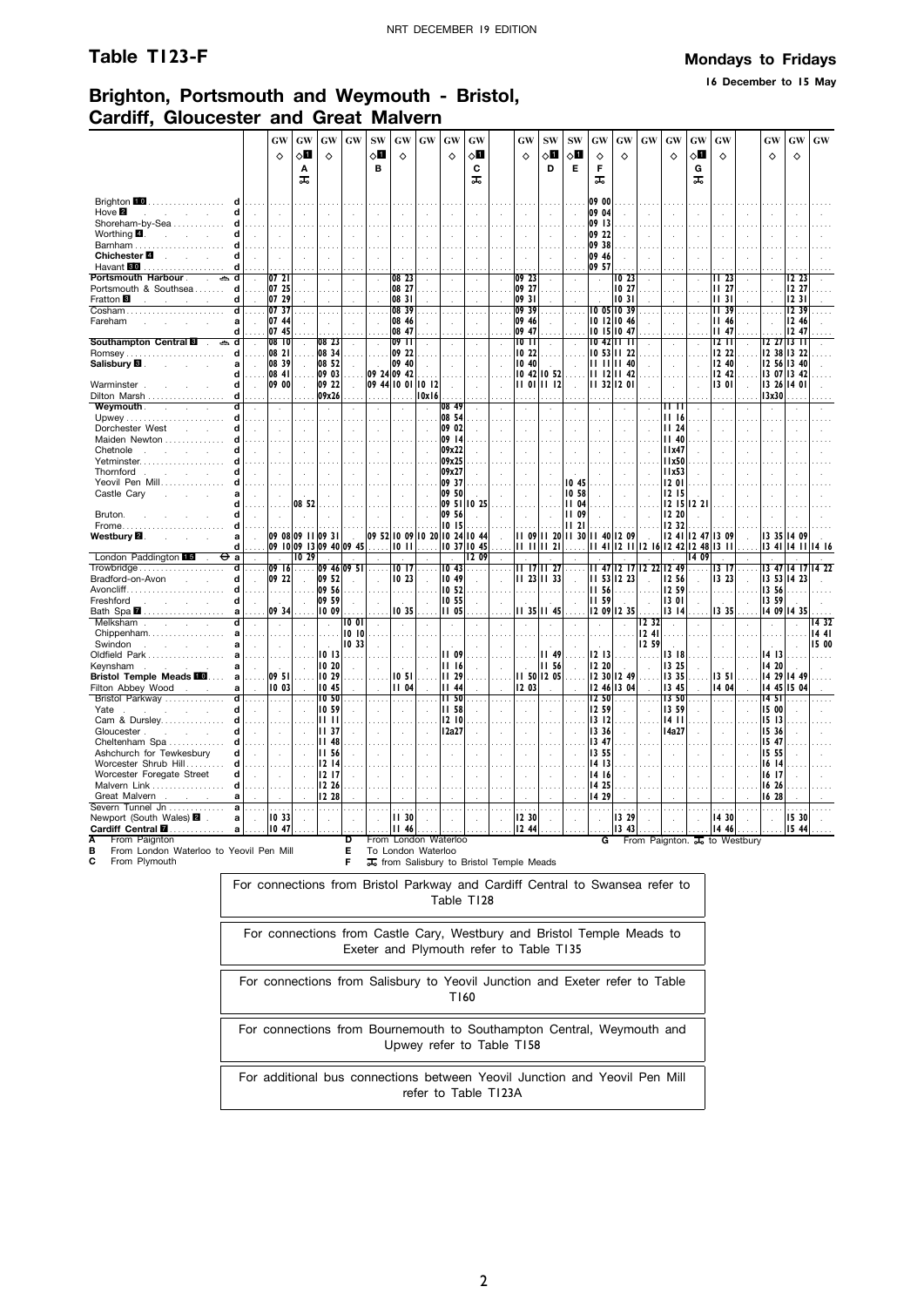**16 December to 15 May**

## **Brighton, Portsmouth and Weymouth - Bristol, Cardiff, Gloucester and Great Malvern**

|                                                                |                      | GW                   | GW                               | GW                   | GW       | <b>SW</b> | GW                         | GW                            | GW                         | GW                   |          | GW                                                    | <b>SW</b>      | <b>SW</b>    | GW                        | GW                   | GW                   | <b>GW</b>      | GW                                           | GW       |        | GW                   | GW       | GW    |
|----------------------------------------------------------------|----------------------|----------------------|----------------------------------|----------------------|----------|-----------|----------------------------|-------------------------------|----------------------------|----------------------|----------|-------------------------------------------------------|----------------|--------------|---------------------------|----------------------|----------------------|----------------|----------------------------------------------|----------|--------|----------------------|----------|-------|
|                                                                |                      |                      |                                  |                      |          |           |                            |                               |                            |                      |          |                                                       |                |              |                           |                      |                      |                |                                              |          |        |                      |          |       |
|                                                                |                      | $\Diamond$           | $\Diamond$ l                     | $\Diamond$           |          | √П        | $\Diamond$                 |                               | ♦                          | 8                    |          | ♦                                                     | ⊘П             | √Ц           | ♦                         | ♦                    |                      | ♦              | √П                                           | ♦        |        | ♦                    | ♦        |       |
|                                                                |                      |                      | A                                |                      |          | в         |                            |                               |                            | C                    |          |                                                       | D              | E            | F                         |                      |                      |                | G                                            |          |        |                      |          |       |
|                                                                |                      |                      | ᠼ                                |                      |          |           |                            |                               |                            | ᠼ                    |          |                                                       |                |              | ᠼ                         |                      |                      |                | ᠼ                                            |          |        |                      |          |       |
|                                                                |                      |                      |                                  |                      |          |           |                            |                               |                            |                      |          |                                                       |                |              |                           |                      |                      |                |                                              |          |        |                      |          |       |
| Brighton 10<br>.<br>Hove $\blacksquare$<br>Ч<br><b>Service</b> |                      |                      |                                  |                      |          |           |                            |                               |                            |                      |          |                                                       |                |              | 09 00<br>09 04            |                      |                      |                |                                              |          |        |                      |          |       |
| Shoreham-by-Sea<br>Ч                                           |                      | ÷.                   |                                  |                      |          |           |                            |                               |                            |                      |          |                                                       |                |              | 09 13                     |                      |                      |                |                                              |          |        |                      |          |       |
| Worthing $\blacksquare$ .<br>d<br>$\sim$<br><b>Contractor</b>  |                      |                      |                                  |                      |          |           |                            |                               |                            |                      |          |                                                       |                |              | 09 22                     |                      |                      |                |                                              |          |        |                      |          |       |
| d                                                              |                      |                      |                                  |                      |          |           |                            |                               |                            |                      |          |                                                       |                |              | 09 38                     |                      |                      |                |                                              |          |        |                      |          |       |
| Chichester <b>■</b>                                            |                      |                      |                                  |                      |          |           |                            |                               |                            |                      |          |                                                       | $\mathbf{r}$   |              | 09 46                     |                      |                      |                |                                              |          |        |                      |          |       |
| Havant 80<br>d                                                 |                      |                      |                                  |                      |          |           |                            |                               |                            |                      |          |                                                       |                |              | 09 57                     |                      |                      |                |                                              |          |        |                      |          |       |
| Portsmouth Harbour .<br>₿<br>ď<br>$\mathcal{L}$                |                      | 072                  |                                  |                      |          |           | 0823                       |                               |                            |                      |          | 09 23                                                 |                |              | $\ddot{\phantom{a}}$      | 1023                 |                      |                |                                              | II 23    |        |                      | 12,23    |       |
| Portsmouth & Southsea<br>d                                     |                      | 07 25                |                                  |                      | $\sim$   |           | 08 27                      |                               |                            |                      |          | 09 27                                                 | i i i          |              |                           | 10 27                | a a la               |                |                                              | II 27    |        |                      | 12 27    |       |
| Fratton <sup>8</sup><br>d                                      |                      | 07 29                |                                  |                      |          |           | 08 31                      |                               |                            |                      |          | 0931                                                  |                |              |                           | 1031                 |                      |                |                                              | 1131     |        |                      | 1231     |       |
| Cosham                                                         |                      | 07 37                |                                  |                      | $\cdots$ |           | 08 39                      |                               | $\cdots$                   |                      |          | 0939                                                  | $\cdots$       |              |                           | <b>10 05 10 39</b>   |                      | $\sim$ $\sim$  |                                              | II 39    |        |                      | 12.39    |       |
| Fareham<br>a                                                   |                      | 07 44                |                                  |                      | ÷.       |           | 08 46                      |                               | $\ddot{\phantom{a}}$       |                      |          | 09 46                                                 |                |              |                           | 10 12 10 46          |                      | $\mathbf{r}$   |                                              | II 46    |        | ÷.                   | 12.46    |       |
| Ч                                                              |                      | 07 45                |                                  |                      |          |           | 08 47                      |                               |                            |                      |          | 09 47                                                 |                |              |                           | 10 15 10 47          |                      |                |                                              | II 47    |        |                      | 12.47    |       |
| Southampton Central                                            |                      | 08 <sup>10</sup>     |                                  | 08 23                |          |           | 09 11                      |                               |                            |                      |          | 1011                                                  |                |              |                           | 10 42 11 11          |                      |                |                                              | 12 I I   |        | 12 27                | 13 T     |       |
| <b>Romsey</b><br>d                                             |                      | 08 21                |                                  | 08 34                |          |           | 09 22                      |                               |                            |                      |          | IO 22                                                 |                |              |                           | 10 53 11 22          |                      |                |                                              | 12 22    |        | 12 38 13 22          |          |       |
| Salisbury <b>B</b> .<br>я                                      |                      | 08 39                |                                  | 08 52                |          |           | 09 40                      |                               |                            |                      |          | 1040                                                  |                |              | $\mathbf{H}$ $\mathbf{H}$ | 1140                 |                      |                |                                              | 12 40    |        | 12 56 13 40          |          |       |
| Ч                                                              |                      | 08 41                |                                  | 09 03                |          |           | 09 24 09 42                |                               |                            |                      |          | 1042                                                  | 10 52          |              |                           | 11 12 11 42          |                      |                |                                              | 12 42    |        | 13 07 13 42          |          |       |
| Warminster.<br>d<br>Dilton Marsh<br>d                          | $\overline{a}$       | 09 00                |                                  | 09 22<br>09x26       | $\sim$   |           |                            | 09 44 10 01 10 12<br>10x16    | $\overline{a}$             |                      |          |                                                       | II 01 II 12    |              |                           | 11 32 12 01          |                      |                |                                              | 1301     |        | 13 26 14 01<br>13x30 |          |       |
| Weymouth.<br>d                                                 |                      |                      |                                  |                      |          |           |                            |                               | 08 49                      |                      |          |                                                       |                |              |                           |                      |                      | 11 TT          |                                              |          |        |                      |          |       |
| <b>Service</b><br>d                                            | $\mathbf{r}$         | $\ddot{\phantom{a}}$ |                                  | $\ddot{\phantom{a}}$ |          | $\cdot$   | $\lambda$                  |                               | 08 54                      |                      |          |                                                       | $\cdot$        |              | $\epsilon$                |                      |                      | II 16          |                                              |          |        | $\mathbf{r}$         |          |       |
| d<br>Dorchester West<br>$\mathcal{L}^{\text{max}}$             |                      |                      |                                  |                      |          |           |                            |                               | 09 02                      |                      |          |                                                       |                |              |                           |                      |                      | 11,24          |                                              |          |        |                      |          |       |
| Maiden Newton                                                  |                      |                      |                                  |                      |          |           |                            |                               | 09 14                      |                      |          |                                                       |                |              |                           |                      |                      | <b>II 40</b>   |                                              |          |        |                      |          |       |
| Chetnole<br>Ч<br>and the company                               |                      | чò.                  |                                  |                      |          |           | $\mathbf{r}$               |                               | 09x22                      |                      |          |                                                       | $\overline{a}$ |              |                           |                      |                      | 11x47          |                                              |          |        |                      |          |       |
| Yetminster                                                     |                      |                      |                                  |                      |          |           |                            |                               | 09x25                      |                      |          |                                                       |                |              |                           |                      |                      | 11x50          |                                              |          |        |                      |          |       |
| Thornford.                                                     |                      |                      |                                  |                      |          |           |                            |                               | 09x27                      |                      |          |                                                       |                |              |                           |                      |                      | l Ix53         |                                              |          |        |                      |          |       |
| Yeovil Pen Mill                                                |                      |                      |                                  |                      |          |           |                            |                               | 09 37                      |                      |          |                                                       |                | 1045         |                           |                      |                      | I2 OI          |                                              |          |        |                      |          |       |
| Castle Cary                                                    |                      |                      |                                  |                      |          |           | $\mathcal{L}_{\mathbf{a}}$ |                               | 09 50                      |                      |          |                                                       |                | 10 58        |                           |                      |                      | 12 15          |                                              |          |        |                      |          |       |
| Ч                                                              |                      |                      | 08 52                            |                      |          |           |                            |                               |                            | 09 51 10 25          |          |                                                       |                | 1104         |                           |                      |                      |                | 12 15 12 21                                  |          |        |                      |          |       |
| Bruton.<br>d                                                   |                      |                      |                                  |                      |          |           |                            |                               | 09 56                      |                      |          |                                                       |                | 09<br>Ш      |                           |                      |                      | 12 20          |                                              |          |        |                      |          |       |
| Frome<br>d                                                     |                      |                      |                                  |                      |          |           |                            |                               | 10 15                      |                      |          |                                                       |                | п<br>21      |                           |                      |                      | 12 32          |                                              |          |        |                      |          |       |
| Westbury <b>⊠</b> .<br>a                                       | $\mathbf{r}$         |                      | 09 08 09 11 09 3                 |                      |          |           |                            | 09 52 10 09 10 20 10 24 10 44 |                            |                      | l.       | II 09                                                 | 1120           | <b>II 30</b> | 1140                      | 12 09                |                      | 1241           | 12 47                                        | 13 09    |        | 13 35                | 14 09    |       |
| d<br>London Paddington 15<br><del>О</del> а                    | $\ddot{\phantom{a}}$ | $\ddot{\phantom{a}}$ | 09 10 09 13 09 40 09 45<br>10 29 |                      |          |           |                            | $10$ $11$                     | $\mathcal{L}_{\mathbf{a}}$ | 10 37 10 45<br>12 09 |          | 11 H                                                  | 1121           |              |                           |                      |                      | $\mathbf{r}$   | 11 41 12 11 12 16 12 42 12 48 13 11<br>14 09 |          |        | 1341                 | 4<br>-11 | 14 16 |
| Trowbridge<br>d                                                |                      | 09 16                |                                  | 09 46 09 51          |          |           | 1017                       | 1.1.1                         | 10 <sub>43</sub>           |                      | $\cdots$ |                                                       | II 1711 27     |              | н.                        | 47 12 17             | 12,22                | 1249           | .                                            | I3 I7    | $\sim$ | 13 47 14 17          |          |       |
| Bradford-on-Avon<br>d                                          |                      | 09 22                |                                  | 09 52                |          |           | 1023                       |                               | 10 49                      |                      |          |                                                       | 11 23 11 33    |              |                           | 11 53 12 23          | $\sim$               | 12 56          |                                              | 13 23    |        | 13 53 14 23          |          |       |
| $A$ voncliff<br>d                                              |                      | .                    |                                  | 09 56                |          |           |                            |                               | 10 52                      |                      |          | .                                                     | .              |              | 11 56                     |                      |                      | 12 59          |                                              | $\cdots$ |        | 13 56                |          |       |
| Freshford<br>d<br>$\sim$                                       |                      | з.                   |                                  | 09 59                | ÷.       |           |                            |                               | 10 55                      |                      |          |                                                       |                |              | 1159                      |                      | $\ddot{\phantom{a}}$ | 13 01          |                                              |          |        | 13 59                |          |       |
| Bath Spa $\blacksquare$                                        |                      | 09 34                |                                  | 10 09                |          |           | 1035                       |                               | 11 05                      |                      |          |                                                       | 11 35 11 45    |              |                           | 12 09 12 35          |                      | 13 14          |                                              | 1335     |        | 14 09 14 35          |          |       |
| Melksham<br>Ч<br>S.<br><b>Service</b>                          |                      | ÷                    |                                  |                      | 10 OI    |           |                            |                               |                            |                      |          |                                                       | $\cdot$        |              |                           |                      | 12 32                |                |                                              |          |        |                      |          | 1432  |
| Chippenham<br>a                                                |                      |                      |                                  | .                    | 1010     |           |                            |                               |                            |                      |          |                                                       |                |              |                           |                      | 1241                 |                |                                              |          |        |                      |          | 1441  |
| Swindon<br>and the company of<br>a                             |                      | ÷.                   |                                  | $\sim$               | 10 33    |           | $\mathbf{r}$               |                               |                            |                      |          |                                                       |                |              |                           | $\ddot{\phantom{a}}$ | 12 59                |                |                                              |          |        |                      | l.       | 15 00 |
| Oldfield Park<br>a                                             |                      |                      |                                  | 10 13                | .        |           |                            |                               | II 09                      |                      |          |                                                       | II 49          |              | 12 13                     |                      |                      | 1318           |                                              |          |        | 14 13                |          |       |
| Keynsham<br>a<br>and the contract of the con-<br>÷             |                      |                      |                                  | 10 20                |          |           |                            |                               | 1116                       |                      |          |                                                       | <b>II 56</b>   |              | 12 20                     |                      |                      | 13 25          |                                              |          |        | 14 20                |          |       |
| <b>Bristol Temple Meads III</b>                                |                      | 09 51                |                                  | 10 29                |          |           | 10 51                      |                               | <b>II</b> 29               |                      |          |                                                       | 11 50 12 05    |              |                           | 12 30 12 49          |                      | 13 35          |                                              | 13 51    |        | 14 29 14 49          |          |       |
| Filton Abbey Wood<br>a<br>$\sim$                               |                      | 10 03                |                                  | 10 45                |          |           | <b>II</b> 04               |                               | $II$ 44                    |                      | ÷.       | 12 03                                                 |                |              |                           | 12 46 13 04          |                      | 13 45          | ÷                                            | 14 04    |        | 14 45 15 04          |          |       |
| Bristol Parkway<br>ď                                           |                      | .                    |                                  | 10 50                |          |           |                            |                               | 11,50                      |                      |          | $\cdots$                                              |                |              | 12 50                     |                      |                      | 13 50          |                                              | $\cdots$ |        | 1451                 |          |       |
| d<br>Yate<br>n.<br>Cam & Dursley<br>d                          |                      | ÷.                   |                                  | 10 59<br>lii il      |          |           |                            |                               | 11 58<br>1210              |                      |          |                                                       |                |              | 12 59<br>1312             |                      |                      | 1359<br>14 I I |                                              |          |        | 15 00<br>15 13       |          |       |
| d<br>and the control                                           |                      |                      |                                  | 11 <sub>37</sub>     |          |           |                            |                               |                            |                      |          |                                                       |                |              | 13 36                     |                      |                      |                |                                              |          |        | 15 36                |          |       |
| Gloucester.<br>Cheltenham Spa<br>d                             | $\sim$               | ÷.                   |                                  | <b>II</b> 48         |          |           | $\mathbf{r}$               |                               | 12a27                      |                      | ÷.       |                                                       | $\mathbf{r}$   |              | 13 47                     |                      |                      | 14a27          |                                              |          |        | 1547                 |          |       |
| Ashchurch for Tewkesbury<br>d                                  | $\sim$               | $\sim$               |                                  | <b>III</b> 56        |          | ÷         | $\mathbf{r}$               |                               |                            |                      | ÷.       |                                                       | $\mathbf{r}$   |              | 13 55                     |                      |                      |                | ÷.                                           |          |        | 15 55                |          |       |
| Worcester Shrub Hill<br>d                                      |                      |                      |                                  | 1214                 |          |           |                            |                               |                            |                      |          |                                                       |                |              | 14 13                     |                      |                      |                |                                              |          |        | 16 14                |          |       |
| Worcester Foregate Street<br>Ч                                 | $\mathcal{A}$        |                      |                                  | 1217                 |          |           |                            |                               |                            |                      |          |                                                       |                |              | 14 16                     |                      |                      |                |                                              |          |        | 16 17                |          |       |
| Malvern Link<br>d                                              |                      |                      |                                  | 12 26                |          |           |                            |                               |                            |                      |          |                                                       |                |              | 14 25                     |                      |                      |                |                                              |          |        | 16 26                |          |       |
| Great Malvern<br>a                                             |                      |                      |                                  | 12 28                |          |           |                            |                               |                            |                      |          |                                                       |                |              | 14 29                     |                      |                      |                |                                              |          |        | 16 28                |          |       |
| Severn Tunnel Jn<br>a                                          |                      |                      |                                  | .                    |          |           |                            |                               |                            |                      |          |                                                       | $\sim$         |              | .                         |                      |                      |                |                                              |          |        | $\cdots$             |          |       |
| Newport (South Wales) 2<br>a                                   |                      | 10 33                |                                  |                      | J,       |           | <b>II 30</b>               |                               |                            |                      |          | 12 30                                                 |                |              | $\ddot{\phantom{a}}$      | 13 29                |                      |                |                                              | 14 30    |        | ÷.                   | 15 30    |       |
| Cardiff Central <b>D</b><br>$\mathbf a$<br>.                   |                      | 10 47                |                                  |                      |          |           | <b>II 46</b>               |                               |                            |                      |          | 12 44                                                 |                |              |                           | 13 43                |                      |                |                                              | 14 46    |        |                      | 15 44    |       |
| Α<br>From Paignton                                             |                      |                      |                                  |                      | D<br>E   |           |                            | From London Waterloo          |                            |                      |          |                                                       |                |              | G                         |                      |                      |                | From Paignton. $\overline{J_0}$ to Westbury  |          |        |                      |          |       |
| B<br>From London Waterloo to Yeovil Pen Mill                   |                      |                      | To London Waterloo               |                      |          |           |                            |                               |                            |                      |          |                                                       |                |              |                           |                      |                      |                |                                              |          |        |                      |          |       |
| С<br>From Plymouth                                             |                      |                      |                                  |                      | F        |           |                            |                               |                            |                      |          | T <sub>o</sub> from Salisbury to Bristol Temple Meads |                |              |                           |                      |                      |                |                                              |          |        |                      |          |       |

For connections from Bristol Parkway and Cardiff Central to Swansea refer to

| Table T128                                                                                                        |
|-------------------------------------------------------------------------------------------------------------------|
| For connections from Castle Cary, Westbury and Bristol Temple Meads to<br>Exeter and Plymouth refer to Table T135 |
| For connections from Salisbury to Yeovil Junction and Exeter refer to Table<br>T160                               |
| For connections from Bournemouth to Southampton Central, Weymouth and<br>Upwey refer to Table T158                |
| For additional bus connections between Yeovil Junction and Yeovil Pen Mill<br>refer to Table T123A                |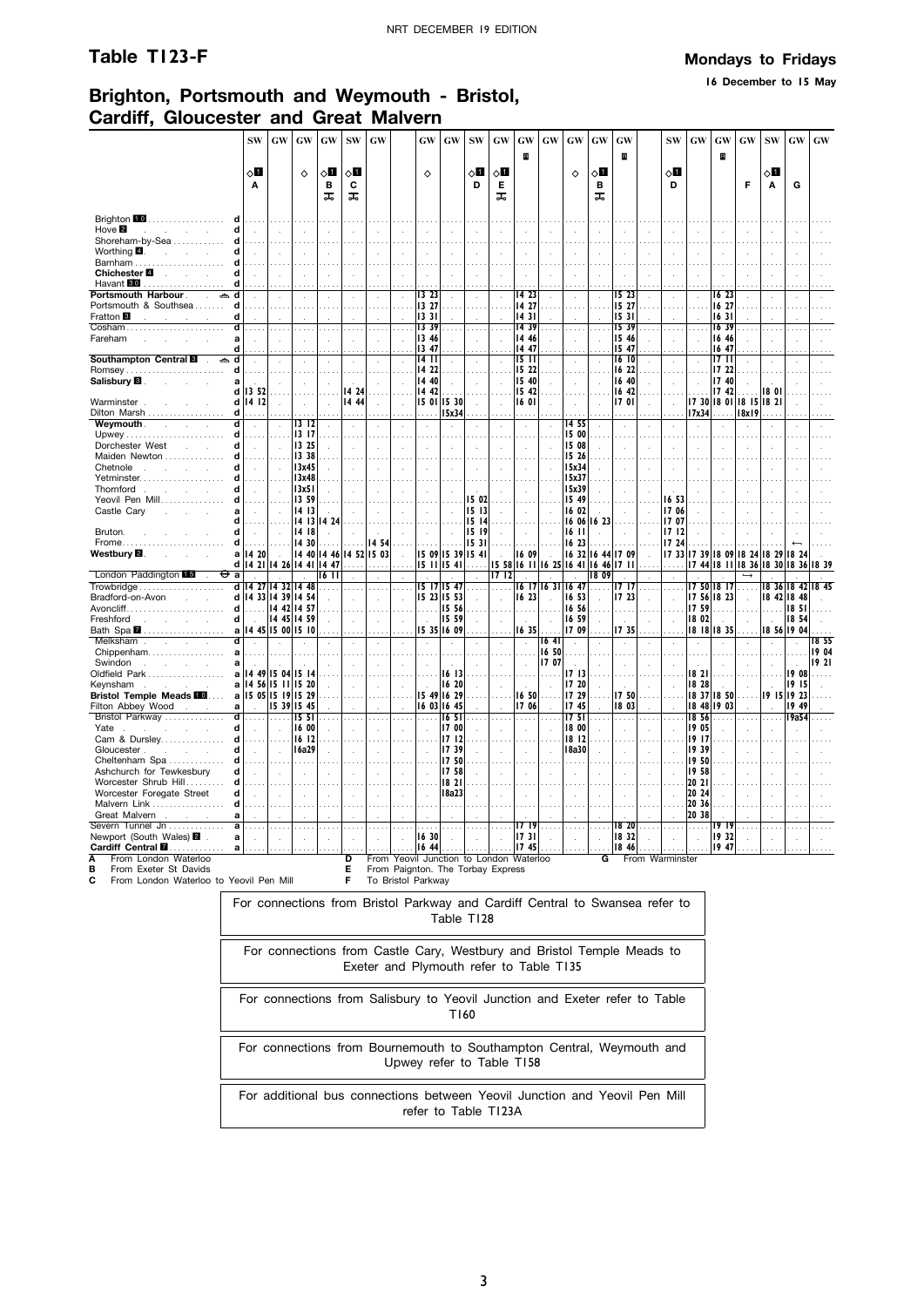**16 December to 15 May**

## **Brighton, Portsmouth and Weymouth - Bristol, Cardiff, Gloucester and Great Malvern**

|                                                                      | <b>SW</b>                         | <b>GW</b>     | GW                              | GW                   | <b>SW</b> | <b>GW</b>               |                            | <b>GW</b>       | GW                         | <b>SW</b>                               | <b>GW</b>            | <b>GW</b>            | GW                                  | GW             | $\boldsymbol{\mathbf{G}}\boldsymbol{\mathbf{W}}$ | <b>GW</b>            |                      | SW                         | <b>GW</b>                           | GW             | <b>GW</b>                           | <b>SW</b>   | <b>GW</b>      | $\boldsymbol{\mathsf{G}}\boldsymbol{\mathsf{W}}$ |
|----------------------------------------------------------------------|-----------------------------------|---------------|---------------------------------|----------------------|-----------|-------------------------|----------------------------|-----------------|----------------------------|-----------------------------------------|----------------------|----------------------|-------------------------------------|----------------|--------------------------------------------------|----------------------|----------------------|----------------------------|-------------------------------------|----------------|-------------------------------------|-------------|----------------|--------------------------------------------------|
|                                                                      |                                   |               |                                 |                      |           |                         |                            |                 |                            |                                         |                      | R                    |                                     |                |                                                  | B                    |                      |                            |                                     | B              |                                     |             |                |                                                  |
|                                                                      | $\circ$ l                         |               | ♦                               | 8П                   | $\circ$ l |                         |                            | ♦               |                            | 8П                                      | 8П                   |                      |                                     | ♦              | $\diamond$ l                                     |                      |                      | 8П                         |                                     |                |                                     | ◇Ø          |                |                                                  |
|                                                                      | A                                 |               |                                 | B                    | C         |                         |                            |                 |                            | D                                       | Е                    |                      |                                     |                | в                                                |                      |                      | D                          |                                     |                | F                                   | Α           | G              |                                                  |
|                                                                      |                                   |               |                                 | ᠼ                    | ᠼ         |                         |                            |                 |                            |                                         | ᠼ                    |                      |                                     |                | ᠼ                                                |                      |                      |                            |                                     |                |                                     |             |                |                                                  |
| Brighton 10<br>.                                                     |                                   |               |                                 |                      |           |                         |                            |                 |                            |                                         |                      |                      |                                     |                |                                                  |                      |                      |                            |                                     |                |                                     |             |                |                                                  |
| Hove 2<br>d<br><b>Contract</b>                                       |                                   |               |                                 | $\overline{a}$       |           |                         |                            |                 |                            |                                         |                      |                      |                                     |                | ÷                                                |                      | ÷.                   |                            |                                     |                |                                     |             |                |                                                  |
| Shoreham-by-Sea<br>Ч                                                 |                                   |               |                                 |                      |           |                         |                            |                 |                            |                                         |                      |                      |                                     |                |                                                  |                      |                      |                            |                                     |                |                                     |             |                |                                                  |
| Worthing $\blacksquare$ .<br>d<br><b>Carl Carl Carl</b><br>Ч         |                                   |               |                                 |                      |           |                         |                            |                 |                            |                                         |                      |                      |                                     |                | $\ddot{\phantom{a}}$                             |                      |                      |                            |                                     |                |                                     |             |                |                                                  |
| Chichester <b>■</b><br>d<br>$\mathcal{L}$<br><b>College</b>          |                                   |               |                                 |                      |           |                         |                            |                 |                            |                                         |                      |                      |                                     |                | J.                                               |                      |                      |                            |                                     |                |                                     |             |                |                                                  |
| Havant <b>30</b><br>Ч<br>.                                           |                                   |               |                                 |                      |           |                         |                            |                 |                            |                                         |                      |                      |                                     |                |                                                  |                      |                      |                            |                                     |                |                                     |             |                |                                                  |
| Portsmouth Harbour<br>d<br>گ                                         |                                   | $\cdot$       |                                 |                      | $\lambda$ | $\cdot$                 | $\cdot$                    | 13 23           |                            |                                         |                      | 14 23                | $\ddot{\phantom{a}}$                |                | $\ddot{\phantom{a}}$                             | 15 23                |                      | $\lambda$                  |                                     | 16 23          |                                     | ÷,          |                |                                                  |
| Portsmouth & Southsea<br>d                                           |                                   |               |                                 |                      |           |                         |                            | 13 27           |                            |                                         |                      | 14 27                |                                     |                |                                                  | 15 27                |                      |                            |                                     | 16 27          |                                     |             |                |                                                  |
| Fratton <sup>8</sup><br>d<br>and the<br>Cosham<br>d                  |                                   |               |                                 |                      |           |                         |                            | 1331<br>13 39   |                            |                                         |                      | 1431<br>1439         |                                     |                | $\cdots$                                         | 1531<br>15 39        |                      |                            |                                     | 1631<br>1639   |                                     |             |                |                                                  |
| Fareham<br>a                                                         |                                   |               |                                 |                      |           |                         |                            | 13 46           |                            |                                         |                      | 14 46                |                                     |                |                                                  | 15 46                |                      |                            |                                     | 16 46          |                                     |             |                |                                                  |
| d                                                                    |                                   |               |                                 |                      |           |                         |                            | 13 47           |                            |                                         |                      | 14 47                |                                     |                |                                                  | 15 47                |                      |                            |                                     | 16 47          |                                     |             |                |                                                  |
| Southampton Central <b>8</b><br>d<br>ڪ                               |                                   |               |                                 |                      |           |                         |                            | 14 II           |                            |                                         |                      | 15 I I               |                                     |                |                                                  | 16 IO                |                      |                            |                                     | 17 II          |                                     |             |                |                                                  |
| <b>Romsey</b><br>d                                                   |                                   |               |                                 |                      |           |                         |                            | 14 22<br>14 40  |                            |                                         |                      | 15 22                |                                     |                |                                                  | 16 22                |                      |                            |                                     | 17 22<br>17 40 |                                     |             |                |                                                  |
| Salisbury <b>B</b> .<br>a<br>d                                       | 13 52                             |               |                                 |                      | 14 24     |                         |                            | 14 42           |                            |                                         |                      | 15 40<br>15 42       |                                     |                | $\overline{a}$                                   | 16 40<br>16 42       |                      |                            |                                     | 17 42          |                                     | 180         |                |                                                  |
| Warminster.<br>d                                                     | 14 12                             |               | $\ddot{\phantom{a}}$            | $\mathcal{L}$        | 14 44     |                         | $\mathcal{L}_{\mathbf{a}}$ | 15 01 15 30     |                            |                                         | ÷.                   | 16 01                |                                     | $\cdot$        | $\cdot$                                          | 17 OI                | $\mathcal{L}$        | $\mathcal{A}$              |                                     |                | 17 30 18 01 18 15 18 21             |             |                |                                                  |
| Dilton Marsh<br>d                                                    |                                   |               |                                 |                      |           |                         |                            |                 | 15x34                      |                                         |                      |                      |                                     |                |                                                  |                      |                      |                            | 17x34                               |                | 18x19                               |             |                |                                                  |
| ď<br><b>Weymouth Weymouth</b>                                        | $\mathcal{L}$                     | $\mathcal{L}$ | 1312                            | $\bar{z}$            |           |                         | $\ddot{\phantom{a}}$       | $\mathcal{L}$   | $\cdot$                    | $\ddot{\phantom{a}}$                    | $\ddot{\phantom{a}}$ | $\ddot{\phantom{a}}$ |                                     | 1455           | $\mathcal{L}$                                    | $\ddot{\phantom{a}}$ | $\ddot{\phantom{a}}$ | $\bar{z}$                  | $\lambda$                           |                |                                     | ÷,          | $\cdot$        |                                                  |
| d<br>d                                                               |                                   |               | 13 17                           |                      |           |                         |                            |                 |                            |                                         |                      |                      |                                     | 15 00          |                                                  |                      |                      |                            |                                     |                |                                     |             |                |                                                  |
| Dorchester West<br>$\mathcal{L}^{\mathcal{L}}$<br>Maiden Newton<br>d | $\overline{a}$                    | ÷.            | 13 25<br>13 38                  |                      |           |                         |                            |                 | $\overline{a}$             |                                         | ÷.                   |                      |                                     | 15 08<br>15 26 | J.                                               |                      | J.                   |                            |                                     |                |                                     |             |                |                                                  |
| d                                                                    | ÷.                                |               | 13x45                           | $\cdot$              |           |                         | $\ddot{\phantom{a}}$       |                 | $\mathcal{L}_{\mathbf{a}}$ | $\mathbf{r}$                            |                      |                      | $\mathbf{r}$                        | 15x34          | ÷.                                               |                      | J.                   | $\mathbf{r}$               |                                     |                |                                     |             |                |                                                  |
| Yetminster<br>d                                                      |                                   |               | 13x48                           |                      |           |                         |                            |                 |                            |                                         |                      |                      |                                     | 15x37          |                                                  |                      |                      |                            |                                     |                |                                     |             |                |                                                  |
| Thornford<br>d                                                       |                                   | ÷.            | 13x51                           | $\ddot{\phantom{a}}$ |           |                         |                            |                 |                            |                                         |                      |                      |                                     | 15x39          |                                                  |                      |                      |                            |                                     |                |                                     |             |                |                                                  |
| Yeovil Pen Mill<br>d                                                 |                                   |               | 13 59                           |                      |           |                         |                            |                 |                            | 15 02                                   |                      |                      |                                     | 15 49          |                                                  |                      |                      | 16 53                      |                                     |                |                                     |             |                |                                                  |
| Castle Cary<br>a<br>÷<br>d                                           |                                   |               | 14 13<br>1413                   | 14 24                |           |                         |                            |                 |                            | 15 13<br>15 14                          |                      |                      |                                     | 16 02<br>16 06 | 16 23                                            |                      |                      | 1706<br>1707               |                                     |                |                                     |             |                |                                                  |
| Bruton.<br>Ч                                                         |                                   |               | 14 18                           |                      |           |                         |                            |                 |                            | 15 19                                   |                      |                      |                                     | 16 II          |                                                  |                      |                      | 1712                       |                                     |                |                                     |             |                |                                                  |
| Frome<br>d                                                           |                                   |               | 14 30                           |                      |           | 14 54                   |                            |                 |                            | 15 31                                   |                      |                      |                                     | 16 23          |                                                  |                      |                      | 17 24                      |                                     |                |                                     |             |                |                                                  |
| Westbury <b>⊠</b> .                                                  | a 14 20                           |               |                                 |                      |           | 14 40 14 46 14 52 15 03 | $\mathbf{r}$               | 15 09 15 39     |                            | 1541                                    |                      | 16 09                |                                     |                |                                                  | 16 32 16 44 17 09    |                      |                            | 17 33 17 39 18 09 18 24 18 29 18 24 |                |                                     |             |                |                                                  |
|                                                                      | d   14 21   14 26   14 41   14 47 |               |                                 |                      |           |                         |                            | $15$ 11 $15$ 41 |                            |                                         |                      |                      | 15 58 16 11 16 25 16 41 16 46 17 11 |                |                                                  |                      |                      |                            |                                     |                | 17 44 18 11 18 36 18 30 18 36 18 39 |             |                |                                                  |
| London Paddington 15<br>a<br>↔                                       | d   14 27 14 32 14 48             |               |                                 | 16 II                |           |                         | $\sim$                     | 15 17 15 47     |                            |                                         | 1712                 |                      | $\mathcal{L}$<br>16 17 16 31 16 47  |                | 18 09<br>$\sim$                                  | 17 17                | $\sim$               | .                          |                                     | 17 50 18 17    | $\cdots$                            |             |                | 18 36 18 42 18 45                                |
| d<br>Bradford-on-Avon                                                |                                   |               | 14 33 14 39 14 54               |                      |           |                         | $\ddot{\phantom{a}}$       | 15 23 15 53     |                            |                                         |                      | 16 23                | $\mathbf{r}$                        | 16 53          | ÷,                                               | 17 23                | ÷.                   |                            |                                     | 17 56 18 23    |                                     | 18 42 18 48 |                |                                                  |
| Avoncliff.<br>d                                                      |                                   |               | 14 42 14 57                     |                      |           |                         |                            |                 | 15 56                      |                                         |                      |                      |                                     | 16 56          |                                                  |                      |                      |                            | 1759                                |                |                                     |             | 18 51          |                                                  |
| d<br>Freshford<br>and the company                                    | $\sim$                            |               | 14 45 14 59                     | $\cdot$              | ÷.        |                         | $\ddot{\phantom{a}}$       |                 | 15 59                      | $\lambda$                               | ÷.                   |                      | $\lambda$                           | 16 59          | ÷.                                               |                      | $\mathcal{L}$        | $\mathcal{L}_{\mathbf{z}}$ | 18 02                               |                |                                     |             | 18 54          |                                                  |
| Bath Spa <b>M</b><br>a                                               |                                   |               | 14 45 15 00 15 10               |                      |           |                         |                            |                 | 15 35 16 09                |                                         |                      | 1635                 |                                     | 17 09          |                                                  | 1735                 |                      |                            |                                     | 18 18 18 35    |                                     |             | 18 56 19 04    |                                                  |
| d<br>Melksham<br>a                                                   |                                   |               |                                 |                      |           |                         |                            | i,              | $\cdot$                    |                                         |                      | $\cdot$              | 1641<br>16 50                       | à.             |                                                  | $\ddot{\phantom{a}}$ |                      |                            |                                     |                |                                     |             | $\cdot$        | 1855<br>19 04                                    |
| Chippenham<br>Swindon<br>a<br>and the state                          |                                   |               |                                 |                      |           |                         |                            |                 |                            |                                         |                      |                      | 17 07                               |                |                                                  |                      |                      |                            |                                     |                |                                     |             |                | 19 21                                            |
| Oldfield Park<br>a                                                   | 14 49                             |               | 15 04 15 14                     |                      |           |                         |                            |                 | 16 13                      |                                         |                      |                      |                                     | 1713           |                                                  |                      |                      |                            | 18 21                               |                |                                     |             | 19 08          | $\sim 10$                                        |
| Keynsham<br>a                                                        |                                   |               | 14 56 15 11 15 20               |                      |           |                         |                            |                 | 16 20                      |                                         |                      |                      |                                     | 17 20          |                                                  |                      |                      |                            | 18 28                               |                |                                     |             | 19 15          |                                                  |
| <b>Bristol Temple Meads <b>10</b> </b>                               | a   15 05   15 19   15 29         |               |                                 |                      |           |                         |                            | 15 49 16 29     |                            |                                         |                      | 16 50                |                                     | 17 29          |                                                  | 1750                 | $\cdots$             |                            |                                     | 18 37 18 50    |                                     | 19 15 19 23 |                |                                                  |
| Filton Abbey Wood<br>a<br>Bristol Parkway<br>ď                       |                                   | .             | 15 39 15 45<br>15 <sub>51</sub> |                      |           |                         | $\mathcal{L}$              | 16 03 16 45     | 1651                       |                                         |                      | 17 06                |                                     | 17 45<br>1751  |                                                  | 1803                 |                      |                            | 18 56                               | 18 48 19 03    |                                     |             | 19 49<br>19a54 |                                                  |
| d<br>Yate<br><b>Service</b><br>$\sim$ $\sim$                         | $\ldots$<br>$\mathcal{L}$         | ÷.            | 16 00                           | .                    |           |                         | ÷.                         | $\sim$<br>J.    | 17 00                      |                                         |                      | $\sim$               |                                     | 18 00          | $\cdots$<br>J.                                   | $\cdots$<br>$\cdot$  | $\cdots$<br>÷.       |                            | 19 05                               |                |                                     |             |                |                                                  |
| Cam & Dursley<br>d                                                   |                                   |               | 1612                            |                      |           |                         |                            |                 | 1712                       |                                         |                      |                      |                                     | 18 12          |                                                  |                      |                      |                            | 19 17                               |                |                                     |             |                |                                                  |
| Gloucester.<br>d<br><b>Service</b>                                   |                                   |               | 16a29                           |                      |           |                         |                            |                 | 1739                       |                                         |                      |                      |                                     | <b>18a30</b>   |                                                  |                      |                      |                            | 19 39                               |                |                                     |             |                |                                                  |
| Cheltenham Spa<br>d                                                  |                                   |               |                                 |                      |           |                         |                            |                 | 17 50                      |                                         |                      |                      |                                     |                |                                                  |                      |                      |                            | 19 50                               |                |                                     |             |                |                                                  |
| Ashchurch for Tewkesbury<br>d<br>Worcester Shrub Hill<br>d           | $\sim$                            |               |                                 |                      |           |                         | ÷.                         |                 | 1758<br>1821               |                                         |                      |                      |                                     |                |                                                  |                      | χ.                   |                            | 1958<br>20 21                       |                |                                     |             |                |                                                  |
| Worcester Foregate Street<br>d                                       |                                   |               |                                 |                      |           |                         |                            |                 | 18a23                      |                                         |                      |                      |                                     |                |                                                  |                      |                      |                            | 20 24                               |                |                                     |             |                |                                                  |
| Malvern Link<br>d                                                    |                                   |               |                                 |                      |           |                         |                            |                 | $\cdots$                   |                                         |                      |                      |                                     |                |                                                  |                      |                      |                            | 20 36                               |                |                                     |             |                |                                                  |
| Great Malvern<br>a                                                   |                                   |               |                                 |                      |           |                         |                            |                 |                            |                                         |                      |                      |                                     |                |                                                  |                      |                      |                            | 20 38                               |                |                                     |             |                |                                                  |
| Severn Tunnel Jn<br>a                                                |                                   |               |                                 |                      |           |                         |                            |                 |                            |                                         |                      | I7 19                |                                     |                |                                                  | 18,20                | $\cdots$             |                            |                                     | 19 19          |                                     |             |                |                                                  |
| Newport (South Wales) 2 .<br>a                                       |                                   |               |                                 |                      |           |                         |                            | 16 30           |                            |                                         |                      | 1731                 |                                     |                | ÷,                                               | 18 32                |                      |                            |                                     | 19 32          |                                     |             |                |                                                  |
| Cardiff Central <b>M</b><br>a<br>A<br>From London Waterloo           |                                   |               |                                 |                      | D         |                         |                            | 16 44           |                            | From Yeovil Junction to London Waterloo |                      | 1745                 |                                     |                | G                                                | 18 46                | From Warminster      |                            |                                     | 19 47          |                                     |             |                |                                                  |
| в<br>From Exeter St Davids                                           |                                   |               |                                 |                      | Е         |                         |                            |                 |                            | From Paignton. The Torbay Express       |                      |                      |                                     |                |                                                  |                      |                      |                            |                                     |                |                                     |             |                |                                                  |
| С<br>From London Waterloo to Yeovil Pen Mill                         |                                   |               |                                 |                      | F         |                         | To Bristol Parkway         |                 |                            |                                         |                      |                      |                                     |                |                                                  |                      |                      |                            |                                     |                |                                     |             |                |                                                  |

For connections from Bristol Parkway and Cardiff Central to Swansea refer to Table T128

For connections from Castle Cary, Westbury and Bristol Temple Meads to Exeter and Plymouth refer to Table T135

For connections from Salisbury to Yeovil Junction and Exeter refer to Table T160

For connections from Bournemouth to Southampton Central, Weymouth and Upwey refer to Table T158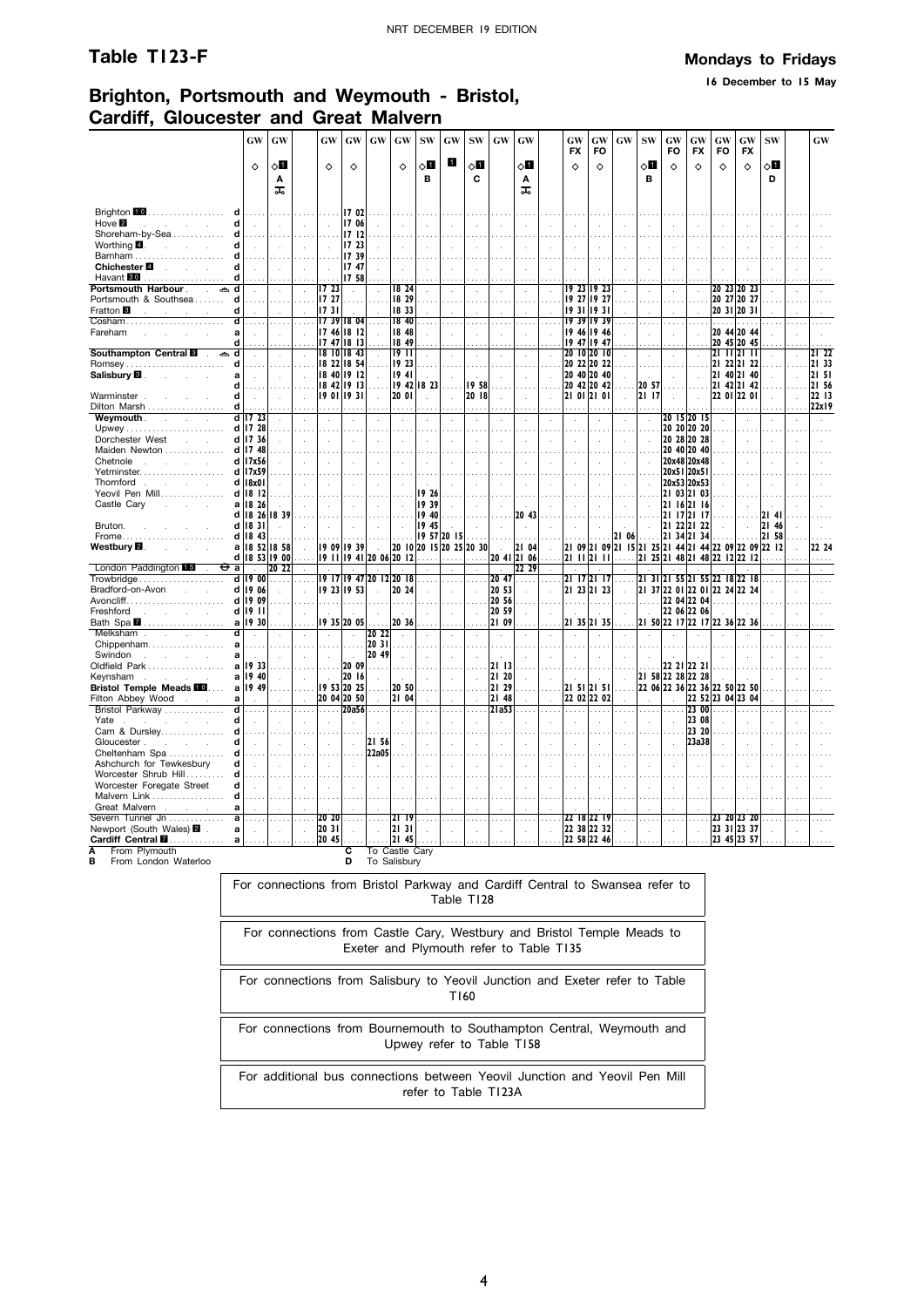**16 December to 15 May**

## **Brighton, Portsmouth and Weymouth - Bristol, Cardiff, Gloucester and Great Malvern**

|                                                                      | <b>GW</b>                   | GW            |                             | GW                         | GW                          | GW                        | GW                          | <b>SW</b>   | GW                          | <b>SW</b>                | GW                      | GW             |                          | GW<br><b>FX</b> | GW<br>FO                     | <b>GW</b>                | <b>SW</b>         | GW<br>FO                    | GW<br><b>FX</b>            | GW<br>FO                                                                               | GW<br><b>FX</b> | <b>SW</b>            |                | GW             |
|----------------------------------------------------------------------|-----------------------------|---------------|-----------------------------|----------------------------|-----------------------------|---------------------------|-----------------------------|-------------|-----------------------------|--------------------------|-------------------------|----------------|--------------------------|-----------------|------------------------------|--------------------------|-------------------|-----------------------------|----------------------------|----------------------------------------------------------------------------------------|-----------------|----------------------|----------------|----------------|
|                                                                      | $\Diamond$                  | √П<br>A       |                             | $\Diamond$                 | ♦                           |                           | $\Diamond$                  | √П<br>в     | О                           | √П<br>C                  |                         | √П<br>Α        |                          | ♦               | ♦                            |                          | √Ц<br>B           | $\Diamond$                  | $\Diamond$                 | ♦                                                                                      | $\Diamond$      | ◇Ø<br>D              |                |                |
|                                                                      |                             | ᠼ             |                             |                            |                             |                           |                             |             |                             |                          |                         | ᅚ              |                          |                 |                              |                          |                   |                             |                            |                                                                                        |                 |                      |                |                |
| Brighton 10<br>.<br>d                                                |                             |               |                             |                            | 17 02                       |                           |                             |             |                             |                          |                         |                |                          |                 |                              |                          |                   |                             |                            |                                                                                        |                 |                      |                |                |
| Hove <sup>2</sup><br>d<br><b>Service</b>                             | $\ddot{\phantom{a}}$        | $\mathcal{L}$ |                             |                            | 17 06                       |                           |                             |             |                             |                          |                         |                |                          |                 |                              |                          |                   |                             |                            |                                                                                        |                 |                      |                |                |
| Shoreham-by-Sea<br>Worthing $\blacksquare$ .<br>d<br>and the control | $\sim$                      | $\sim$        | $\sim$                      |                            | 1712<br>17 23               |                           | $\mathcal{L}$               |             |                             |                          |                         |                |                          |                 |                              |                          |                   |                             |                            |                                                                                        |                 |                      |                |                |
| Barnham<br>d                                                         |                             | a a a         | $\sim$                      | $\sim$                     | 1739                        |                           |                             |             | $\mathbf{r}$                |                          |                         |                | ÷                        |                 |                              |                          | ÷                 |                             |                            |                                                                                        |                 |                      |                |                |
| Chichester <sup>1</sup><br>d<br>and the control                      |                             |               | $\sim$                      |                            | 17 47                       |                           | $\ddot{\phantom{a}}$        |             | $\mathcal{L}$               |                          |                         |                | $\mathbf{r}$             |                 | ÷.                           |                          |                   |                             |                            |                                                                                        |                 | J.                   |                |                |
| Havant 80                                                            |                             |               |                             |                            | 17 58                       |                           |                             |             |                             |                          |                         |                |                          |                 |                              |                          |                   |                             |                            |                                                                                        |                 |                      |                |                |
| Portsmouth Harbour<br>$\sim$                                         | $\overline{a}$              | $\sim$        | $\mathcal{L}_{\mathcal{A}}$ | 17 23                      | $\mathcal{A}$               |                           | 18 24                       | à.          | $\cdot$                     | $\cdot$                  | $\mathcal{L}$           |                | $\bar{z}$                |                 | 19 23 19 23                  |                          | $\mathcal{L}$     | $\mathcal{L}$               |                            | 20 23 20 23                                                                            |                 | à.                   |                |                |
| Portsmouth & Southsea<br>d                                           |                             |               |                             | 17 27                      |                             |                           | 18 29                       |             |                             |                          |                         |                |                          |                 | 19 27 19 27                  |                          |                   |                             |                            | 20 27 20 27                                                                            |                 |                      |                |                |
| d<br>Fratton <b>B</b><br>and the company of the                      |                             |               |                             | 1731                       |                             |                           | 18 33                       |             |                             |                          |                         |                |                          |                 | 19 31 19 31                  |                          |                   |                             |                            | 20 31 20 31                                                                            |                 |                      |                |                |
| Cosham                                                               |                             |               |                             | 1739                       | 18 04                       |                           | 18 40                       |             |                             |                          |                         |                |                          |                 | 19 39 19 39                  |                          |                   |                             |                            | .                                                                                      | .               |                      |                |                |
| Fareham                                                              | $\mathcal{A}$               | $\mathcal{L}$ |                             | 17 46 18 12                |                             |                           | 18 48                       |             | $\mathcal{L}_{\mathcal{A}}$ | $\ddot{\phantom{a}}$     |                         |                |                          |                 | 19 46 19 46                  |                          | $\mathcal{L}$     |                             |                            | 20 44 20 44                                                                            |                 |                      |                |                |
| d                                                                    |                             |               |                             | 17 47 18 13                |                             |                           | 18 49                       |             |                             |                          |                         |                |                          |                 | 19 47 19 47                  |                          |                   |                             |                            | 20 45 20 45                                                                            |                 |                      |                |                |
| Southampton Central<br>ے d<br>$\sim$<br>d                            | $\sim$                      | $\sim$        | $\overline{a}$              | 18 10 18 43<br>18 22 18 54 |                             |                           | 19 11<br>19 23              | $\sim$      | $\ddot{\phantom{a}}$        | $\ddot{\phantom{a}}$     | $\ddot{\phantom{a}}$    |                | $\ddot{\phantom{a}}$     |                 | 20 10 20 10<br>20 22 20 22   |                          | $\sim$            | $\mathcal{L}_{\mathcal{A}}$ |                            | 21 11 21 11<br>21 22 21 22                                                             |                 | $\sim$               |                | 21 22<br>21 33 |
| Salisbury <b>B</b> .<br>a<br>$\mathcal{L}^{\text{max}}$              |                             |               |                             | 18 40 19 12                |                             |                           | 1941                        |             |                             |                          |                         |                |                          |                 | 20 40 20 40                  |                          |                   |                             |                            | 21 40 21 40                                                                            |                 |                      |                | 21 51          |
| d                                                                    |                             |               |                             | 18 42 19 13                |                             |                           |                             | 19 42 18 23 |                             | 1958                     |                         |                |                          |                 | 20 42 20 42                  |                          | 20 57             |                             |                            | 21 42 21 42                                                                            |                 |                      |                | 21 56          |
| d<br>Warminster                                                      | $\mathbf{r}$                |               |                             | 19 01 19 31                |                             | $\mathbf{r}$              | 20 01                       | ÷.          | $\mathbf{r}$                | 20 18                    |                         |                | $\mathbf{r}$             |                 | 21 01 21 01                  | ÷                        | 21 17             |                             |                            | 22 01 22 01                                                                            |                 | ÷.                   |                | 22 13          |
| Dilton Marsh<br>d                                                    |                             |               |                             |                            |                             |                           |                             |             |                             |                          |                         |                |                          |                 |                              |                          |                   |                             |                            |                                                                                        |                 |                      |                | 22x19          |
| Weymouth.<br>$\overline{\mathsf{d}}$<br>$\sim$<br>$\sim$             | 1723                        |               |                             |                            |                             |                           |                             |             |                             |                          |                         |                |                          |                 |                              |                          |                   |                             | 20 15 20 15                |                                                                                        |                 |                      |                |                |
|                                                                      | $d$ 17 28                   |               |                             |                            |                             |                           |                             |             |                             |                          |                         |                |                          |                 |                              |                          |                   |                             | 20 20 20 20                |                                                                                        |                 |                      |                |                |
| Dorchester West                                                      | d 17 36                     | $\mathcal{L}$ |                             |                            | $\sim$                      | ä,                        | $\lambda$                   | ÷.          | $\mathbf{r}$                | $\overline{a}$           |                         |                | $\mathbf{r}$             | ÷.              | $\overline{a}$               | $\mathbf{r}$             | $\mathcal{L}$     |                             | 20 28 20 28                |                                                                                        |                 | $\mathcal{A}$        | $\overline{a}$ |                |
| Maiden Newton                                                        | d 17 48                     |               |                             |                            | $\sim$ $\sim$ $\sim$        |                           |                             |             |                             |                          |                         |                |                          |                 |                              |                          | in di             |                             | 20 40 20 40<br>20x48 20x48 |                                                                                        |                 |                      |                |                |
| Chetnole<br>and the state of the state of the<br>Yetminster          | d 17x56<br>d 17x59          |               |                             |                            | n.                          |                           | $\sim$                      |             |                             |                          |                         |                | $\mathbf{r}$             | ÷.              |                              | $\sim$                   |                   |                             | 20x51 20x51                |                                                                                        |                 | $\mathcal{L}$        |                |                |
| Thornford<br>and the control of the                                  | d   18x0                    |               |                             |                            | $\sim$                      |                           | $\mathcal{A}$               |             |                             |                          |                         |                | $\mathcal{L}$            | $\mathcal{A}$   | $\mathbf{r}$                 |                          | $\bar{z}$         |                             | 20x53 20x53                |                                                                                        |                 |                      |                |                |
| Yeovil Pen Mill                                                      | $d$ 18 12                   |               |                             |                            |                             |                           |                             | 19 26       |                             |                          |                         |                | $\cdots$                 |                 |                              |                          |                   |                             | 21 03 21 03                |                                                                                        |                 |                      |                |                |
| Castle Cary<br><b>Carl Corporation</b><br>a                          | 18 26                       |               |                             |                            |                             |                           |                             | 19 39       |                             |                          | $\mathcal{L}$           |                | $\ddot{\phantom{0}}$     |                 |                              |                          |                   |                             | 21 16 21 16                |                                                                                        |                 |                      |                |                |
| d l                                                                  | 18 26                       | 1839          |                             |                            |                             |                           |                             | 19 40       |                             |                          |                         | 20 43          |                          |                 |                              |                          |                   |                             | 21 17 21 17                |                                                                                        |                 | 2141                 |                |                |
| Bruton.<br>$\mathbf d$                                               | 1831                        |               |                             |                            |                             |                           | $\ddot{\phantom{a}}$        | 19 45       |                             |                          |                         |                |                          |                 | $\mathbf{r}$                 |                          | $\mathcal{L}$     |                             | 21 22 21 22                |                                                                                        |                 | 21 46                |                |                |
| d<br>Frome                                                           | 18 43                       |               |                             |                            |                             |                           |                             |             | 19 57 20 15                 |                          |                         |                |                          |                 |                              | .   2   06               | .                 |                             | 21 34 21 34                |                                                                                        |                 | 21 58                |                |                |
| Westbury <b>⊠</b> .                                                  | a   18 52 18 58             |               |                             | 19 09 19 39                |                             |                           |                             |             |                             | 20 10 20 15 20 25 20 30  | $\sim 10^{-1}$<br>20 41 | 21 04          | $\sim$                   |                 |                              |                          |                   |                             |                            | 21 09 21 09 21 15 21 25 21 44 21 44 22 09 22 09 22 12<br>21 25 21 48 21 48 22 12 22 12 |                 |                      |                | 22 24          |
| London Paddington L5<br>⊖<br>$\overline{a}$                          | d   18 53 19 00             | 20 22         |                             | 9     9 4  20 06 20  2     |                             |                           |                             | .           | .                           | .                        |                         | 21 06<br>22 29 |                          |                 | 21 11 21 11                  |                          |                   |                             |                            |                                                                                        |                 |                      |                | .              |
| Trowbridge<br>d                                                      | 19 00                       | .             | $\sim$                      |                            | 19 17 19 47 20 12 20 18     |                           |                             |             | $\cdot$                     |                          | 2047                    |                |                          |                 | 21 17 21 17                  |                          |                   |                             |                            | 21 31 21 55 21 55 22 18 22 18                                                          |                 |                      |                |                |
| Bradford-on-Avon<br><b>Contract Contract</b>                         | d   19 06                   | ÷             | $\mathcal{A}$               | 19 23 19 53                |                             | $\mathcal{L}$             | 20 24                       |             | $\lambda$                   |                          | 20 53                   |                | $\overline{\phantom{a}}$ |                 | 21 23 21 23                  |                          |                   |                             |                            | 21 37 22 01 22 01 22 24 22 24                                                          |                 |                      |                |                |
| $A$ voncliff $\ldots, \ldots, \ldots, \ldots, \ldots, \ldots$<br>d   | 19 09                       |               |                             | a a a a                    |                             |                           | .                           |             |                             |                          | 20 56                   |                |                          | .               | .                            |                          | 1.11              |                             | 22 04 22 04                |                                                                                        |                 |                      |                |                |
| Freshford<br>and the company of                                      | d 19 11                     | $\mathcal{L}$ |                             |                            |                             |                           |                             |             | $\mathcal{L}$               |                          | 20 59                   |                |                          |                 |                              |                          |                   |                             | 22 06 22 06                |                                                                                        |                 |                      |                |                |
| Bath Spa <b>7</b><br>a                                               | 19 30                       |               | $\ldots$                    |                            | 19 35 20 05                 |                           | 20 36                       |             |                             |                          | 21 09                   |                |                          |                 | 21 35 21 35                  |                          |                   |                             |                            | 21 50 22 17 22 17 22 36 22 36                                                          |                 |                      |                |                |
| ď<br>Melksham.<br><b>Service</b>                                     | $\mathcal{L}_{\mathcal{A}}$ | l.            |                             | $\mathcal{A}$              | $\mathcal{A}$               | 20 22                     | $\mathcal{A}$               |             | $\mathcal{L}_{\mathcal{A}}$ | $\overline{\phantom{a}}$ | $\mathcal{L}$           |                | $\bar{z}$                | $\mathcal{L}$   |                              |                          |                   |                             |                            |                                                                                        |                 |                      |                |                |
| Chippenham<br>a                                                      |                             |               | $\sim$                      | $\sim 10$                  | $\sim 10$                   | 20 31                     |                             |             | $\cdots$                    |                          |                         |                |                          | a a a           |                              |                          |                   |                             |                            |                                                                                        |                 |                      |                |                |
| Swindon<br>a<br>and the company of the                               | $\sim$                      | ÷             |                             | $\sim$                     | $\sim$<br>20 09             | 20 49                     | $\cdot$                     | $\sim$      | $\mathcal{L}$               | $\cdot$                  | $\mathcal{L}$<br>2113   |                | $\mathbf{r}$             | ÷               | $\sim$                       |                          |                   |                             |                            |                                                                                        |                 | ÷.                   |                |                |
| Oldfield Park<br>a<br>Keynsham<br>a                                  | 1933<br>19 40               |               |                             |                            | 20 16                       |                           |                             |             |                             |                          | 21 20                   |                |                          |                 |                              |                          | 21 58 22 28 22 28 |                             | 22 21 22 21                |                                                                                        |                 |                      |                |                |
| and the company of the<br>Bristol Temple Meads <b>10</b><br>a        | 19 49                       |               |                             | $\sim$<br>19 53 20 25      |                             | $\mathcal{L}$<br>$\cdots$ | 20 50                       |             | $\overline{a}$              |                          | 21 29                   |                |                          |                 | $\mathcal{L}$<br>21 51 21 51 | $\overline{\phantom{a}}$ |                   |                             |                            | 22 06 22 36 22 36 22 50 22 50                                                          |                 |                      |                |                |
| Filton Abbey Wood.<br>a                                              |                             |               |                             | 20 04 20 50                |                             |                           | 21 04                       |             | $\mathcal{L}$               |                          | 21 48                   |                |                          |                 | 22 02 22 02                  |                          |                   |                             |                            | 22 52 23 04 23 04                                                                      |                 |                      |                |                |
| Bristol Parkway                                                      |                             |               |                             | 1.111                      | 20a56                       |                           | .                           |             |                             |                          | 21a53                   |                |                          |                 |                              |                          |                   |                             | 23 00                      |                                                                                        |                 |                      |                |                |
| d<br>Yate.<br><b>Contractor</b>                                      | $\overline{\phantom{a}}$    | $\mathcal{L}$ |                             |                            |                             |                           |                             |             |                             |                          |                         |                |                          |                 |                              |                          | ÷.                |                             | 23 08                      |                                                                                        |                 |                      |                |                |
| Cam & Dursley<br>d                                                   |                             |               |                             |                            |                             |                           |                             |             |                             |                          |                         |                |                          |                 |                              |                          |                   |                             | 23 20                      |                                                                                        |                 |                      |                |                |
| Gloucester.<br>d                                                     | $\sim$                      | $\sim$        | $\sim$                      | $\mathcal{L}$              | $\mathcal{A}$               | 21 56                     | $\mathcal{L}_{\mathcal{A}}$ | ÷.          | $\mathcal{L}_{\mathcal{A}}$ | $\bar{z}$                | $\mathcal{L}$           |                | $\mathcal{L}$            | à.              | $\mathcal{L}$                |                          | $\mathcal{L}$     | $\overline{a}$              | 23a38                      |                                                                                        | $\overline{a}$  | $\ddot{\phantom{a}}$ |                |                |
| Cheltenham Spa                                                       |                             |               |                             |                            |                             | 22a05                     |                             |             |                             |                          |                         |                |                          |                 |                              |                          |                   |                             |                            |                                                                                        |                 |                      |                |                |
| Ashchurch for Tewkesbury<br>d                                        | $\ddot{\phantom{a}}$        |               |                             |                            |                             | $\bar{z}$                 |                             |             |                             |                          |                         |                |                          |                 |                              |                          |                   |                             |                            |                                                                                        |                 |                      |                |                |
| Worcester Shrub Hill                                                 |                             |               |                             |                            |                             |                           |                             |             |                             |                          |                         |                |                          |                 |                              |                          |                   |                             |                            |                                                                                        |                 |                      |                |                |
| Worcester Foregate Street<br>d                                       | $\overline{a}$              | ÷.            |                             |                            | $\sim$                      |                           |                             |             |                             |                          |                         |                |                          |                 |                              |                          |                   |                             |                            |                                                                                        |                 |                      |                |                |
| Malvern Link<br>d<br>Great Malvern<br>a                              |                             |               |                             |                            |                             |                           |                             |             |                             |                          |                         |                |                          |                 |                              |                          |                   |                             |                            |                                                                                        |                 |                      |                |                |
| Severn Tunnel Jn<br>a                                                | $\cdots$                    | $\cdots$      |                             | 20 20                      | $\sim$                      |                           | 2119                        |             | $\cdots$                    | $\cdots$                 | $\cdots$                |                | $\cdots$                 |                 | 22 18 22 19                  |                          | $\cdots$          |                             |                            |                                                                                        | 23 20 23 20     | $\sim$ $\sim$        |                |                |
| Newport (South Wales) 2 .<br>a                                       | $\mathcal{L}_{\mathbf{a}}$  | $\bar{z}$     | $\overline{a}$              | 20 31                      | $\mathcal{L}_{\mathcal{A}}$ | l.                        | 21 31                       |             |                             |                          | ÷.                      |                | $\overline{a}$           |                 | 22 38 22 32                  |                          | $\mathcal{L}$     | $\mathbf{r}$                |                            | 23 31 23 37                                                                            |                 | $\mathcal{L}$        |                |                |
| Cardiff Central <b>M</b><br>a                                        |                             |               |                             | 20 45                      |                             |                           | 21 45                       |             |                             |                          |                         |                |                          |                 | 22 58 22 46                  |                          |                   |                             |                            | 23 45 23 57                                                                            |                 |                      |                |                |
| From Plymouth<br>Α                                                   |                             |               |                             |                            | c                           | Го                        | Castle                      | Carv        |                             |                          |                         |                |                          |                 |                              |                          |                   |                             |                            |                                                                                        |                 |                      |                |                |

**A** From Plymouth **B** From London Waterloo

**C** To Castle Cary **D** To Salisbury

For connections from Bristol Parkway and Cardiff Central to Swansea refer to Table T128

| For connections from Castle Cary, Westbury and Bristol Temple Meads to<br>Exeter and Plymouth refer to Table T135 |
|-------------------------------------------------------------------------------------------------------------------|
| For connections from Salisbury to Yeovil Junction and Exeter refer to Table<br>T160                               |
| For connections from Bournemouth to Southampton Central, Weymouth and<br>Upwey refer to Table T158                |
| For additional bus connections between Yeovil Junction and Yeovil Pen Mill<br>refer to Table T123A                |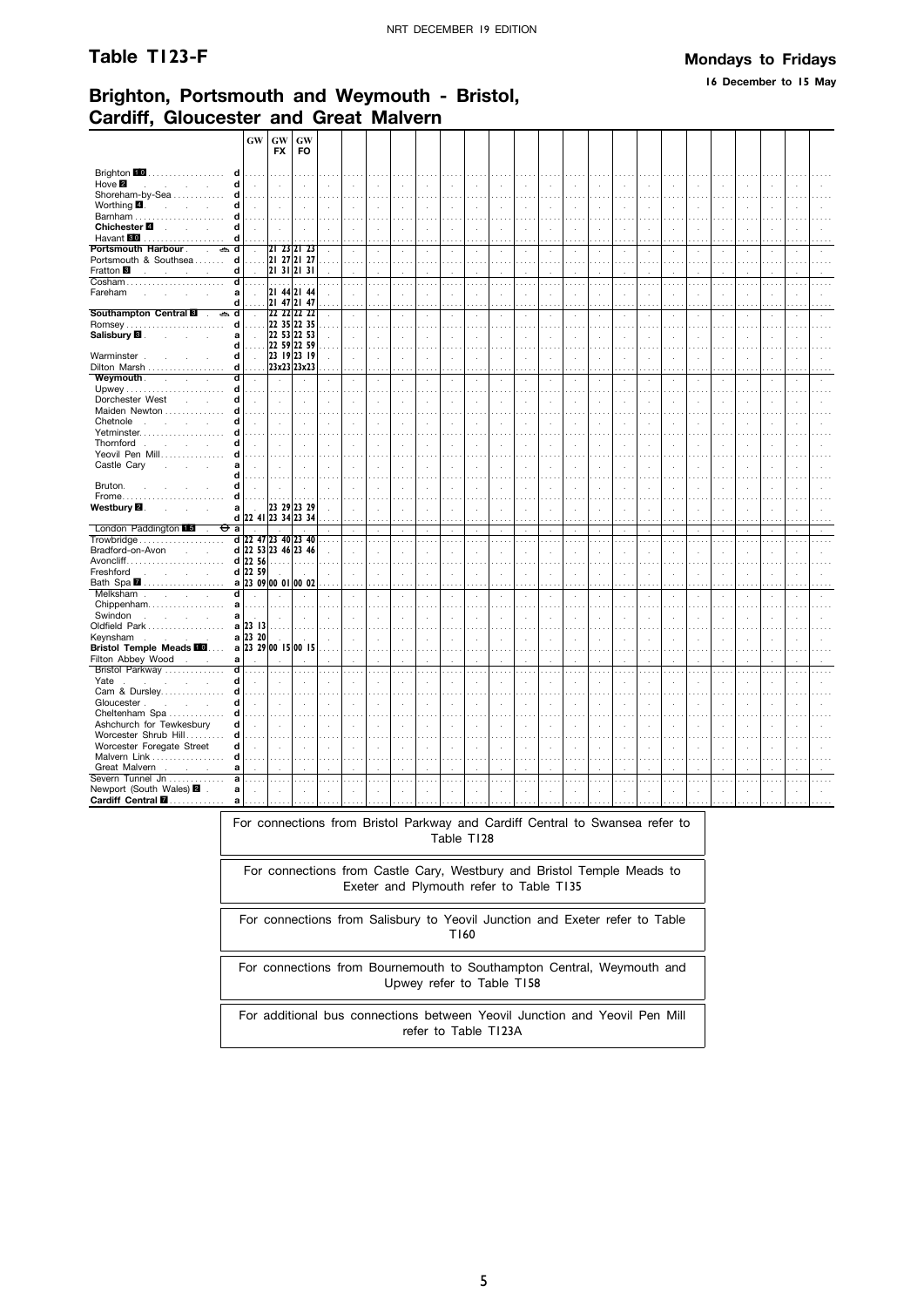#### Table T123-F

#### **Mondays to Fridays**

16 December to 15 May

### Brighton, Portsmouth and Weymouth - Bristol, **Cardiff. Gloucester and Great Malvern**

|                                                                                      | <b>GW</b>            | GW                  | GW                   |                               |                             |                            |                             |                |                                      |                      |                           |                      |                             |                      |                          |                      |               |                             |                      |                          |                      |                             |                      |                |
|--------------------------------------------------------------------------------------|----------------------|---------------------|----------------------|-------------------------------|-----------------------------|----------------------------|-----------------------------|----------------|--------------------------------------|----------------------|---------------------------|----------------------|-----------------------------|----------------------|--------------------------|----------------------|---------------|-----------------------------|----------------------|--------------------------|----------------------|-----------------------------|----------------------|----------------|
|                                                                                      |                      | <b>FX</b>           | <b>FO</b>            |                               |                             |                            |                             |                |                                      |                      |                           |                      |                             |                      |                          |                      |               |                             |                      |                          |                      |                             |                      |                |
|                                                                                      |                      |                     |                      |                               |                             |                            |                             |                |                                      |                      |                           |                      |                             |                      |                          |                      |               |                             |                      |                          |                      |                             |                      |                |
| Brighton 10.<br>d                                                                    | .                    |                     |                      |                               |                             |                            |                             |                |                                      |                      |                           |                      |                             |                      |                          |                      |               |                             |                      |                          |                      |                             |                      |                |
| Hove 2<br>d<br><b>Contractor</b><br>$\ddot{\phantom{a}}$                             | $\mathcal{L}$        | $\sim$              |                      |                               | $\mathcal{A}$               | $\ddot{\phantom{a}}$       |                             |                | $\ddot{\phantom{a}}$                 | $\ddot{\phantom{a}}$ | ÷.                        | $\mathbf{r}$         | $\mathcal{L}_{\mathcal{A}}$ | $\ddot{\phantom{a}}$ |                          |                      |               | ÷.                          | ÷.                   |                          |                      | $\ddot{\phantom{a}}$        |                      |                |
| Shoreham-by-Sea<br>d                                                                 | .                    | $\cdots$            | .                    |                               | .                           | .                          | $\cdots$                    |                | $\cdots$                             |                      | $\cdots$                  | $\cdots$             | $\cdots$                    |                      |                          |                      |               | .                           | $\cdots$             | $\cdots$                 |                      | .                           |                      |                |
| Worthing $\blacksquare$ .<br>$\sim$<br>d<br>$\sim$                                   | i.                   | i.                  | $\mathbf{r}$         | $\mathbf{r}$                  | $\mathcal{A}$               | $\mathcal{L}_{\mathbf{a}}$ | $\mathbf{r}$                | $\overline{a}$ | $\mathcal{L}$                        | ÷.                   | $\mathcal{L}$             | $\ddot{\phantom{a}}$ | $\ddot{\phantom{a}}$        | $\mathbf{r}$         | ÷                        |                      |               | $\ddot{\phantom{a}}$        | $\ddot{\phantom{a}}$ | $\ddot{\phantom{a}}$     | $\overline{a}$       | $\ddot{\phantom{a}}$        |                      |                |
| Barnham<br>d                                                                         | .                    | 1.1.1.1             | .                    | $\cdots$                      | .                           | $\cdots$                   | $\sim$ $\sim$               | $\sim 100$     | $\cdots$                             |                      | $\cdots$                  | $\cdots$             | $\cdots$                    |                      |                          |                      | .             | $\cdots$                    | $\cdots$             | $\cdots$                 | .                    | .                           |                      |                |
| Chichester <sup>1</sup><br>d<br>and the control                                      | $\ddot{\phantom{a}}$ | $\mathcal{L}$       | $\sim$               | $\ddot{\phantom{a}}$          | $\mathcal{L}$               | $\bar{z}$                  | $\sim$                      | ÷.             | $\mathbf{r}$                         | ÷.                   | ÷                         | $\cdot$              | $\mathbf{r}$                | ÷                    |                          |                      | ÷             | $\overline{a}$              | ÷.                   | $\ddot{\phantom{a}}$     | $\mathbf{r}$         | ÷.                          |                      |                |
| Havant <b>80</b><br>.<br>d<br>Portsmouth Harbour<br>$\Rightarrow d$<br>$\mathcal{L}$ |                      | 21 23 21 23         |                      |                               | $\cdots$                    |                            |                             |                | $\cdots$                             |                      |                           |                      |                             |                      |                          |                      |               |                             |                      |                          |                      |                             |                      |                |
| d                                                                                    | $\mathcal{L}$        | 21 27 21 27         |                      | $\ddot{\phantom{0}}$          | $\mathcal{L}$               | $\bar{z}$                  | $\cdot$                     |                | $\cdot$                              |                      | $\mathcal{L}$             |                      | $\mathcal{L}$               |                      |                          |                      | ÷,            | $\ddot{\phantom{a}}$        | à.                   |                          |                      | à.                          |                      |                |
| Portsmouth & Southsea<br>Fratton <sup>8</sup><br>d                                   | .                    | 21312131            |                      | $\sim$                        | .                           | $\cdots$                   | $\cdots$                    |                | $\cdots$                             | $\sim$ $\sim$        | $\cdots$                  |                      | $\cdots$                    |                      |                          |                      |               | $\sim$ $\sim$               |                      | $\sim$                   |                      | $\cdots$                    | $\sim$ $\sim$        | $\sim$ $\sim$  |
| and the company of the com-<br>Cosham<br>ď                                           | .                    | $\ldots$            | $\ldots$             |                               | $\mathcal{L}$<br>.          |                            |                             |                | $\mathbf{r}$                         |                      |                           |                      |                             |                      | $\sim$                   |                      |               |                             |                      |                          |                      |                             | $\sim$               | $\sim 100$     |
| Fareham<br>a                                                                         | $\ddot{\phantom{a}}$ | 21 44 21 44         |                      | .                             |                             | $\ldots$ .                 | $\cdots$                    | $\cdots$       | .                                    | .                    | $\cdots$                  | $\sim$ $\sim$        | $\cdots$                    | $\sim$               |                          | .                    | $\cdots$      | $\cdots$                    | $\ldots$             | $\cdots$                 | .                    | .                           |                      |                |
| d                                                                                    |                      | 21 47 21 47         |                      |                               | $\bar{z}$<br>$\cdots$       |                            |                             |                | $\ddot{\phantom{a}}$                 |                      | ÷,                        |                      |                             |                      |                          |                      |               |                             | i,                   |                          |                      |                             |                      |                |
| Southampton Central<br>t<br>a                                                        | $\mathcal{A}$        | 22 22 22 22         |                      | ÷                             | $\mathcal{L}$               | $\ddot{\phantom{a}}$       | $\Delta$                    | χ.             | $\cdot$                              | $\ddot{\phantom{a}}$ | $\cdot$                   | $\blacksquare$       | $\cdot$                     | $\epsilon$           | $\mathbf{r}$             | $\mathbf{r}$         | $\epsilon$    | $\lambda$                   | $\epsilon$           | $\ddot{\phantom{a}}$     | $\mathcal{L}$        | $\lambda$                   |                      |                |
| <b>Romsey</b><br>d                                                                   | $\cdots$             | 22 35 22 35         |                      |                               | $\cdots$                    |                            |                             |                |                                      |                      |                           |                      |                             |                      |                          |                      |               |                             |                      |                          |                      |                             |                      |                |
| Salisbury <b>B</b> .<br>a<br>$\sim$<br>$\sim$                                        | $\ddot{\phantom{a}}$ | 22 53 22 53         |                      |                               | $\bar{z}$                   |                            |                             |                | $\ddot{\phantom{a}}$                 |                      |                           |                      |                             |                      |                          |                      |               |                             | J.                   |                          |                      |                             |                      |                |
| d                                                                                    |                      | 22 59 22 59         |                      | $\sim$                        | $\sim 10$                   |                            | $\sim$                      |                | $\sim$                               |                      | .                         |                      |                             |                      |                          |                      |               |                             |                      | $\sim$                   |                      | $\sim$                      |                      |                |
| Warminster.<br>d                                                                     | $\mathcal{A}$        | 23 19 23 19         |                      | v.                            | $\sim$                      | $\bar{a}$                  | $\lambda$                   | à.             | $\mathcal{A}$                        | $\cdot$              | $\mathcal{L}$             | ÷,                   | $\mathcal{L}$               | ÷.                   | $\overline{\phantom{a}}$ | $\ddot{\phantom{a}}$ | $\cdot$       | $\mathcal{L}_{\mathcal{A}}$ | $\lambda$            | $\bar{a}$                | $\lambda$            | $\mathcal{L}_{\mathcal{A}}$ | $\ddot{\phantom{a}}$ | $\sim$         |
| Dilton Marsh<br>d                                                                    |                      | 23x23 23x23         |                      |                               | $\cdots$                    |                            |                             |                |                                      |                      |                           |                      |                             |                      |                          |                      |               |                             |                      |                          |                      |                             |                      |                |
| Weymouth.<br>d<br>$\sim 10^{-11}$<br>$\sim$                                          |                      |                     |                      | $\cdot$                       | $\sim$                      | $\cdot$                    | $\cdot$                     |                | $\cdot$                              |                      | $\cdot$                   |                      | $\cdot$                     |                      |                          |                      |               | $\cdot$                     | $\cdot$              | $\mathcal{A}$            |                      | $\cdot$                     |                      |                |
| d                                                                                    | .                    | .                   | $\sim$               | $\sim$                        | .                           | $\sim 100$                 | $\sim 100$                  | 1.11           | $\cdots$                             |                      | $\sim$                    |                      | 1.11                        |                      |                          |                      |               | $\sim$                      | $\sim 100$           | $\sim$                   |                      | $\cdots$                    |                      |                |
| Dorchester West<br>d<br>$\sim$                                                       |                      |                     |                      |                               | ÷.                          | ÷.                         |                             |                | $\mathbf{r}$                         |                      | ÷.                        |                      | k.                          |                      |                          |                      |               | $\ddot{\phantom{a}}$        | J.                   | $\overline{\phantom{a}}$ |                      | ÷.                          |                      |                |
| Maiden Newton<br>d                                                                   |                      |                     |                      |                               |                             |                            |                             |                |                                      |                      |                           |                      |                             |                      |                          |                      |               |                             |                      |                          |                      |                             |                      |                |
| Chetnole<br>d<br><b>Contract Contract</b>                                            |                      |                     |                      |                               | J.                          |                            |                             |                |                                      |                      |                           |                      |                             |                      |                          |                      |               |                             |                      |                          |                      |                             |                      |                |
| Yetminster<br>d                                                                      |                      |                     |                      |                               |                             |                            |                             |                |                                      |                      |                           |                      |                             |                      |                          |                      |               |                             |                      |                          |                      |                             |                      |                |
| d                                                                                    | n.                   |                     |                      | $\mathcal{L}$                 | ÷.                          | $\mathbf{r}$               | ÷.                          |                | $\mathbf{r}$                         |                      | ÷                         | ÷.                   | ×                           |                      |                          |                      | ×             | $\ddot{\phantom{a}}$        | ÷.                   | $\mathbf{r}$             | $\sim$               | ÷.                          |                      |                |
| Yeovil Pen Mill<br>d                                                                 |                      |                     |                      |                               | $\sim$ $\sim$               | $\sim$ $\sim$              |                             |                | $\cdots$                             |                      | .                         |                      |                             |                      |                          |                      |               |                             |                      | $\sim$                   |                      | $\sim$                      |                      |                |
| Castle Cary<br>a<br>$\sim$                                                           |                      |                     |                      | $\overline{a}$                | $\sim$                      | $\mathbf{r}$               | ÷.                          |                | $\mathbf{r}$                         | ÷.                   | $\mathbf{r}$              | $\lambda$            | $\overline{a}$              | ÷.                   |                          |                      | ÷.            | $\overline{a}$              | ÷.                   | $\mathbf{r}$             |                      | $\mathbf{r}$                |                      |                |
| d                                                                                    |                      |                     |                      |                               | $\mathbf{r}$                | $\cdots$                   |                             |                |                                      |                      |                           |                      |                             |                      |                          |                      |               |                             |                      | $\cdots$                 |                      |                             |                      |                |
| Bruton.<br>d                                                                         |                      |                     |                      |                               | $\ddot{\phantom{a}}$        |                            |                             |                |                                      |                      | ×                         |                      | ÷.                          |                      |                          |                      |               |                             |                      | $\mathbf{r}$             |                      |                             |                      |                |
| Frome<br>d                                                                           |                      |                     |                      |                               | $\sim$                      |                            |                             |                | $\cdots$                             |                      |                           |                      |                             |                      |                          |                      |               | $\sim$ $\sim$               |                      | $\cdots$                 |                      | $\cdots$                    |                      |                |
| Westbury <b>2</b> .<br>al<br><b>Service</b>                                          | $\sim$               | 23 29 23 29         |                      |                               | $\mathcal{L}$               | ÷.                         | $\ddot{\phantom{a}}$        |                | $\lambda$                            | $\ddot{\phantom{a}}$ |                           |                      |                             |                      |                          |                      |               | $\overline{a}$              | J.                   | $\overline{\phantom{a}}$ |                      | ÷.                          | $\overline{a}$       |                |
|                                                                                      |                      | d 22 41 23 34 23 34 |                      | $\sim$ .                      | $\sim$ .                    |                            | .                           |                | .                                    |                      | .                         |                      | .                           |                      |                          |                      |               | .                           |                      | $\cdots$                 |                      | $\cdots$                    |                      |                |
| London Paddington <b>15</b><br>⊕<br>al<br>$\sim$                                     |                      | d 22 47 23 40 23 40 |                      | $\sim$                        | $\sim$                      | $\sim$                     | $\sim$                      | $\mathcal{L}$  | $\sim$                               | $\ddot{\phantom{a}}$ | $\mathcal{L}$             | $\mathbf{r}$         | $\mathcal{L}$               | $\mathcal{L}$        | $\mathcal{L}$            | $\sim$               | $\mathcal{L}$ | $\mathcal{L}$               | $\sim$               | $\sim$                   | $\lambda$            | $\sim$                      | $\mathbf{r}$         | $\cdot$        |
| Trowbridge<br>Bradford-on-Avon<br>$\mathcal{L}^{\text{max}}$                         |                      | d 22 53 23 46 23 46 |                      | T.                            | .                           | $\cdots$                   | .                           | $\cdots$       | .                                    | .                    | $\cdots$                  | $\sim$               | $\ldots$ .                  | $\sim$               | $\cdots$                 | $\cdots$             | $\cdots$      | .                           | $\cdots$             | $\ldots$                 | $\cdots$             | .                           | $\mathbf{r}$         | .              |
| Avoncliff                                                                            |                      | $d$ 22 56           |                      | $\mathcal{L}$<br>$\cdots$     | $\sim$<br>.                 | $\cdot$                    |                             |                |                                      |                      |                           |                      |                             |                      |                          |                      |               |                             | ÷,                   |                          |                      |                             |                      |                |
| Freshford<br>and the control                                                         | d 22 59              |                     | $\sim$               |                               |                             | $\ldots$                   | $\cdots$                    |                | $\sim$                               |                      |                           |                      |                             |                      |                          |                      |               |                             |                      | $\ldots$                 | $\overline{a}$       | $\sim$ $\sim$               |                      |                |
| Bath Spa $\blacksquare$                                                              |                      | a 23 09 00 01 00 02 |                      | $\overline{\phantom{a}}$<br>. | $\mathcal{A}$<br>$\ldots$   | $\bar{a}$                  | $\cdot$                     |                | $\overline{\phantom{a}}$<br>$\cdots$ | $\cdot$              | $\mathcal{L}$<br>$\cdots$ | $\cdot$              | $\bar{z}$<br>$\cdots$       | ÷,                   |                          |                      | i,            | $\bar{z}$<br>$\sim$ $\sim$  | l,                   | $\bar{a}$<br>$\sim$      |                      | $\bar{z}$<br>$\mathbf{a}$   |                      |                |
| Melksham.<br>ď<br><b>Service</b><br>$\sim$                                           |                      |                     |                      | ÷.                            | $\bar{z}$                   | ÷.                         | ÷.                          |                | $\cdot$                              | ÷.                   | $\mathcal{L}$             | ÷.                   | $\mathcal{L}$               |                      |                          |                      | ÷.            | l,                          | ÷,                   | $\overline{\phantom{a}}$ |                      | ÷.                          |                      |                |
| Chippenham<br>a                                                                      |                      |                     |                      |                               | $\cdots$                    |                            |                             |                | $\cdots$                             |                      |                           |                      |                             |                      |                          |                      |               |                             |                      |                          |                      |                             |                      |                |
| Swindon<br>and the control<br>a<br>÷                                                 |                      | ÷                   | $\bar{z}$            | ÷.                            | $\cdot$                     | $\ddot{\phantom{a}}$       | $\cdot$                     | ÷.             | $\ddot{\phantom{a}}$                 |                      | $\cdot$                   |                      | l,                          |                      |                          |                      | ÷,            | $\ddot{\phantom{a}}$        | ÷,                   | $\ddot{\phantom{a}}$     | l,                   | ÷.                          |                      |                |
| Oldfield Park                                                                        | a 23 13              |                     | a sa                 |                               | $\sim$                      |                            |                             |                | $\sim$                               |                      |                           |                      |                             |                      |                          |                      |               |                             |                      | $\sim$                   |                      | $\sim$                      |                      |                |
| Keynsham<br>and the company                                                          | a 23 20              | $\mathbf{r}$        | $\sim$               | $\bar{z}$                     | $\mathcal{L}_{\mathcal{A}}$ | $\bar{a}$                  | $\mathbf{r}$                | $\mathbf{r}$   | $\cdot$                              | $\cdot$              | $\cdot$                   | $\lambda$            | $\cdot$                     | $\epsilon$           | $\lambda$                |                      | $\cdot$       | l,                          | ÷,                   | $\overline{\phantom{a}}$ | $\ddot{\phantom{a}}$ | à.                          |                      |                |
| <b>Bristol Temple Meads III</b>                                                      |                      | a 23 29 00 15 00 15 |                      | .                             | .                           | $\cdots$                   | $\cdots$                    |                | $\cdots$                             |                      |                           |                      |                             |                      |                          |                      |               |                             |                      | $\cdots$                 |                      |                             |                      |                |
| Filton Abbey Wood<br>a<br>$\mathcal{L}^{\mathcal{L}}$                                |                      |                     |                      |                               |                             |                            |                             |                |                                      |                      |                           |                      |                             |                      |                          |                      |               |                             |                      |                          |                      |                             |                      |                |
| ď<br>Bristol Parkway                                                                 | $\cdots$             |                     | $\cdots$             | $\ldots$                      | .                           | $\ldots$                   | $\ldots$                    | $\cdots$       | $\ldots$                             | $\sim$ .             | .                         | $\cdots$             | $\ldots$                    | $\cdots$             | $\cdots$                 |                      | $\ldots$      | $\sim$ $\sim$ $\sim$        | $\ldots$             | $\ldots$                 | $\sim$               | $\ldots$                    | $\cdots$             |                |
| Yate .<br>d<br>$\sim 10^{-11}$<br>$\sim$                                             |                      |                     | ÷                    | ÷                             | $\sim$                      | ÷.                         | ÷                           | J.             | $\mathbf{r}$                         | $\sim$               | n.                        | ÷                    | $\sim$                      | чò.                  |                          |                      | ×             | ÷                           | J.                   | ÷.                       |                      | ÷.                          |                      |                |
| Cam & Dursley<br>d                                                                   | .                    |                     |                      |                               | .                           | $\sim$ $\sim$              | $\sim$ $\sim$               |                | $\sim$ $\sim$                        |                      | $\cdots$                  |                      | $\sim$                      |                      |                          |                      |               | $\cdots$                    | $\sim$ $\sim$        | $\sim$                   |                      | $\sim$ $\sim$               |                      |                |
| d<br>Gloucester.<br>$\sim$                                                           |                      |                     |                      |                               | ÷.                          | ÷.                         |                             |                |                                      |                      | ÷.                        |                      | $\mathbf{r}$                |                      |                          |                      |               |                             |                      | $\mathbb{R}^2$           |                      |                             |                      |                |
| Cheltenham Spa<br>d                                                                  |                      |                     |                      |                               |                             |                            |                             |                |                                      |                      |                           |                      |                             |                      |                          |                      |               |                             |                      |                          |                      |                             |                      |                |
| Ashchurch for Tewkesbury<br>d                                                        | $\ddot{\phantom{a}}$ |                     |                      | ÷.                            | $\lambda$                   | $\cdot$                    |                             |                | $\cdot$                              |                      |                           |                      |                             |                      |                          |                      |               |                             |                      |                          | $\mathbf{r}$         |                             |                      |                |
| Worcester Shrub Hill<br>d                                                            |                      |                     |                      |                               |                             |                            |                             |                | $\cdots$                             |                      |                           |                      |                             |                      |                          |                      |               |                             |                      |                          |                      |                             |                      |                |
| Worcester Foregate Street<br>d                                                       | $\mathcal{L}$        |                     | $\ddot{\phantom{a}}$ | $\mathbf{r}$                  | $\sim$                      | $\ddot{\phantom{a}}$       | $\mathcal{L}_{\mathcal{A}}$ | ÷.             | $\ddot{\phantom{a}}$                 | $\mathbf{r}$         | ÷                         | $\mathbf{r}$         | $\mathbf{r}$                | ÷.                   | $\mathbf{r}$             | $\overline{a}$       | ÷             | $\mathcal{L}_{\mathcal{A}}$ | ÷.                   | $\ddot{\phantom{a}}$     | $\mathbf{r}$         | $\ddot{\phantom{a}}$        | $\mathbf{r}$         | $\overline{a}$ |
| Malvern Link<br>d                                                                    |                      |                     | $\mathbf{r}$         | $\sim$                        | .                           | $\ldots$ .                 | .                           | $\sim$         | $\ldots$                             |                      | $\cdots$                  |                      | .                           |                      |                          |                      |               | $\sim$ $\sim$               |                      | $\cdots$                 | $\cdots$             | .                           |                      |                |
| Great Malvern<br>a                                                                   |                      |                     |                      |                               |                             |                            | $\ddot{\phantom{a}}$        |                |                                      |                      | ÷                         |                      |                             |                      |                          |                      |               |                             |                      | $\ddot{\phantom{a}}$     |                      |                             |                      |                |
| Severn Tunnel Jn<br>a                                                                | .                    | 1.1.1.              | .                    | .                             | .                           | $\ldots$ .                 | .                           | $\ldots$ .     | .                                    | .                    | $\ldots$ .                | $\ldots$             | $\ldots$ .                  | .                    | $\cdots$                 | .                    | .             | .                           | .                    | .                        | .                    | .                           | $\ldots$ .           | $\ldots$ .     |
| Newport (South Wales) 2<br>a                                                         | $\overline{a}$       |                     |                      |                               | ÷,                          |                            |                             |                |                                      |                      |                           |                      |                             |                      |                          |                      |               | $\overline{a}$              |                      |                          |                      |                             |                      |                |
| Cardiff Central <b>N</b><br>a                                                        |                      |                     |                      |                               |                             |                            |                             |                |                                      |                      |                           |                      |                             |                      |                          |                      |               |                             |                      |                          |                      |                             |                      |                |

For connections from Bristol Parkway and Cardiff Central to Swansea refer to Table T128

For connections from Castle Cary, Westbury and Bristol Temple Meads to Exeter and Plymouth refer to Table T135

For connections from Salisbury to Yeovil Junction and Exeter refer to Table T160

For connections from Bournemouth to Southampton Central, Weymouth and Upwey refer to Table T158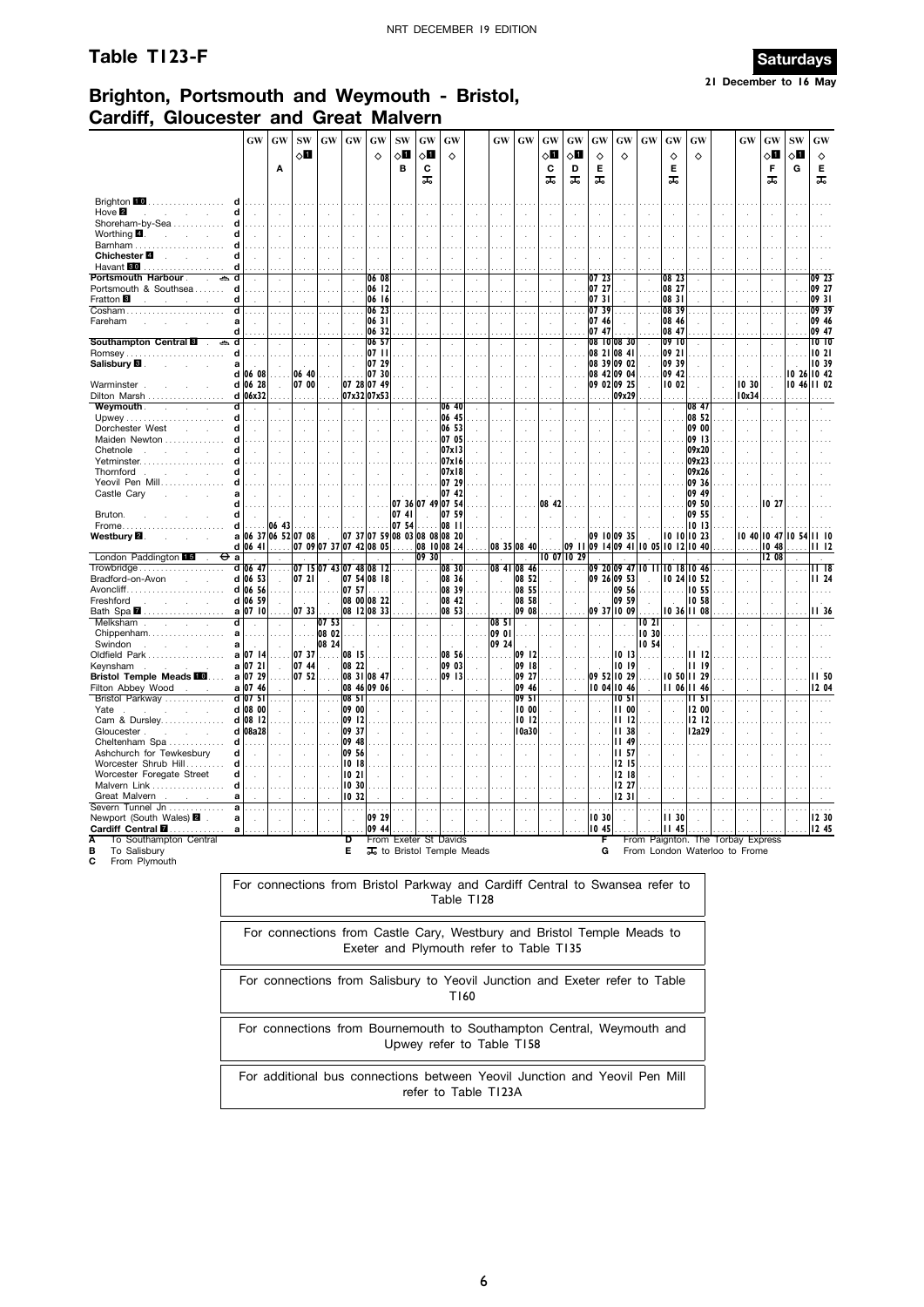## **Table T123-F Saturdays**



**21 December to 16 May**

## **Brighton, Portsmouth and Weymouth - Bristol, Cardiff, Gloucester and Great Malvern**

|                                                        | <b>GW</b>                                                                                                              | <b>GW</b><br>Α | <b>SW</b><br>$\diamond$ l | GW                      | GW             | GW<br>♦              | <b>SW</b><br>◇Ⅱ<br>в                   | GW<br>√П<br>c<br>ᠼ          | GW<br>♦        |            | <b>GW</b>      | $\boldsymbol{\mathrm{GW}}$ | GW<br>√П<br>С<br>ᠼ | GW<br>◇Ø<br>D<br>ᠼ | GW<br>♦<br>Е<br>ᠼ | GW<br>♦                                                                | GW             | GW<br>♦<br>Е<br>ᠼ | GW<br>♦                           |  | GW            | GW<br>$\diamond$ l<br>F<br>ᠼ | SW<br>$\diamond$ l<br>G | GW<br>♦<br>Е<br>ᠼ          |
|--------------------------------------------------------|------------------------------------------------------------------------------------------------------------------------|----------------|---------------------------|-------------------------|----------------|----------------------|----------------------------------------|-----------------------------|----------------|------------|----------------|----------------------------|--------------------|--------------------|-------------------|------------------------------------------------------------------------|----------------|-------------------|-----------------------------------|--|---------------|------------------------------|-------------------------|----------------------------|
| Brighton 10                                            |                                                                                                                        |                |                           |                         |                |                      |                                        |                             |                |            |                |                            |                    |                    |                   |                                                                        |                |                   |                                   |  |               |                              |                         |                            |
| Hove $\blacksquare$<br>$\mathbf{r}$<br>Shoreham-by-Sea | d                                                                                                                      |                |                           |                         |                |                      |                                        |                             |                |            |                |                            |                    |                    |                   |                                                                        |                |                   |                                   |  |               |                              |                         |                            |
| Worthing 4                                             | d                                                                                                                      |                |                           |                         |                |                      |                                        |                             |                |            |                |                            |                    |                    |                   |                                                                        |                |                   |                                   |  |               |                              |                         |                            |
| Barnham                                                |                                                                                                                        |                |                           |                         |                |                      |                                        |                             |                |            |                |                            |                    |                    |                   |                                                                        |                |                   |                                   |  |               |                              |                         |                            |
| Chichester <sup>1</sup><br>Havant 80                   |                                                                                                                        |                |                           |                         |                |                      |                                        |                             |                |            |                |                            |                    |                    |                   |                                                                        |                |                   |                                   |  |               |                              |                         |                            |
| Portsmouth Harbour.                                    | d                                                                                                                      |                |                           |                         |                | 06 08                |                                        |                             |                |            |                |                            |                    |                    | 07 23             |                                                                        |                | 08 23             |                                   |  |               |                              |                         | 09 23                      |
| Portsmouth & Southsea                                  |                                                                                                                        |                |                           |                         |                | 06 12                |                                        |                             |                |            |                |                            |                    |                    | 07 27             |                                                                        |                | 08 27             |                                   |  |               |                              |                         | 09 27                      |
| Fratton <sup>8</sup>                                   | d                                                                                                                      |                |                           |                         |                | 06 16                |                                        |                             |                |            |                |                            |                    |                    | 07 31             |                                                                        |                | 08 31             |                                   |  |               |                              |                         | 0931                       |
| Cosham<br>Fareham                                      | d<br>a                                                                                                                 |                |                           |                         |                | 06 23<br>06 31       |                                        |                             |                |            |                |                            | .                  |                    | 07 39<br>07 46    |                                                                        | $\cdots$       | 08 39<br>08 46    |                                   |  | $\cdots$      |                              |                         | 09 39<br>09 46             |
| Southampton Central <b>B</b>                           | d<br>d                                                                                                                 |                |                           |                         |                | 06 32<br>06 57       |                                        |                             |                |            |                |                            |                    |                    | 07 47             | 08 10 08 30                                                            |                | 08 47<br>09 10    |                                   |  |               |                              |                         | 09 47<br>1010              |
| Romsey                                                 | d                                                                                                                      |                |                           |                         |                | 07 11                |                                        |                             |                |            |                |                            |                    |                    |                   | 08 21 08 41                                                            |                | 09 21             |                                   |  | $\epsilon$    |                              |                         | 1021                       |
| Salisbury <b>⊠</b>                                     | a                                                                                                                      |                |                           |                         |                | 07 29                |                                        |                             |                |            |                |                            |                    |                    |                   | 08 39 09 02                                                            | l,             | 09 39             |                                   |  |               |                              |                         | 10 39                      |
| Warminster                                             | 06 08<br>d<br>d 06 28                                                                                                  |                | 06 40<br>07 00            |                         |                | 07 30<br>07 28 07 49 |                                        |                             |                |            |                |                            |                    |                    |                   | 08 42 09 04                                                            |                | 09 42<br>10 02    |                                   |  | 10 30         |                              |                         | 10 26 10 42<br>10 46 11 02 |
| Dilton Marsh                                           | d 06x32                                                                                                                |                | .                         |                         |                | 07x32 07x53          |                                        |                             |                |            |                |                            |                    |                    |                   | 09 02 09 25<br>09x29                                                   | $\cdot$        |                   |                                   |  | 10x34         |                              |                         |                            |
| Weymouth.                                              | d                                                                                                                      |                |                           |                         |                |                      |                                        |                             | 06 40          |            |                |                            |                    |                    |                   |                                                                        |                |                   | 08 47                             |  | l,            |                              |                         |                            |
|                                                        | d                                                                                                                      |                |                           |                         |                |                      |                                        |                             | 06 45          |            |                |                            |                    |                    |                   |                                                                        |                |                   | 08 52                             |  |               |                              |                         |                            |
| Dorchester West<br>Maiden Newton                       | d                                                                                                                      |                |                           |                         |                |                      |                                        |                             | 06 53<br>07 05 |            |                |                            |                    |                    |                   |                                                                        | k.             |                   | 09 00<br>09 13                    |  |               |                              |                         |                            |
| Chetnole                                               | d                                                                                                                      |                |                           |                         |                |                      |                                        |                             | 07x13          |            |                |                            |                    |                    |                   |                                                                        |                |                   | 09x20                             |  |               |                              |                         |                            |
| Yetminster                                             |                                                                                                                        |                |                           |                         |                |                      |                                        |                             | 07x16          |            |                |                            |                    |                    |                   |                                                                        |                |                   | 09x23                             |  |               |                              |                         |                            |
| Thornford                                              | d                                                                                                                      |                |                           |                         |                |                      |                                        |                             | 07x18          |            |                |                            |                    |                    |                   |                                                                        |                |                   | 09x26                             |  |               |                              |                         |                            |
| Yeovil Pen Mill<br>Castle Cary                         | a                                                                                                                      |                |                           |                         |                |                      |                                        |                             | 07 29<br>07 42 |            |                |                            |                    |                    |                   |                                                                        | ÷.             |                   | 09 36<br>09 49                    |  |               |                              |                         |                            |
|                                                        | d                                                                                                                      |                |                           |                         |                |                      |                                        | 07 36 07 49 07 54           |                |            |                |                            | 08 42              |                    |                   |                                                                        |                |                   | 09 50                             |  |               | 10 21                        |                         |                            |
| Bruton.                                                | d                                                                                                                      |                |                           |                         |                |                      | 07 41                                  |                             | 07 59          |            |                |                            |                    |                    |                   |                                                                        |                |                   | 09 55                             |  |               |                              |                         |                            |
| Frome.<br>Westbury <b>⊠</b>                            | d<br>06 37 06 52 07 08<br>a                                                                                            | 06 43          |                           |                         |                |                      | 07 54<br>07 37 07 59 08 03 08 08 08 20 |                             | 08 11          |            |                |                            |                    |                    |                   | 09 10 09 35                                                            |                |                   | 1013<br>10 10 10 23               |  | 10 40         | 10 47                        | 10 54                   | 1110                       |
| London Paddington 15<br>Θ                              | d 06 41<br>a                                                                                                           |                |                           | 07 09 07 37 07 42 08 05 |                |                      |                                        | 09 30                       | 08 10 08 24    |            |                | 08 35 08 40                |                    | 0 07  0 29         |                   | 09 11 09 14 09 41                                                      |                |                   | 10 05 10 12 10 40                 |  | $\mathcal{L}$ | 1048<br>12 08                |                         | II 12                      |
| Trowbridge                                             | d   06 47                                                                                                              |                |                           | 07 15 07 43 07 48 08 12 |                |                      |                                        |                             | 08 30          |            | 08 41          | 08 46                      |                    |                    |                   | 09 20 09 47                                                            |                |                   | 10 11 10 18 10 46                 |  |               |                              |                         | II 18                      |
| Bradford-on-Avon                                       | d 06 53                                                                                                                |                | 0721                      |                         |                | 07 54 08 18          |                                        |                             | 08 36          |            |                | 08 52                      |                    |                    |                   | 09 26 09 53                                                            |                |                   | 10 24 10 52                       |  |               |                              |                         | <b>II</b> 24               |
| Freshford                                              | d 06 56<br>d 06 59                                                                                                     |                |                           |                         | 07 57          | 08 00 08 22          |                                        | $\mathcal{L}_{\mathcal{A}}$ | 08 39<br>08 42 |            |                | 08 55<br>08 58             |                    |                    |                   | 09 56<br>09 59                                                         | ÷.             |                   | 10 55<br>10 58                    |  |               |                              |                         |                            |
| Bath Spa 2                                             | a 07 10                                                                                                                |                | 0733                      |                         |                | 08 12 08 33          |                                        |                             | 08 53          |            |                | 09 08                      |                    |                    |                   | 09 37 10 09                                                            |                |                   | 10 36 11 08                       |  |               |                              |                         | II 36                      |
| Melksham<br>$\mathbf{r}$<br>$\sim$<br>$\sim$           | d<br>$\ddot{\phantom{a}}$                                                                                              |                | $\cdot$                   | 07 53                   | à,             |                      |                                        |                             |                |            | 08 51          |                            |                    | à,                 |                   |                                                                        | 10 21          |                   |                                   |  |               |                              |                         |                            |
| Chippenham                                             | a                                                                                                                      |                | a sa                      | 08 02<br>08 24          |                |                      |                                        |                             |                |            | 09 01<br>09 24 |                            |                    |                    |                   |                                                                        | 10 30<br>10 54 |                   |                                   |  |               |                              |                         |                            |
| Swindon<br>Oldfield Park                               | a<br>a   07   14                                                                                                       |                | 07 37                     | .                       | 08 15          |                      |                                        |                             | 08 56          |            |                | 09 12                      |                    |                    |                   | 10 13                                                                  |                |                   | II 12                             |  |               |                              |                         |                            |
| Keynsham                                               | a   07 2                                                                                                               |                | 07 44                     |                         | 08 22          |                      |                                        |                             | 09 03          |            |                | 09 18                      |                    |                    |                   | 10 19                                                                  |                |                   | 1119                              |  |               |                              |                         |                            |
| <b>Bristol Temple Meads FOO.</b>                       | a 07 29                                                                                                                |                | 07 52                     |                         |                | 08 31 08 47          |                                        |                             | 09 13          |            |                | 09 27                      |                    |                    |                   | 09 52 10 29                                                            |                |                   | 10 50 11 29                       |  |               |                              |                         | <b>II 50</b>               |
| Filton Abbey Wood<br>Bristol Parkway                   | a 07 46<br>d 07 51                                                                                                     |                |                           |                         | 0851           | 08 46 09 06          |                                        |                             |                |            |                | 09 46<br>09 51             |                    |                    |                   | 10 04 10 46<br>10 5 I                                                  |                |                   | 11 06 11 46<br>1151               |  |               |                              |                         | 12 04                      |
| Yate                                                   | d 08 00                                                                                                                |                |                           |                         | 09 00          |                      |                                        |                             |                |            |                | 10 00                      |                    |                    |                   | 1100                                                                   |                |                   | 12 00                             |  |               |                              |                         |                            |
| Cam & Dursley                                          | d 08 12                                                                                                                |                |                           |                         | 09 12          |                      |                                        |                             |                |            |                | 1012                       |                    |                    |                   | 1112                                                                   |                |                   | 12 12                             |  |               |                              |                         |                            |
| Gloucester.<br>Cheltenham Spa                          | d 08a28<br>d                                                                                                           |                |                           |                         | 09 37<br>09 48 |                      |                                        |                             |                |            |                | l 0a30                     |                    |                    |                   | <b>II 38</b><br>49<br>н                                                |                |                   | 12a29                             |  |               |                              |                         |                            |
| Ashchurch for Tewkesbury                               | d                                                                                                                      |                |                           |                         | 09 56          |                      |                                        |                             |                |            |                |                            |                    |                    |                   | 11,57                                                                  |                |                   |                                   |  |               |                              |                         |                            |
| Worcester Shrub Hill                                   | d                                                                                                                      |                |                           |                         | 1018           |                      |                                        |                             |                |            |                |                            |                    |                    |                   | 1215                                                                   |                |                   |                                   |  |               |                              |                         |                            |
| Worcester Foregate Street                              | d                                                                                                                      |                |                           |                         | 1021           |                      |                                        |                             |                |            |                |                            | ÷.                 |                    |                   | 12 18                                                                  |                |                   |                                   |  |               |                              |                         |                            |
| Malvern Link.<br>Great Malvern                         | d<br>a                                                                                                                 |                |                           |                         | 10,30<br>10 32 |                      |                                        |                             |                |            |                |                            |                    |                    |                   | 12 27<br>1231                                                          |                |                   |                                   |  |               |                              |                         |                            |
| Severn Tunnel Jn                                       | a                                                                                                                      |                |                           |                         | $\sim$         |                      |                                        |                             |                |            |                |                            |                    |                    | $\cdots$          | .                                                                      |                |                   |                                   |  |               |                              |                         |                            |
| Newport (South Wales) 2                                | a                                                                                                                      |                |                           |                         |                | 09 29                |                                        |                             |                |            |                |                            |                    |                    | 1030              |                                                                        |                | 11,30             |                                   |  |               |                              |                         | 12 30                      |
| To Southampton Central                                 |                                                                                                                        |                |                           |                         | D              | 109 44               | From Exeter St Davids                  |                             |                |            |                |                            |                    |                    |                   | .           10 45                                                      |                | II 45             | From Paignton. The Torbay Express |  |               |                              |                         | <u>      12</u> 45         |
| To Salisbury                                           |                                                                                                                        |                |                           |                         | Е              |                      | 其 to Bristol Temple Meads              |                             |                |            |                |                            |                    |                    | G                 |                                                                        |                |                   | From London Waterloo to Frome     |  |               |                              |                         |                            |
| С<br>From Plymouth                                     |                                                                                                                        |                |                           |                         |                |                      |                                        |                             |                |            |                |                            |                    |                    |                   |                                                                        |                |                   |                                   |  |               |                              |                         |                            |
|                                                        | For connections from Bristol Parkway and Cardiff Central to Swansea refer to                                           |                |                           |                         |                |                      |                                        |                             |                |            |                |                            |                    |                    |                   |                                                                        |                |                   |                                   |  |               |                              |                         |                            |
|                                                        |                                                                                                                        |                |                           |                         |                |                      |                                        |                             |                |            |                |                            |                    |                    |                   |                                                                        |                |                   |                                   |  |               |                              |                         |                            |
|                                                        |                                                                                                                        |                |                           |                         |                |                      |                                        |                             |                | Table T128 |                |                            |                    |                    |                   |                                                                        |                |                   |                                   |  |               |                              |                         |                            |
|                                                        |                                                                                                                        |                |                           |                         |                |                      |                                        |                             |                |            |                |                            |                    |                    |                   |                                                                        |                |                   |                                   |  |               |                              |                         |                            |
|                                                        |                                                                                                                        |                |                           |                         |                |                      |                                        |                             |                |            |                |                            |                    |                    |                   | For connections from Castle Cary, Westbury and Bristol Temple Meads to |                |                   |                                   |  |               |                              |                         |                            |
|                                                        |                                                                                                                        |                |                           |                         |                |                      |                                        |                             |                |            |                |                            |                    |                    |                   |                                                                        |                |                   |                                   |  |               |                              |                         |                            |
|                                                        | Exeter and Plymouth refer to Table T135<br>For connections from Salisbury to Yeovil Junction and Exeter refer to Table |                |                           |                         |                |                      |                                        |                             |                |            |                |                            |                    |                    |                   |                                                                        |                |                   |                                   |  |               |                              |                         |                            |
|                                                        |                                                                                                                        |                |                           |                         |                |                      |                                        |                             |                |            |                |                            |                    |                    |                   |                                                                        |                |                   |                                   |  |               |                              |                         |                            |
|                                                        | T160                                                                                                                   |                |                           |                         |                |                      |                                        |                             |                |            |                |                            |                    |                    |                   |                                                                        |                |                   |                                   |  |               |                              |                         |                            |
|                                                        | For connections from Bournemouth to Southampton Central, Weymouth and                                                  |                |                           |                         |                |                      |                                        |                             |                |            |                |                            |                    |                    |                   |                                                                        |                |                   |                                   |  |               |                              |                         |                            |
|                                                        |                                                                                                                        |                |                           |                         |                |                      |                                        |                             |                |            |                |                            |                    |                    |                   |                                                                        |                |                   |                                   |  |               |                              |                         |                            |

Upwey refer to Table T158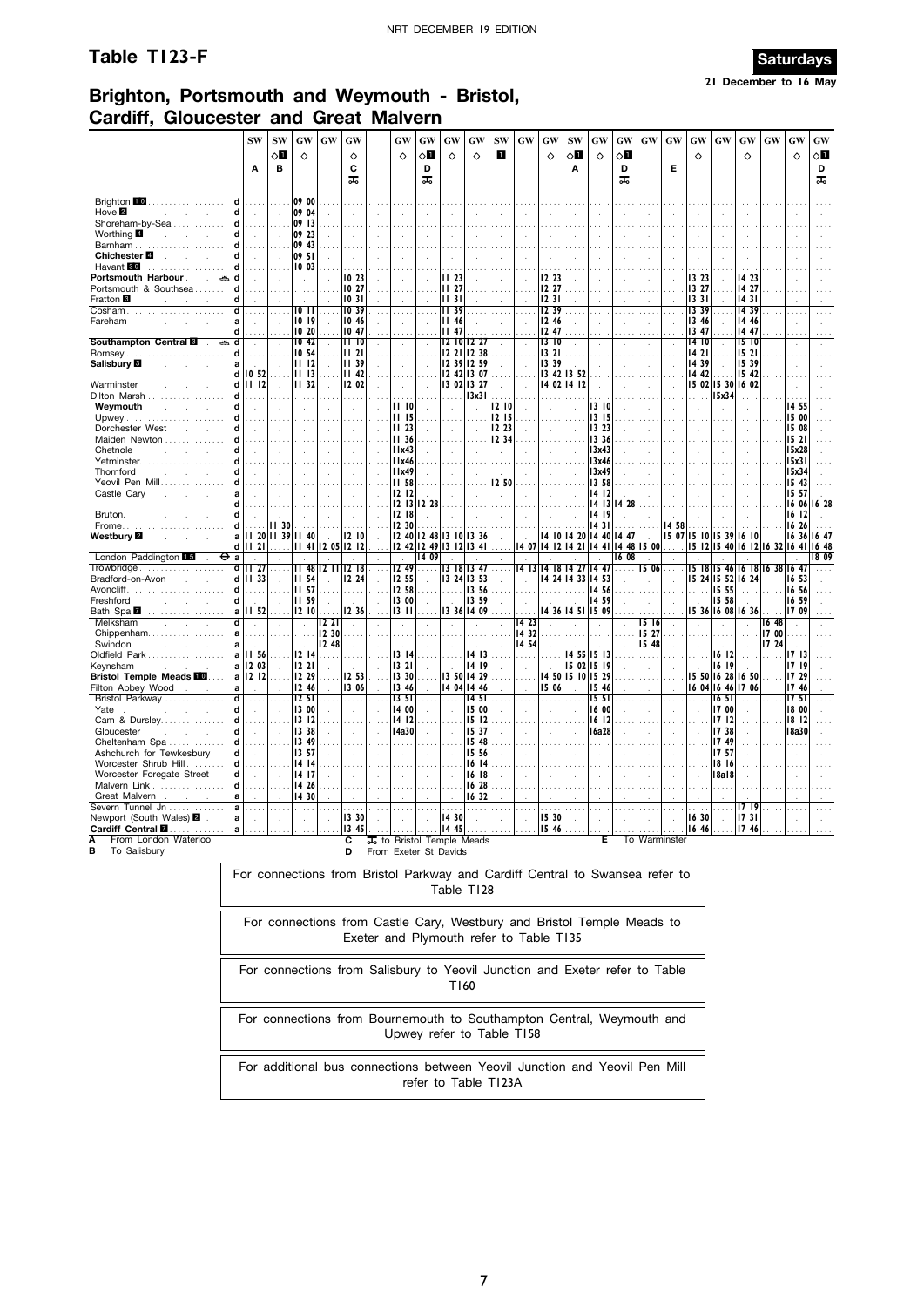## **Table T123-F Saturdays**



**21 December to 16 May**

### **Brighton, Portsmouth and Weymouth - Bristol, Cardiff, Gloucester and Great Malvern**

|                                                                    |                                                                                                                        | <b>SW</b>                                                                                                                                                                                                                                                                                                         | <b>SW</b>    | GW              | GW    | GW             |  | GW                          | GW                    | GW                    | GW                         | <b>SW</b>      | GW    | GW                                                                           | <b>SW</b>   | GW                         | GW      | GW                                     | GW                  | GW                    | GW                         | GW                            | GW                   | GW                    | <b>GW</b> |
|--------------------------------------------------------------------|------------------------------------------------------------------------------------------------------------------------|-------------------------------------------------------------------------------------------------------------------------------------------------------------------------------------------------------------------------------------------------------------------------------------------------------------------|--------------|-----------------|-------|----------------|--|-----------------------------|-----------------------|-----------------------|----------------------------|----------------|-------|------------------------------------------------------------------------------|-------------|----------------------------|---------|----------------------------------------|---------------------|-----------------------|----------------------------|-------------------------------|----------------------|-----------------------|-----------|
|                                                                    |                                                                                                                        | A                                                                                                                                                                                                                                                                                                                 | √П<br>в      | $\Diamond$      |       | ♦<br>C         |  | ♦                           | 8П<br>D               | ♦                     | ♦                          | ı              |       | ♦                                                                            | √П<br>Α     | $\Diamond$                 | ◇О<br>D |                                        | Е                   | ♦                     |                            | ♦                             |                      | $\Diamond$            | 8П<br>D   |
|                                                                    |                                                                                                                        |                                                                                                                                                                                                                                                                                                                   |              |                 |       | ᠼ              |  |                             | ᠼ                     |                       |                            |                |       |                                                                              |             |                            | ᠼ       |                                        |                     |                       |                            |                               |                      |                       | ᠼ         |
| Brighton 10<br>.                                                   |                                                                                                                        |                                                                                                                                                                                                                                                                                                                   |              | 09 00           |       |                |  |                             |                       |                       |                            |                |       |                                                                              |             |                            |         |                                        |                     |                       |                            |                               |                      |                       |           |
| Hove $\blacksquare$<br><b>College</b><br>Shoreham-by-Sea           | d<br>d                                                                                                                 |                                                                                                                                                                                                                                                                                                                   |              | 09 04<br>09 13  |       |                |  |                             |                       |                       |                            |                |       |                                                                              |             |                            |         |                                        |                     |                       |                            |                               |                      |                       |           |
| Worthing <b>4.</b><br>and the control                              |                                                                                                                        |                                                                                                                                                                                                                                                                                                                   |              | 09 23           |       |                |  |                             |                       |                       |                            |                |       |                                                                              |             |                            |         |                                        |                     |                       |                            |                               |                      |                       |           |
| Chichester <b>■</b><br>and the control of                          | d                                                                                                                      |                                                                                                                                                                                                                                                                                                                   |              | 09 43<br>09 51  |       |                |  |                             |                       |                       |                            |                |       |                                                                              |             |                            |         | $\overline{a}$                         |                     |                       |                            |                               |                      |                       |           |
| Havant <b>80</b><br>.                                              | d                                                                                                                      |                                                                                                                                                                                                                                                                                                                   |              | 10 03           |       |                |  |                             |                       |                       |                            |                |       |                                                                              |             |                            |         |                                        |                     |                       |                            |                               |                      |                       |           |
| Portsmouth Harbour .<br>Portsmouth & Southsea                      | d                                                                                                                      |                                                                                                                                                                                                                                                                                                                   |              | $\sim$          |       | IO 23<br>10 27 |  |                             |                       | II 23<br><b>II</b> 27 |                            | $\cdots$       |       | 12 23<br>12 27                                                               |             |                            |         | $\epsilon$<br>$\cdots$                 |                     | 13 23<br>13 27        |                            | 14 23<br>14 27                |                      |                       |           |
| Fratton <sup>8</sup>                                               | d                                                                                                                      |                                                                                                                                                                                                                                                                                                                   |              |                 |       | 1031           |  |                             |                       | 1131                  |                            |                |       | 1231                                                                         |             |                            |         |                                        |                     | 1331                  |                            | 1431                          |                      |                       |           |
| Cosham.<br>Fareham                                                 | a                                                                                                                      |                                                                                                                                                                                                                                                                                                                   |              | 10 I I<br>10 19 |       | 1039<br>10 46  |  | ÷.                          |                       | 1139<br><b>II 46</b>  |                            |                |       | 1239<br>12 46                                                                |             | $\cdot$                    |         | $\cdots$<br>$\cdot$                    |                     | 1339<br>13 46         |                            | 14 39<br>14 46                |                      |                       |           |
| Southampton Central<br>ക                                           | d<br>d                                                                                                                 |                                                                                                                                                                                                                                                                                                                   |              | 10 20<br>IO 42  |       | 10 47<br>1110  |  |                             |                       | II 47                 | 12 10 12 27                |                |       | 12 47<br>1310                                                                |             |                            |         |                                        |                     | 13 47<br>14 10        |                            | 14 47<br>15 10                |                      |                       |           |
| Salisbury <b>El</b> .                                              | d<br>a                                                                                                                 | $\mathbf{r}$                                                                                                                                                                                                                                                                                                      |              | 10 54<br>1112   |       | 1121<br>11 39  |  | $\mathcal{L}_{\mathcal{A}}$ |                       |                       | 12 21 12 38<br>12 39 12 59 |                |       | 13 21<br>13 39                                                               |             |                            |         | $\cdots$                               |                     | 1421<br>14 39         |                            | 1521<br>15 39                 |                      |                       |           |
|                                                                    | d                                                                                                                      | IO 52                                                                                                                                                                                                                                                                                                             | .            | 1113            |       | 1142           |  |                             |                       |                       | 12 42 13 07                | $\sim$         |       |                                                                              | 13 42 13 52 |                            |         |                                        |                     | 14 42                 |                            | 15 42                         |                      |                       |           |
| Warminster.<br>Dilton Marsh                                        | d<br>d                                                                                                                 | 1112                                                                                                                                                                                                                                                                                                              |              | 11 32           |       | 12 02          |  |                             |                       |                       | 13 02 13 27<br>13x31       |                |       |                                                                              | 14 02 14 12 |                            |         |                                        |                     |                       | 15 02 15 30 16 02<br>15x34 |                               |                      |                       |           |
| Weymouth .<br>$\sim$<br>$\sim$                                     | d                                                                                                                      | $\cdot$                                                                                                                                                                                                                                                                                                           | $\mathbf{r}$ |                 |       | $\mathcal{L}$  |  | II 10                       |                       | $\ddot{\phantom{a}}$  |                            | I2 IO          |       | ÷.                                                                           |             | 13 10                      |         |                                        |                     |                       |                            |                               | ÷,                   | 14 55                 |           |
| Dorchester West<br>S.<br>$\sim$                                    | d<br>d                                                                                                                 |                                                                                                                                                                                                                                                                                                                   | $\mathbf{r}$ |                 |       | ÷.             |  | 1115<br>11 <sub>23</sub>    |                       | $\lambda$             |                            | 12 15<br>12 23 |       | $\cdot$                                                                      |             | 13 15<br>13 23             |         |                                        |                     |                       |                            |                               | ÷,                   | 15 00<br>15 08        |           |
| Maiden Newton                                                      |                                                                                                                        |                                                                                                                                                                                                                                                                                                                   |              |                 |       |                |  | <b>II</b> 36                |                       |                       |                            | 12 34          |       |                                                                              |             | 13 36                      |         |                                        |                     |                       |                            |                               |                      | 1521                  |           |
| Chetnole<br>$\sim$<br>з.<br>Yetminster                             | d                                                                                                                      |                                                                                                                                                                                                                                                                                                                   |              |                 |       |                |  | I I x 43<br>l I x 46        |                       |                       |                            |                |       |                                                                              |             | 13x43<br>13x46             |         |                                        |                     |                       |                            |                               |                      | 15x28<br>15x31        |           |
| Thornford.<br><b>Contract Contract</b>                             | d                                                                                                                      | 11x49<br>13x49<br>$\ddot{\phantom{a}}$<br>$\sim$<br>$\mathcal{L}$<br>$\mathcal{L}$<br>$\mathcal{L}$<br>13 58<br>II 58<br>I2 50<br>1212<br>1412<br>12 13 12 28<br>14 13<br>I4 28<br>1218<br>14 19<br>12 30<br>14 31<br>II 30                                                                                       |              |                 |       |                |  |                             |                       |                       |                            |                |       |                                                                              |             |                            |         |                                        |                     |                       | 15x34                      |                               |                      |                       |           |
| Yeovil Pen Mill<br>Castle Cary<br>÷                                | a                                                                                                                      | 11 20 11 39 11 40<br>1210<br>12 40 12 48 13 10 13 36<br>14 10 14 20 14 40<br>14 47<br>$\sim$<br>12 42 12 49 13 12<br>1441<br>1448<br>15 00<br>1121<br>11 41 12 05 12 12<br>13 41<br>14 12<br>14 21<br>1407                                                                                                        |              |                 |       |                |  |                             |                       |                       |                            |                |       |                                                                              |             |                            |         |                                        |                     |                       | 15 43<br>15 57             |                               |                      |                       |           |
| Bruton.                                                            | d<br>d                                                                                                                 | a<br>14 09<br>1608<br>$\sim$<br>$\mathcal{L}$<br>$\mathcal{L}_{\mathcal{A}}$<br>$\sim$<br>$\ddot{\phantom{a}}$<br>$\sim$<br>$\sim$<br>$\ddot{\phantom{a}}$<br>$\lambda$<br>$\sim$<br>$\ddot{\phantom{a}}$<br>$\lambda$                                                                                            |              |                 |       |                |  |                             |                       |                       |                            |                |       |                                                                              |             |                            |         |                                        |                     |                       | 16 06 16 28<br>16 12       |                               |                      |                       |           |
| Frome                                                              | d                                                                                                                      | المتعاد                                                                                                                                                                                                                                                                                                           |              |                 |       |                |  |                             |                       |                       |                            |                |       |                                                                              |             | 1458                       |         |                                        |                     |                       | 16 26                      |                               |                      |                       |           |
| Westbury <b>⊠</b> .<br>s.                                          | d١                                                                                                                     | d<br>12.49<br>1413<br>  4   8   4 27   4 47<br><b>II</b> 27<br>11481211<br>12 18<br>13 18 13 47<br>1506<br>.<br>.<br>$\cdots$<br>.<br>$\cdots$<br>12 55<br>14 24 14 33 14 53<br>1133<br><b>II 54</b><br>12 24<br>13 24 13 53<br>$\sim$<br>$\sim$<br>$\mathcal{L}$<br><b>II 57</b><br>12 58<br>13 56<br>14 56<br>. |              |                 |       |                |  |                             |                       |                       |                            |                |       |                                                                              |             |                            |         | 15 07 15 10 15 39 16 10<br>15 12 15 40 | 6   2   6 32   6 41 |                       | 16 36                      | 16 47<br>16 48                |                      |                       |           |
| London Paddington 15<br>Trowbridge                                 | ⊖а                                                                                                                     | <b>II 59</b><br>13 00<br>13 59<br>14 59<br>÷.                                                                                                                                                                                                                                                                     |              |                 |       |                |  |                             |                       |                       |                            |                |       |                                                                              |             |                            |         | 15 18 15 46 16 18                      |                     | $\sim$<br>16 38 16 47 | $\overline{\phantom{a}}$   | 1809                          |                      |                       |           |
| Bradford-on-Avon                                                   | d                                                                                                                      |                                                                                                                                                                                                                                                                                                                   |              |                 |       |                |  |                             |                       |                       |                            |                |       |                                                                              |             |                            |         | 15 24 15 52 16 24                      |                     |                       | 16 53                      |                               |                      |                       |           |
| Freshford<br><b>Service</b><br>$\sim$                              | d<br>d                                                                                                                 |                                                                                                                                                                                                                                                                                                                   |              |                 |       |                |  |                             |                       |                       |                            |                |       |                                                                              |             |                            |         | 15 55<br>15 58                         |                     |                       | 16 56<br>16 59             |                               |                      |                       |           |
| Bath Spa 2                                                         | a                                                                                                                      | 12 36<br>1210<br>1311<br>13 36 14 09<br>14 36 14 51<br>15 09<br>II 52<br>1221<br>14 23<br>15 16<br>$\mathcal{L}$<br>$\cdot$                                                                                                                                                                                       |              |                 |       |                |  |                             |                       |                       |                            |                |       |                                                                              |             |                            |         | 15 36 16 08                            | 16 36               |                       | 17 09                      |                               |                      |                       |           |
| Melksham<br>$\sim$<br>$\sim$<br>Chippenham                         | a                                                                                                                      |                                                                                                                                                                                                                                                                                                                   |              | $\sim$          | 12 30 |                |  |                             |                       |                       |                            | $\cdots$       | 14 32 |                                                                              |             |                            |         | 15 27                                  |                     |                       |                            |                               | 1648<br>17 00        |                       |           |
| Swindon<br>$\sim$                                                  |                                                                                                                        |                                                                                                                                                                                                                                                                                                                   | ÷            |                 | 12 48 |                |  | $\mathcal{L}$               |                       | $\mathcal{L}$         |                            |                | 14 54 |                                                                              |             |                            |         | 15 48                                  |                     |                       |                            |                               | 17 24                |                       |           |
| Oldfield Park<br>Keynsham<br>n.<br><b>Contract Contract Street</b> | a                                                                                                                      | II 56<br>a   12 03                                                                                                                                                                                                                                                                                                | $\sim$       | 12 14<br>1221   |       |                |  | 13 14<br>1321               |                       |                       | 14 13<br>14 19             |                |       |                                                                              |             | 14 55 15 13<br>15 02 15 19 |         |                                        |                     |                       | 1612<br>16 19              |                               |                      | 1713<br>1719          |           |
| <b>Bristol Temple Meads FO</b>                                     | a                                                                                                                      | 12 12                                                                                                                                                                                                                                                                                                             |              | 12 29           |       | 12 53          |  | 13 30                       | .                     | 13 50                 | 14 29                      |                |       | 14 50                                                                        | 15 10       | 15 29                      |         |                                        |                     |                       | 15 50 16 28 16 50          |                               |                      | 17 29                 |           |
| Filton Abbey Wood<br>Bristol Parkway                               | a<br>d                                                                                                                 | ÷.                                                                                                                                                                                                                                                                                                                | .            | 1246<br>12.51   |       | 13 06<br>.     |  | 13 46<br>1351               | .                     | $\cdots$              | 14 04 14 46<br>1451        | .              |       | 15 06<br>.                                                                   | $\cdots$    | 15 46<br>15 <sub>51</sub>  |         | ÷<br>$\sim$ $\sim$ $\sim$              | $\cdots$            | .                     | 16 04 16 46 17 06<br>1651  |                               | .                    | 1746<br>17.51         |           |
| Yate                                                               | d                                                                                                                      |                                                                                                                                                                                                                                                                                                                   |              | 13 00           |       | $\cdot$        |  | 14 00                       |                       | $\ddot{\phantom{a}}$  | 15 00                      |                |       | ÷                                                                            | J.          | 16 00                      |         | ÷.                                     |                     |                       | 17 00                      |                               | $\ddot{\phantom{a}}$ | 18 00                 |           |
| Cam & Dursley<br>Gloucester.<br>$\sim$<br>чáн.                     | d                                                                                                                      | $\sim$                                                                                                                                                                                                                                                                                                            |              | 1312<br>13 38   |       |                |  | 14 12<br>14a30              |                       |                       | 15 12<br>15 37             |                |       | ÷.                                                                           |             | 16 12<br>16a28             |         | ÷.                                     |                     |                       | 1712<br>17 38              |                               | ÷,                   | 18 12<br><b>18a30</b> |           |
| Cheltenham Spa                                                     | d<br>d                                                                                                                 |                                                                                                                                                                                                                                                                                                                   |              | 1349<br>1357    |       |                |  |                             |                       |                       | 15 48<br>15 56             |                |       |                                                                              |             |                            |         |                                        |                     |                       | 17 49<br>17 57             |                               |                      |                       |           |
| Ashchurch for Tewkesbury<br>Worcester Shrub Hill                   | d                                                                                                                      |                                                                                                                                                                                                                                                                                                                   |              | 14 14           |       |                |  |                             |                       |                       | 16 14                      |                |       |                                                                              |             |                            |         |                                        |                     |                       | 18 16                      |                               |                      |                       |           |
| Worcester Foregate Street<br>Malvern Link                          | d<br>d                                                                                                                 |                                                                                                                                                                                                                                                                                                                   |              | 14 17<br>14 26  |       |                |  | $\ddot{\phantom{a}}$        |                       | $\ddot{\phantom{a}}$  | 16 18<br>16 28             |                |       |                                                                              |             |                            |         |                                        |                     |                       | 18a18                      |                               |                      |                       |           |
| Great Malvern<br><b>College</b>                                    | a                                                                                                                      |                                                                                                                                                                                                                                                                                                                   |              | 14 30           |       |                |  |                             |                       |                       | 16 32                      |                |       |                                                                              |             |                            |         |                                        |                     |                       |                            |                               |                      |                       |           |
| Severn Tunnel Jn<br>Newport (South Wales) 2                        | a<br>a                                                                                                                 |                                                                                                                                                                                                                                                                                                                   |              |                 |       | .<br>13 30     |  |                             |                       | .<br>14 30            | .                          |                |       | .<br>15 30                                                                   |             |                            |         |                                        |                     | .<br>16 30            |                            | 1719<br>17<br>$\overline{31}$ |                      |                       |           |
| Cardiff Central <b>M</b><br>From London Waterloo<br>А              | a                                                                                                                      |                                                                                                                                                                                                                                                                                                                   |              |                 |       | 13 45<br>с     |  |                             |                       | 14 45                 | 其 to Bristol Temple Meads  |                |       | 15 46                                                                        |             |                            |         | To Warminster                          |                     |                       | $ 16 \t46 $                | $17.46$                       |                      |                       |           |
| To Salisbury<br>в                                                  |                                                                                                                        |                                                                                                                                                                                                                                                                                                                   |              |                 |       | D              |  |                             | From Exeter St Davids |                       |                            |                |       |                                                                              |             |                            |         |                                        |                     |                       |                            |                               |                      |                       |           |
|                                                                    |                                                                                                                        |                                                                                                                                                                                                                                                                                                                   |              |                 |       |                |  |                             |                       |                       |                            |                |       | For connections from Bristol Parkway and Cardiff Central to Swansea refer to |             |                            |         |                                        |                     |                       |                            |                               |                      |                       |           |
|                                                                    |                                                                                                                        |                                                                                                                                                                                                                                                                                                                   |              |                 |       |                |  |                             |                       |                       | Table T128                 |                |       |                                                                              |             |                            |         |                                        |                     |                       |                            |                               |                      |                       |           |
|                                                                    |                                                                                                                        |                                                                                                                                                                                                                                                                                                                   |              |                 |       |                |  |                             |                       |                       |                            |                |       |                                                                              |             |                            |         |                                        |                     |                       |                            |                               |                      |                       |           |
|                                                                    |                                                                                                                        |                                                                                                                                                                                                                                                                                                                   |              |                 |       |                |  |                             |                       |                       |                            |                |       | For connections from Castle Cary, Westbury and Bristol Temple Meads to       |             |                            |         |                                        |                     |                       |                            |                               |                      |                       |           |
|                                                                    |                                                                                                                        |                                                                                                                                                                                                                                                                                                                   |              |                 |       |                |  |                             |                       |                       |                            |                |       |                                                                              |             |                            |         |                                        |                     |                       |                            |                               |                      |                       |           |
|                                                                    |                                                                                                                        |                                                                                                                                                                                                                                                                                                                   |              |                 |       |                |  |                             |                       |                       |                            |                |       |                                                                              |             |                            |         |                                        |                     |                       |                            |                               |                      |                       |           |
|                                                                    | Exeter and Plymouth refer to Table T135<br>For connections from Salisbury to Yeovil Junction and Exeter refer to Table |                                                                                                                                                                                                                                                                                                                   |              |                 |       |                |  |                             |                       |                       |                            |                |       |                                                                              |             |                            |         |                                        |                     |                       |                            |                               |                      |                       |           |
|                                                                    | T160                                                                                                                   |                                                                                                                                                                                                                                                                                                                   |              |                 |       |                |  |                             |                       |                       |                            |                |       |                                                                              |             |                            |         |                                        |                     |                       |                            |                               |                      |                       |           |
|                                                                    | For connections from Bournemouth to Southampton Central, Weymouth and                                                  |                                                                                                                                                                                                                                                                                                                   |              |                 |       |                |  |                             |                       |                       |                            |                |       |                                                                              |             |                            |         |                                        |                     |                       |                            |                               |                      |                       |           |
|                                                                    | Upwey refer to Table T158                                                                                              |                                                                                                                                                                                                                                                                                                                   |              |                 |       |                |  |                             |                       |                       |                            |                |       |                                                                              |             |                            |         |                                        |                     |                       |                            |                               |                      |                       |           |
|                                                                    |                                                                                                                        |                                                                                                                                                                                                                                                                                                                   |              |                 |       |                |  |                             |                       |                       |                            |                |       |                                                                              |             |                            |         |                                        |                     |                       |                            |                               |                      |                       |           |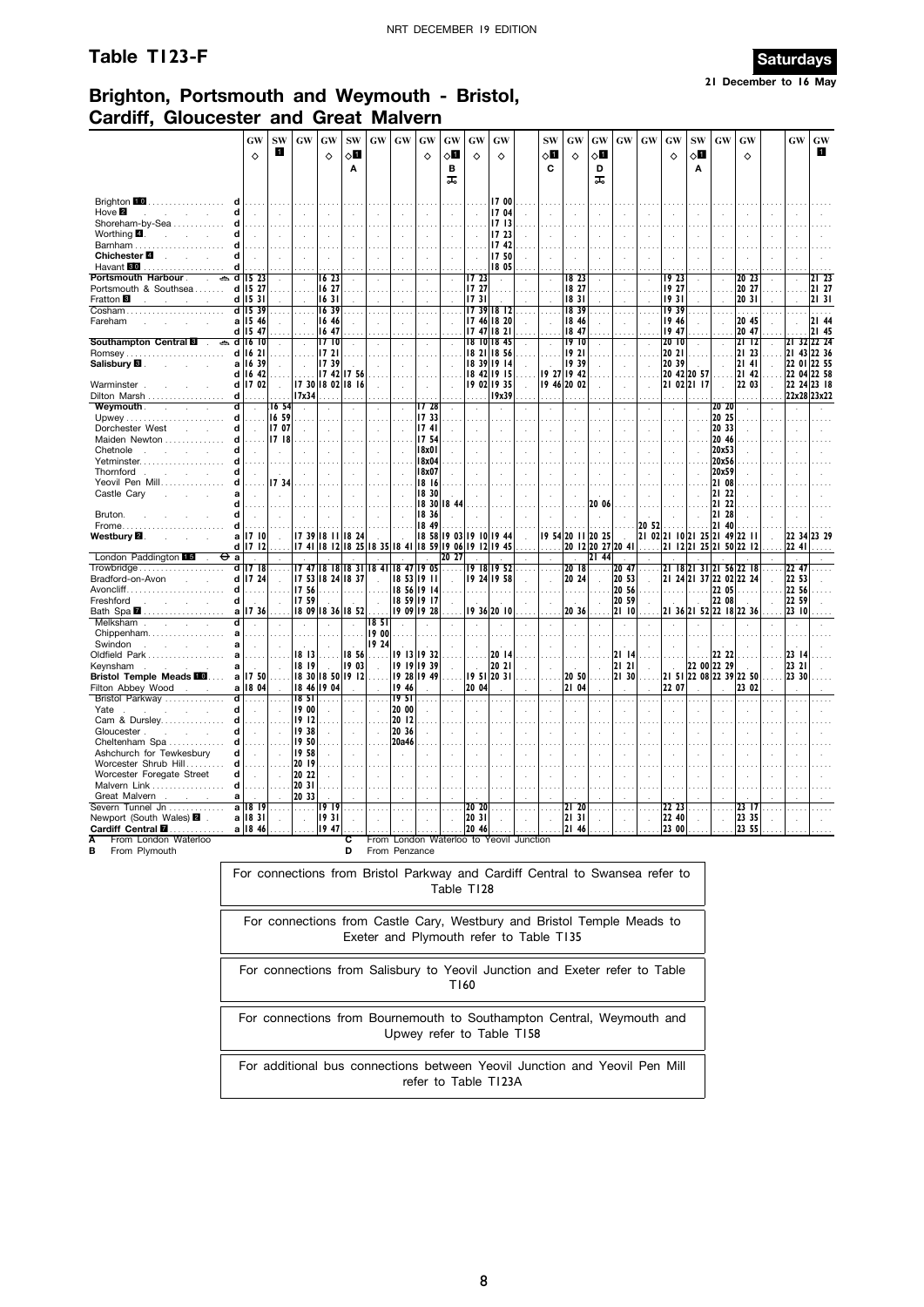## **Table T123-F Saturdays**



## **Brighton, Portsmouth and Weymouth - Bristol, Cardiff, Gloucester and Great Malvern**

|                                                                    |                                                                                                                                                                                                                                                                                                                                                                                                                                                                                                                | GW                          | <b>SW</b>     |  | GW                         | GW            |  | <b>SW</b>            | <b>GW</b>                                                | GW               | GW            |       | GW            | GW                         | GW             |                         | <b>SW</b>   | GW                   |                | GW         | GW             | GW                                                                           | GW             |               | <b>SW</b>               |  | GW             | GW                |                       | GW                         | GW                  |
|--------------------------------------------------------------------|----------------------------------------------------------------------------------------------------------------------------------------------------------------------------------------------------------------------------------------------------------------------------------------------------------------------------------------------------------------------------------------------------------------------------------------------------------------------------------------------------------------|-----------------------------|---------------|--|----------------------------|---------------|--|----------------------|----------------------------------------------------------|------------------|---------------|-------|---------------|----------------------------|----------------|-------------------------|-------------|----------------------|----------------|------------|----------------|------------------------------------------------------------------------------|----------------|---------------|-------------------------|--|----------------|-------------------|-----------------------|----------------------------|---------------------|
|                                                                    |                                                                                                                                                                                                                                                                                                                                                                                                                                                                                                                | $\Diamond$                  | П             |  |                            | ♦             |  | ⊘П                   |                                                          |                  | ♦             |       | ◇О            | ♦                          | ♦              |                         | √П          | $\Diamond$           |                | ू∏         |                |                                                                              | ♦              |               | ◇Ø                      |  |                | $\Diamond$        |                       |                            | O                   |
|                                                                    |                                                                                                                                                                                                                                                                                                                                                                                                                                                                                                                |                             |               |  |                            |               |  | Α                    |                                                          |                  |               |       | в<br>ᠼ        |                            |                |                         | C           |                      |                | D<br>ᠼ     |                |                                                                              |                |               | Α                       |  |                |                   |                       |                            |                     |
|                                                                    |                                                                                                                                                                                                                                                                                                                                                                                                                                                                                                                |                             |               |  |                            |               |  |                      |                                                          |                  |               |       |               |                            |                |                         |             |                      |                |            |                |                                                                              |                |               |                         |  |                |                   |                       |                            |                     |
| Brighton 10<br>.<br>Hove $\blacksquare$<br>$\sim$<br>$\sim$        | d                                                                                                                                                                                                                                                                                                                                                                                                                                                                                                              |                             |               |  |                            |               |  |                      |                                                          |                  |               |       |               |                            | 17 00<br>1704  |                         |             |                      |                |            |                |                                                                              |                |               |                         |  |                |                   |                       |                            |                     |
| Shoreham-by-Sea                                                    | d                                                                                                                                                                                                                                                                                                                                                                                                                                                                                                              |                             |               |  |                            |               |  |                      |                                                          |                  |               |       |               |                            | 1713           |                         |             |                      |                |            |                |                                                                              |                |               |                         |  |                |                   |                       |                            |                     |
| Worthing $\blacksquare$ .<br>and the control<br>Barnham            | d<br>d                                                                                                                                                                                                                                                                                                                                                                                                                                                                                                         |                             |               |  |                            |               |  |                      |                                                          |                  |               |       |               |                            | 17 23<br>17 42 |                         |             |                      |                |            |                |                                                                              |                |               |                         |  |                |                   |                       |                            |                     |
| Chichester <b>■</b><br>$\sim$<br><b>Contract Contract</b>          | d                                                                                                                                                                                                                                                                                                                                                                                                                                                                                                              |                             |               |  |                            |               |  |                      |                                                          |                  |               |       | $\cdot$       |                            | 17 50          |                         |             |                      |                |            |                |                                                                              |                |               |                         |  |                |                   |                       |                            |                     |
| Havant 80<br>.<br>Portsmouth Harbour .<br>₿                        | d<br>ď                                                                                                                                                                                                                                                                                                                                                                                                                                                                                                         | 15 23                       |               |  |                            | 1623          |  |                      |                                                          |                  |               |       | $\lambda$     | 17 23                      | 18 05          |                         |             |                      | 18 23          |            |                |                                                                              |                | 1923          |                         |  |                | 20 23             |                       |                            | 21 23               |
| Portsmouth & Southsea                                              |                                                                                                                                                                                                                                                                                                                                                                                                                                                                                                                | d 15 27                     |               |  |                            | 16 27         |  |                      |                                                          |                  |               |       |               | 17 27                      |                |                         |             |                      | 18 27          |            |                |                                                                              |                | 19 27         |                         |  |                | 20 27             |                       |                            | 21 27               |
| Fratton <b>B</b><br>Cosham.                                        |                                                                                                                                                                                                                                                                                                                                                                                                                                                                                                                | $d$ 15 31<br>d 1539         |               |  |                            | 16 31<br>1639 |  |                      |                                                          |                  |               |       |               | 1731<br>17 39 18 12        |                |                         |             | 1831                 | 1839           |            |                |                                                                              |                | 1931<br>1939  |                         |  |                | 20 31<br>.        |                       |                            | 21 31<br>.          |
| Fareham                                                            |                                                                                                                                                                                                                                                                                                                                                                                                                                                                                                                | a 15 46                     |               |  |                            | 16 46         |  |                      |                                                          |                  |               |       |               | 17 46 18 20                |                |                         |             |                      | 18 46          |            |                |                                                                              |                | 19 46         |                         |  |                | 20 45             |                       |                            | 21 44               |
| Southampton Central <b>8</b><br>ക                                  |                                                                                                                                                                                                                                                                                                                                                                                                                                                                                                                | d 15 47<br>$d$ 16 10        |               |  | $\cdot$                    | 16 47<br>1710 |  | $\epsilon$           |                                                          |                  |               |       |               | 1747<br>18 10 18 45        | 1821           |                         |             |                      | 18 47<br>1910  |            |                |                                                                              |                | 1947<br>20 10 |                         |  |                | 20 47<br>21 12    |                       |                            | 2145<br>21 32 22 24 |
|                                                                    | d                                                                                                                                                                                                                                                                                                                                                                                                                                                                                                              | 1621                        |               |  |                            | 1721          |  |                      |                                                          |                  |               |       |               | 18 21                      | 18 56          |                         |             |                      | 1921           |            |                |                                                                              | 20 21          |               |                         |  |                | 21 23             |                       | 21 43 22 36                |                     |
| Salisbury <b>⊠</b> .<br>$\sim$                                     | d                                                                                                                                                                                                                                                                                                                                                                                                                                                                                                              | a 16 39<br>16 42            |               |  | $\mathbf{r}$               | 1739<br>17 42 |  | 17 56                |                                                          |                  |               |       |               | 18 39 19 14<br>18 42 19 15 |                |                         |             | 19 39<br>19 27 19 42 |                |            |                |                                                                              | 20 39          |               | 20 42 20 57             |  |                | 2141<br>21 42     |                       | 22 01 22 55<br>22 04 22 58 |                     |
| Warminster.                                                        | d                                                                                                                                                                                                                                                                                                                                                                                                                                                                                                              | 17 02                       |               |  |                            |               |  | 17 30 18 02 18 16    |                                                          |                  |               |       |               | 19 02 19 35                |                |                         | 19 46 20 02 |                      |                |            |                |                                                                              |                |               | 21 02 21 17             |  | $\mathbf{r}$   | 22 03             | ÷.                    | 22 24 23 18                |                     |
| Dilton Marsh<br><b>Weymouth</b>                                    | d<br>d                                                                                                                                                                                                                                                                                                                                                                                                                                                                                                         | $\lambda$                   | 1654          |  | 17x34<br>$\cdot$           |               |  |                      |                                                          | ÷.               |               | 17 28 | $\mathcal{L}$ | $\ddot{\phantom{a}}$       | 19x39          |                         |             |                      |                |            |                |                                                                              |                |               | ÷                       |  | 20 20          | .<br>$\mathbf{r}$ |                       | 22x28 23x22                |                     |
|                                                                    | d                                                                                                                                                                                                                                                                                                                                                                                                                                                                                                              |                             | 16 59         |  |                            |               |  |                      |                                                          |                  | 17 33         |       |               |                            |                |                         |             |                      |                |            |                |                                                                              |                |               |                         |  | 20 25          |                   |                       |                            |                     |
| Dorchester West<br><b>Service</b><br>Maiden Newton                 | d                                                                                                                                                                                                                                                                                                                                                                                                                                                                                                              | $\ddot{\phantom{a}}$        | 17 07<br>1718 |  |                            |               |  |                      |                                                          |                  | 1741<br>17 54 |       |               |                            |                |                         |             |                      |                |            |                |                                                                              |                |               |                         |  | 20 33<br>20 46 |                   |                       |                            |                     |
| Chetnole<br><b>College</b><br>$\sim$<br>$\sim$                     | d                                                                                                                                                                                                                                                                                                                                                                                                                                                                                                              |                             |               |  |                            |               |  |                      |                                                          |                  | 18x01         |       |               |                            |                |                         |             |                      |                |            |                |                                                                              |                |               |                         |  | 20x53          |                   |                       |                            |                     |
| Yetminster<br>Thornford.<br><b>Contract Contract</b>               | d<br>d                                                                                                                                                                                                                                                                                                                                                                                                                                                                                                         |                             | ÷.            |  |                            |               |  |                      |                                                          |                  | 18x04         |       |               |                            |                |                         |             |                      |                |            |                |                                                                              |                |               |                         |  | 20x56<br>20x59 |                   |                       |                            |                     |
| Yeovil Pen Mill                                                    |                                                                                                                                                                                                                                                                                                                                                                                                                                                                                                                |                             |               |  |                            |               |  |                      |                                                          |                  |               |       |               |                            |                |                         |             |                      |                |            |                |                                                                              |                |               |                         |  | 21 08          |                   |                       |                            |                     |
| Castle Cary<br>$\overline{a}$<br>$\sim$                            |                                                                                                                                                                                                                                                                                                                                                                                                                                                                                                                |                             |               |  |                            |               |  |                      |                                                          |                  |               |       |               |                            |                |                         |             |                      |                |            |                |                                                                              |                |               |                         |  | 21 22<br>21 22 |                   |                       |                            |                     |
| Bruton.                                                            |                                                                                                                                                                                                                                                                                                                                                                                                                                                                                                                |                             |               |  |                            |               |  |                      |                                                          |                  |               |       |               |                            |                |                         |             |                      |                |            |                |                                                                              |                |               |                         |  | 21 28          |                   |                       |                            |                     |
| Frome<br>Westbury <b>⊠</b> .                                       | 18 30<br>a<br>18 30 18 44<br>20 06<br>d<br>1836<br>d<br>18 49<br>20 52<br>d<br>a   7   0<br>17 39 18 11 18 24<br>18 58 19 03 19 10<br><b>19 54 20 11 20 25</b><br>21 02 21 10 21 25 21 49 22 11<br>1944<br>$\sim$<br>$\sim$<br>17 41 18 12 18 25<br>18 59 19 06 19<br>20 12 20 27 20 41<br>$d$     7   2<br>18 35 18 41<br>-12<br>1945<br>Фa<br>20 27<br>21 44<br>$\cdot$<br>$d$ 17 18<br>17 47 18 18 18 31<br>18 47 19 05<br>2018<br>20 47<br>1841<br>19 18 19 52<br>.<br>$\ldots$<br>.<br>$\sim$<br>$\cdots$ |                             |               |  |                            |               |  |                      |                                                          |                  |               |       |               |                            |                |                         | 21          | 40                   |                |            | 22 34          | 23 29                                                                        |                |               |                         |  |                |                   |                       |                            |                     |
| London Paddington L5                                               | 17 53 18 24 18 37<br>d 17 24<br>18 53 19 11<br>20 24<br>20 53<br>19 24 19 58<br>20 56<br>17 56<br>18 56 19 14<br>d<br>.<br>.                                                                                                                                                                                                                                                                                                                                                                                   |                             |               |  |                            |               |  |                      |                                                          |                  |               |       |               |                            |                | 21 12 21 25 21 50 22 12 |             |                      |                |            | 22 41          |                                                                              |                |               |                         |  |                |                   |                       |                            |                     |
|                                                                    | 18 59 19 17                                                                                                                                                                                                                                                                                                                                                                                                                                                                                                    |                             |               |  |                            |               |  |                      |                                                          |                  |               |       |               |                            |                | 21 18 21 31 21 56 22 18 |             |                      |                |            | 22 47          |                                                                              |                |               |                         |  |                |                   |                       |                            |                     |
| Bradford-on-Avon                                                   | 18x07<br>17 34<br>18 16<br>d                                                                                                                                                                                                                                                                                                                                                                                                                                                                                   |                             |               |  |                            |               |  |                      |                                                          |                  |               |       |               |                            |                | 21 24 21 37 22 02 22 24 |             | 22 05                |                |            | 22 53<br>22 56 |                                                                              |                |               |                         |  |                |                   |                       |                            |                     |
| Freshford<br><b>Service</b><br>$\sim 10^{-1}$                      | d                                                                                                                                                                                                                                                                                                                                                                                                                                                                                                              | $\sim$                      |               |  | 1759                       |               |  |                      |                                                          |                  |               |       | $\cdot$       |                            |                |                         |             |                      |                |            | 20 59          |                                                                              |                |               |                         |  | 22 08          |                   |                       | 22 59                      |                     |
| Bath Spa <b>M</b><br>Melksham<br>$\sim$<br><b>Contract</b>         | a<br>d                                                                                                                                                                                                                                                                                                                                                                                                                                                                                                         | 17 36                       |               |  |                            |               |  | 18 09 18 36 18 52    | 1851                                                     |                  | 19 09 19 28   |       |               | 19 36 20 10                |                |                         |             |                      | 20 36          |            | 21 10          |                                                                              |                |               | 21 36 21 52 22 18 22 36 |  |                |                   |                       | 23 10                      |                     |
| Chippenham                                                         | a                                                                                                                                                                                                                                                                                                                                                                                                                                                                                                              |                             |               |  |                            |               |  | $\sim$               | 19 00                                                    |                  |               |       |               |                            |                |                         |             |                      |                |            |                |                                                                              |                |               |                         |  |                |                   |                       |                            |                     |
| Swindon<br>$\sim 10^{-11}$<br>$\sim 10^{-11}$<br>Oldfield Park     | a<br>a                                                                                                                                                                                                                                                                                                                                                                                                                                                                                                         |                             |               |  | 18 13                      |               |  | 18 56                | 19 24                                                    |                  | 19 13 19 32   |       |               |                            | 20 14          |                         |             |                      |                |            | 21 14          |                                                                              |                |               |                         |  | 22 22          |                   |                       | 23 14                      |                     |
| Keynsham<br>the company of the company                             | a                                                                                                                                                                                                                                                                                                                                                                                                                                                                                                              | $\sim$                      | $\bar{z}$     |  | 18 19                      |               |  | 19 03                |                                                          |                  | 19 19 19 39   |       |               |                            | 20 21          |                         |             |                      |                |            | 2121           |                                                                              |                |               | 22 00 22 29             |  |                |                   |                       | 23 21                      |                     |
| <b>Bristol Temple Meads 100</b><br>Filton Abbey Wood<br><b>ALC</b> |                                                                                                                                                                                                                                                                                                                                                                                                                                                                                                                | a 17 50<br>a 18 04          | $\sim$        |  | 18 30 18 50<br>18 46 19 04 |               |  | 1912                 |                                                          | 19 28<br>19 46   | 19 49         |       |               | 1951<br>20 04              | 20 31          |                         |             |                      | 20 50<br>21 04 |            | 2130           |                                                                              | 21 51<br>22 07 |               | 22 08 22 39 22 50       |  |                | 23 02             |                       | 23 30                      |                     |
| Bristol Parkway                                                    | d                                                                                                                                                                                                                                                                                                                                                                                                                                                                                                              | .                           | .             |  | 18 <sub>51</sub>           |               |  | $\sim$ $\sim$ $\sim$ |                                                          | 19 <sub>51</sub> |               |       |               | .                          | $\ldots$       |                         |             |                      |                |            |                |                                                                              |                |               |                         |  |                |                   |                       |                            |                     |
| Yate<br>Cam & Dursley                                              | d<br>d                                                                                                                                                                                                                                                                                                                                                                                                                                                                                                         |                             |               |  | 19 00<br>1912              |               |  | ÷                    |                                                          | 20 00<br>20 12   |               |       |               |                            |                |                         |             |                      |                |            |                |                                                                              |                |               |                         |  |                |                   |                       |                            |                     |
| Gloucester.<br><b>College</b>                                      | d                                                                                                                                                                                                                                                                                                                                                                                                                                                                                                              | $\ddot{\phantom{a}}$        |               |  | 19 38                      |               |  | $\sim$               |                                                          | 20 36            |               |       |               |                            |                |                         |             |                      |                |            |                |                                                                              |                |               |                         |  |                |                   |                       |                            |                     |
| Cheltenham Spa<br>Ashchurch for Tewkesbury                         | d<br>d                                                                                                                                                                                                                                                                                                                                                                                                                                                                                                         | $\mathcal{L}_{\mathcal{A}}$ |               |  | 19 50<br>1958              |               |  |                      |                                                          | 20a46            |               |       |               |                            |                |                         |             |                      |                |            |                |                                                                              |                |               |                         |  |                |                   |                       |                            |                     |
| Worcester Shrub Hill                                               | d                                                                                                                                                                                                                                                                                                                                                                                                                                                                                                              | $\sim 100$                  |               |  | 20 19                      |               |  |                      |                                                          |                  |               |       |               |                            |                |                         |             |                      |                |            |                |                                                                              |                |               |                         |  |                |                   |                       |                            |                     |
| Worcester Foregate Street<br>Malvern Link                          | d<br>d                                                                                                                                                                                                                                                                                                                                                                                                                                                                                                         | $\sim$                      |               |  | 20 22<br>20 31             |               |  |                      |                                                          |                  |               |       |               |                            |                |                         |             |                      |                |            |                |                                                                              |                |               |                         |  |                |                   |                       |                            |                     |
| Great Malvern<br>$\sim$                                            | a                                                                                                                                                                                                                                                                                                                                                                                                                                                                                                              |                             |               |  | 20 33                      |               |  |                      |                                                          |                  |               |       |               |                            |                |                         |             |                      |                |            |                |                                                                              |                |               |                         |  |                |                   |                       |                            |                     |
| Severn Tunnel Jn<br>Newport (South Wales) 2                        | a                                                                                                                                                                                                                                                                                                                                                                                                                                                                                                              | 1819<br>a   18 3            |               |  | . <b>.</b>                 | 1919<br>1931  |  |                      |                                                          |                  |               |       |               | $20^{20}$<br>20 31         |                |                         |             | $21\,20$<br>2131     |                |            |                |                                                                              | 22 40          | 22 23         |                         |  |                | 23 17<br>23 35    |                       |                            |                     |
| Cardiff Central <b>M</b>                                           |                                                                                                                                                                                                                                                                                                                                                                                                                                                                                                                |                             | $a$   18 46   |  |                            | 19 47         |  |                      |                                                          |                  |               |       |               | $2046$                     |                |                         |             |                      |                | $ 21 \t46$ | .              |                                                                              |                |               |                         |  |                |                   | .   23 00       23 55 |                            |                     |
| From London Waterloo<br>Α<br>From Plymouth<br>в                    |                                                                                                                                                                                                                                                                                                                                                                                                                                                                                                                |                             |               |  |                            |               |  | D                    | From London Waterloo to Yeovil Junction<br>From Penzance |                  |               |       |               |                            |                |                         |             |                      |                |            |                |                                                                              |                |               |                         |  |                |                   |                       |                            |                     |
|                                                                    |                                                                                                                                                                                                                                                                                                                                                                                                                                                                                                                |                             |               |  |                            |               |  |                      |                                                          |                  |               |       |               |                            |                |                         |             |                      |                |            |                | For connections from Bristol Parkway and Cardiff Central to Swansea refer to |                |               |                         |  |                |                   |                       |                            |                     |
|                                                                    |                                                                                                                                                                                                                                                                                                                                                                                                                                                                                                                |                             |               |  |                            |               |  |                      |                                                          |                  |               |       |               | Table T128                 |                |                         |             |                      |                |            |                |                                                                              |                |               |                         |  |                |                   |                       |                            |                     |
|                                                                    |                                                                                                                                                                                                                                                                                                                                                                                                                                                                                                                |                             |               |  |                            |               |  |                      |                                                          |                  |               |       |               |                            |                |                         |             |                      |                |            |                |                                                                              |                |               |                         |  |                |                   |                       |                            |                     |
|                                                                    |                                                                                                                                                                                                                                                                                                                                                                                                                                                                                                                |                             |               |  |                            |               |  |                      |                                                          |                  |               |       |               |                            |                |                         |             |                      |                |            |                |                                                                              |                |               |                         |  |                |                   |                       |                            |                     |
|                                                                    | For connections from Castle Cary, Westbury and Bristol Temple Meads to<br>Exeter and Plymouth refer to Table T135                                                                                                                                                                                                                                                                                                                                                                                              |                             |               |  |                            |               |  |                      |                                                          |                  |               |       |               |                            |                |                         |             |                      |                |            |                |                                                                              |                |               |                         |  |                |                   |                       |                            |                     |
|                                                                    |                                                                                                                                                                                                                                                                                                                                                                                                                                                                                                                |                             |               |  |                            |               |  |                      |                                                          |                  |               |       |               |                            |                |                         |             |                      |                |            |                |                                                                              |                |               |                         |  |                |                   |                       |                            |                     |
|                                                                    | For connections from Salisbury to Yeovil Junction and Exeter refer to Table<br>T160                                                                                                                                                                                                                                                                                                                                                                                                                            |                             |               |  |                            |               |  |                      |                                                          |                  |               |       |               |                            |                |                         |             |                      |                |            |                |                                                                              |                |               |                         |  |                |                   |                       |                            |                     |
|                                                                    |                                                                                                                                                                                                                                                                                                                                                                                                                                                                                                                |                             |               |  |                            |               |  |                      |                                                          |                  |               |       |               |                            |                |                         |             |                      |                |            |                |                                                                              |                |               |                         |  |                |                   |                       |                            |                     |

For connections from Bournemouth to Southampton Central, Weymouth and Upwey refer to Table T158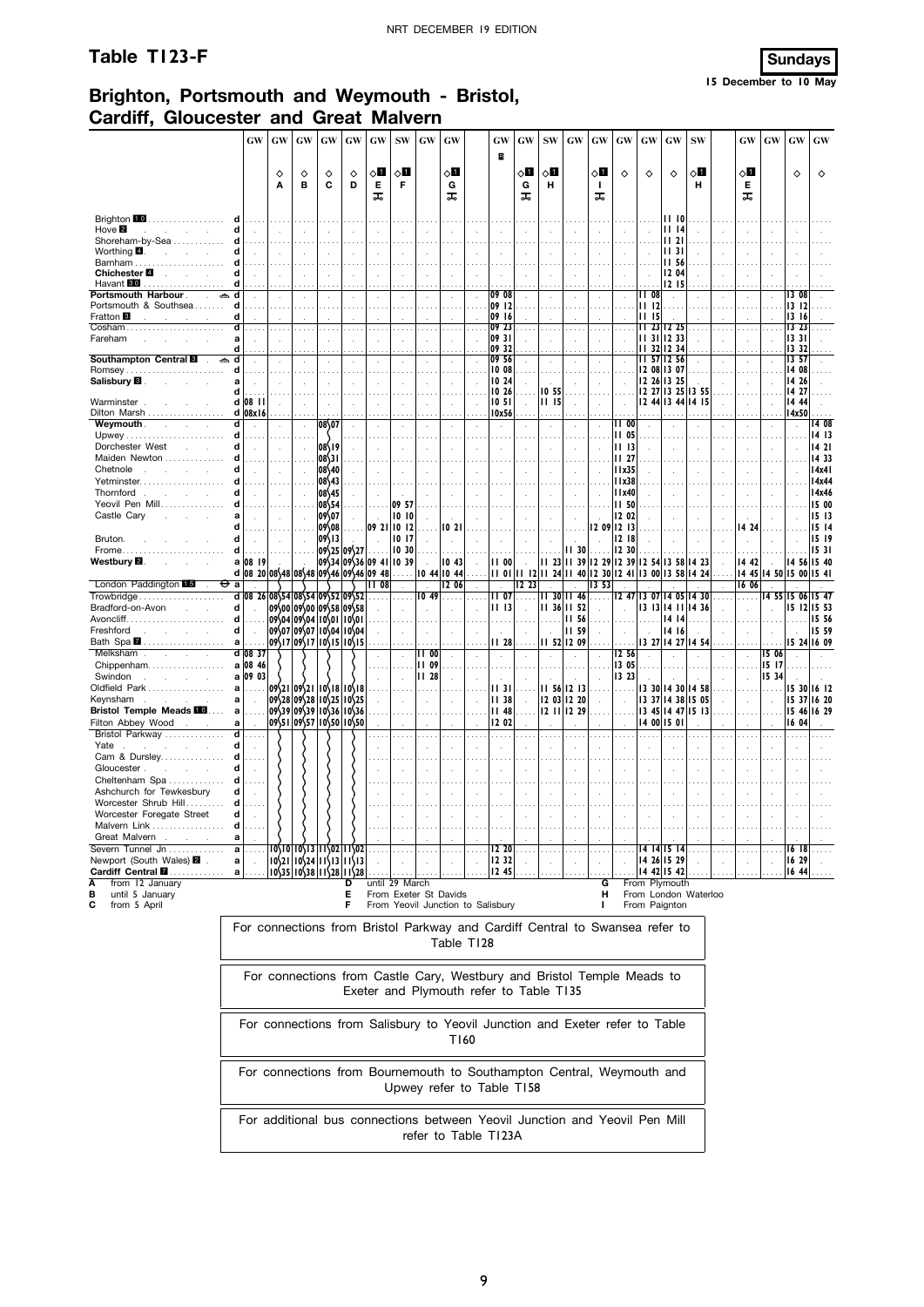## Table T123-F Sundays



## **Brighton, Portsmouth and Weymouth - Bristol, Cardiff, Gloucester and Great Malvern**

|                                                   | <b>GW</b>                                                                                                                                                    | GW                                                                                                                                                                                                                                                                                                                                                               | GW                                                                                                                                          | GW                      | GW        | <b>GW</b>            | $\textbf{SW}$  | GW                    | GW             |                                         | GW             | GW     | ${\bf SW}$                     | GW           | GW           | GW                        | GW                   | GW                         | <b>SW</b>                  | <b>GW</b>   | GW                   | GW                    | GW                    |
|---------------------------------------------------|--------------------------------------------------------------------------------------------------------------------------------------------------------------|------------------------------------------------------------------------------------------------------------------------------------------------------------------------------------------------------------------------------------------------------------------------------------------------------------------------------------------------------------------|---------------------------------------------------------------------------------------------------------------------------------------------|-------------------------|-----------|----------------------|----------------|-----------------------|----------------|-----------------------------------------|----------------|--------|--------------------------------|--------------|--------------|---------------------------|----------------------|----------------------------|----------------------------|-------------|----------------------|-----------------------|-----------------------|
|                                                   |                                                                                                                                                              | ♦                                                                                                                                                                                                                                                                                                                                                                | ♦                                                                                                                                           | ♦                       | ♦         | ू∏                   | ⊘Ш             |                       | √П             |                                         | B              | ू∏     | 8П                             |              | ◇О           | $\Diamond$                | ♦                    | ♦                          | ू∏                         | ◇Ø          |                      | ♦                     | ♦                     |
|                                                   |                                                                                                                                                              | A                                                                                                                                                                                                                                                                                                                                                                | B                                                                                                                                           | C                       | D         | Е<br>ᠼ               | F              |                       | G<br>ᠼ         |                                         |                | G<br>ᠼ | н                              |              | -1<br>ᠼ      |                           |                      |                            | н                          | Е<br>ᠼ      |                      |                       |                       |
| Brighton 10                                       |                                                                                                                                                              |                                                                                                                                                                                                                                                                                                                                                                  |                                                                                                                                             |                         |           |                      |                |                       |                |                                         |                |        |                                |              |              |                           |                      | 1110                       |                            |             |                      |                       |                       |
| Hove $\blacksquare$<br>$\sim$<br>Shoreham-by-Sea  | d                                                                                                                                                            | ÷.<br>.                                                                                                                                                                                                                                                                                                                                                          |                                                                                                                                             |                         | $\sim$    | $\mathbf{r}$         |                |                       | $\overline{a}$ |                                         | ÷.             |        | $\overline{a}$                 | ÷.           | $\mathbf{r}$ |                           |                      | 1114<br>1121               |                            |             |                      |                       |                       |
| Worthing $\blacksquare$ .                         | d                                                                                                                                                            |                                                                                                                                                                                                                                                                                                                                                                  |                                                                                                                                             |                         |           |                      |                |                       |                |                                         |                |        |                                |              |              |                           |                      | 1131                       |                            |             |                      |                       |                       |
| Barnham<br>Chichester <b>■</b>                    | d                                                                                                                                                            |                                                                                                                                                                                                                                                                                                                                                                  |                                                                                                                                             |                         |           |                      |                |                       |                |                                         |                |        |                                |              |              |                           |                      | 11 56<br>12 04             |                            |             |                      |                       |                       |
| Havant <b>80</b>                                  |                                                                                                                                                              |                                                                                                                                                                                                                                                                                                                                                                  |                                                                                                                                             |                         |           |                      |                |                       |                |                                         |                |        |                                |              |              |                           |                      | 12 15                      |                            |             |                      |                       |                       |
| Portsmouth Harbour<br>ڪ<br>Portsmouth & Southsea  | d<br>d                                                                                                                                                       |                                                                                                                                                                                                                                                                                                                                                                  |                                                                                                                                             |                         |           |                      |                |                       |                |                                         | 09 08<br>09 12 |        |                                |              |              |                           | <b>II 08</b><br>1112 | $\mathbf{r}$               |                            |             |                      | <b>13 08</b><br>13 12 |                       |
| Fratton <sup>8</sup>                              | d                                                                                                                                                            |                                                                                                                                                                                                                                                                                                                                                                  |                                                                                                                                             |                         |           |                      |                |                       |                |                                         | 09 16          |        |                                |              |              |                           | 11 15                |                            |                            |             |                      | 13 16                 |                       |
| Cosham<br>Fareham                                 | d<br>a                                                                                                                                                       |                                                                                                                                                                                                                                                                                                                                                                  |                                                                                                                                             |                         |           |                      |                |                       |                |                                         | 09 23<br>09 31 |        | $\sim$<br>$\ddot{\phantom{a}}$ |              |              |                           |                      | 23 12 25<br>11 31 12 33    |                            |             |                      | 13 23<br>1331         |                       |
|                                                   | d                                                                                                                                                            |                                                                                                                                                                                                                                                                                                                                                                  |                                                                                                                                             |                         |           |                      |                |                       |                |                                         | 09 32          |        |                                |              |              |                           | н                    | 32 12 34                   |                            |             |                      | 1332                  |                       |
| Southampton Central <b>8</b><br>Romsey            | d<br>d                                                                                                                                                       |                                                                                                                                                                                                                                                                                                                                                                  |                                                                                                                                             | $\ddot{\phantom{a}}$    | $\lambda$ | $\ddot{\phantom{a}}$ |                |                       | $\cdot$        |                                         | 09 56<br>10 08 |        | $\cdot$                        |              | $\cdot$      |                           |                      | 57 12 56<br>12 08 13 07    |                            |             |                      | 13,57<br>14 08        |                       |
| Salisbury <b>B</b>                                | a                                                                                                                                                            |                                                                                                                                                                                                                                                                                                                                                                  |                                                                                                                                             |                         |           |                      |                |                       |                |                                         | 10 24          |        |                                |              |              |                           |                      | 12 26 13 25                |                            |             |                      | 14 26                 |                       |
| Warminster                                        | d<br>d 08 II                                                                                                                                                 | $\cdot$                                                                                                                                                                                                                                                                                                                                                          |                                                                                                                                             |                         |           |                      |                |                       | $\cdot$        |                                         | IO 26<br>10 51 |        | 10 55<br>1115                  |              |              |                           |                      | 12 27 13 25                | 13 55<br>12 44 13 44 14 15 |             | ÷,                   | 14 27<br>14 44        |                       |
| Dilton Marsh                                      | d 08x16                                                                                                                                                      |                                                                                                                                                                                                                                                                                                                                                                  |                                                                                                                                             |                         |           |                      |                |                       |                |                                         | 10x56          |        | $\cdots$                       |              |              |                           |                      |                            |                            |             |                      | 14x50                 |                       |
| Weymouth.<br>$\sim$                               | d<br>d                                                                                                                                                       |                                                                                                                                                                                                                                                                                                                                                                  |                                                                                                                                             | 08\07                   |           |                      |                |                       |                |                                         | ÷.             |        | $\ddot{\phantom{a}}$           |              |              | II 00<br><b>II 05</b>     |                      |                            |                            |             |                      |                       | <b>14 08</b><br>14 13 |
| Dorchester West                                   | d                                                                                                                                                            |                                                                                                                                                                                                                                                                                                                                                                  |                                                                                                                                             | 08\19                   |           |                      |                |                       |                |                                         |                |        |                                |              |              | 11 13                     |                      |                            |                            |             |                      |                       | 1421                  |
| Maiden Newton<br>Chetnole                         | d<br>d                                                                                                                                                       |                                                                                                                                                                                                                                                                                                                                                                  |                                                                                                                                             | $ 08\angle 3 $<br>08\40 |           |                      |                |                       |                |                                         |                |        |                                |              |              | 11 <sub>27</sub><br>11x35 |                      |                            |                            |             |                      |                       | 14 33<br>14x41        |
| Yetminster                                        | d                                                                                                                                                            |                                                                                                                                                                                                                                                                                                                                                                  |                                                                                                                                             | 08\43                   |           |                      |                |                       |                |                                         |                |        |                                |              |              | IIx38                     |                      |                            |                            |             |                      |                       | 14x44                 |
| Thornford<br>$\sim$                               | d                                                                                                                                                            |                                                                                                                                                                                                                                                                                                                                                                  |                                                                                                                                             | 08\45                   |           |                      |                |                       |                |                                         |                |        |                                |              |              | 11x40                     |                      |                            |                            |             |                      |                       | 14x46                 |
| Yeovil Pen Mill<br>Castle Cary                    |                                                                                                                                                              | <b>II 50</b><br>08\54<br>09 57<br>d<br>09\07<br>1010<br>12 02<br>$\mathcal{L}$<br>1213<br>09\08<br>10 12<br>d<br>09 21<br>IO 21<br>I2 09<br>10 17<br>12 18<br>d<br>09\13<br>09\25 09\27<br>10 30<br>12 30<br>d<br>II 30<br>09\34 09\36 09 41<br>10 39<br>10 43<br>12 29 12 39<br>a 08 19<br><b>II 00</b><br><b>II 23</b><br>1139<br>12 54 13 58                  |                                                                                                                                             |                         |           |                      |                |                       |                |                                         |                |        |                                |              |              |                           |                      |                            |                            |             | 15 00<br>1513        |                       |                       |
|                                                   |                                                                                                                                                              | d 08 20 08 48 08 48 09 46 09 46 09 48<br>11 12 11 24 11 40 12 30<br>10 44 10 44<br>II 01<br>1241<br>13 00 13 58 14 24                                                                                                                                                                                                                                            |                                                                                                                                             |                         |           |                      |                |                       |                |                                         |                |        |                                |              |              |                           |                      | 14 24                      |                            |             | 15 14                |                       |                       |
| Bruton.<br>Frome.                                 |                                                                                                                                                              | 1108<br>12 06<br>12 23<br>1353<br>$\bar{z}$<br>$\ddot{\phantom{a}}$<br>08 26 08 54 08 54 09 52 09 52<br>II 07<br>d<br>1049<br>II 30 II 46<br>13 07 14 05 14 30<br>I2 47<br>$\sim$                                                                                                                                                                                |                                                                                                                                             |                         |           |                      |                |                       |                |                                         |                |        |                                |              |              |                           |                      |                            |                            |             | 15 19<br>1531        |                       |                       |
| Westbury <b>⊠</b> .                               |                                                                                                                                                              | 09\00 09\00 09\58 09\58<br>11 36 11 52<br>13 13 14 11<br>d<br>11 13<br>09\04 09\04 10\01 10\01<br>14 14<br>d<br><b>11 56</b>                                                                                                                                                                                                                                     |                                                                                                                                             |                         |           |                      |                |                       |                |                                         |                |        |                                |              |              |                           | 14 23                | 14 42                      | $\sim$                     | 14 56       | 15 40                |                       |                       |
| London Paddington 15<br>⊖                         |                                                                                                                                                              | 09\07 09\07 10\04 10\04<br>d<br><b>II 59</b><br>$\mathcal{A}$<br>$\ddot{\phantom{a}}$                                                                                                                                                                                                                                                                            |                                                                                                                                             |                         |           |                      |                |                       |                |                                         |                |        |                                |              |              |                           |                      | 16 06                      | 14 45 14 50 15 00          |             | 1541                 |                       |                       |
| Trowbridge                                        |                                                                                                                                                              | 09\17 09\17 10\15 10\15<br>II 28<br>11 52 12 09<br>a<br>.                                                                                                                                                                                                                                                                                                        |                                                                                                                                             |                         |           |                      |                |                       |                |                                         |                |        |                                |              |              |                           |                      | .                          |                            | 14 55 15 06 | 15 47                |                       |                       |
| Bradford-on-Avon<br>Avoncliff                     |                                                                                                                                                              |                                                                                                                                                                                                                                                                                                                                                                  |                                                                                                                                             |                         |           |                      |                |                       |                |                                         |                |        |                                |              |              |                           | 436                  |                            | ÷,                         |             | 15 12 15 53<br>15 56 |                       |                       |
| Freshford<br><b>Service</b><br>n.                 |                                                                                                                                                              |                                                                                                                                                                                                                                                                                                                                                                  |                                                                                                                                             |                         |           |                      |                |                       |                |                                         |                |        |                                |              |              | 14 16                     |                      |                            |                            |             | 15 59                |                       |                       |
| Bath Spa 2                                        |                                                                                                                                                              | $d$ 08 37<br>1100<br>12 56<br>$\ddot{\phantom{a}}$<br>$\cdot$                                                                                                                                                                                                                                                                                                    |                                                                                                                                             |                         |           |                      |                |                       |                |                                         |                |        |                                |              |              |                           | 14.54                |                            |                            |             | 15 24 16 09          |                       |                       |
| Melksham<br>$\sim$<br>i.<br>Chippenham            |                                                                                                                                                              |                                                                                                                                                                                                                                                                                                                                                                  |                                                                                                                                             |                         |           |                      |                |                       |                |                                         |                |        |                                |              |              |                           |                      | $\cdot$                    | 15 06<br>15 17             |             |                      |                       |                       |
| Swindon<br>$\sim$<br>$\sim$                       |                                                                                                                                                              |                                                                                                                                                                                                                                                                                                                                                                  |                                                                                                                                             |                         |           |                      |                | 11 28                 |                |                                         |                |        |                                |              |              |                           |                      |                            |                            |             | 1534                 |                       |                       |
| Oldfield Park<br>Keynsham                         |                                                                                                                                                              |                                                                                                                                                                                                                                                                                                                                                                  |                                                                                                                                             |                         |           |                      |                |                       |                |                                         | II 31          |        |                                |              |              |                           |                      |                            | 458                        |             |                      | 15 30<br>15 37        | 16 12<br>1620         |
| $\sim$<br>n.<br><b>Bristol Temple Meads III</b>   | a                                                                                                                                                            | a<br>13 27 14 27<br>13 05<br>a 08 46<br>1109<br>a 09 03<br>13 23<br>11 56 12 13<br>09\21 09\21 10\18 10\18<br> 3 30  4 30<br>09\28 09\28 10\25 10\25<br><b>II 38</b><br>12 03 12 20<br>13 37 14 38 15 05<br>a<br>$\mathbf{r}$<br>$\overline{a}$<br>$\overline{a}$<br>09\39 09\39 10\36 10\36<br><b>II 48</b><br>13 45 14 47<br>12 11 12 29<br>$\cdots$<br>$\sim$ |                                                                                                                                             |                         |           |                      |                |                       |                |                                         |                |        |                                |              |              |                           | 15 13                |                            | ÷.                         | 15 46       | 16 29                |                       |                       |
| Filton Abbey Wood                                 | a                                                                                                                                                            |                                                                                                                                                                                                                                                                                                                                                                  | 09\51 09\57 10\50 10\50                                                                                                                     |                         |           |                      |                |                       |                |                                         | 12 02          |        |                                |              |              |                           |                      | 14 00 15 0                 |                            |             |                      | 16 04                 |                       |
| Bristol Parkway<br>Yate                           | d<br>$\cdots$<br>d                                                                                                                                           |                                                                                                                                                                                                                                                                                                                                                                  |                                                                                                                                             |                         |           |                      |                |                       | $\cdots$       |                                         | $\cdots$       |        | $\sim$                         | $\mathbf{r}$ | $\sim$       |                           |                      |                            |                            | $\sim$      | $\sim$               |                       |                       |
| Cam & Dursley                                     | d                                                                                                                                                            |                                                                                                                                                                                                                                                                                                                                                                  |                                                                                                                                             |                         |           |                      |                |                       |                |                                         |                |        |                                |              |              |                           |                      |                            |                            |             |                      |                       |                       |
| Gloucester.<br>Cheltenham Spa                     | d<br>d                                                                                                                                                       |                                                                                                                                                                                                                                                                                                                                                                  |                                                                                                                                             |                         |           |                      |                |                       |                |                                         |                |        |                                |              |              |                           |                      |                            |                            |             |                      |                       |                       |
| Ashchurch for Tewkesbury                          | d                                                                                                                                                            |                                                                                                                                                                                                                                                                                                                                                                  |                                                                                                                                             |                         |           |                      |                |                       |                |                                         |                |        |                                |              |              |                           |                      |                            |                            |             |                      |                       |                       |
| Worcester Shrub Hill<br>Worcester Foregate Street | d<br>d                                                                                                                                                       |                                                                                                                                                                                                                                                                                                                                                                  |                                                                                                                                             |                         |           |                      |                |                       |                |                                         |                |        |                                |              |              |                           |                      |                            |                            |             |                      |                       |                       |
| Malvern Link                                      | a                                                                                                                                                            |                                                                                                                                                                                                                                                                                                                                                                  |                                                                                                                                             |                         |           |                      |                |                       |                |                                         |                |        |                                |              |              |                           |                      |                            |                            |             |                      |                       |                       |
| Great Malvern<br>$\sim$                           | a                                                                                                                                                            |                                                                                                                                                                                                                                                                                                                                                                  |                                                                                                                                             |                         |           |                      |                |                       |                |                                         |                |        |                                |              |              |                           |                      |                            |                            |             |                      |                       |                       |
| Severn Tunnel Jn<br>Newport (South Wales) 2 .     | a<br>a                                                                                                                                                       |                                                                                                                                                                                                                                                                                                                                                                  | $10\overline{510}$ $10\overline{513}$ $11\overline{502}$ $11\overline{502}$<br>$10\frac{21}{10}\frac{10}{24}11\frac{13}{13}11\frac{13}{13}$ |                         |           |                      |                |                       |                |                                         | I2 20<br>1232  |        |                                |              |              |                           |                      | 14 14 15 14<br>14 26 15 29 |                            |             |                      | 16 29                 | $16$ $18$             |
| Cardiff Central <b>M</b>                          | a                                                                                                                                                            |                                                                                                                                                                                                                                                                                                                                                                  | $10\frac{35}{10}$ $10\frac{38}{11}$ $1\frac{28}{11}$ $1\frac{28}{28}$                                                                       |                         |           |                      |                |                       |                |                                         | 1245           |        |                                |              |              |                           |                      | 14 42 15 42                |                            |             |                      |                       | $1644$                |
| from 12 January<br>until 5 January<br>в           |                                                                                                                                                              |                                                                                                                                                                                                                                                                                                                                                                  |                                                                                                                                             |                         | D<br>Е    |                      | until 29 March | From Exeter St Davids |                |                                         |                |        |                                |              | G<br>н       |                           | From Plymouth        |                            | From London Waterloo       |             |                      |                       |                       |
| from 5 April<br>С                                 |                                                                                                                                                              |                                                                                                                                                                                                                                                                                                                                                                  |                                                                                                                                             |                         | F         |                      |                |                       |                | From Yeovil Junction to Salisbury       |                |        |                                |              | ı.           |                           | From Paignton        |                            |                            |             |                      |                       |                       |
|                                                   | For connections from Bristol Parkway and Cardiff Central to Swansea refer to                                                                                 |                                                                                                                                                                                                                                                                                                                                                                  |                                                                                                                                             |                         |           |                      |                |                       |                |                                         |                |        |                                |              |              |                           |                      |                            |                            |             |                      |                       |                       |
|                                                   |                                                                                                                                                              |                                                                                                                                                                                                                                                                                                                                                                  |                                                                                                                                             |                         |           |                      |                |                       |                | Table T128                              |                |        |                                |              |              |                           |                      |                            |                            |             |                      |                       |                       |
|                                                   |                                                                                                                                                              |                                                                                                                                                                                                                                                                                                                                                                  |                                                                                                                                             |                         |           |                      |                |                       |                |                                         |                |        |                                |              |              |                           |                      |                            |                            |             |                      |                       |                       |
|                                                   |                                                                                                                                                              | For connections from Castle Cary, Westbury and Bristol Temple Meads to                                                                                                                                                                                                                                                                                           |                                                                                                                                             |                         |           |                      |                |                       |                |                                         |                |        |                                |              |              |                           |                      |                            |                            |             |                      |                       |                       |
|                                                   |                                                                                                                                                              |                                                                                                                                                                                                                                                                                                                                                                  |                                                                                                                                             |                         |           |                      |                |                       |                | Exeter and Plymouth refer to Table T135 |                |        |                                |              |              |                           |                      |                            |                            |             |                      |                       |                       |
|                                                   |                                                                                                                                                              |                                                                                                                                                                                                                                                                                                                                                                  |                                                                                                                                             |                         |           |                      |                |                       |                |                                         |                |        |                                |              |              |                           |                      |                            |                            |             |                      |                       |                       |
|                                                   |                                                                                                                                                              |                                                                                                                                                                                                                                                                                                                                                                  |                                                                                                                                             |                         |           |                      |                |                       |                |                                         |                |        |                                |              |              |                           |                      |                            |                            |             |                      |                       |                       |
|                                                   |                                                                                                                                                              |                                                                                                                                                                                                                                                                                                                                                                  |                                                                                                                                             |                         |           |                      |                |                       |                |                                         |                |        |                                |              |              |                           |                      |                            |                            |             |                      |                       |                       |
|                                                   |                                                                                                                                                              |                                                                                                                                                                                                                                                                                                                                                                  |                                                                                                                                             |                         |           |                      |                |                       |                |                                         |                |        |                                |              |              |                           |                      |                            |                            |             |                      |                       |                       |
|                                                   | For connections from Salisbury to Yeovil Junction and Exeter refer to Table<br>T160<br>For connections from Bournemouth to Southampton Central, Weymouth and |                                                                                                                                                                                                                                                                                                                                                                  |                                                                                                                                             |                         |           |                      |                |                       |                |                                         |                |        |                                |              |              |                           |                      |                            |                            |             |                      |                       |                       |
|                                                   | Upwey refer to Table T158                                                                                                                                    |                                                                                                                                                                                                                                                                                                                                                                  |                                                                                                                                             |                         |           |                      |                |                       |                |                                         |                |        |                                |              |              |                           |                      |                            |                            |             |                      |                       |                       |
|                                                   |                                                                                                                                                              |                                                                                                                                                                                                                                                                                                                                                                  |                                                                                                                                             |                         |           |                      |                |                       |                |                                         |                |        |                                |              |              |                           |                      |                            |                            |             |                      |                       |                       |
|                                                   | For additional bus connections between Yeovil Junction and Yeovil Pen Mill                                                                                   |                                                                                                                                                                                                                                                                                                                                                                  |                                                                                                                                             |                         |           |                      |                |                       |                |                                         |                |        |                                |              |              |                           |                      |                            |                            |             |                      |                       |                       |
|                                                   | refer to Table T123A                                                                                                                                         |                                                                                                                                                                                                                                                                                                                                                                  |                                                                                                                                             |                         |           |                      |                |                       |                |                                         |                |        |                                |              |              |                           |                      |                            |                            |             |                      |                       |                       |
|                                                   |                                                                                                                                                              |                                                                                                                                                                                                                                                                                                                                                                  |                                                                                                                                             |                         |           |                      |                |                       |                |                                         |                |        |                                |              |              |                           |                      |                            |                            |             |                      |                       |                       |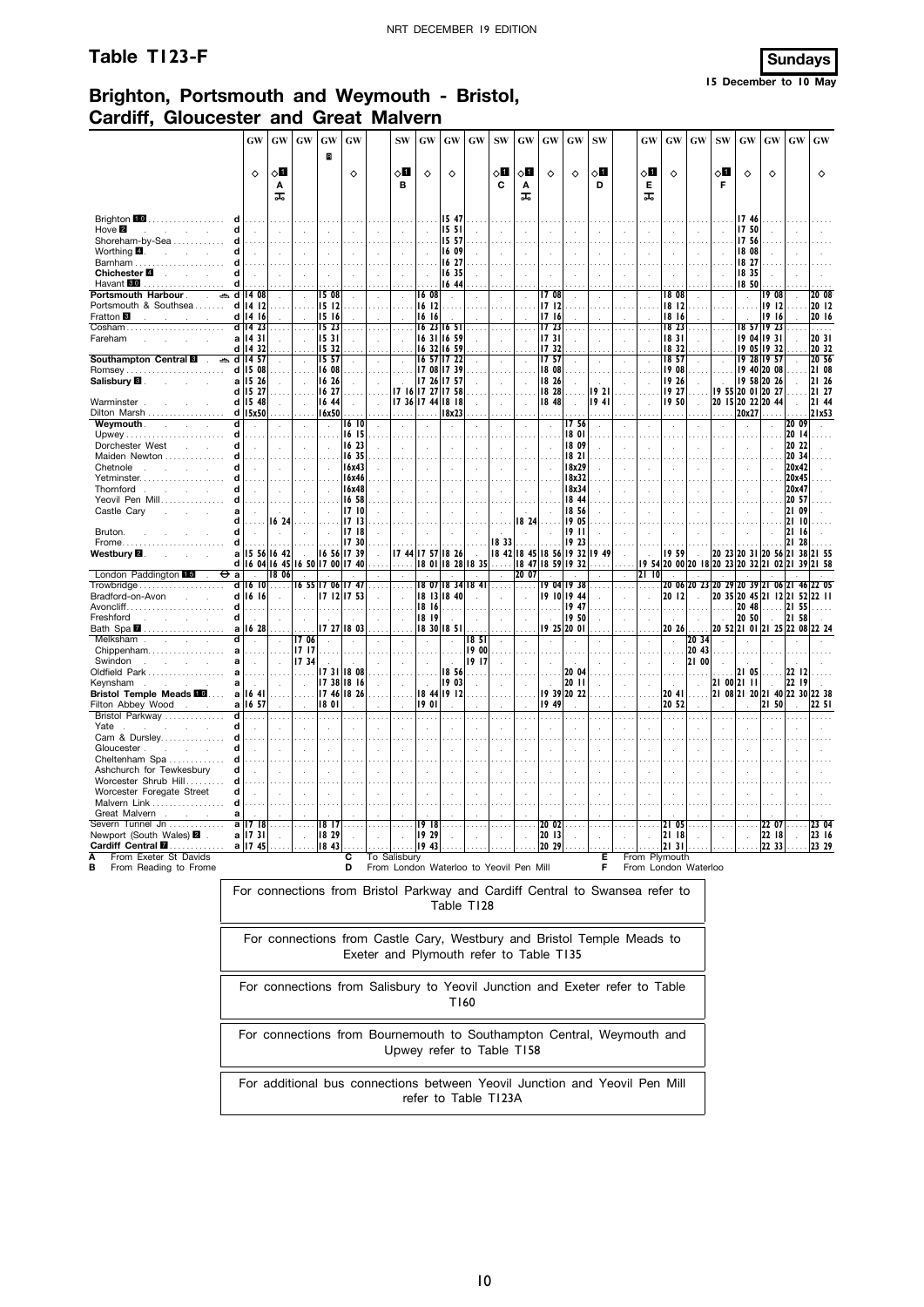## **Table T123-F Sundays**



#### **Brighton, Portsmouth and Weymouth - Bristol, Cardiff, Gloucester and Great Malvern**

|                                                                         | GW                             | $\boldsymbol{\mathsf{G}}\boldsymbol{\mathsf{W}}$ | GW                       | GW                   | GW                    | <b>SW</b>                | GW             | GW                          | GW                                      | <b>SW</b>     | GW                   | <b>GW</b>            | $\boldsymbol{\mathrm{G}}\boldsymbol{\mathrm{W}}$ | <b>SW</b>  | <b>GW</b>            | GW                    | <b>GW</b>                                 | <b>SW</b>            | GW                                     | $\boldsymbol{\mathrm{GW}}$ | GW                | GW             |
|-------------------------------------------------------------------------|--------------------------------|--------------------------------------------------|--------------------------|----------------------|-----------------------|--------------------------|----------------|-----------------------------|-----------------------------------------|---------------|----------------------|----------------------|--------------------------------------------------|------------|----------------------|-----------------------|-------------------------------------------|----------------------|----------------------------------------|----------------------------|-------------------|----------------|
|                                                                         |                                |                                                  |                          | $\mathbf R$          |                       |                          |                |                             |                                         |               |                      |                      |                                                  |            |                      |                       |                                           |                      |                                        |                            |                   |                |
|                                                                         | ♦                              | $\circ$ ii                                       |                          |                      | ♦                     | ∝∎                       | ♦              | ♦                           |                                         | 80            | ੇ ਪ                  | ♦                    | ♦                                                | 8П         | 0П                   | ♦                     |                                           | $\circ$ l            | ♦                                      | ♦                          |                   | ♦              |
|                                                                         |                                | Α<br>ᠼ                                           |                          |                      |                       | в                        |                |                             |                                         | C             | Α<br>ᠼ               |                      |                                                  | D          | Е<br>ᠼ               |                       |                                           | F                    |                                        |                            |                   |                |
|                                                                         |                                |                                                  |                          |                      |                       |                          |                |                             |                                         |               |                      |                      |                                                  |            |                      |                       |                                           |                      |                                        |                            |                   |                |
| Brighton 10<br>.<br>d<br>Hove <sup>2</sup><br>d                         | $\sim$                         |                                                  |                          |                      |                       |                          |                | 15 47<br>15.51              |                                         |               |                      |                      |                                                  |            |                      |                       |                                           |                      | 17 46<br>1750                          |                            |                   |                |
| <b>Contract Contract</b><br>Shoreham-by-Sea                             |                                | $\sim$                                           |                          |                      | $\sim$                |                          |                | 15 57                       |                                         |               |                      |                      |                                                  |            | $\ddot{\phantom{a}}$ |                       |                                           |                      | 17 56                                  |                            |                   |                |
| Worthing $\blacksquare$ .<br>and the control                            |                                | $\ddot{\phantom{a}}$                             |                          |                      |                       | $\lambda$                |                | 16 09                       |                                         |               |                      | $\mathcal{L}$        |                                                  |            | à.                   |                       |                                           |                      | 18 08                                  |                            |                   |                |
| Barnham<br>d                                                            |                                |                                                  |                          |                      |                       |                          |                | 16 27                       |                                         |               |                      |                      |                                                  |            |                      |                       |                                           |                      | 18 27                                  |                            |                   |                |
| Chichester <sup>1</sup><br>and the control<br>d<br>Havant 60            |                                |                                                  |                          |                      |                       |                          |                | 16 35<br>16 44              |                                         |               |                      |                      |                                                  |            |                      |                       |                                           |                      | 18 35<br>18 50                         |                            |                   |                |
| Portsmouth Harbour .<br>$\mathcal{L}$                                   | $\approx$ d 14 08              | $\sim$                                           |                          | 15 08                |                       |                          | $16 \ 08$      |                             |                                         |               |                      | 1708                 |                                                  |            | $\mathbf{r}$         | 1808                  |                                           |                      | $\mathbf{r}$                           | 19 08                      |                   | 20 08          |
| Portsmouth & Southsea                                                   | $d$ 14 12                      |                                                  |                          | 1512                 |                       |                          | 16 12          |                             |                                         |               |                      | 17 12                |                                                  |            |                      | 18 12                 |                                           |                      |                                        | 1912                       |                   | 20 12          |
| Fratton <sup>8</sup><br>and the<br>Cosham                               | $d$ 14 16<br>d 14 23           | $\sim$ $\sim$ $\sim$                             |                          | 1516<br>1523         | $\sim$                |                          | 16 16          | 16 23 16 51                 |                                         | $\ldots$      |                      | 1716<br>17 23        |                                                  | $\cdots$   |                      | 1816<br>18 23         | $\cdots$                                  |                      |                                        | 1916<br>18 57 19 23        |                   | 20 16<br>.     |
| Fareham<br>a                                                            | 1431                           |                                                  |                          | 15 31                |                       |                          | 1631           | 16 59                       |                                         | $\mathcal{L}$ |                      | 1731                 |                                                  |            |                      | 18 31                 | ÷.                                        |                      |                                        | 19 04 19 31                |                   | 20 31          |
| d                                                                       | 14 32                          |                                                  |                          | 15 32                |                       |                          | 16<br>32       | 16 59                       |                                         |               |                      | 1732                 |                                                  |            |                      | 18 32                 |                                           |                      | 19<br>05                               | 19 32                      |                   | 20 32          |
| Southampton Central <b>B</b><br>d                                       | $\approx$ d   4.57<br>15<br>08 | $\mathcal{L}$                                    | $\ddot{\phantom{a}}$     | 15 57<br>16 08       |                       | $\ddot{\phantom{a}}$     |                | 16 57 17 22<br>17 08 17 39  |                                         | $\cdot$       |                      | 1757<br>18 08        |                                                  | $\epsilon$ |                      | 18 57<br>19 08        | $\sim$                                    | $\ddot{\phantom{a}}$ |                                        | 19 28 19 57<br>19 40 20 08 |                   | 20 56<br>21 08 |
| Salisbury <b>B</b> .<br>a<br>S.                                         | 15 26                          | ÷                                                |                          | 16 26                |                       |                          |                | 17 26 17 57                 |                                         | $\bar{z}$     |                      | 18 26                |                                                  |            |                      | 19 26                 | ÷                                         |                      |                                        | 19 58 20 26                |                   | 21 26          |
|                                                                         | d 15 27                        |                                                  |                          | 16 27                |                       |                          |                | 17 16 17 27 17 58           |                                         |               |                      | 18 28                |                                                  | 19 2 I     |                      | 19 27                 |                                           |                      | 19 55 20 01 20 27                      |                            |                   | 21 27          |
| Warminster.<br>Dilton Marsh                                             | d 15 48<br>$d$   15x50         | ÷.                                               | $\overline{\phantom{a}}$ | 16 44<br>16x50       |                       |                          |                | 17 36 17 44 18 18<br>18x23  |                                         | ÷.            |                      | 18 48                |                                                  | 1941       | ÷                    | 19 50                 | ÷                                         | .                    | 20 15 20 22 20 44<br>20x27             |                            |                   | 21 44<br>21x53 |
| Weymouth.<br>$\sim$<br>$\sim 10^{-1}$<br>d                              |                                |                                                  |                          |                      | 16 10                 |                          |                |                             |                                         |               |                      |                      | 1756                                             |            |                      |                       |                                           |                      |                                        |                            | 20 09             |                |
| d                                                                       |                                |                                                  |                          |                      | 16 15                 |                          |                |                             |                                         |               |                      |                      | 1801                                             |            |                      |                       |                                           |                      |                                        |                            | 20 14             |                |
| Dorchester West<br>d<br><b>Contract Contract</b><br>Maiden Newton<br>d  |                                | ÷                                                |                          |                      | 16 23<br>16 35        | $\ddot{\phantom{a}}$     |                | $\ddot{\phantom{a}}$        |                                         |               |                      |                      | 18 09<br>1821                                    |            |                      |                       | ÷.                                        |                      | $\overline{a}$                         |                            | 20 22<br>20 34    |                |
| Chetnole<br>d                                                           | $\mathbf{r}$                   | $\sim$                                           | $\sim$                   | $\sim$               | 16x43                 |                          | ÷              |                             |                                         |               |                      | $\mathbf{r}$         | 18x29                                            |            | ÷                    |                       |                                           |                      | $\mathbf{r}$                           |                            | 20x42             |                |
| Yetminster<br>d                                                         |                                |                                                  |                          |                      | 16x46                 |                          |                |                             |                                         |               |                      |                      | 18x32                                            |            |                      |                       |                                           |                      |                                        |                            | 20x45             |                |
| Thornford<br>Ч<br>S.<br>$\sim$<br>Yeovil Pen Mill                       | $\overline{a}$                 | ÷.                                               |                          |                      | 16x48<br>16 58        |                          |                |                             |                                         |               |                      |                      | 18x34<br>18 44                                   |            | $\ddot{\phantom{a}}$ |                       |                                           |                      |                                        |                            | 20x47<br>20 57    |                |
| Castle Cary<br>a<br>and the                                             |                                |                                                  |                          |                      | 1710                  |                          |                | $\mathbf{r}$                |                                         | ÷.            |                      |                      | 18 56                                            |            | ÷                    |                       |                                           |                      |                                        |                            | 21 09             |                |
| Ч                                                                       |                                | 1624                                             |                          |                      | 1713                  |                          |                |                             |                                         |               | 18 24                |                      | 1905                                             |            |                      |                       |                                           |                      |                                        |                            | 121 10            |                |
| Bruton.<br>d<br>Frome<br>d                                              |                                | $\ddot{\phantom{a}}$                             |                          |                      | 17 18<br>17 30        |                          |                |                             |                                         | 18 33         |                      |                      | 19 I I<br>19 23                                  |            |                      |                       |                                           |                      |                                        |                            | 21 16<br>21<br>28 |                |
| Westbury <b>⊠</b> .<br>a                                                |                                | 15 56 16 42                                      |                          |                      | 16 56 17 39           | 1744                     | 17 57          | 18 26                       |                                         |               |                      | 18 42 18 45 18 56    | 19 32                                            | 19 49      |                      | 1959                  |                                           |                      | 20 23 20 31 20 56 21 38 21 55          |                            |                   |                |
|                                                                         | d 16 04 16 45                  |                                                  |                          | 16 50 17 00 17 40    |                       |                          |                |                             | 18 01 18 28 18 35                       | .             | 18 47                | 18 59                | 1932                                             |            | I9 54                |                       | 20 00 20 18 20 23 20 32 21 02 21          |                      |                                        |                            |                   | 39 21 58       |
| London Paddington<br><del>О</del> а<br>ď<br>Trowbridge                  | 16 10                          | 18 06<br>.                                       |                          | 16 55 17 06 17 47    |                       | $\cdots$                 |                |                             | 18 07 18 34 18 41                       | $\cdots$      | 20 07                |                      | 9 04  9 38                                       |            | 2110                 |                       | 20 06 20 23 20 29 20 39 21 06 21 46 22 05 |                      |                                        |                            |                   |                |
| Bradford-on-Avon<br>$\sim 10$<br>$\sim$                                 | $d$ 16 $16$                    | $\sim$                                           |                          |                      | 17 12 17 53           | $\lambda$                |                | 18 13 18 40                 |                                         |               | $\ddot{\phantom{a}}$ |                      | 19 10 19 44                                      |            | ÷.                   | 20 12                 | $\sim$                                    |                      | 20 35 20 45 21 12 21 52 22 11          |                            |                   |                |
| $A$ voncliff $\ldots, \ldots, \ldots, \ldots, \ldots, \ldots$<br>d      | .                              |                                                  |                          | .                    |                       |                          | 18 16          | .                           |                                         |               |                      |                      | 19 47                                            |            |                      |                       |                                           | .                    | $2048$ 2155                            |                            |                   | .              |
| d<br>Freshford<br>and the company<br>Bath Spa 2                         | $\mathbb{R}^2$<br>a 16 28      | ÷                                                |                          |                      | $\sim$<br>17 27 18 03 | $\overline{\phantom{a}}$ | 18 19          | $\mathbf{r}$<br>18 30 18 51 | l.                                      | $\mathcal{L}$ |                      | $\mathbf{r}$         | 19 50<br>19 25 20 01                             |            | ÷,                   | $\mathbf{r}$<br>20 26 | $\mathcal{L}$                             | $\sim$               | 20 50<br>20 52 21 01 21 25 22 08 22 24 |                            | 21 58             |                |
| Melksham<br>and the company of                                          | $\sim$                         | $\sim$                                           | 17 06                    | $\ddot{\phantom{a}}$ | $\sim$                | $\ddot{\phantom{a}}$     | $\sim$         | $\bar{z}$                   | 18 <sub>51</sub>                        | $\mathcal{A}$ |                      | $\ddot{\phantom{a}}$ | $\sim$                                           |            | $\lambda$            | $\mathcal{A}$         | 20 34                                     | $\sim$               | $\sim$                                 |                            |                   |                |
| $Chippenham. \ldots \ldots \ldots \ldots \ldots$<br>a                   |                                |                                                  | 1717                     |                      |                       |                          |                |                             | 19 00                                   |               |                      |                      |                                                  |            |                      |                       | 20 43                                     |                      |                                        |                            |                   |                |
| Swindon<br>and the company of the<br>$\mathbf{a}$<br>Oldfield Park<br>a |                                | $\ddot{\phantom{a}}$                             | 17 34<br>.               |                      | 1731 1808             |                          |                | 18 56                       | 19 17                                   |               |                      |                      | 20 04                                            |            |                      |                       | 21 00                                     |                      | 21 05                                  |                            | 22 12             |                |
| Kevnsham<br>a                                                           | $\sim$                         |                                                  |                          |                      | 17 38 18 16           |                          |                | 19 03                       |                                         |               |                      | $\sim$               | 20 11                                            |            |                      | $\mathbf{r}$          | ÷.                                        |                      | 21 00 21 11                            |                            | 22 19             |                |
| <b>Bristol Temple Meads FOL</b>                                         | a 1641                         |                                                  |                          |                      | 17 46 18 26           |                          |                | 18 44 19 12                 |                                         |               |                      | 1939                 | 20 22                                            |            |                      | 20 41                 |                                           |                      | 21 08 21 20 21 40 22 30 22 38          |                            |                   |                |
| Filton Abbey Wood<br>Bristol Parkway<br>d                               | a 16 57<br>.                   | $\cdots$                                         |                          | 18 01                |                       |                          | 1901           |                             |                                         | $\cdots$      |                      | 19 49<br>$\sim$      |                                                  |            | $\cdots$             | 20 52                 | $\cdots$                                  |                      |                                        | 21 50                      |                   | 22 SI          |
| d<br>Yate                                                               | $\mathbf{r}$                   | ÷                                                |                          |                      |                       |                          |                |                             |                                         |               |                      |                      |                                                  |            |                      |                       |                                           |                      |                                        |                            |                   |                |
| d<br>Cam & Dursley                                                      |                                |                                                  |                          |                      |                       |                          |                |                             |                                         |               |                      |                      |                                                  |            |                      |                       |                                           |                      |                                        |                            |                   |                |
| Gloucester.<br>Ч<br>A.<br>÷<br>Cheltenham Spa<br>d                      |                                |                                                  |                          |                      |                       |                          |                |                             |                                         |               |                      |                      |                                                  |            |                      |                       |                                           |                      |                                        |                            |                   |                |
| d<br>Ashchurch for Tewkesbury                                           |                                |                                                  |                          |                      |                       |                          |                |                             |                                         |               |                      |                      |                                                  |            | $\mathbf{r}$         |                       |                                           |                      |                                        |                            |                   |                |
| Worcester Shrub Hill<br>d                                               |                                |                                                  |                          |                      |                       |                          |                |                             |                                         |               |                      |                      |                                                  |            |                      |                       |                                           |                      |                                        |                            |                   |                |
| Worcester Foregate Street<br>d<br>Malvern Link<br>d                     |                                |                                                  |                          |                      |                       |                          |                |                             |                                         |               |                      |                      |                                                  |            |                      |                       |                                           |                      |                                        |                            |                   |                |
| Great Malvern<br>a                                                      |                                |                                                  |                          |                      |                       |                          |                |                             |                                         |               |                      |                      |                                                  |            |                      |                       |                                           |                      |                                        |                            |                   |                |
| Severn Tunnel Jn<br>a                                                   | 1718                           |                                                  |                          | 18 <sup>17</sup>     |                       |                          | 1918           |                             |                                         |               |                      | 20 02                |                                                  |            |                      | 05<br>21              |                                           |                      |                                        | 22 07                      |                   | 23 04          |
| Newport (South Wales) 2.<br>Cardiff Central <b>M</b>                    | a   1731<br>a   17 45          | ÷                                                | $\mathcal{A}$            | 18 29<br>18 43       |                       |                          | 19 29<br>19 43 |                             |                                         |               |                      | 20 13<br>20 29       |                                                  |            |                      | 21 18<br>21 31        |                                           |                      | $\mathbf{r}$                           | 22 18<br>22 33             |                   | 23 16<br>23 29 |
| From Exeter St Davids                                                   |                                |                                                  |                          |                      | c                     | To Salisbury             |                |                             |                                         |               |                      |                      |                                                  | Е          |                      | From Plymouth         |                                           |                      |                                        |                            |                   |                |
| в<br>From Reading to Frome                                              |                                |                                                  |                          |                      | D                     |                          |                |                             | From London Waterloo to Yeovil Pen Mill |               |                      |                      |                                                  | F          |                      | From London Waterloo  |                                           |                      |                                        |                            |                   |                |

**B** From Reading to Frome

| For connections from Bristol Parkway and Cardiff Central to Swansea refer to<br>Table T128                        |
|-------------------------------------------------------------------------------------------------------------------|
| For connections from Castle Cary, Westbury and Bristol Temple Meads to<br>Exeter and Plymouth refer to Table T135 |
| For connections from Salisbury to Yeovil Junction and Exeter refer to Table<br>T160                               |
| For connections from Bournemouth to Southampton Central, Weymouth and<br>Upwey refer to Table T158                |
| For additional bus connections between Yeovil Junction and Yeovil Pen Mill<br>refer to Table T123A                |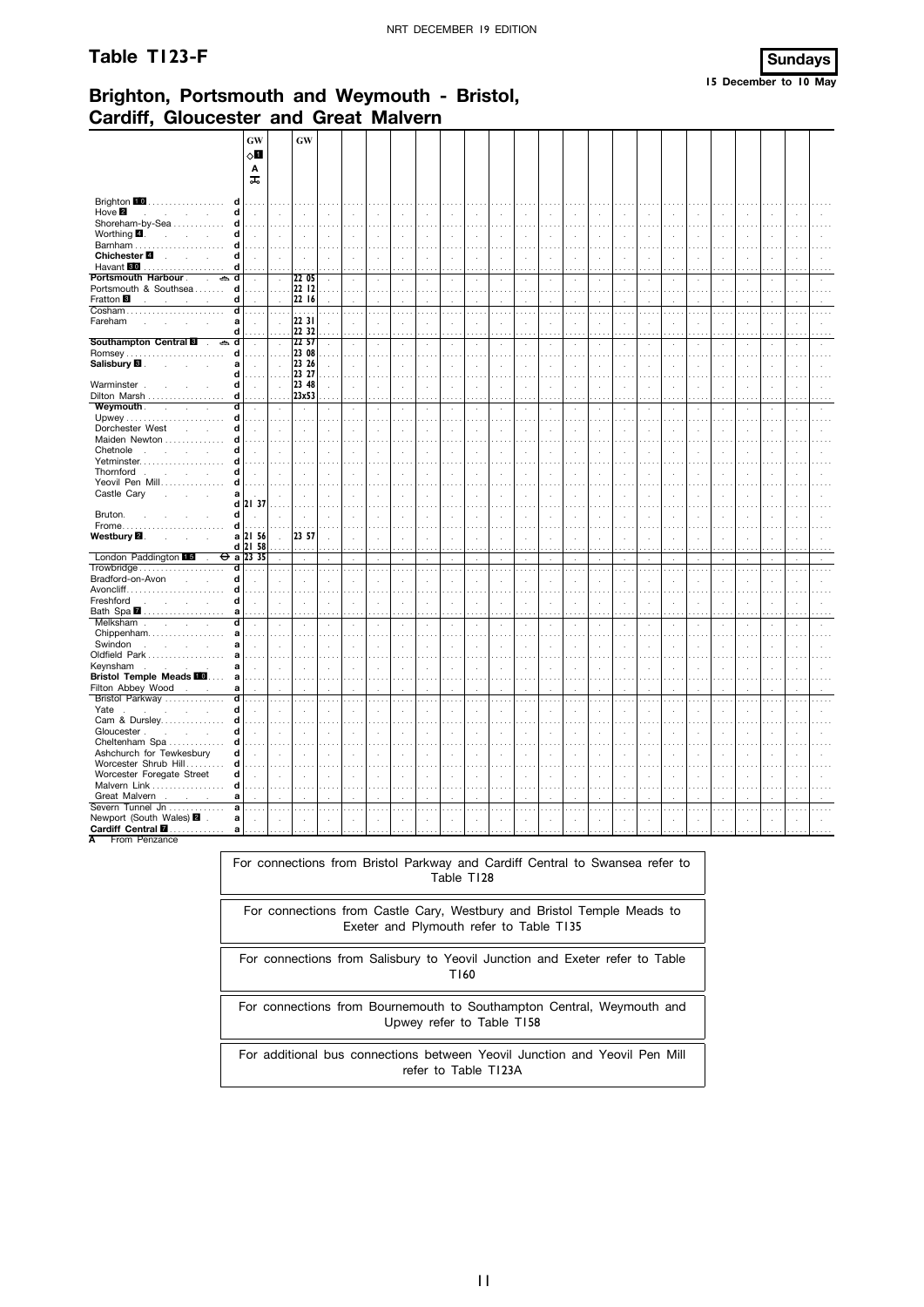#### Table T123-F



## Brighton, Portsmouth and Weymouth - Bristol, **Cardiff, Gloucester and Great Malvern**

|                                                                                       | GW                             |                      | <b>GW</b>         |                             |                     |                |                      |               |                                       |                                 |                          |                        |                                  |                                    |                                  |                                  |                                         |                            |                                  |                            |                                  |                            |                      |                    |
|---------------------------------------------------------------------------------------|--------------------------------|----------------------|-------------------|-----------------------------|---------------------|----------------|----------------------|---------------|---------------------------------------|---------------------------------|--------------------------|------------------------|----------------------------------|------------------------------------|----------------------------------|----------------------------------|-----------------------------------------|----------------------------|----------------------------------|----------------------------|----------------------------------|----------------------------|----------------------|--------------------|
|                                                                                       | √П                             |                      |                   |                             |                     |                |                      |               |                                       |                                 |                          |                        |                                  |                                    |                                  |                                  |                                         |                            |                                  |                            |                                  |                            |                      |                    |
|                                                                                       | Α<br>ᠼ                         |                      |                   |                             |                     |                |                      |               |                                       |                                 |                          |                        |                                  |                                    |                                  |                                  |                                         |                            |                                  |                            |                                  |                            |                      |                    |
|                                                                                       |                                |                      |                   |                             |                     |                |                      |               |                                       |                                 |                          |                        |                                  |                                    |                                  |                                  |                                         |                            |                                  |                            |                                  |                            |                      |                    |
| Brighton <b>10</b><br>d<br>Hove 2<br>d<br><b>Contract Contract</b>                    | $\mathbf{r}$                   | ÷                    |                   | $\overline{a}$              | ÷.                  | $\mathbf{r}$   | ÷.                   | ÷.            | $\mathbf{r}$                          | $\overline{a}$                  | ÷.                       | $\overline{a}$         | $\mathcal{L}$                    | ÷,                                 | $\ddot{\phantom{a}}$             |                                  | $\overline{a}$                          |                            |                                  |                            | ÷.                               | ÷.                         |                      |                    |
| Shoreham-by-Sea<br>d                                                                  |                                |                      |                   |                             |                     |                |                      |               |                                       |                                 |                          |                        |                                  |                                    |                                  |                                  |                                         |                            |                                  |                            |                                  |                            |                      |                    |
| Worthing $\blacksquare$ .<br>d<br>$\sim 10^{-1}$<br><b>Contractor</b><br>Barnham<br>d | $\ddot{\phantom{a}}$<br>المعاد | ÷.                   |                   | $\mathcal{L}$               | $\lambda$           | $\blacksquare$ | $\Delta$             | $\mathcal{A}$ | $\ddot{\phantom{a}}$                  | $\ddot{\phantom{a}}$            | $\cdot$<br>$\cdots$      | $\cdot$                | $\cdot$<br>$\cdots$              | $\epsilon$<br>$\cdots$             | $\ddot{\phantom{a}}$<br>$\cdots$ | $\ddot{\phantom{a}}$             | ÷.                                      | $\ddot{\phantom{1}}$<br>.  | $\lambda$                        | $\mathcal{L}_{\mathbf{z}}$ | $\ddot{\phantom{a}}$<br>$\ldots$ | $\lambda$                  | $\mathbf{r}$         |                    |
| Chichester <sup>2</sup><br>d<br>$\mathcal{L}$<br>$\mathcal{L}^{\text{max}}$           | $\ddot{\phantom{a}}$           | ÷.                   |                   | $\mathbf{r}$                |                     | ÷.             | $\overline{a}$       | ÷.            | $\ddot{\phantom{a}}$                  | ÷                               | ÷,                       | $\cdot$                | $\ddot{\phantom{a}}$             | $\epsilon$                         | $\mathcal{L}_{\mathcal{A}}$      | $\mathbf{r}$                     | ÷,                                      | $\mathcal{L}_{\mathbf{z}}$ | $\cdot$                          | $\mathbf{r}$               | $\mathcal{L}_{\mathbf{z}}$       | $\ddot{\phantom{a}}$       |                      |                    |
| Havant <b>80</b><br>d<br>.<br>Portsmouth Harbour.<br>d<br>⇔<br>$\mathcal{L}$          |                                |                      | 22 05             |                             |                     |                |                      |               |                                       |                                 |                          |                        | .                                |                                    |                                  |                                  |                                         |                            |                                  |                            |                                  |                            |                      |                    |
| d<br>Portsmouth & Southsea                                                            | à.                             | $\alpha$             | 22 12             | $\epsilon$<br>$\cdots$      | i,<br>$\cdots$      | $\epsilon$     | $\cdot$<br>$\cdots$  | $\cdot$       | $\cdot$<br>$\cdots$                   | $\cdot$<br>.                    | $\epsilon$<br>$\sim$     | $\epsilon$<br>$\cdots$ | $\cdot$<br>$\cdots$              | $\epsilon$<br>$\sim$ $\sim$ $\sim$ | $\epsilon$<br>$\sim$             | J.<br>.                          | $\epsilon$<br>$\cdots$                  | $\cdot$<br>$\cdots$        | $\ddot{\phantom{a}}$<br>$\cdots$ | $\cdot$                    | $\cdot$<br>$\sim$ $\sim$         | $\cdot$<br>$\cdots$        | $\cdot$              | $\sim$             |
| Fratton <sup>8</sup><br>d                                                             |                                |                      | 22 16             |                             |                     |                |                      |               |                                       |                                 |                          |                        | $\mathbf{r}$                     | ×                                  | ÷.                               | ×                                | ×                                       |                            |                                  |                            |                                  |                            |                      |                    |
| ď<br>Cosham<br>Fareham<br>a<br>$\mathcal{L}$<br>$\mathcal{L}$<br>$\overline{a}$       | $\cdots$                       | $\cdots$             | $\cdots$<br>22 31 | $\ldots$ .                  | .                   | $\cdots$       | $\cdots$             | $\cdots$      | $\cdots$<br>$\cdot$                   | .<br>l,                         | $\cdots$<br>$\cdot$      | $\cdots$<br>÷,         | $\ldots$ .<br>$\cdot$            | $\cdots$<br>i,                     | $\cdots$<br>$\cdot$              | $\cdots$<br>$\ddot{\phantom{a}}$ | $\cdots$<br>$\cdot$                     | .<br>$\cdot$               | $\cdots$<br>÷,                   | $\cdots$<br>$\cdot$        | $\cdots$<br>$\cdot$              | $\cdots$<br>÷,             | $\cdots$             | $\cdots$           |
| d                                                                                     |                                |                      | 22 32             |                             | $\sim$              |                | .                    |               | .                                     |                                 | .                        |                        | $\cdots$                         | .                                  | .                                |                                  | $\cdots$                                | $\cdots$                   |                                  |                            | $\cdots$                         | $\cdots$                   |                      |                    |
| Southampton Central<br>ے<br>d<br>$\mathcal{L}$<br>d                                   | $\cdot$                        | ÷,                   | 22 57<br>23 08    |                             |                     | ÷,             |                      | i,            | $\cdot$<br>$\cdots$                   | $\cdot$                         | $\cdot$<br>$\cdots$      |                        | $\cdot$<br>$\cdots$              | i,<br>$\cdots$                     | $\cdot$<br>$\cdots$              | $\sim$                           | à,<br>$\cdots$                          | .                          | à,<br>$\sim$ $\sim$              | $\cdots$                   | $\cdot$<br>$\sim$                | $\cdot$<br>$\cdots$        |                      |                    |
| Salisbury <b>E</b> .<br>a<br><b>Service</b>                                           | $\cdot$                        | $\mathbf{r}$         | 23 26             | $\cdot$                     |                     | $\blacksquare$ | $\ddot{\phantom{a}}$ |               | $\cdot$                               | $\epsilon$                      | $\cdot$                  |                        | $\cdot$                          |                                    | $\cdot$                          |                                  | à.                                      | $\epsilon$                 | i,                               | $\ddot{\phantom{a}}$       |                                  | $\cdot$                    |                      |                    |
| d<br>Warminster.<br>d                                                                 | $\ddot{\phantom{a}}$           | $\mathbf{r}$         | 23 27<br>23 48    | $\mathbf{r}$                |                     |                |                      |               | ÷.                                    |                                 | $\epsilon$               |                        | $\cdots$<br>$\epsilon$           | $\sim$<br>i,                       | $\ddot{\phantom{1}}$             |                                  | $\cdots$<br>$\mathbf{r}$                | $\sim$                     |                                  |                            |                                  | $\cdots$<br>÷.             |                      |                    |
| d<br>Dilton Marsh                                                                     |                                |                      | 23x53             |                             |                     |                |                      |               |                                       |                                 |                          |                        |                                  |                                    |                                  |                                  |                                         |                            |                                  |                            |                                  |                            |                      |                    |
| Weymouth.<br>ď<br>$\sim$<br>$\mathcal{L}$<br>d                                        | $\cdot$<br>$\sim$ $\sim$       | $\cdot$<br>$\sim$    | $\cdot$           | $\epsilon$                  | $\cdot$<br>$\cdots$ | $\epsilon$     | $\cdot$              | $\epsilon$    | $\cdot$<br>$\cdots$                   | $\cdot$                         | $\epsilon$<br>$\cdots$   | $\epsilon$             | $\cdot$<br>$\cdots$              | $\epsilon$<br>$\cdots$             | $\cdot$<br>$\cdots$              | $\cdot$<br>$\sim$ $\sim$ $\sim$  | $\epsilon$<br>$\sim$                    | $\cdot$<br>$\cdots$        | i,                               | $\cdot$                    | $\lambda$<br>$\sim$              | $\lambda$<br>$\sim$ $\sim$ | $\cdot$              |                    |
| d<br>Dorchester West<br>l.                                                            |                                |                      |                   |                             |                     |                |                      |               |                                       |                                 |                          |                        | $\ddot{\phantom{a}}$             |                                    | $\cdot$                          |                                  |                                         |                            |                                  |                            |                                  |                            |                      |                    |
| Maiden Newton<br>d<br>Chetnole<br>d                                                   | $\cdot$                        |                      |                   |                             |                     |                |                      |               |                                       |                                 | $\sim$                   | $\sim$ $\sim$ $\sim$   | $\cdots$<br>$\ddot{\phantom{a}}$ | $\sim$                             | $\cdot$                          |                                  | $\sim$ $\sim$                           | والمعاد                    |                                  |                            | $\sim$ $\sim$                    | $\sim$ $\sim$              |                      |                    |
| Yetminster<br>d                                                                       | .                              |                      |                   |                             |                     |                |                      |               |                                       |                                 |                          |                        | $\cdots$                         |                                    |                                  |                                  |                                         | $\sim$                     |                                  |                            |                                  |                            |                      |                    |
| Thornford<br>d<br>Yeovil Pen Mill<br>d                                                | $\bar{a}$                      |                      |                   | $\mathbf{r}$                |                     |                | $\cdot$              |               | $\mathbf{r}$                          |                                 | $\epsilon$               | $\mathbf{r}$           | $\mathcal{L}$                    | k.                                 | J.                               |                                  | $\overline{a}$                          | ÷.                         |                                  | $\ddot{\phantom{a}}$       | $\ddot{\phantom{a}}$             | ÷.                         |                      |                    |
| Castle Cary<br>$\mathbf a$                                                            | .                              | ÷.                   |                   |                             | $\sim$              |                |                      | ł.            | $\mathbf{r}$                          |                                 | والمرادي<br>$\mathbf{r}$ | $\mathbf{r}$           | $\cdots$<br>$\cdot$              | $\sim$ $\sim$<br>$\cdot$           | $\sim$ $\sim$<br>$\cdot$         |                                  | $\cdots$<br>$\overline{a}$              | .                          | J.                               | $\lambda$                  | $\sim$ $\sim$<br>$\mathbf{r}$    | ÷.                         |                      |                    |
| d<br>d                                                                                | 21 37                          | $\sim$               |                   |                             |                     |                |                      |               |                                       |                                 |                          |                        | .                                |                                    |                                  |                                  |                                         | $\sim$ $\sim$              |                                  |                            |                                  |                            |                      |                    |
| Bruton.<br>d<br>Frome                                                                 | .                              | 1.1.1                | .                 |                             |                     |                | $\ddot{\phantom{a}}$ |               | $\ddot{\phantom{a}}$<br>$\sim$ $\sim$ |                                 | ÷.<br>.                  |                        | $\cdot$<br>$\cdots$              |                                    | $\cdot$                          |                                  |                                         | $\lambda$<br>.             |                                  |                            | $\ddot{\phantom{1}}$             | ÷,<br>$\cdots$             |                      |                    |
| Westbury 2.<br>$\sim$                                                                 | a 21 56<br>d 21 58             | $\sim$               | 23 57             | $\ddot{\phantom{a}}$        |                     |                | $\ddot{\phantom{a}}$ |               | $\ddot{\phantom{a}}$                  | $\ddot{\phantom{a}}$            | à,                       |                        | à.                               | ÷,                                 | $\ddot{\phantom{a}}$             |                                  | $\cdot$                                 | $\cdot$                    | ÷,                               | $\cdot$                    | $\ddot{\phantom{a}}$             | J.                         |                      |                    |
| London Paddington 15<br>$\mathcal{L}^{\mathcal{L}}$                                   | $\Theta$ a 23 35               | .<br>$\sim$          | .<br>$\cdot$      | $\cdots$<br>$\mathcal{L}$   | $\ldots$<br>$\cdot$ | $\lambda$      | $\cdots$<br>$\cdot$  | $\lambda$     | $\ldots$<br>$\cdot$                   | $\sim$ $\sim$ $\sim$<br>$\cdot$ | $\cdots$<br>$\cdot$      | $\lambda$              | .<br>$\epsilon$                  | $\cdots$<br>$\lambda$              | .<br>$\epsilon$                  | $\cdots$<br>$\mathcal{L}$        | $\cdots$<br>$\mathcal{L}_{\mathcal{A}}$ | $\ldots$<br>$\mathcal{L}$  | $\ldots$<br>$\sim$               | $\cdots$<br>$\cdot$        | $\cdots$<br>$\mathcal{L}$        | $\ldots$<br>$\sim$         | $\ddot{\phantom{a}}$ | $\cdots$<br>$\sim$ |
| Trowbridge<br>d<br>Bradford-on-Avon<br>d<br>÷                                         | $\cdots$                       | $\cdots$<br>J.       | $\sim$ $\sim$     | $\cdots$                    | .                   | $\cdots$       | $\cdots$             | $\cdots$      | $\cdots$                              | $\cdots$                        | $\cdots$                 | $\cdots$               | $\ldots$ .                       | $\cdots$                           | $\cdots$                         | $\cdots$                         | $\cdots$                                | .                          | .                                | $\cdots$                   | $\cdots$                         | $\cdots$                   | $\cdots$             | $\cdots$           |
| d                                                                                     | $\mathbf{r}$                   | $\sim$ $\sim$ $\sim$ |                   |                             |                     | $\lambda$      |                      |               | ÷.                                    | $\overline{a}$                  | ÷.<br>$\sim$             | $\mathbf{r}$           | $\cdot$<br>$\cdots$              | $\cdot$                            | $\cdot$<br>$\cdots$              | ÷.                               | $\cdot$<br>$\cdots$                     | ÷.<br>والمعاد              | ÷.                               | J.                         | $\lambda$<br>$\sim$ $\sim$       | ÷.<br>$\sim$ $\sim$        |                      |                    |
| d<br>Freshford<br>and the control<br>$\sim$                                           | $\bar{a}$                      | $\sim$               | $\mathbf{r}$      | $\mathcal{L}_{\mathcal{A}}$ | $\lambda$           | $\epsilon$     | $\lambda$            | $\cdot$       | $\cdot$                               | $\ddot{\phantom{a}}$            | $\cdot$                  | $\cdot$                | $\mathcal{L}$                    | $\cdot$                            | $\mathcal{L}$                    | $\mathbf{r}$                     | à.                                      | $\ddot{\phantom{1}}$       | $\cdot$                          | $\ddot{\phantom{a}}$       | $\Delta$                         | $\sim$                     |                      |                    |
| Bath Spa 2<br>$\mathbf a$<br>ď<br>Melksham.<br>$\sim 10^{-1}$<br>$\sim 10$            | $\mathcal{L}$                  | ÷                    |                   | $\overline{a}$              | ÷.                  | $\mathbf{r}$   | $\cdot$              | ÷.            | $\cdot$                               | $\cdot$                         | $\cdot$                  | $\cdot$                | .<br>$\mathcal{L}$               | $\lambda$                          | $\mathcal{L}$                    | ÷.                               | $\cdot$                                 | ÷.                         | $\cdot$                          | $\ddot{\phantom{a}}$       | $\lambda$                        | $\cdot$                    |                      |                    |
| Chippenham<br>a                                                                       |                                |                      |                   |                             |                     |                |                      |               |                                       |                                 |                          |                        |                                  |                                    |                                  |                                  |                                         |                            |                                  |                            |                                  |                            |                      |                    |
| Swindon<br>a<br>the company of the company<br>Oldfield Park<br>a                      | $\sim$                         | ÷.                   |                   | ÷.                          |                     |                | $\ddot{\phantom{a}}$ | ÷.            | $\mathbf{r}$                          | $\mathbf{r}$                    | $\mathbf{r}$             | $\mathbf{r}$           | $\cdot$<br>$\ldots$              | $\epsilon$                         | $\mathbf{r}$                     | ÷.                               | $\overline{a}$                          | ÷.<br>$\cdots$             | $\mathbf{r}$                     | $\ddot{\phantom{1}}$       | $\Delta$<br>$\cdots$             | $\lambda$                  | $\mathbf{r}$         |                    |
| Keynsham<br>a<br>and the control of the con-                                          | $\ddot{\phantom{a}}$           | ÷.                   |                   | $\mathbf{r}$                | $\mathbf{r}$        |                | ÷.                   | ÷.            | $\mathbf{r}$                          |                                 | $\mathbf{r}$             | $\mathbf{r}$           | $\mathcal{L}_{\mathcal{A}}$      | $\cdot$                            | $\ddot{\phantom{a}}$             | ÷.                               | $\mathbf{r}$                            | ÷.                         |                                  | J.                         | $\mathbf{r}$                     | ÷.                         |                      |                    |
| <b>Bristol Temple Meads III</b><br>a<br>Filton Abbey Wood<br>a                        | J.                             | ÷                    |                   |                             |                     |                |                      |               | $\mathbf{r}$                          |                                 | ÷.                       |                        | $\cdots$<br>÷                    |                                    | J.                               |                                  | ÷                                       | $\sim$ $\sim$              |                                  |                            |                                  | ÷.                         |                      |                    |
| Bristol Parkway<br>ď                                                                  | $\sim$                         | $\cdots$             | $\sim$            | $\cdots$                    | $\cdots$            |                | $\cdots$             |               | $\cdots$                              | $\sim$                          | $\ldots$                 | $\cdots$               | $\ldots$ .                       | $\cdots$                           | $\cdots$                         | .                                | $\sim$                                  | $\sim$                     | $\sim$                           | $\cdots$                   | $\sim$                           | $\cdots$                   | $\cdots$             |                    |
| d<br>Yate.<br>s.<br>$\sim$<br>Cam & Dursley<br>d                                      | .                              | $\sim$ $\sim$        |                   |                             |                     |                |                      |               |                                       |                                 | $\cdots$                 |                        | $\cdots$                         | $\cdots$                           | $\cdots$                         | $\sim$ $\sim$                    | $\cdots$                                | $\sim$ $\sim$              | $\sim$ $\sim$                    |                            | $\sim$ $\sim$                    | $\cdots$                   |                      |                    |
| Gloucester.<br>d<br><b>Contract Contract</b>                                          | $\ddot{\phantom{a}}$           |                      |                   |                             |                     |                |                      |               |                                       |                                 |                          |                        | $\ddot{\phantom{a}}$             | ÷,                                 | $\cdot$                          |                                  |                                         |                            | ÷,                               |                            | ÷.                               |                            |                      |                    |
| Cheltenham Spa<br>d<br>Ashchurch for Tewkesbury<br>d                                  |                                |                      |                   |                             |                     |                |                      |               |                                       |                                 |                          |                        | $\cdots$                         |                                    |                                  |                                  |                                         | $\sim$ $\sim$              |                                  |                            |                                  |                            |                      |                    |
| Worcester Shrub Hill<br>d                                                             | $\cdot$<br>.                   | ÷,                   |                   |                             |                     |                |                      |               |                                       |                                 | والمرادي                 |                        | $\cdot$<br>$\cdots$              | ÷,<br>$\cdots$                     | $\cdot$<br>$\sim$ $\sim$         |                                  | $\cdots$                                | .                          |                                  |                            | ÷.<br>$\sim$ $\sim$              | $\sim$ $\sim$              |                      |                    |
| d<br>Worcester Foregate Street                                                        | $\ddot{\phantom{a}}$           | ÷.                   |                   |                             |                     |                |                      |               | ÷.                                    |                                 | ÷.                       | $\lambda$              | $\cdot$                          | $\cdot$                            | $\cdot$                          |                                  | $\mathbf{r}$                            | ÷.                         | ÷.                               | J.                         | ÷.                               | ÷.                         |                      |                    |
| Malvern Link<br>d<br>Great Malvern<br>a<br><b>Contract Contract</b>                   | .                              |                      |                   |                             |                     |                |                      |               |                                       |                                 |                          |                        | $\sim$                           |                                    |                                  |                                  |                                         | المناد                     |                                  |                            |                                  | $\sim$                     |                      |                    |
| Severn Tunnel Jn<br>$\mathbf a$                                                       | .                              | $\ldots$             | $\ldots$          | $\ldots$                    | $\ldots$            | $\cdots$       | $\cdots$             | .             | $\cdots$                              | $\cdots$                        | $\ldots$                 | $\ldots$               | $\cdots$                         | $\ldots$                           | $\ldots$                         | $\ldots$ .                       | $\ldots$                                | $\cdots$                   | $\ldots$                         | $\ldots$                   | $\ldots$                         | $\ldots$                   | $\cdots$             | .                  |
| Newport (South Wales) 2<br>$\mathbf a$<br>Cardiff Central <b>M</b><br>$\mathbf a$     | $\cdot$                        | $\ddot{\phantom{a}}$ | $\mathbf{r}$      | $\ddot{\phantom{a}}$        | $\cdot$             | l.             | J.                   | J.            | $\ddot{\phantom{a}}$                  |                                 | $\ddot{\phantom{a}}$     | $\ddot{\phantom{a}}$   | $\ddot{\phantom{a}}$             | $\lambda$                          | $\bar{z}$                        | $\overline{a}$                   | $\cdot$                                 | $\cdot$                    | ÷,                               | $\ddot{\phantom{a}}$       | $\ddot{\phantom{a}}$             | $\ddot{\phantom{a}}$       |                      |                    |
| А<br>From Penzance                                                                    |                                |                      |                   |                             |                     |                |                      |               |                                       |                                 |                          |                        |                                  |                                    |                                  |                                  |                                         |                            |                                  |                            |                                  |                            |                      |                    |

A From Penzance

For connections from Bristol Parkway and Cardiff Central to Swansea refer to Table T128

For connections from Castle Cary, Westbury and Bristol Temple Meads to Exeter and Plymouth refer to Table T135

For connections from Salisbury to Yeovil Junction and Exeter refer to Table T160

For connections from Bournemouth to Southampton Central, Weymouth and Upwey refer to Table T158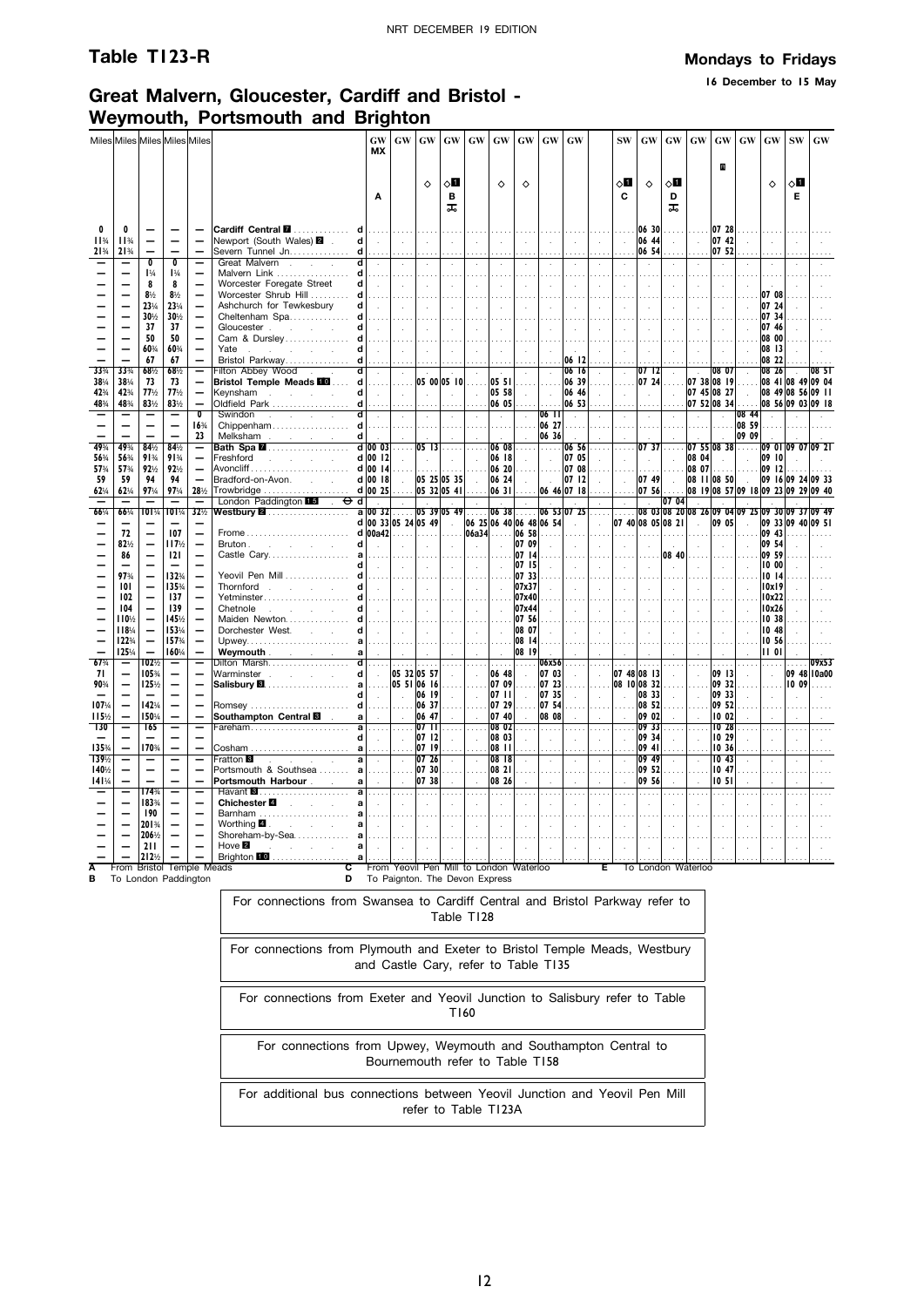**16 December to 15 May**

### **Great Malvern, Gloucester, Cardiff and Bristol - Weymouth, Portsmouth and Brighton**

|                  |                        |                                                      | Miles Miles Miles Miles Miles    |                                                           |                                                                                                                 | GW<br><b>MX</b>              | <b>GW</b>                                                                                                                                            | <b>GW</b>                                                                                                                                                              | <b>GW</b>              | GW                          | GW                               | GW                       | GW                          | GW                         |                             | <b>SW</b>       | <b>GW</b>                              | <b>GW</b>                   | GW                  | <b>GW</b>                                           | <b>GW</b>        | <b>GW</b>                    | <b>SW</b>            | <b>GW</b>        |
|------------------|------------------------|------------------------------------------------------|----------------------------------|-----------------------------------------------------------|-----------------------------------------------------------------------------------------------------------------|------------------------------|------------------------------------------------------------------------------------------------------------------------------------------------------|------------------------------------------------------------------------------------------------------------------------------------------------------------------------|------------------------|-----------------------------|----------------------------------|--------------------------|-----------------------------|----------------------------|-----------------------------|-----------------|----------------------------------------|-----------------------------|---------------------|-----------------------------------------------------|------------------|------------------------------|----------------------|------------------|
|                  |                        |                                                      |                                  |                                                           |                                                                                                                 |                              |                                                                                                                                                      | $\Diamond$                                                                                                                                                             | 8П                     |                             | ♦                                | $\Diamond$               |                             |                            |                             | 6П              |                                        | 8П                          |                     | B                                                   |                  | $\Diamond$                   | ू ।                  |                  |
|                  |                        |                                                      |                                  |                                                           |                                                                                                                 | A                            |                                                                                                                                                      |                                                                                                                                                                        | в<br>ᠼ                 |                             |                                  |                          |                             |                            |                             | C               | ♦                                      | D<br>ᠼ                      |                     |                                                     |                  |                              | Е                    |                  |
| n                |                        |                                                      |                                  |                                                           |                                                                                                                 |                              |                                                                                                                                                      |                                                                                                                                                                        | .                      | $\ldots$                    | .                                |                          | .                           | .                          | .                           |                 | . 06 30                                |                             |                     | $0728$                                              |                  | .                            |                      |                  |
| $11^{3}/$<br>21% | $11\frac{3}{4}$<br>21% |                                                      |                                  | $\overline{\phantom{0}}$                                  | Newport (South Wales) <b>2</b> .<br>Severn Tunnel Jn. d                                                         | $d$ .                        | $\mathbb{R}^n$<br>.                                                                                                                                  | $\sim$                                                                                                                                                                 | $\sim 10^7$<br>.       | $\sim 10^7$<br>.            | $\sim 10^7$<br>$\cdots$          | $\sim 10^{-1}$           | $\sim 10^{-1}$<br>$\cdots$  | $\sim 10^{-1}$<br>$\cdots$ | $\sim 10^{-1}$<br>.         | $\sim$          | 06 44<br>$\ldots$ 06 54                | $\sim$                      | $\sim$              | 07 42<br>07 52                                      | $\sim$           | $\sim$<br>$\cdots$           | $\sim$               |                  |
|                  |                        | $\overline{\mathbf{0}}$<br>$1\%$                     | $\overline{\mathbf{0}}$<br>$1\%$ | Ξ<br>$\overline{\phantom{0}}$                             | Great Malvern<br>$\overline{d}$<br>Malvern Link $d$                                                             | $\sim$                       | - 17<br>1.1.1.1                                                                                                                                      | $\sim$                                                                                                                                                                 | $\sim$<br>.            | $\sim$                      | $\sim$                           |                          | $\mathcal{L}$<br>$\sim$     | $\sim$                     | $\mathcal{L}$               |                 |                                        | $\sim$                      |                     | $\mathcal{A}$                                       |                  | $\sim$                       |                      |                  |
|                  |                        | 8<br>$8\frac{1}{2}$                                  | 8<br>$8\frac{1}{2}$              |                                                           | Worcester Foregate Street                                                                                       | $d$ .                        | $\sim$<br>1.                                                                                                                                         | h an                                                                                                                                                                   | $\sim 10^7$<br>a a a a | $\sim 10$                   | $\sim$                           | $\sim 10^{-1}$           | $\sim$                      | $\sim$                     | $\sim$                      |                 | $\sim 10^{-1}$                         | $\sim$                      | $\sim$              | $\sim$                                              |                  | 07 08                        |                      |                  |
|                  |                        | 23%                                                  | 23%                              | $\overline{\phantom{0}}$                                  | Worcester Shrub Hill  d.<br>Ashchurch for Tewkesbury                                                            | $d$ $\vert$                  | $\sim$                                                                                                                                               | 1.1.1.1<br>$\sim 10^{-1}$                                                                                                                                              | $\sim$                 | 1.1.1.1<br>$\sim$ $\sim$    | .<br>$\sim$                      |                          | .<br>$\sim$                 | .<br>$\sim$                | $\sim$                      | $\sim$          | $\sim$                                 | .<br>$\sim$                 | .<br>$\sim$         | .<br>$\sim$                                         |                  | 07 24                        |                      |                  |
|                  |                        | 30%<br>37                                            | 30%<br>37                        | $\equiv$<br>$\overline{\phantom{0}}$                      | Cheltenham Spa $d$                                                                                              | $d$ .                        | .                                                                                                                                                    |                                                                                                                                                                        |                        |                             |                                  |                          |                             |                            |                             |                 | $\sim$                                 | $\cdots$                    |                     |                                                     |                  | 07 34<br>07 46               |                      |                  |
|                  |                        | 50                                                   | 50                               | $\overline{\phantom{0}}$                                  | Gloucester<br>Cam & Dursley d                                                                                   |                              | $\sim 10^7$                                                                                                                                          | <b>College</b>                                                                                                                                                         | $\sim$                 | $\sim 10^7$                 | $\sim$                           |                          | $\sim$                      |                            |                             |                 |                                        | $\sim$                      | $\sim$              | $\sim$                                              |                  | 08 00                        |                      |                  |
|                  |                        | 60%<br>67                                            | 60%<br>67                        | $\overline{\phantom{0}}$<br>$\overline{\phantom{0}}$      | Yate years and you have a series of the series of the series of the series of the series of the series of the s | d                            | $\sim 10$                                                                                                                                            | $\sim$                                                                                                                                                                 | $\sim$                 | $\sim$                      | $\sim$                           |                          | $\sim$                      |                            | $\sim$                      | $\sim 10^{-1}$  | $\sim$                                 | $\sim$                      | $\sim$              | $\sim$                                              |                  | 08 13                        |                      |                  |
| 33%              | 33%                    | 68%                                                  | 68%                              | Ξ                                                         | Bristol Parkway d.                                                                                              |                              | $\ldots$ .                                                                                                                                           | $\ldots$ .                                                                                                                                                             |                        | $\cdots$                    |                                  | $\sim$                   | .<br>$\sim$                 | 06 12<br>06 16             | $\mathcal{L}$               | $\sim$          | 0712                                   | $\sim$                      |                     | 08 07                                               | $\mathcal{L}$    | 08 22<br>08 26               |                      |                  |
| 38%<br>42%       | 38%<br>42%             | 73<br>77%                                            | 73<br>77%                        | $\overline{\phantom{0}}$                                  |                                                                                                                 | $d$ .                        |                                                                                                                                                      |                                                                                                                                                                        |                        |                             | 05 58                            | .                        |                             | . 106 39<br>06 46          | .                           |                 | $\sim$                                 |                             |                     | 07 24 07 38 08 19  08 41 08 49 09 04                |                  | 08 49 08 56 09 11            |                      |                  |
| 48%              | 48%                    | 83%                                                  | 83%                              | $\overline{\phantom{0}}$                                  | Keynsham                                                                                                        |                              | $\ \cdot\ $                                                                                                                                          | <b>Committee</b>                                                                                                                                                       |                        | $\sim 100$                  |                                  | $\sim 10^{-1}$<br>$0605$ | $\sim 10^7$                 | $\ldots$ 06 53             | $\sim$                      | $\sim 10$       | .                                      | $\sim 10$                   |                     | 07 45 08 27<br>$\ldots$ .07 52.08 34                |                  | 08 56 09 03 09 18            |                      |                  |
|                  |                        |                                                      |                                  | $\overline{\mathbf{0}}$<br>16 <sup>3</sup> / <sub>4</sub> | ਗ<br>Swindon                                                                                                    | $\sim 10^{-1}$               | $\sim$ $\sim$                                                                                                                                        | $\sim 10^{-1}$                                                                                                                                                         | $\sim 10^{-1}$<br>.    | $\sim 10^7$                 | $\sim 10^{-1}$                   | $\sim$                   | $06$ $11$<br>$\ldots$ 06 27 | $\sim 10^{-1}$             | $\sim$<br>.                 | $\sim 10^{-1}$  | $\sim$                                 | $\sim$<br>1.11              | $\sim$              | $\sim$                                              | 08 44<br>08 59   |                              |                      |                  |
|                  |                        |                                                      |                                  | 23                                                        |                                                                                                                 |                              | .                                                                                                                                                    |                                                                                                                                                                        |                        | $\ldots$<br>$\sim 10^{-1}$  | 1.1.1.1<br>$\sim 10^{-1}$        |                          | $\frac{1}{2}$ 06 36         | .                          | $\mathcal{L}^{\mathcal{L}}$ | .<br>$\sim$     | .                                      |                             | .                   | .                                                   | 09 09            |                              |                      |                  |
| 49%<br>56%       | 49%<br>56%             | 84%<br>91%                                           | 84%<br>91%                       | —<br>$\overline{\phantom{0}}$                             | Freshford<br>and the company of the com-                                                                        | $d$ 00 12                    | $\sim$                                                                                                                                               |                                                                                                                                                                        |                        | $\ldots$ .                  | 06 18 .                          | $0608$                   | $\sim 10^7$                 | $\ldots$ 06 56<br>07 05    | .<br>$\sim$                 |                 | .  07 37<br>$\sim 10^{-11}$            | $\sim$                      | 08 04               | $ 07 \t55 08 \t38 $<br>$\sim$                       | $\sim 10^7$      | 09 01 09 07 09 21<br>09 10   |                      |                  |
| 57%              | 57%                    | 92%                                                  | 92%                              | $\overline{\phantom{0}}$                                  |                                                                                                                 |                              |                                                                                                                                                      | $\begin{vmatrix} \cdots \end{vmatrix}$ $\begin{vmatrix} \cdots \end{vmatrix}$ $\begin{vmatrix} 06 & 18 \ 06 & 20 \end{vmatrix}$ $\begin{vmatrix} \cdots \end{vmatrix}$ |                        |                             |                                  |                          |                             | . <b>07 08</b>             | .                           | <b>1999</b>     | .                                      |                             |                     | $ 0807 $                                            |                  | 09 12                        |                      |                  |
| 59<br>62%        | 59<br>62%              | 94<br>97%                                            | 94<br>97%                        | $\overline{a}$<br>28%                                     | Bradford-on-Avon.                                                                                               | $d \mid 00 \mid 18$ .        |                                                                                                                                                      | 05 25 05 35                                                                                                                                                            |                        |                             |                                  | 06 24                    | $\ldots$ 06 46 07 18        |                            | $\sim$<br>iliana.           |                 | $\overline{07}$ 49<br>$\ldots$ . 07 56 | $\sim 10^{-1}$              |                     | 08 11 08 50<br> 08 19 08 57 09 18 09 23 09 29 09 40 |                  | 09 16 09 24 09 33            |                      |                  |
|                  |                        |                                                      |                                  |                                                           |                                                                                                                 |                              |                                                                                                                                                      |                                                                                                                                                                        |                        |                             |                                  |                          |                             |                            |                             |                 |                                        |                             |                     |                                                     |                  |                              |                      |                  |
|                  |                        | $\overline{\phantom{0}}$                             | $\overline{\phantom{0}}$         | $\overline{\phantom{0}}$                                  | London Paddington $\blacksquare$ . $\Theta$ d                                                                   |                              | <b>Contract Development</b>                                                                                                                          |                                                                                                                                                                        |                        | $\sim 10^{-11}$             |                                  | <b>Contract</b>          | $\sim 100$                  | $\sim 10^{-11}$            | $\sim$                      | $\sim$          | $\overline{0704}$                      |                             | $\sim 10^{-1}$      | <b>College</b>                                      |                  |                              |                      |                  |
| 66%              | 66%                    | 101¼                                                 | 101%                             | 32%                                                       | Westbury <b>⊠</b> …………………                                                                                       |                              | a 00 32  05 39 05 49  06 38  06 53 07 25                                                                                                             |                                                                                                                                                                        |                        |                             |                                  |                          |                             |                            |                             |                 |                                        |                             |                     |                                                     |                  |                              |                      |                  |
|                  | 72                     |                                                      | 107                              | $\overline{\phantom{0}}$                                  |                                                                                                                 |                              | $d$ 00 33 05 24 05 49                                                                                                                                |                                                                                                                                                                        |                        |                             |                                  |                          | 06 25 06 40 06 48 06 54     |                            | $\sim 10^{-1}$              |                 | 07 40 08 05 08 21<br>. 1 1 1           | .                           | $\sim 10^{-1}$<br>. | 09 05<br>$\ldots$                                   | $\sim 10^7$<br>. | 09 33 09 40 09 51<br>$09.43$ |                      |                  |
|                  | 82%<br>86              | $\qquad \qquad -$                                    | 117%<br> 2                       |                                                           |                                                                                                                 |                              | $d \sim 1$                                                                                                                                           |                                                                                                                                                                        | l sin<br>$\cdots$      | $\mathcal{L}_{\mathcal{A}}$ | $\sim$                           | 07 09                    | $\sim 10^{-1}$              | $\sim$                     | $\sim$                      | $\sim 10^{-1}$  | $\sim 10^{-1}$<br>.                    | $\sim$                      | $\sim$<br>$08, 40$  | $\sim$<br>.                                         | $\sim$           | 09 54<br>09 59               |                      |                  |
|                  |                        | $\overline{\phantom{0}}$                             |                                  | $\equiv$                                                  |                                                                                                                 | $\sim$                       | $\sim 10^{-1}$                                                                                                                                       | $\left[\begin{array}{c} 0.0111 \\ 0.00011 \end{array}\right]$<br>$\mathbb{R}$                                                                                          | $\mathbb{R}^n$         | Lу.                         | $\sim$                           | 07 14<br>07 15           | $\sim$                      | $\sim$                     | $\sim$                      | $\sim$          | $\sim$                                 | $\sim$                      | $\sim$              | $\sim$                                              | $\sim$           | 10 00                        |                      |                  |
|                  | 97%<br>101             | $\overline{\phantom{0}}$<br>—                        | 132%<br>135%                     | $\overline{\phantom{0}}$                                  | Yeovil Pen Mill d    <br>Thornford                                                                              | $d$ .                        |                                                                                                                                                      |                                                                                                                                                                        |                        | .                           | $\sim$ $\sim$                    | 07 33<br>07x37           | $\sim$                      | $\sim$                     | $\sim 10^{-1}$              | $\sim 10^{-11}$ | $\sim$                                 | .<br>$\sim 10^{-1}$         | $\sim 10^{-1}$      | .<br>$\sim 10^{-1}$                                 |                  | 1014<br>10x19                |                      |                  |
|                  | 102                    |                                                      | 137                              | $\overline{\phantom{0}}$<br>$\overline{\phantom{0}}$      |                                                                                                                 |                              |                                                                                                                                                      |                                                                                                                                                                        |                        |                             | $\cdots$ .                       | 07x40                    | .                           | .                          | .                           | .               | .                                      | $\ldots$ .                  | .                   | .                                                   | .                | 10x22                        |                      |                  |
|                  | 104<br>110%            |                                                      | 139<br>145%                      | $\overline{\phantom{0}}$<br>$\overline{\phantom{0}}$      |                                                                                                                 |                              |                                                                                                                                                      |                                                                                                                                                                        |                        |                             | $\mathcal{L}_{\mathcal{A}}$<br>. | 07x44<br>07 56           | $\sim$<br>.                 | $\sim 10^{-1}$             | $\sim 10^{-1}$<br>$\cdots$  | - 1             | $\sim 10^{-1}$<br>.                    | $\sim 10^{-1}$<br>.         | $\sim 10^7$<br>.    | $\sim 10^{-1}$<br>a a a                             | $\sim$           | 10x26<br>10.38               | $\sim$               |                  |
|                  | 118%                   |                                                      | 153%                             |                                                           |                                                                                                                 |                              | $\mathbf{d}$ and $\mathbf{d}$ and $\mathbf{d}$ and $\mathbf{d}$ and $\mathbf{d}$ and $\mathbf{d}$ and $\mathbf{d}$ and $\mathbf{d}$ and $\mathbf{d}$ |                                                                                                                                                                        |                        |                             |                                  | 08 07                    | $\sim$                      | $\sim 10^{-1}$             | $\sim$                      | $\sim$ 1        | $\sim 10^{-1}$                         | $\mathcal{A}^{\mathcal{A}}$ | $\sim 10^7$         | $\sim$                                              |                  | 10.48                        |                      |                  |
|                  | 122%<br>125%           | $\overline{\phantom{0}}$<br>$\overline{\phantom{0}}$ | 157%<br>160%                     | $\overline{\phantom{0}}$                                  | Weymouth $a \mid   \cdot   \cdot  $                                                                             |                              |                                                                                                                                                      |                                                                                                                                                                        |                        | $\sim 10^{-1}$              | $\sim 10^7$                      | 08 14<br>08 19           |                             |                            |                             | $\sim 10^{-11}$ | $\sim$                                 | $\sim$                      |                     | $\sim$                                              |                  | 10 56<br>1101                |                      |                  |
| 67%              |                        | 102½                                                 |                                  | —                                                         | Dilton Marsh <b>d</b>                                                                                           |                              |                                                                                                                                                      | .  .  .                                                                                                                                                                |                        | 1.1.1.1                     | 1.1.1.1                          |                          | $\ldots$ 06x56 $\ldots$     |                            | .                           | .               | .                                      |                             | 1.1.1.              | .                                                   |                  | .                            | $\cdots$             | 09x53            |
| 71<br>90%        |                        | 105%<br>125%                                         | $\overline{\phantom{0}}$         | $\overline{\phantom{0}}$                                  |                                                                                                                 |                              |                                                                                                                                                      |                                                                                                                                                                        |                        |                             |                                  |                          |                             | $\sim$<br>.                | $\sim$                      |                 | 07 48 08 13<br>$\ldots$ 08 10 08 32    | $\sim 10^{-1}$<br>.         | $\sim$<br>1.1.1.    | 09 13<br>09 32                                      | $\sim$<br>.      | $\sim$                       | $\ldots$ . 10 09     | 09 48 10a00<br>. |
|                  |                        |                                                      |                                  | $\overline{\phantom{0}}$                                  |                                                                                                                 | $d$ .                        | $\mathbb{R}^n$                                                                                                                                       | 06 19                                                                                                                                                                  | $\sim$                 | $\sim 10^7$                 |                                  |                          | $07$ 11 $07$ 35             | $\sim 10^{-1}$             | $\sim 10^{-1}$              | $\sim$          | 08 33                                  | $\sim$                      | $\sim$              | 09 33                                               | $\sim$           | $\sim$                       |                      |                  |
| 107%<br>115%     |                        | 142%<br>150%                                         | $\overline{\phantom{0}}$         | $\overline{\phantom{0}}$<br>$\overline{\phantom{0}}$      | Southampton Central <b>M</b> a a a a                                                                            |                              |                                                                                                                                                      | $  $ 06 37<br>06 47                                                                                                                                                    | $\sim 10^{-1}$         | $\sim$                      |                                  | 07 40                    | 07 29  07 54<br>08 08       | .<br>$\sim$                | $\sim$                      | $\sim$          | . 08 52<br>09 02                       | $\sim$                      |                     | 09 52<br>1002                                       |                  |                              |                      |                  |
| <b>130</b>       |                        | 165                                                  | $\overline{\phantom{0}}$         | —                                                         |                                                                                                                 |                              |                                                                                                                                                      |                                                                                                                                                                        |                        | $\ldots$                    |                                  | $0802$                   | .                           | .                          | .                           |                 | . 09 33                                |                             | .<br>$\sim$         | $1028$                                              |                  | .                            | .                    | $\cdots$         |
| 135%             |                        | 170%                                                 | $\overline{\phantom{0}}$         | $\overline{\phantom{0}}$                                  |                                                                                                                 | $d$ .                        | $\sim 10^{-1}$                                                                                                                                       | 07 12                                                                                                                                                                  | $\sim$                 | $\sim 10^7$                 | 08 03 4<br>08 11                 |                          | $\sim 10^{-1}$<br>$\ldots$  | $\sim$<br>.                | $\sim$<br>$\ldots$ .        | $\sim$ $\sim$   | 09 34<br>$ 09 \; 41$                   | $\sim 10^{-1}$              |                     | 10 29<br>10 36                                      | $\sim$           | $\sim$<br>$\cdots$           | $\ddot{\phantom{a}}$ |                  |
| 139%<br>140%     |                        | $\qquad \qquad$<br>$\overline{\phantom{0}}$          |                                  | —<br>$\overline{\phantom{0}}$                             |                                                                                                                 |                              |                                                                                                                                                      |                                                                                                                                                                        | $\sim$                 | $\sim$                      | 08 18<br>08 21                   | $\sim 10^{-11}$          | $\sim$<br>.                 | $\sim 10^{-1}$             | $\sim$                      | $\sim$          | 09 49<br>09 52                         | $\sim$                      | $\sim$              | 10 <sub>43</sub><br>10 47                           | $\sim$           | $\sim 10^{-1}$               |                      |                  |
| 141%             |                        | $\equiv$                                             |                                  | $\overline{\phantom{0}}$                                  | Portsmouth Harbour a a                                                                                          |                              | $\mathbb{R}^n$                                                                                                                                       | 07 38                                                                                                                                                                  | $\sim$                 | $\sim$                      | 08 26                            |                          | $\sim$                      | $\sim$                     | $\sim$                      | $\sim$          | 09 56                                  | $\sim$                      |                     | 10 <sub>51</sub>                                    |                  | $\sim$                       |                      |                  |
|                  |                        | 174%<br>183%                                         |                                  | Ξ                                                         | Chichester 4 all                                                                                                | $\sim$                       | 1.1.1.1<br>$\sim$                                                                                                                                    | .<br>$\sim$                                                                                                                                                            | 1.1.1.1                | .<br>$\sim 10^7$            | .<br>$\sim$                      | .                        | .<br>$\sim$                 | .                          | .                           |                 | .                                      | .                           |                     | .                                                   |                  | $\cdots$                     |                      |                  |
|                  |                        | 190                                                  |                                  | $\overline{\phantom{0}}$                                  | Barnham  a                                                                                                      |                              | $\ldots$ .                                                                                                                                           | 1.1.1.1                                                                                                                                                                |                        |                             |                                  |                          |                             |                            |                             |                 |                                        |                             |                     |                                                     |                  |                              |                      |                  |
|                  |                        | 201%<br>206½                                         | $\qquad \qquad -$                | $\overline{\phantom{0}}$<br>$\overline{\phantom{0}}$      |                                                                                                                 | $a$ $\overline{\phantom{a}}$ | $\sim 10^{-1}$                                                                                                                                       | <b>Contract</b>                                                                                                                                                        | $\sim$<br>.            | $\sim$<br>.                 | $\sim$<br>.                      | .                        | $\sim$<br>.                 |                            |                             |                 | $\sim$<br>.                            | .                           | .                   |                                                     |                  |                              |                      |                  |
|                  |                        | 211<br>212%                                          |                                  |                                                           | $Hove$ $B$<br>state and a state of                                                                              | al .                         | $\sim 100$                                                                                                                                           | $\mathbb{R}^n$<br>$\cdots$                                                                                                                                             | $\sim 10^7$            | $\sim 10$                   | $\sim$                           | $\sim 10^{-1}$           | $\sim$                      | $\sim$                     | $\sim$                      | $\sim$ $\sim$   | $\sim$                                 | $\sim 10^7$                 | $\sim$              | $\sim$                                              | $\sim$           | $\sim$                       | $\mathbf{r}$         |                  |

**A** From Bristol Temple Meads **B** To London Paddington

**C** From Yeovil Pen Mill to London Waterloo **D** To Paignton. The Devon Express

For connections from Swansea to Cardiff Central and Bristol Parkway refer to Table T128

For connections from Plymouth and Exeter to Bristol Temple Meads, Westbury and Castle Cary, refer to Table T135

For connections from Exeter and Yeovil Junction to Salisbury refer to Table T160

For connections from Upwey, Weymouth and Southampton Central to Bournemouth refer to Table T158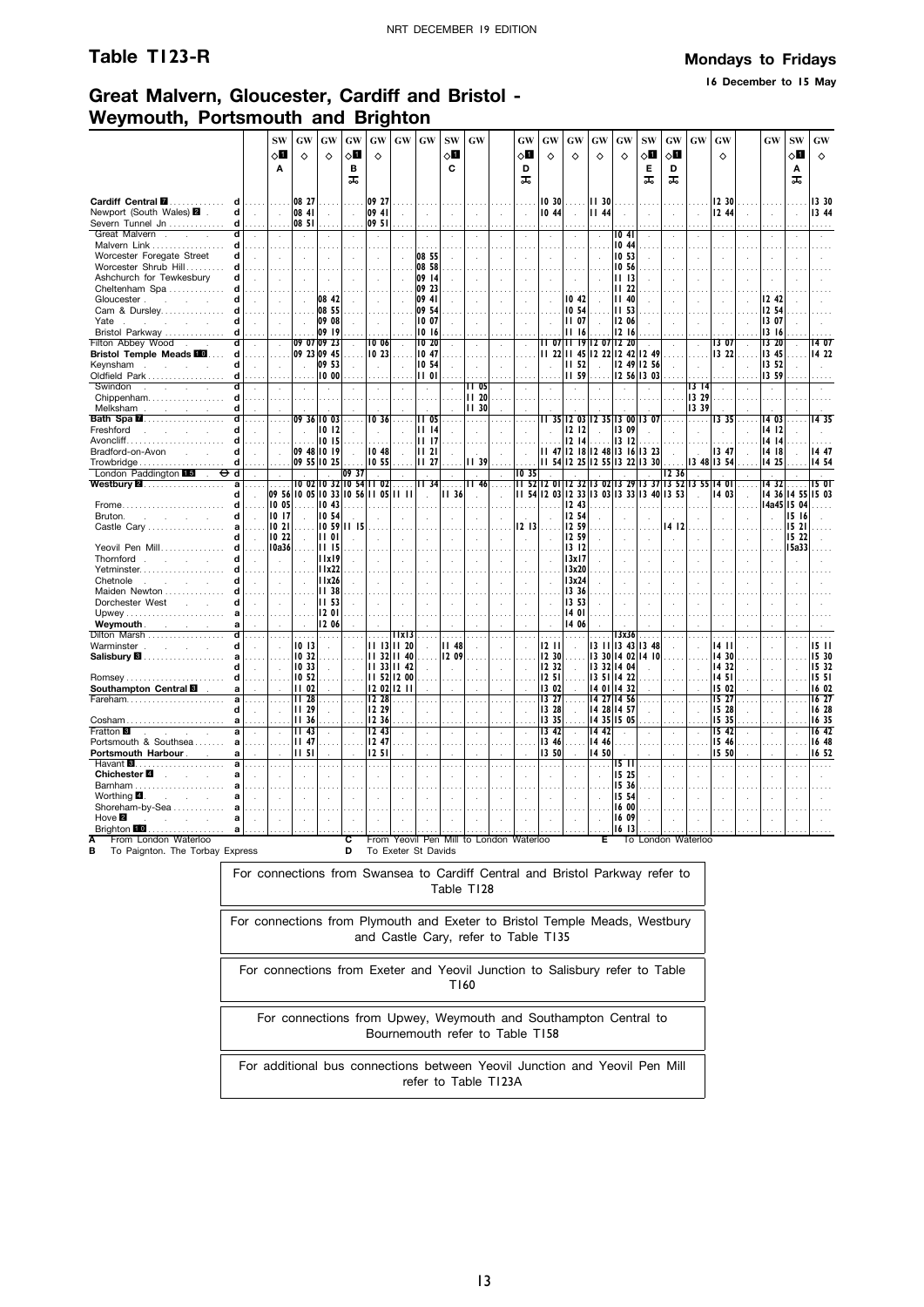**16 December to 15 May**

## **Great Malvern, Gloucester, Cardiff and Bristol - Weymouth, Portsmouth and Brighton**

|                                                                                           |                      | <b>SW</b>            | GW                                  | GW                                      | GW                             | GW                   | GW           | $\boldsymbol{\mathsf{G}}\boldsymbol{\mathsf{W}}$ | <b>SW</b>                   | <b>GW</b>                               |                      | GW                   | <b>GW</b>                                 | GW                                | <b>GW</b>            | $\boldsymbol{\mathsf{G}}\boldsymbol{\mathsf{W}}$ | <b>SW</b>                     | GW                   | GW                 | GW                   |        | GW             | <b>SW</b>      | GW                |
|-------------------------------------------------------------------------------------------|----------------------|----------------------|-------------------------------------|-----------------------------------------|--------------------------------|----------------------|--------------|--------------------------------------------------|-----------------------------|-----------------------------------------|----------------------|----------------------|-------------------------------------------|-----------------------------------|----------------------|--------------------------------------------------|-------------------------------|----------------------|--------------------|----------------------|--------|----------------|----------------|-------------------|
|                                                                                           |                      | $\Diamond$ ii        | ♦                                   | ♦                                       | √Ц                             | ♦                    |              |                                                  | ⊘П                          |                                         |                      | $\circ$ ii           | ♦                                         | ♦                                 | ♦                    | ♦                                                | $\diamond$ l                  | $\diamond$ l         |                    | ♦                    |        |                | √⊔             | ♦                 |
|                                                                                           |                      | A                    |                                     |                                         | в                              |                      |              |                                                  | C                           |                                         |                      | D                    |                                           |                                   |                      |                                                  | Е                             | D                    |                    |                      |        |                | Α              |                   |
|                                                                                           |                      |                      |                                     |                                         | ᠼ                              |                      |              |                                                  |                             |                                         |                      | ᠼ                    |                                           |                                   |                      |                                                  | ᠼ                             | ᠼ                    |                    |                      |        |                | ᠼ              |                   |
| Cardiff Central <b>M</b><br>d                                                             |                      |                      | 08 27                               |                                         |                                | 09 27                |              |                                                  |                             |                                         |                      |                      | 10 30                                     | .                                 | 11,30                |                                                  |                               |                      |                    | 12 30                |        |                |                | 13 30             |
| Newport (South Wales) 2<br>d                                                              | $\mathbf{r}$         | n.                   | 08 41                               | $\sim$                                  | $\sim$                         | 09 41                |              |                                                  | $\overline{a}$              |                                         |                      |                      | 1044                                      | ÷.                                | 1144                 |                                                  | $\mathcal{L}$                 | $\overline{a}$       | ÷.                 | 12 44                |        | $\sim$         | $\overline{a}$ | 13 44             |
| Severn Tunnel Jn<br>d                                                                     |                      |                      | 08 51                               |                                         |                                | 09 51                |              |                                                  |                             |                                         |                      |                      | $\sim$                                    |                                   |                      |                                                  |                               |                      |                    |                      |        |                |                |                   |
| $\overline{\mathsf{d}}$<br>Great Malvern<br>$\sim 10^{-1}$<br>$\sim$<br>d<br>Malvern Link |                      |                      | $\blacksquare$                      |                                         | $\lambda$                      | $\cdot$              |              |                                                  |                             |                                         |                      |                      | $\cdot$                                   |                                   | $\cdot$              | 1041<br>10 44                                    |                               | $\lambda$            |                    |                      |        |                |                |                   |
| Worcester Foregate Street<br>d                                                            |                      |                      |                                     |                                         |                                |                      |              | 08 55                                            |                             |                                         |                      |                      | $\ddot{\phantom{a}}$                      |                                   | $\ddot{\phantom{a}}$ | 10 53                                            |                               |                      |                    |                      |        |                |                |                   |
| Worcester Shrub Hill<br>d                                                                 |                      |                      |                                     |                                         |                                |                      |              | 08 58                                            |                             |                                         |                      |                      |                                           |                                   |                      | 10 56                                            |                               |                      |                    |                      |        |                |                |                   |
| Ashchurch for Tewkesbury<br>d                                                             |                      |                      |                                     |                                         |                                |                      |              | 09 14                                            |                             |                                         |                      |                      |                                           |                                   |                      | 1113                                             |                               |                      |                    |                      |        |                |                |                   |
| Cheltenham Spa<br>d                                                                       |                      |                      |                                     | .<br>08 42                              |                                |                      |              | 09 23<br>09 41                                   |                             |                                         |                      |                      |                                           |                                   |                      | 11 <sub>22</sub><br>1140                         |                               |                      |                    |                      |        | 12 42          |                |                   |
| Gloucester.<br>d<br>contractors and<br>Cam & Dursley<br>d                                 |                      | ÷                    | $\sim$                              | 08 55                                   | $\mathcal{L}_{\mathbf{a}}$     | $\ddot{\phantom{a}}$ |              | 09 54                                            | ÷                           | $\mathbf{r}$                            | $\mathcal{L}$        | $\mathbf{r}$         | $\mathcal{L}$                             | 1042<br>10 54                     | $\mathbf{r}$         | 11 53                                            | $\sim$                        | $\mathbf{r}$         | $\sim$             | $\sim$               |        | 12 54          |                |                   |
| Yate<br>d                                                                                 |                      |                      |                                     | 09 08                                   |                                |                      |              | 10 07                                            |                             |                                         |                      |                      |                                           | <b>II</b> 07                      |                      | 12 06                                            |                               |                      |                    |                      |        | 13 07          |                |                   |
| Bristol Parkway<br>d                                                                      |                      |                      |                                     | 09 19                                   |                                |                      |              | 10 16                                            |                             |                                         |                      |                      |                                           | 1116                              |                      | 12 16                                            |                               |                      |                    |                      |        | 13 16          |                |                   |
| Filton Abbey Wood<br>ď<br>$\sim$                                                          | $\ddot{\phantom{a}}$ | $\ddot{\phantom{a}}$ |                                     | 09 07 09 23                             | $\mathcal{L}_{\mathbf{a}}$     | 10 06                | $\mathbf{r}$ | 10 20                                            | $\ddot{\phantom{a}}$        | $\mathcal{L}_{\mathbf{a}}$              | $\ddot{\phantom{a}}$ | $\ddot{\phantom{a}}$ | II 07                                     | 11 19 12 07 12 20                 |                      |                                                  |                               | $\ddot{\phantom{a}}$ | $\sim$             | 1307                 |        | 13 20          | $\lambda$      | 14 07             |
| <b>Bristol Temple Meads III</b><br>d<br>Keynsham<br>d<br>$\sim$<br>$\sim$<br>$\mathbf{r}$ |                      |                      |                                     | 09 23 09 45<br>09 53                    |                                | 1023                 |              | 10 47<br>10 54                                   |                             |                                         |                      |                      |                                           | 11 22 11 45 12 22<br><b>II 52</b> |                      | 12 42                                            | I2 49<br>12 49 12 56          |                      |                    | 13 22                |        | 13 45<br>13 52 |                | 14 22             |
| Oldfield Park<br>d                                                                        |                      |                      |                                     | 10 00                                   |                                |                      |              | 1101                                             |                             |                                         |                      |                      |                                           | <b>II 59</b>                      |                      |                                                  | 12 56 13 03                   |                      |                    |                      |        | 13 59          |                |                   |
| Swindon<br>control of the control                                                         | d                    |                      |                                     | $\cdot$                                 |                                |                      |              | $\epsilon$                                       | $\mathcal{L}_{\mathcal{A}}$ | 1105                                    |                      |                      | $\overline{\phantom{a}}$                  | à.                                |                      |                                                  |                               | $\epsilon$           | 1314               |                      |        | $\cdot$        |                |                   |
| d<br>Chippenham                                                                           |                      |                      |                                     |                                         |                                |                      |              |                                                  | $\sim$                      | <b>II 20</b>                            |                      |                      |                                           |                                   |                      |                                                  |                               |                      | 13 29              | in in                |        |                |                |                   |
| Melksham<br>d<br>d                                                                        |                      |                      |                                     | 09 36 10 03                             |                                |                      |              |                                                  |                             | <b>II 30</b>                            |                      |                      |                                           |                                   |                      | 12 03 12 35 13 00 13 07                          |                               |                      | 13 39              |                      |        |                |                | 1435              |
| Bath Spa <b>M</b><br>Freshford<br>d<br>and the control                                    |                      |                      |                                     | 1012                                    |                                | 1036<br>$\mathbf{r}$ |              | II 05<br>$II$ 14                                 | $\ddot{\phantom{a}}$        |                                         |                      |                      | II 35                                     | 12 12                             |                      | 13 09                                            | $\cdot$                       |                      | .<br>$\mathcal{L}$ | 1335<br>$\mathbf{r}$ |        | 1403<br>1412   |                | $\mathbf{r}$      |
| $A$ voncliff $\ldots, \ldots, \ldots, \ldots, \ldots, \ldots$<br>d                        |                      |                      |                                     | 10 15                                   |                                |                      |              | 1117                                             | $\sim$ $\sim$               |                                         |                      |                      |                                           | 1214                              |                      | 13 12                                            |                               |                      |                    | $\sim$               |        | 1414           |                |                   |
| Bradford-on-Avon<br>d<br><b>Contract Contract</b>                                         |                      |                      |                                     | 09 48 10 19                             | $\sim$                         | 10 48                | ÷.           | 1121                                             | $\ddot{\phantom{a}}$        |                                         |                      |                      | II 47                                     | 2   8   2 48   3   6   3 23       |                      |                                                  |                               |                      |                    | 13 47                |        | 14 18          |                | 14 47             |
| d                                                                                         |                      |                      |                                     | 09 55 10 25                             |                                | 10 55                |              | 11 <sub>27</sub>                                 | $\ldots$                    | II 39                                   |                      |                      |                                           |                                   |                      |                                                  | 11 54 12 25 12 55 13 22 13 30 |                      |                    | 13 48 13 54          |        | 14 25          |                | 14 54             |
| London Paddington 15<br>⊖d<br>$\sim 10^{-1}$<br>Westbury <b>2.</b><br>a                   |                      |                      | $\sim$                              | $\mathbf{r}$<br>10 02 10 32 10 54 11 02 | 0937                           |                      |              | II 34                                            | $\sim$<br>$\sim$            | $\sim$<br>II 46                         | $\sim$<br>$\cdots$   | 10 35<br>11, 52      | 1201                                      | 1232                              |                      | $\overline{13}$ 02 13 29                         |                               | 12 36<br>13 37 13 52 | 13 55              | $\sim$<br>14 OT      | $\sim$ | $\sim$<br>1432 |                | 15 OI             |
| d                                                                                         |                      |                      | 09 56 10 05 10 33 10 56 11 05 11 11 |                                         |                                |                      |              | ÷.                                               | II 36                       | $\mathcal{L}$                           | ÷.                   |                      | 11 54 12 03 12 33 13 03 13 33 13 40 13 53 |                                   |                      |                                                  |                               |                      |                    | 14 03                | $\sim$ |                |                | 14 36 14 55 15 03 |
| Frome<br>d                                                                                |                      | 10 05                | $\sim$                              | 10 43                                   |                                |                      |              | $\sim$                                           |                             |                                         |                      |                      | .                                         | 12 43                             |                      |                                                  |                               |                      |                    |                      |        | 14a45 15 04    |                |                   |
| Bruton.<br>and the company of<br>d                                                        |                      | 10 17                |                                     | 10 54                                   |                                |                      |              |                                                  | $\ddot{\phantom{a}}$        |                                         |                      |                      |                                           | 12 54                             |                      |                                                  |                               |                      |                    |                      |        |                | 15 16          |                   |
| Castle Cary<br>a<br>d                                                                     |                      | 1021<br>10 22        | $\sim$                              | 10 59<br><b>III</b> 01                  | 1115<br>$\sim$                 |                      |              |                                                  |                             |                                         |                      | 1213                 |                                           | 12 59<br>12 59                    |                      |                                                  |                               | 14 12                |                    |                      |        | $\bar{z}$      | 1521<br>15 22  |                   |
| Yeovil Pen Mill                                                                           |                      | <b>10a36</b>         |                                     | <b>III 15</b>                           |                                |                      |              |                                                  |                             |                                         |                      |                      |                                           | 13 12                             |                      |                                                  |                               |                      |                    |                      |        |                | 15a33          |                   |
| Thornford.<br><b>Service State</b><br>d                                                   |                      |                      |                                     | lix <sub>19</sub>                       |                                |                      |              |                                                  | $\ddot{\phantom{a}}$        |                                         |                      |                      |                                           | 13x17                             |                      |                                                  |                               |                      |                    |                      |        |                |                |                   |
| Yetminster                                                                                |                      |                      |                                     | 11x22                                   |                                |                      |              |                                                  |                             |                                         |                      |                      |                                           | 13x20                             |                      |                                                  |                               |                      |                    |                      |        |                |                |                   |
| Chetnole<br>$\sim$<br>Maiden Newton<br>d                                                  |                      |                      |                                     | 11x26<br><b>II</b> 38                   |                                |                      |              |                                                  |                             |                                         |                      |                      |                                           | 13x24<br>13 36                    |                      |                                                  |                               |                      |                    |                      |        |                |                |                   |
| Dorchester West<br>d                                                                      | $\mathbf{r}$         | ÷                    |                                     | <b>III</b> 53                           | $\sim$                         |                      |              |                                                  | $\ddot{\phantom{a}}$        |                                         |                      |                      | $\overline{a}$                            | 13 53                             |                      |                                                  |                               |                      |                    |                      |        |                |                |                   |
| a                                                                                         | المعاد               |                      |                                     | 1201                                    |                                |                      |              |                                                  | $\cdots$                    |                                         |                      |                      | $\ldots$                                  | 14 01                             |                      |                                                  |                               |                      |                    |                      |        |                |                |                   |
| Weymouth.<br>and the state<br>a                                                           |                      |                      |                                     | 12 06                                   |                                |                      |              |                                                  |                             |                                         |                      |                      |                                           | 14 06                             |                      |                                                  |                               |                      |                    |                      |        |                |                |                   |
| Dilton Marsh<br>d<br>Warminster<br>d                                                      |                      |                      | 10 13                               | .                                       |                                | 11 13 11 20          | l IxI3       |                                                  | <b>II 48</b>                |                                         |                      |                      | 1211                                      |                                   |                      | 13x36                                            | 13 11 13 43 13 48             |                      |                    | 14 I I               |        | ÷.             |                | 1511              |
| Salisbury <b>8</b><br>a                                                                   |                      |                      | 10 32                               | $\cdot$<br>$\sim$                       | $\sim$<br>$\sim$ $\sim$ $\sim$ | 11 32 11 40          |              |                                                  | 12 09                       |                                         |                      |                      | 12 30                                     |                                   |                      |                                                  | 13 30 14 02 14 10             |                      |                    | 14 30                |        |                |                | 15 30             |
| d                                                                                         |                      |                      | 10 33                               | $\mathcal{L}$                           | $\sim$                         | 11 33 11 42          |              |                                                  | $\ddot{\phantom{a}}$        |                                         |                      |                      | 12 32                                     |                                   |                      | 13 32 14 04                                      | $\sim$                        |                      |                    | 1432                 |        | ÷.             |                | 15 32             |
| Romsey<br>d                                                                               |                      |                      | 10 52                               |                                         | $\sim$                         | 11 52 12 00          |              |                                                  |                             |                                         |                      |                      | 1251                                      |                                   |                      | 13 51 14 22                                      |                               |                      |                    | 14 5 I               |        |                |                | 15 <sub>51</sub>  |
| Southampton Central <b>8</b><br>a<br>Fareham<br>a                                         |                      |                      | II 02<br><b>II</b> 28               |                                         |                                | 12 02 12 11<br>12 28 | $\cdots$     |                                                  |                             |                                         |                      |                      | 13 02<br>13 27                            |                                   |                      | 14 01 14 32<br>14 27 14 56                       |                               |                      |                    | 15 02<br>15 27       |        |                |                | 16 02<br>1627     |
| d                                                                                         |                      |                      | <b>II</b> 29                        | $\cdots$<br>$\mathbf{r}$                | $\sim$                         | 12 29                |              |                                                  | $\mathcal{A}$               | $\cdot$                                 | ÷.                   |                      | 13 28                                     |                                   |                      | 14 28 14 57                                      | $\mathcal{L}$                 | $\mathbf{r}$         |                    | 15 28                |        | $\bar{z}$      |                | 16 28             |
| Cosham<br>a                                                                               |                      |                      | <b>II 36</b>                        | $\cdots$                                |                                | 12 36                |              |                                                  |                             |                                         |                      |                      | 13 35                                     |                                   |                      | 14 35 15 05                                      |                               |                      |                    | 15 35                |        |                |                | 16 35             |
| Fratton <b>8</b><br>a<br>$\sim$<br><b>College</b><br>$\sim$                               |                      |                      | 1143                                |                                         |                                | 12 <sub>43</sub>     |              |                                                  |                             |                                         |                      |                      | 13 42                                     |                                   | 14 42                |                                                  |                               |                      | $\cdot$            | 15 42                |        |                |                | 16 <sub>42</sub>  |
| Portsmouth & Southsea<br>a<br>Portsmouth Harbour.<br>a                                    |                      |                      | $II$ 47<br>II 51                    |                                         |                                | 12 47<br>1251        |              |                                                  | $\cdots$                    |                                         |                      |                      | 13 46<br>13 50                            |                                   | 14 46<br>14 50       |                                                  | ÷.                            |                      |                    | 15 46<br>15 50       |        |                |                | 16 48<br>16 52    |
| Havant <b>8.</b>                                                                          |                      |                      | $\sim$                              |                                         | $\cdots$                       | $\cdots$             |              |                                                  | $\cdots$                    | $\sim$ $\sim$                           | $\cdots$             |                      | $\ldots$                                  |                                   | .                    | 15 I I                                           |                               | $\sim$ $\sim$        |                    | $\mathbf{r}$         |        |                |                | $\sim$            |
| Chichester <sup>1</sup><br>a                                                              |                      |                      |                                     |                                         |                                | $\ddot{\phantom{a}}$ |              |                                                  |                             |                                         |                      |                      | $\ddot{\phantom{a}}$                      |                                   | $\lambda$            | 15 25                                            | ÷                             |                      |                    |                      |        |                |                |                   |
| Barnham                                                                                   |                      |                      |                                     |                                         |                                |                      |              |                                                  |                             |                                         |                      |                      |                                           |                                   |                      | 15 36                                            |                               |                      |                    |                      |        |                |                |                   |
| Worthing $\blacksquare$ .<br>$\sim$                                                       |                      |                      |                                     |                                         |                                |                      |              |                                                  |                             |                                         |                      |                      |                                           |                                   | $\mathcal{L}$        | 15 54                                            |                               |                      |                    |                      |        |                |                |                   |
| Shoreham-by-Sea<br>Hove 2<br>and a state<br>a                                             |                      |                      |                                     |                                         |                                |                      |              |                                                  |                             |                                         |                      |                      |                                           |                                   |                      | 16 00<br>16 09                                   | ÷.                            |                      |                    |                      |        |                |                |                   |
| Brighton 10<br>a                                                                          |                      |                      |                                     |                                         |                                |                      |              |                                                  |                             |                                         |                      |                      |                                           |                                   |                      | 16 13                                            |                               |                      |                    |                      |        |                |                |                   |
| From London Waterloo<br>A                                                                 |                      |                      |                                     |                                         |                                |                      |              |                                                  |                             |                                         |                      |                      |                                           |                                   |                      |                                                  |                               |                      |                    |                      |        |                |                |                   |
| в<br>To Paignton. The Torbay Express                                                      |                      |                      |                                     |                                         | c<br>D                         |                      |              | To Exeter St Davids                              |                             | From Yeovil Pen Mill to London Waterloo |                      |                      |                                           |                                   | Е                    |                                                  |                               |                      | To London Waterloo |                      |        |                |                |                   |

For connections from Swansea to Cardiff Central and Bristol Parkway refer to Table T128

For connections from Plymouth and Exeter to Bristol Temple Meads, Westbury and Castle Cary, refer to Table T135

For connections from Exeter and Yeovil Junction to Salisbury refer to Table T160

For connections from Upwey, Weymouth and Southampton Central to Bournemouth refer to Table T158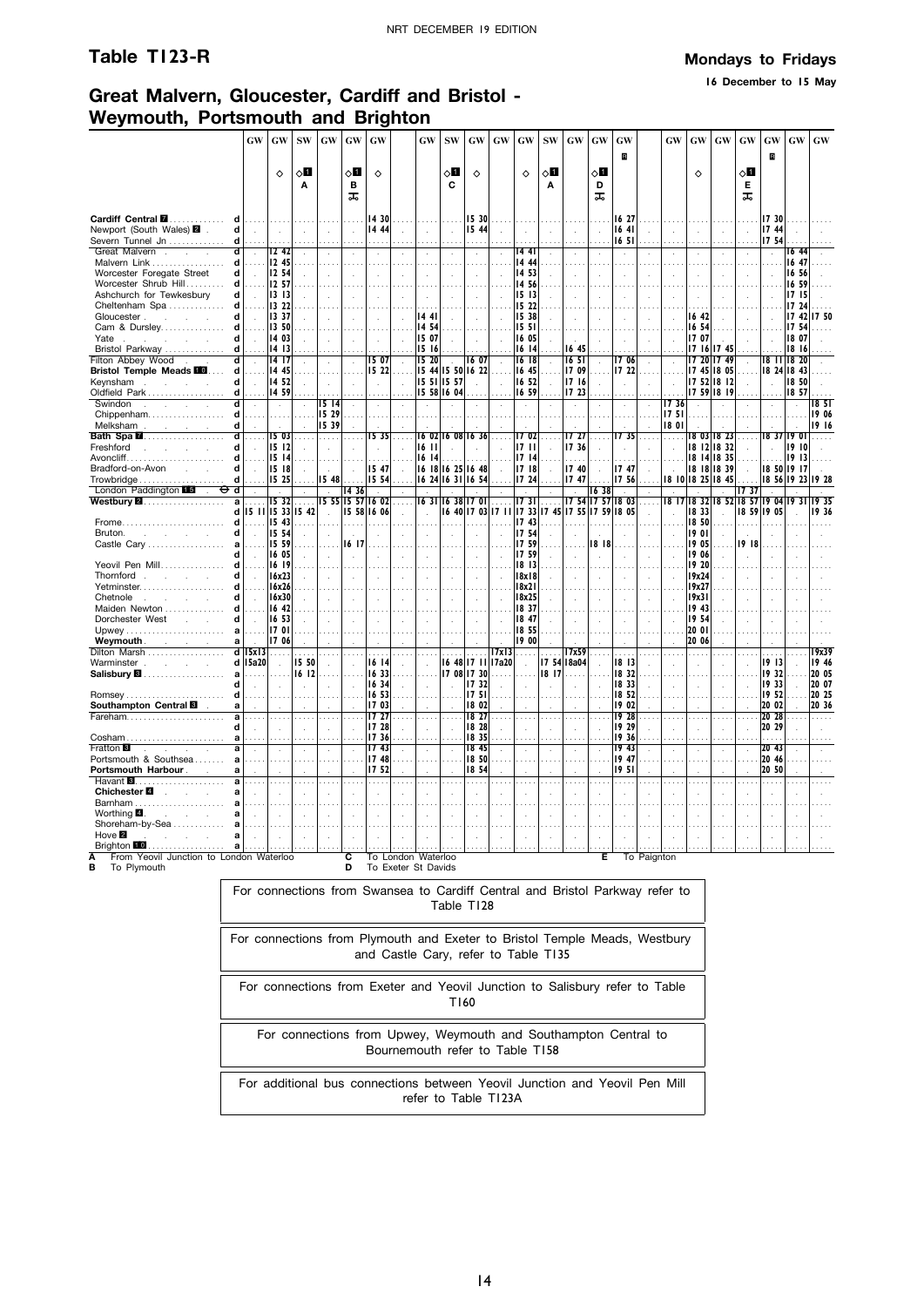**16 December to 15 May**

## **Great Malvern, Gloucester, Cardiff and Bristol - Weymouth, Portsmouth and Brighton**

|                                                             | $\boldsymbol{\mathrm{GW}}$ | GW                         | <b>SW</b> | <b>GW</b>            | GW       | GW             |                    | GW             | ${\bf SW}$           | $\boldsymbol{\mathsf{G}}\boldsymbol{\mathsf{W}}$ | GW        | $\boldsymbol{\mathbf{G}}\boldsymbol{\mathbf{W}}$ | $\mathrm{SW}$               | GW                | GW           | GW             |             | GW     | GW                | $\boldsymbol{\mathrm{GW}}$ | GW         | GW                   | $\boldsymbol{\mathrm{GW}}$ | $\boldsymbol{\mathbf{G}}\boldsymbol{\mathbf{W}}$ |
|-------------------------------------------------------------|----------------------------|----------------------------|-----------|----------------------|----------|----------------|--------------------|----------------|----------------------|--------------------------------------------------|-----------|--------------------------------------------------|-----------------------------|-------------------|--------------|----------------|-------------|--------|-------------------|----------------------------|------------|----------------------|----------------------------|--------------------------------------------------|
|                                                             |                            |                            |           |                      |          |                |                    |                |                      |                                                  |           |                                                  |                             |                   |              | B              |             |        |                   |                            |            | R                    |                            |                                                  |
|                                                             |                            | $\Diamond$                 | √0        |                      | ◇Ø       | $\Diamond$     |                    |                | √0                   | ♦                                                |           | ♦                                                | ◇Ø                          |                   | 8П           |                |             |        | ♦                 |                            | 8П         |                      |                            |                                                  |
|                                                             |                            |                            | Α         |                      | в<br>ᅚ   |                |                    |                | C                    |                                                  |           |                                                  | Α                           |                   | D<br>ᠼ       |                |             |        |                   |                            | Е<br>ᠼ     |                      |                            |                                                  |
|                                                             |                            |                            |           |                      |          |                |                    |                |                      |                                                  |           |                                                  |                             |                   |              |                |             |        |                   |                            |            |                      |                            |                                                  |
| Cardiff Central <b>M</b><br>d                               |                            |                            |           |                      |          | 14 30          |                    |                |                      | 15 30                                            |           |                                                  |                             |                   |              | 16 27          |             |        |                   |                            |            | 17 30                |                            |                                                  |
| Newport (South Wales) 2 .<br>d<br>Severn Tunnel Jn<br>d     | $\sim$                     |                            |           |                      | $\sim$   | 14 44          |                    |                | $\cdot$              | 15 44                                            |           |                                                  |                             |                   | $\mathbf{r}$ | 1641<br>1651   |             |        |                   | $\overline{a}$             |            | 1744<br>1754         |                            |                                                  |
| Great Malvern.<br>d<br>$\sim$                               | $\cdot$                    | 12.42                      |           |                      | ÷.       | $\mathbf{r}$   |                    |                |                      |                                                  | J.        | 14 41                                            |                             |                   |              |                |             |        | $\overline{a}$    |                            |            |                      | 16 44                      |                                                  |
| Malvern Link<br>d                                           |                            | 12 45                      |           |                      |          |                |                    |                |                      |                                                  |           | 14 44                                            |                             |                   |              |                |             |        |                   |                            |            |                      | 16 47                      |                                                  |
| Worcester Foregate Street<br>d<br>Worcester Shrub Hill<br>d |                            | 12 54<br>12 57             |           |                      | ÷.       |                |                    |                | $\cdot$              |                                                  |           | 14 53<br>14 56                                   |                             |                   |              |                |             |        | $\mathbf{r}$      |                            |            | $\ddot{\phantom{a}}$ | 16 56<br>16 59             |                                                  |
| Ashchurch for Tewkesbury<br>d                               |                            | 1313                       |           |                      |          |                |                    |                |                      |                                                  |           | 15 13                                            |                             |                   |              |                |             |        |                   |                            |            |                      | 17 15                      |                                                  |
| Cheltenham Spa<br>d                                         |                            | 13 22                      |           |                      |          |                |                    |                |                      |                                                  |           | 15 22                                            |                             |                   |              |                |             |        |                   |                            |            |                      | 17 24                      |                                                  |
| Gloucester.<br>d                                            |                            | 13 37                      |           |                      |          |                |                    | 144            |                      |                                                  |           | 1538                                             |                             |                   |              |                |             |        | 16 42             |                            |            |                      | 17 42                      | 1750                                             |
| Cam & Dursley<br>d                                          |                            | 13 50                      |           |                      |          |                |                    | 14 54          |                      |                                                  |           | 1551                                             |                             |                   |              |                |             |        | 16 54             |                            |            |                      | 17 54                      |                                                  |
| Yate<br>d<br>$\sim$<br>$\sim$<br>Bristol Parkway<br>d       |                            | 14 03<br>14 13             |           |                      |          |                |                    | 15 07<br>15 16 |                      |                                                  |           | 16 05<br>16 14                                   |                             | 1645              |              |                |             |        | 17 07             | 17 16 17 45                |            |                      | 18 07<br>18 16             |                                                  |
| Filton Abbey Wood<br>d                                      |                            | 14 17                      |           |                      | $\sim$   | 15 07          |                    | 15 20          | $\ddot{\phantom{a}}$ | 16 07                                            |           | 16 18                                            |                             | 16 51             | $\cdot$      | 1706           |             |        |                   | 17 20 17 49                |            | 18 TT 18 20          |                            |                                                  |
| <b>Bristol Temple Meads III</b><br>d                        |                            | 14 45                      |           |                      |          | 15 22          |                    |                |                      | 15 44 15 50 16 22                                |           | 16 45                                            |                             | 17 09             |              | 17 22          |             |        |                   | 17 45 18 05                |            | 18 24 18 43          |                            |                                                  |
| Kevnsham.<br>d<br>$\sim$                                    | $\sim$                     | 1452                       |           |                      | $\sim$   | $\mathbf{r}$   |                    | 15 51 15 57    |                      |                                                  | J.        | 16 52                                            | $\mathcal{L}_{\mathcal{A}}$ | 1716              | $\mathbf{r}$ |                |             | $\sim$ |                   | 17 52 18 12                |            | ÷.                   | 18 50                      |                                                  |
| Oldfield Park<br>d                                          |                            | 14 59                      |           |                      |          |                |                    | 15 58 16 04    |                      |                                                  |           | 16 59                                            |                             | 17 23             |              |                |             | 1736   |                   | 17 59 18 19                |            |                      | 18 57                      |                                                  |
| Swindon<br>$\sim$<br>$\sim$<br>Chippenham<br>d              |                            |                            |           | 15 14<br>15 29       |          |                |                    |                |                      |                                                  |           |                                                  |                             |                   |              |                |             | 1751   |                   |                            |            |                      |                            | 18 5 I<br>19 06                                  |
| Melksham<br>d<br>and the company of the                     |                            |                            |           | 15 39                |          |                |                    |                |                      |                                                  |           |                                                  |                             |                   |              |                |             | 18 01  |                   |                            |            |                      |                            | 19 16                                            |
| <b>Bath Spa 2</b><br>ď                                      | $\sim$                     | 1503                       | .         | .                    | $\cdots$ | 1535           | $\cdots$           | 16 02          |                      | 16 08 16 36                                      | $\cdots$  | 1702                                             | $\sim$                      | 17 27             | $\cdots$     | 17 35          | $\cdots$    | .      | 1803              | 18 23                      | $\cdots$   | 18 37 19 01          |                            | .                                                |
| Freshford<br>d<br>and the state                             |                            | 15 12                      |           |                      |          |                |                    | 1611           |                      |                                                  |           | 1711                                             |                             | 17 36             |              |                |             |        |                   | 18 12 18 32                |            |                      | 19 10                      |                                                  |
| $A$ voncliff<br>d<br>Bradford-on-Avon<br>d<br>$\sim$        | $\ddot{\phantom{a}}$       | 1514<br>15 18              |           |                      | $\cdot$  | 15 47          | $\mathbf{r}$       | 1614           |                      | 16 18 16 25 16 48                                | $\bar{z}$ | 1714<br>1718                                     |                             | 17 40             |              | 17 47          |             | $\sim$ | 18 14             | 18 35<br>18 18 18 39       |            | 18 50 19 17          | 1913                       |                                                  |
| Trowbridge<br>d                                             |                            | 15 25                      |           | 15 48                |          | 15 54          |                    |                |                      | 16 24 16 31 16 54                                |           | 17 24                                            |                             | 1747              |              | 17 56          |             |        | 18 10 18 25 18 45 |                            |            | 18 56 19 23          |                            | 19 28                                            |
| London Paddington<br>d                                      |                            |                            |           |                      | 14 36    |                |                    |                |                      |                                                  |           |                                                  |                             |                   | 1638         |                |             |        |                   |                            | 1737       |                      |                            |                                                  |
| Westbury 2.<br>a                                            |                            | 1532                       |           | 15 55 15 57 16 02    |          |                |                    | 1631           | 16 38                | 1701                                             |           | 1731                                             |                             |                   | 17 54 17 57  | 1803           |             | 18 17  | 8 32              |                            | 8 52 18 57 | 1904                 | 19 3                       | 1935                                             |
| d<br>Frome<br>d                                             |                            | 15 11 15 33 15 42<br>15 43 |           | $\mathbf{r}$         |          | 15 58 16 06    |                    |                |                      | 16 40 17 03                                      | 1711      | 1733<br>1743                                     |                             | 17 45 17 55 17 59 |              | 18 05          |             |        | 18 33<br>18 50    |                            | 18 59      | 19 05                |                            | 1936                                             |
| Bruton.<br>d<br>and the control of the                      |                            | 15 54                      |           |                      |          |                |                    |                |                      |                                                  |           | 1754                                             |                             |                   |              |                |             |        | 1901              | $\overline{a}$             |            |                      |                            |                                                  |
| Castle Cary<br>a                                            |                            | 15 59                      |           |                      | 16 17    |                |                    |                |                      |                                                  |           | 1759                                             |                             |                   | 1818         |                |             |        | 19 05             |                            | 19 18      |                      |                            |                                                  |
| d                                                           |                            | 16 05<br>16 19             |           | $\mathbf{r}$         | $\sim$   | $\mathbf{r}$   |                    |                | $\mathbf{r}$         |                                                  | ÷.        | 17 59<br>18 13                                   | ÷                           |                   |              |                |             |        | 19 06<br>19 20    | ÷                          |            |                      |                            |                                                  |
| Yeovil Pen Mill<br>Thornford<br>d<br>S.<br>$\mathbf{r}$     |                            | 16x23                      |           |                      | $\sim$   |                |                    |                | $\mathcal{L}$        |                                                  |           | 18x18                                            |                             | ÷.                |              |                |             |        | 19x24             |                            |            |                      |                            |                                                  |
| Yetminster                                                  |                            | 16x26                      |           |                      |          |                |                    |                |                      |                                                  |           | 8x21                                             |                             |                   |              |                |             |        | 19x27             |                            |            |                      |                            |                                                  |
| Chetnole<br>d<br><b>Service</b><br>$\sim$                   |                            | 16x30                      |           |                      |          |                |                    |                |                      |                                                  |           | 18x25                                            |                             |                   |              |                |             |        | 19x31             |                            |            |                      |                            |                                                  |
| Maiden Newton                                               |                            | 16 42                      |           |                      |          |                |                    |                |                      |                                                  |           | 1837                                             |                             |                   |              |                |             |        | 19 43             |                            |            |                      |                            |                                                  |
| Dorchester West<br>a                                        |                            | 16 53<br>1701              |           |                      |          |                |                    |                |                      |                                                  |           | 18 47<br>1855                                    |                             |                   |              |                |             |        | 19 54<br>20 01    |                            |            |                      |                            |                                                  |
| <b>Weymouth Notified Allen</b><br>a                         |                            | 17 06                      |           |                      |          |                |                    |                |                      |                                                  |           | 19 00                                            |                             |                   |              |                |             |        | 20 06             |                            |            |                      |                            |                                                  |
| Dilton Marsh                                                | $d$   15x 13 $\ldots$      |                            |           | $\cdots$             |          | $\ldots$       | $\cdots$           |                | $\cdots$             | .                                                | 17x13     | $\cdots$                                         | $\cdots$                    | 17x59             | $\cdots$     | $\sim$         |             |        |                   |                            |            | $\cdots$             |                            | 19x39                                            |
| Warminster                                                  | d 15a20                    |                            | 15 50     |                      | ÷.       | 16 14          |                    |                |                      | 16 48 17 11                                      | 17a20     |                                                  |                             | 17 54 18a04       |              | 1813           |             |        |                   |                            |            | 1913                 |                            | 19 46                                            |
| a<br>d                                                      |                            |                            | 16 12     |                      | $\sim$   | 16 33<br>16 34 |                    |                |                      | 17 08 17 30<br>1732                              |           |                                                  | 18 17                       |                   |              | 18 32<br>18 33 |             |        |                   |                            |            | 1932<br>19 33        |                            | 20 05<br>20 07                                   |
| <b>Romsey</b>                                               |                            |                            |           |                      |          | 16 53          |                    |                |                      | 17.51                                            |           |                                                  |                             |                   |              | 18 52          |             |        |                   |                            |            | 19 52                |                            | 20 25                                            |
| Southampton Central<br>a                                    |                            |                            |           |                      |          | 17 03          |                    |                |                      | 18 02                                            |           |                                                  |                             |                   |              | 19 02          |             |        |                   |                            |            | 20 02                |                            | 20 36                                            |
| Fareham                                                     |                            |                            |           |                      |          | 17 27          |                    |                |                      | 18 27<br>18 28                                   |           |                                                  |                             |                   |              | 1928<br>19 29  |             |        |                   |                            |            | 20 28<br>20 29       |                            | $\cdots$                                         |
| d<br>Cosham<br>a                                            |                            |                            |           |                      |          | 17 28<br>17 36 |                    |                |                      | 18 35                                            |           |                                                  | $\overline{a}$<br>.         |                   |              | 19 36          |             |        |                   |                            |            |                      |                            |                                                  |
| Fratton <sup>8</sup><br>a                                   |                            |                            |           | $\ddot{\phantom{a}}$ |          | 1743           |                    |                |                      | 18 45                                            |           |                                                  | $\cdot$                     |                   |              | 1943           |             |        |                   |                            |            | 20 <sub>43</sub>     |                            |                                                  |
| Portsmouth & Southsea                                       |                            |                            |           |                      |          | 17 48          |                    |                |                      | 18 50                                            | $\sim$    |                                                  | $\sim$                      |                   |              | 19 47          |             |        |                   |                            |            | 20 46                |                            |                                                  |
| Portsmouth Harbour.<br>a                                    |                            |                            |           |                      |          | 17 52          |                    |                |                      | 18 54                                            |           |                                                  |                             |                   |              | 19 5 I         |             |        |                   |                            |            | 20 50                |                            |                                                  |
| Chichester <sup>2</sup><br>a                                |                            |                            |           |                      |          |                |                    |                |                      |                                                  |           |                                                  | $\mathbf{r}$                |                   |              |                |             |        |                   |                            |            |                      |                            |                                                  |
| Barnham                                                     |                            |                            |           |                      |          |                |                    |                |                      |                                                  |           |                                                  |                             |                   |              |                |             |        |                   |                            |            |                      |                            |                                                  |
| Worthing 4.<br>and the state                                |                            |                            |           |                      |          |                |                    |                |                      |                                                  |           |                                                  |                             |                   |              |                |             |        |                   |                            |            |                      |                            |                                                  |
| Shoreham-by-Sea                                             |                            |                            |           |                      |          |                |                    |                |                      |                                                  |           |                                                  |                             |                   |              |                |             |        |                   |                            |            |                      |                            |                                                  |
| Hove $\blacksquare$                                         |                            |                            |           |                      |          |                |                    |                |                      |                                                  |           |                                                  |                             |                   |              |                |             |        |                   |                            |            |                      |                            |                                                  |
| Brighton 10<br>From Yeovil Junction to London Waterloo      |                            |                            |           |                      | C.       |                | To London Waterloo |                |                      |                                                  |           |                                                  |                             |                   | Е            |                | To Paignton |        |                   |                            |            |                      |                            |                                                  |
|                                                             |                            |                            |           |                      |          |                |                    |                |                      |                                                  |           |                                                  |                             |                   |              |                |             |        |                   |                            |            |                      |                            |                                                  |

**B** To Plymouth

**D** To Exeter St Davids

For connections from Swansea to Cardiff Central and Bristol Parkway refer to Table T128

For connections from Plymouth and Exeter to Bristol Temple Meads, Westbury and Castle Cary, refer to Table T135

For connections from Exeter and Yeovil Junction to Salisbury refer to Table T160

For connections from Upwey, Weymouth and Southampton Central to Bournemouth refer to Table T158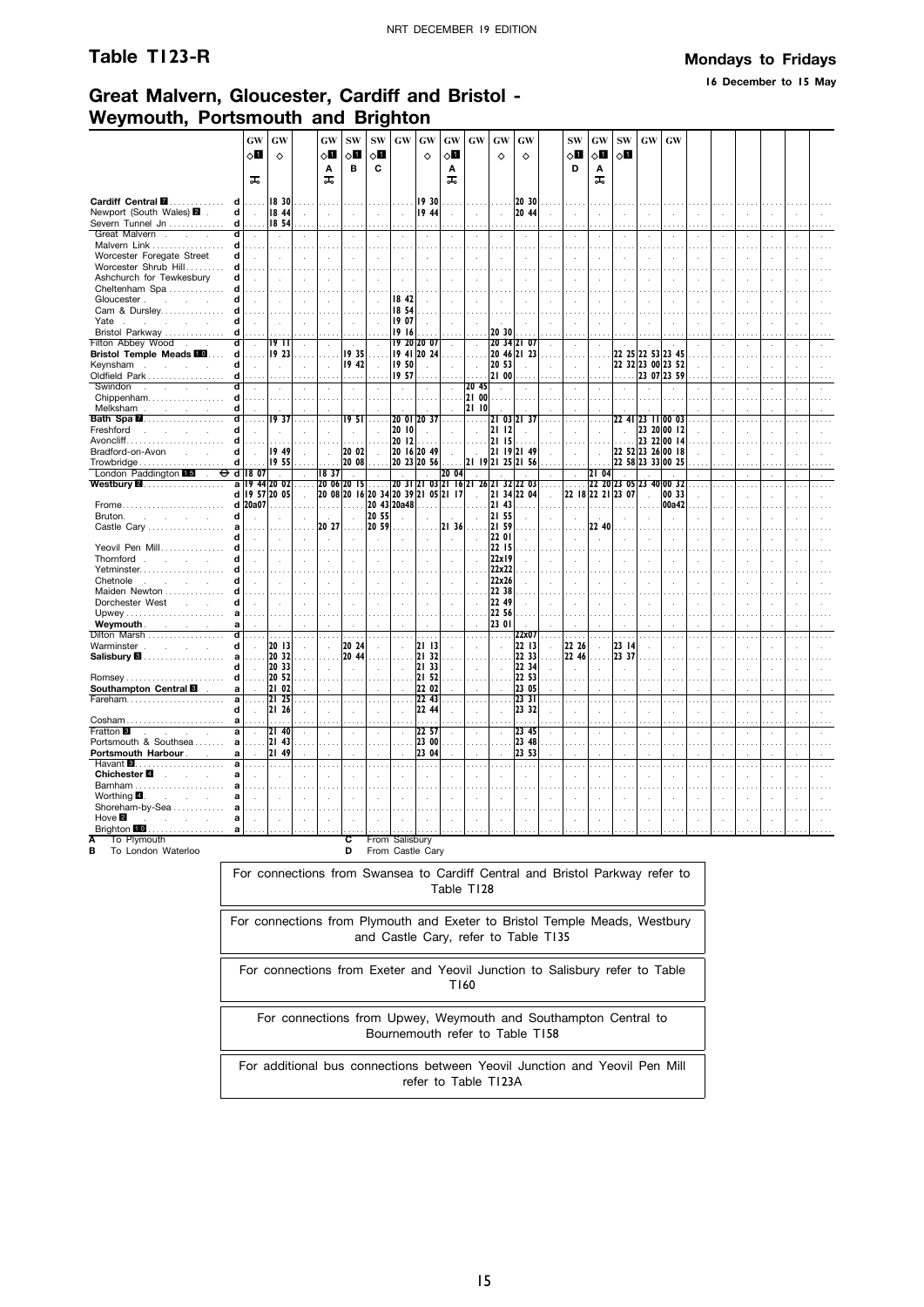**16 December to 15 May**

## **Great Malvern, Gloucester, Cardiff and Bristol - Weymouth, Portsmouth and Brighton**

|                                                            |        | GW      | GW              |               | GW                   | <b>SW</b>                   | <b>SW</b>                   | GW             | GW                                  | GW                                     | GW                                   | GW                          | GW                               |                             | <b>SW</b>                                                                    | GW             | <b>SW</b>               | GW                | GW                                     |                |                                  |                      |                             |               |  |
|------------------------------------------------------------|--------|---------|-----------------|---------------|----------------------|-----------------------------|-----------------------------|----------------|-------------------------------------|----------------------------------------|--------------------------------------|-----------------------------|----------------------------------|-----------------------------|------------------------------------------------------------------------------|----------------|-------------------------|-------------------|----------------------------------------|----------------|----------------------------------|----------------------|-----------------------------|---------------|--|
|                                                            |        | 6П      | ♦               |               | 8П                   | ⊘∐                          | 80                          |                | $\Diamond$                          | 80                                     |                                      | ♦                           | ♦                                |                             | оΩ                                                                           | $\Diamond$ l   | $\Diamond$              |                   |                                        |                |                                  |                      |                             |               |  |
|                                                            |        |         |                 |               | Α                    | в                           | С                           |                |                                     | Α                                      |                                      |                             |                                  |                             | D                                                                            | Α              |                         |                   |                                        |                |                                  |                      |                             |               |  |
|                                                            |        | ᠼ       |                 |               | ᠼ                    |                             |                             |                |                                     | ᠼ                                      |                                      |                             |                                  |                             |                                                                              | ᠼ              |                         |                   |                                        |                |                                  |                      |                             |               |  |
| Cardiff Central <b>M</b>                                   | d      | .       | 18 30           |               |                      | .                           | .                           |                | 19 30                               | .                                      |                                      | $\sim 100$                  | 20 30                            |                             |                                                                              |                |                         |                   | .                                      |                | $\sim$                           |                      |                             |               |  |
| Newport (South Wales) 2 .                                  | d      | $\sim$  | 18 44           | $\sim$        | $\sim$               | $\sim$                      | $\sim$                      | $\sim$         | 19 44                               | $\sim$                                 | $\sim$                               | $\sim$                      | 20 44                            | $\sim$                      | $\cdot$                                                                      | $\mathcal{L}$  |                         | $\sim$            | $\sim$                                 | $\sim$         | $\sim$                           | $\ddot{\phantom{a}}$ | $\sim$                      |               |  |
| Severn Tunnel Jn                                           | d      |         | 18 54           |               |                      |                             |                             |                |                                     |                                        |                                      |                             |                                  |                             |                                                                              |                |                         |                   |                                        |                |                                  |                      |                             |               |  |
| Great Malvern.<br>$\sim$                                   | d      |         |                 |               | $\cdot$              | $\sim$                      | $\cdot$                     | $\Delta$       | $\lambda$                           | $\cdot$                                |                                      | $\cdot$                     | $\cdot$                          |                             |                                                                              |                |                         |                   | $\cdot$                                | $\alpha$       | $\sim$                           |                      | $\cdot$                     |               |  |
| Malvern Link                                               | d      |         |                 |               |                      | $\sim$                      |                             |                |                                     |                                        |                                      |                             |                                  |                             |                                                                              |                |                         |                   |                                        |                | $\cdots$                         |                      |                             |               |  |
| Worcester Foregate Street                                  | d      |         |                 |               |                      | $\bar{z}$                   |                             |                |                                     |                                        |                                      | ÷                           |                                  |                             |                                                                              |                |                         |                   |                                        |                |                                  |                      |                             |               |  |
| Worcester Shrub Hill                                       | d<br>d |         |                 |               |                      | $\sim$                      |                             |                |                                     |                                        |                                      |                             |                                  |                             |                                                                              |                |                         |                   |                                        |                |                                  |                      |                             |               |  |
| Ashchurch for Tewkesbury<br>Cheltenham Spa                 | d      |         |                 |               |                      | $\mathcal{L}$               |                             |                |                                     |                                        |                                      |                             |                                  |                             |                                                                              |                |                         |                   |                                        |                |                                  |                      |                             |               |  |
| Gloucester                                                 | d      |         |                 |               |                      | $\sim$                      |                             | 18 42          |                                     |                                        |                                      |                             |                                  |                             |                                                                              |                |                         |                   |                                        |                | $\overline{\phantom{a}}$         |                      |                             |               |  |
| Cam & Dursley                                              | d      |         |                 |               |                      | $\cdots$                    |                             | 18 54          |                                     |                                        |                                      |                             |                                  |                             |                                                                              |                |                         |                   |                                        |                |                                  |                      |                             |               |  |
| Yate.                                                      | d      |         |                 |               |                      | $\mathcal{L}_{\mathcal{A}}$ |                             | 19 07          |                                     |                                        |                                      |                             |                                  |                             |                                                                              |                |                         |                   |                                        |                |                                  |                      |                             |               |  |
| Bristol Parkway                                            | d      |         |                 |               |                      |                             |                             | 19 16          |                                     |                                        |                                      | 20 30                       |                                  |                             |                                                                              |                |                         |                   |                                        |                | $\sim$                           |                      |                             |               |  |
| Filton Abbey Wood                                          | ď      |         | 1911            | $\mathcal{L}$ | $\mathcal{L}$        |                             |                             |                | 19 20 20 07                         | $\mathcal{L}$                          | $\mathcal{A}$                        |                             | 20 34 21 07                      |                             |                                                                              |                |                         |                   |                                        | $\cdot$        |                                  |                      |                             |               |  |
| <b>Bristol Temple Meads 10</b>                             | d      |         | 19 23           |               |                      | 19 35<br>19 42              |                             |                | 19 41 20 24                         |                                        |                                      | 20 53                       | 20 46 21 23                      |                             |                                                                              |                |                         |                   | 22 25 22 53 23 45                      |                |                                  |                      |                             |               |  |
| Keynsham<br>Oldfield Park                                  | d<br>d |         | ÷               | $\mathbf{r}$  | $\mathcal{L}$        |                             | $\sim$                      | 19 50<br>19 57 | $\mathcal{L}^{\mathcal{L}}$         | $\mathcal{L}$                          | $\mathcal{A}$                        | 21 00                       |                                  | $\overline{a}$              | ÷.                                                                           |                |                         |                   | 22 32 23 00 23 52<br>. 23 07 23 59     | $\mathcal{L}$  | $\sim$<br>$\ldots$               |                      | $\sim$                      |               |  |
| Swindon<br>and the company                                 | d      |         |                 |               |                      | .<br>$\sim$                 |                             | $\sim$         |                                     | $\mathcal{A}$                          | 20 45                                | $\mathcal{L}_{\mathcal{A}}$ |                                  |                             |                                                                              |                |                         |                   |                                        |                |                                  |                      |                             |               |  |
| Chippenham                                                 | d      | .       | .               | $\cdots$      | $\ldots$ .           | .                           | 1.1.1                       | .              |                                     | .                                      | 21 00                                | .                           |                                  |                             |                                                                              |                |                         |                   |                                        |                | $\sim$                           |                      | $\sim$                      |               |  |
| Melksham                                                   | d      |         |                 |               |                      |                             |                             |                |                                     | $\ddot{\phantom{a}}$                   | 21 10                                |                             |                                  |                             |                                                                              |                |                         |                   |                                        |                |                                  |                      |                             |               |  |
| Bath Spa <b>2.</b>                                         |        |         | 1937            |               |                      | 19 51                       |                             | 20 OI          | 20 37                               |                                        | .                                    |                             | 21 03 21 37                      |                             |                                                                              |                |                         | 22 41 23 11 00 03 |                                        |                |                                  |                      |                             |               |  |
| Freshford<br>and the company of the company                | d      |         |                 |               |                      | $\cdot$                     |                             | 20 10          | $\sim$                              | $\mathcal{L}$                          | $\sim$                               | 2112                        |                                  |                             |                                                                              |                |                         |                   | 23 20 00 12                            |                |                                  |                      |                             |               |  |
|                                                            | d      |         |                 |               |                      |                             |                             | 20 12          |                                     | $\ldots$ .                             | .                                    | 21 15                       |                                  |                             |                                                                              |                |                         |                   | 23 22 00 14                            |                |                                  |                      |                             |               |  |
| Bradford-on-Avon<br><b>Contract Contract</b><br>Trowbridge | d<br>d |         | 19 49<br>19 55  |               |                      | 20 02<br>20 08              | .                           |                | 20 16 20 49<br>20 23 20 56          | $\mathcal{L}^{\mathcal{L}}$<br>.       | $\sim$                               |                             | 21 19 21 49<br>21 19 21 25 21 56 |                             |                                                                              |                |                         |                   | 22 52 23 26 00 18<br>22 58 23 33 00 25 | $\sim$         | $\ldots$                         |                      |                             |               |  |
| London Paddington 15<br>Ф<br>$\sim$                        |        | d 18 07 | $\sim 10^{-1}$  | $\sim$        | 1837                 | $\sim$                      | $\sim$                      | $\sim$         | $\sim$                              | 20 04                                  | $\sim$                               | з.                          |                                  | $\mathcal{L}^{\mathcal{L}}$ | $\epsilon$                                                                   | 2104           | $\sim$                  |                   |                                        |                | $\sim$                           | $\mathbf{r}$         | $\mathcal{L}$               | $\mathcal{L}$ |  |
| Westbury $\blacksquare$                                    |        |         | a 19 44 20 02   |               |                      | 20 06 20 15                 | .                           |                |                                     |                                        | 20 31 21 03 21 16 21 26 21 32 22 03  |                             |                                  | $\cdots$                    | .                                                                            |                | 22 20 23 05 23 40 00 32 |                   |                                        |                |                                  |                      |                             |               |  |
|                                                            |        |         | d   19 57 20 05 | $\sim$        |                      |                             |                             |                | 20 08 20 16 20 34 20 39 21 05 21 17 |                                        | $\sim$                               |                             | 21 34 22 04                      | $\sim$                      |                                                                              |                | 22 18 22 21 23 07       | $\sim$            | 00 33                                  | $\mathcal{L}$  | $\sim$                           |                      | $\mathcal{L}_{\mathcal{A}}$ |               |  |
| Frome                                                      |        | d 20a07 | .               |               | .                    | .                           |                             | 20 43 20a48    |                                     | .                                      |                                      | 21 43                       |                                  |                             | .                                                                            |                |                         |                   | 00a42                                  |                | $\cdots$                         |                      |                             |               |  |
| Bruton.<br><b>Section</b><br>$\mathcal{L}$                 | d      |         |                 |               |                      | $\mathcal{L}$               | 20 55                       |                |                                     |                                        |                                      | 21 55                       |                                  |                             |                                                                              |                |                         |                   |                                        |                |                                  |                      |                             |               |  |
| Castle Cary                                                | a<br>d |         |                 |               | 20 27                | .                           | 20 59                       |                |                                     | 2136                                   |                                      | 21 59<br>22 01              |                                  |                             |                                                                              | 22 40          |                         |                   |                                        |                |                                  |                      |                             |               |  |
| Yeovil Pen Mill                                            | d      |         |                 |               | $\cdot$              | $\sim$                      | $\ddot{\phantom{a}}$        |                | $\lambda$                           | $\overline{a}$                         |                                      | 22 15                       |                                  |                             | $\mathbf{r}$                                                                 |                |                         |                   |                                        |                |                                  |                      |                             |               |  |
| Thornford.<br><b>Contractor</b><br>$\sim$                  | d      |         |                 |               |                      |                             |                             |                |                                     |                                        |                                      | 22x19                       |                                  |                             |                                                                              |                |                         |                   |                                        |                |                                  |                      |                             |               |  |
| Yetminster                                                 |        |         |                 |               |                      | a a a                       |                             |                |                                     |                                        |                                      | 22x22                       |                                  |                             |                                                                              |                |                         |                   |                                        |                |                                  |                      |                             |               |  |
| Chetnole                                                   |        |         |                 |               |                      | $\sim$                      |                             | $\mathbf{r}$   |                                     | $\mathbf{r}$                           |                                      | 22x26                       |                                  |                             |                                                                              |                |                         |                   |                                        |                |                                  |                      |                             |               |  |
| Maiden Newton                                              |        |         |                 |               |                      |                             |                             |                |                                     |                                        |                                      | 22 38                       |                                  |                             |                                                                              |                |                         |                   |                                        |                |                                  |                      |                             |               |  |
| Dorchester West                                            | d      |         | ÷               |               | $\mathcal{L}$        | $\sim$                      | $\bar{a}$                   |                |                                     |                                        |                                      | 22 49                       |                                  |                             |                                                                              |                |                         |                   |                                        |                |                                  |                      |                             |               |  |
| Weymouth .                                                 | a<br>a |         |                 |               |                      |                             |                             |                |                                     |                                        |                                      | 22 56<br>23 01              |                                  |                             |                                                                              |                |                         |                   |                                        |                |                                  |                      |                             |               |  |
| contract and state<br>Dilton Marsh                         | d      |         |                 |               |                      | .                           |                             |                |                                     |                                        |                                      | $\cdots$                    | 22x07                            |                             |                                                                              | $\sim$         | .                       |                   |                                        |                |                                  |                      |                             |               |  |
| Warminster                                                 | d      |         | 20 13           |               | $\mathcal{L}$        | 20 24                       |                             | $\sim$         | 21 13                               |                                        |                                      | ÷                           | 22 13                            | $\mathbf{r}$                | 22 26                                                                        | $\sim$         | 23 14                   |                   |                                        |                |                                  |                      |                             |               |  |
| Salisbury <b>8</b>                                         |        |         | 20 32           |               |                      | 20 44                       |                             |                | 21 32                               |                                        |                                      |                             | 22 33                            |                             | 22 46                                                                        |                | 23 37                   |                   |                                        |                |                                  |                      |                             |               |  |
|                                                            |        |         | 20 33           |               | $\mathbf{r}$         | $\mathcal{L}$               |                             |                | 21 33                               | $\mathbf{r}$                           |                                      | $\mathcal{L}$               | 22 34                            | $\sim$                      | $\sim$                                                                       | $\overline{a}$ |                         |                   |                                        | $\mathbf{r}$   |                                  |                      |                             |               |  |
|                                                            | d      |         | 20 52           |               |                      |                             |                             |                | 21 52                               | $\sim$                                 |                                      | $\sim$                      | 22 53                            |                             |                                                                              |                |                         |                   |                                        |                | $\cdots$                         |                      | $\mathbf{r}$                |               |  |
| Southampton Central                                        | a      |         | 21 02<br>21 25  |               |                      |                             |                             | $\sim$         | 22 02<br>22 43                      |                                        |                                      | $\cdots$                    | 23 05<br>23 31                   |                             | $\cdots$                                                                     |                |                         |                   |                                        |                |                                  |                      |                             |               |  |
|                                                            | d      |         | 21 26           |               |                      | $\cdots$<br>$\cdot$         | $\cdots$<br>$\cdot$         | $\mathcal{A}$  | 22 44                               | $\sim$ $\sim$ $\sim$<br>$\overline{a}$ | $\cdots$<br>$\overline{a}$           | $\mathbf{r}$                | 23 32                            | $\cdots$<br>$\sim$          | ÷.                                                                           |                | $\cdots$                | $\sim$ $\sim$     | $\cdots$<br>$\epsilon$                 | $\cdots$<br>÷. | $\cdots$<br>$\ddot{\phantom{a}}$ |                      | $\cdots$<br>$\cdot$         | $\cdots$      |  |
| Cosham                                                     |        |         | $\cdots$        |               |                      | $\ldots$                    | $\ldots$                    |                | .                                   |                                        |                                      |                             | .                                |                             | $\cdots$                                                                     |                |                         | $\cdots$          | $\ldots$                               | $\ldots$ .     | $\cdots$                         |                      | $\cdots$                    |               |  |
| <b>Fratton 3</b><br>$\sim$                                 | a      |         | 2140            |               |                      | $\sim$                      |                             | $\bar{a}$      | 22 57                               | $\mathcal{L}$                          |                                      | $\mathcal{L}$               | 23 45                            |                             |                                                                              |                |                         |                   | $\cdot$                                | $\alpha$       |                                  |                      |                             |               |  |
| Portsmouth & Southsea                                      | a      | .       | 2143            | .             | .                    | .                           | $\ldots$ .                  | $\sim$         | 23 00                               | .                                      | $\cdots$                             | $\sim 100$                  | 23 48                            | $\ldots$ .                  | .                                                                            | $\sim$         |                         | $\sim$            | $\cdots$                               | $\sim$         | $\ldots$                         |                      | .                           |               |  |
| Portsmouth Harbour.                                        | a      | $\sim$  | 21 49           |               | $\ddot{\phantom{a}}$ | $\sim$                      | $\mathcal{L}^{\mathcal{L}}$ |                | 23 04                               | $\mathcal{L}$                          | $\mathbf{r}$                         | $\mathcal{L}$               | 23 53                            | $\sim$                      | $\sim$                                                                       |                |                         |                   | $\mathbf{r}$                           | $\mathcal{L}$  | $\mathbf{r}$                     |                      | ÷                           |               |  |
| Chichester <sup>2</sup><br><b>Carl Corporation</b>         | a<br>a |         | .               |               |                      |                             |                             |                |                                     |                                        |                                      |                             |                                  |                             |                                                                              |                |                         |                   |                                        |                |                                  |                      |                             |               |  |
| Barnham                                                    |        |         |                 |               |                      |                             |                             |                |                                     |                                        |                                      |                             |                                  |                             |                                                                              |                |                         |                   |                                        |                |                                  |                      |                             |               |  |
| Worthing $\blacksquare$ .<br>and the                       |        |         |                 |               |                      |                             |                             |                |                                     |                                        |                                      |                             |                                  |                             |                                                                              |                |                         |                   |                                        |                |                                  |                      |                             |               |  |
| Shoreham-by-Sea                                            | a      |         |                 |               |                      |                             |                             |                |                                     |                                        |                                      |                             |                                  |                             |                                                                              |                |                         |                   |                                        |                |                                  |                      |                             |               |  |
| Hove $\blacksquare$                                        | a      |         |                 |               |                      |                             |                             |                |                                     |                                        |                                      |                             |                                  |                             |                                                                              |                |                         |                   |                                        |                |                                  |                      |                             |               |  |
| Brighton <b>10</b>                                         | a      |         |                 |               |                      |                             |                             |                |                                     |                                        |                                      |                             |                                  |                             |                                                                              |                |                         |                   |                                        |                |                                  |                      |                             |               |  |
| To Plymouth<br>To London Waterloo                          |        |         |                 |               |                      | С<br>D                      |                             | From Salisbury | From Castle Cary                    |                                        |                                      |                             |                                  |                             |                                                                              |                |                         |                   |                                        |                |                                  |                      |                             |               |  |
|                                                            |        |         |                 |               |                      |                             |                             |                |                                     |                                        |                                      |                             |                                  |                             |                                                                              |                |                         |                   |                                        |                |                                  |                      |                             |               |  |
|                                                            |        |         |                 |               |                      |                             |                             |                |                                     |                                        |                                      |                             |                                  |                             | For connections from Swansea to Cardiff Central and Bristol Parkway refer to |                |                         |                   |                                        |                |                                  |                      |                             |               |  |
|                                                            |        |         |                 |               |                      |                             |                             |                |                                     |                                        |                                      |                             |                                  |                             |                                                                              |                |                         |                   |                                        |                |                                  |                      |                             |               |  |
|                                                            |        |         |                 |               |                      |                             |                             |                |                                     |                                        | Table T128                           |                             |                                  |                             |                                                                              |                |                         |                   |                                        |                |                                  |                      |                             |               |  |
|                                                            |        |         |                 |               |                      |                             |                             |                |                                     |                                        |                                      |                             |                                  |                             |                                                                              |                |                         |                   |                                        |                |                                  |                      |                             |               |  |
|                                                            |        |         |                 |               |                      |                             |                             |                |                                     |                                        |                                      |                             |                                  |                             | For connections from Plymouth and Exeter to Bristol Temple Meads, Westbury   |                |                         |                   |                                        |                |                                  |                      |                             |               |  |
|                                                            |        |         |                 |               |                      |                             |                             |                |                                     |                                        | and Castle Cary, refer to Table T135 |                             |                                  |                             |                                                                              |                |                         |                   |                                        |                |                                  |                      |                             |               |  |
|                                                            |        |         |                 |               |                      |                             |                             |                |                                     |                                        |                                      |                             |                                  |                             |                                                                              |                |                         |                   |                                        |                |                                  |                      |                             |               |  |
|                                                            |        |         |                 |               |                      |                             |                             |                |                                     |                                        |                                      |                             |                                  |                             |                                                                              |                |                         |                   |                                        |                |                                  |                      |                             |               |  |
|                                                            |        |         |                 |               |                      |                             |                             |                |                                     |                                        |                                      |                             |                                  |                             | For connections from Exeter and Yeovil Junction to Salisbury refer to Table  |                |                         |                   |                                        |                |                                  |                      |                             |               |  |
|                                                            |        |         |                 |               |                      |                             |                             |                |                                     |                                        | T160                                 |                             |                                  |                             |                                                                              |                |                         |                   |                                        |                |                                  |                      |                             |               |  |
|                                                            |        |         |                 |               |                      |                             |                             |                |                                     |                                        |                                      |                             |                                  |                             |                                                                              |                |                         |                   |                                        |                |                                  |                      |                             |               |  |
|                                                            |        |         |                 |               |                      |                             |                             |                |                                     |                                        |                                      |                             |                                  |                             |                                                                              |                |                         |                   |                                        |                |                                  |                      |                             |               |  |
|                                                            |        |         |                 |               |                      |                             |                             |                |                                     |                                        |                                      |                             |                                  |                             | For connections from Upwey, Weymouth and Southampton Central to              |                |                         |                   |                                        |                |                                  |                      |                             |               |  |
|                                                            |        |         |                 |               |                      |                             |                             |                |                                     |                                        | Bournemouth refer to Table T158      |                             |                                  |                             |                                                                              |                |                         |                   |                                        |                |                                  |                      |                             |               |  |
|                                                            |        |         |                 |               |                      |                             |                             |                |                                     |                                        |                                      |                             |                                  |                             |                                                                              |                |                         |                   |                                        |                |                                  |                      |                             |               |  |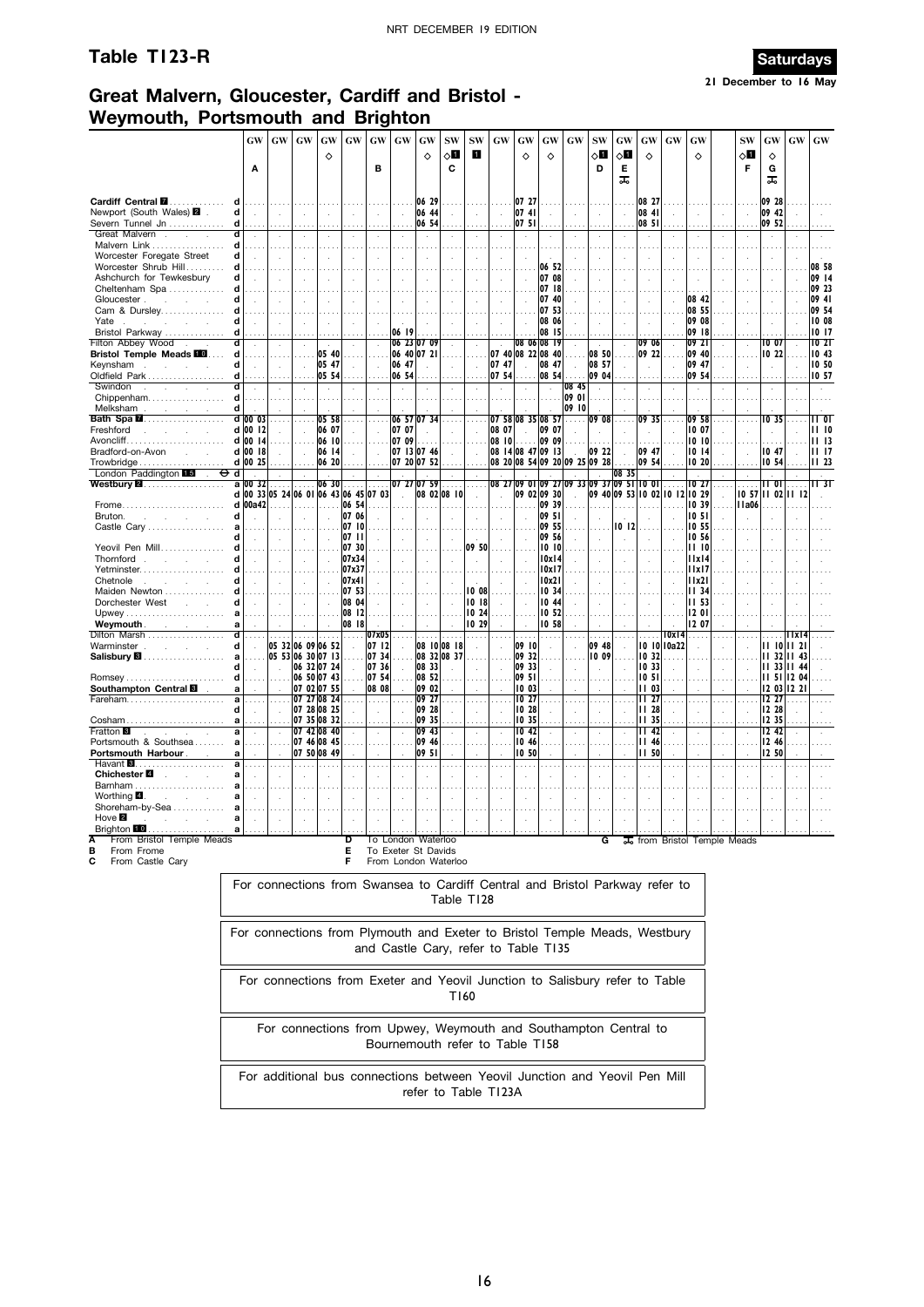## **Table T123-R** Saturdays



**21 December to 16 May**

### **Great Malvern, Gloucester, Cardiff and Bristol - Weymouth, Portsmouth and Brighton**

|                                                                     |        | <b>GW</b><br>Α | GW                                    | GW                         | GW             | ♦     | GW                          | GW<br>в        | GW             | GW<br>♦                                                           | <b>SW</b><br>$\diamond$ l<br>C | <b>SW</b><br>п | GW                                   | GW<br>♦           | GW<br>♦                | GW                            | SW<br>√П<br>D     | GW<br>$\diamond$ l<br>Е<br>ᠼ                                                 | GW<br>♦                          | GW                   | GW<br>♦                      | <b>SW</b><br>$\diamond$ l<br>F | GW<br>♦<br>G<br>ᠼ          | GW           | $\boldsymbol{\mathsf{G}}\boldsymbol{\mathsf{W}}$ |
|---------------------------------------------------------------------|--------|----------------|---------------------------------------|----------------------------|----------------|-------|-----------------------------|----------------|----------------|-------------------------------------------------------------------|--------------------------------|----------------|--------------------------------------|-------------------|------------------------|-------------------------------|-------------------|------------------------------------------------------------------------------|----------------------------------|----------------------|------------------------------|--------------------------------|----------------------------|--------------|--------------------------------------------------|
| Cardiff Central <b>M</b><br>Newport (South Wales) 2                 | d<br>d | $\mathcal{L}$  | ÷                                     |                            |                |       |                             |                | $\mathbf{r}$   | 06 29<br>06 44                                                    |                                |                | J.                                   | 07 27<br>0741     |                        |                               | ÷                 | J.                                                                           | 08 27<br>08 41                   |                      |                              |                                | 09 28<br>09 42             |              |                                                  |
| Severn Tunnel Jn<br>Great Malvern.<br>$\sim$                        | d      | $\cdot$        |                                       |                            |                |       |                             | $\cdot$        |                | 06 54                                                             |                                |                |                                      | 07 51             | $\cdot$                |                               |                   |                                                                              | 08 51<br>$\cdot$                 |                      |                              |                                | 09 52                      |              |                                                  |
| Malvern Link                                                        | d      |                |                                       |                            |                |       | $\sim$ $\sim$               |                |                |                                                                   |                                |                |                                      |                   |                        |                               |                   |                                                                              |                                  |                      |                              |                                |                            |              |                                                  |
| Worcester Foregate Street                                           | d      |                |                                       |                            |                |       | ÷,                          | ÷,             | $\lambda$      |                                                                   |                                |                |                                      |                   |                        |                               |                   |                                                                              | ÷.                               |                      |                              |                                |                            |              |                                                  |
| Worcester Shrub Hill                                                | d      |                |                                       |                            |                |       |                             |                |                |                                                                   |                                |                |                                      |                   | 06 52                  |                               |                   |                                                                              |                                  |                      |                              |                                |                            |              | 08 58                                            |
| Ashchurch for Tewkesbury<br>Cheltenham Spa                          | d      |                |                                       |                            |                |       |                             |                |                |                                                                   |                                |                |                                      |                   | 07 08<br>07 18         |                               |                   |                                                                              |                                  |                      |                              |                                |                            |              | 09 14<br>09 23                                   |
| Gloucester.<br>All Corp.                                            | d      |                |                                       |                            |                |       |                             |                |                |                                                                   |                                |                |                                      |                   | 07 40                  |                               |                   |                                                                              | ÷.                               |                      | 08 42                        |                                | $\cdot$                    |              | 09 41                                            |
| Cam & Dursley                                                       |        |                |                                       |                            |                |       |                             |                |                |                                                                   |                                |                |                                      |                   | 07 53                  |                               |                   |                                                                              |                                  |                      | 08 55                        |                                |                            |              | 09 54                                            |
| Yate<br><b>College</b><br>Bristol Parkway                           | d<br>d | $\overline{a}$ |                                       |                            |                |       | ÷.                          |                | 06 19          |                                                                   |                                |                |                                      |                   | 08 06<br>08 15         |                               |                   |                                                                              | $\mathcal{L}$<br>1.11            | $\bar{a}$            | 09 08<br>09 18               |                                | $\bar{z}$<br>$\sim$ $\sim$ |              | 10 08<br>10 17                                   |
| Filton Abbey Wood                                                   |        |                |                                       |                            |                |       |                             |                |                | 06 23 07 09                                                       |                                |                |                                      |                   | 08 06 08 19            |                               | ÷                 |                                                                              | 09 06                            |                      | 09 21                        |                                | IO 07                      |              | 1021                                             |
| <b>Bristol Temple Meads FO</b>                                      | d      |                |                                       |                            |                | 05 40 | $\cdots$                    |                |                | 06 40 07 21                                                       |                                |                |                                      | 07 40 08 22 08 40 |                        |                               | 08 50             |                                                                              | 09 22                            |                      | 09 40                        |                                | 10 22                      |              | 10.43                                            |
| Keynsham<br>$\sim$<br>Oldfield Park                                 | d<br>d |                |                                       |                            | 05 47<br>05 54 |       |                             |                | 06 47<br>06 54 |                                                                   |                                |                | 07 47<br>07 54                       |                   | 08 47<br>08 54         |                               | 08 57<br>09 04    |                                                                              | ÷.                               | $\mathbf{r}$         | 09 47<br>09 54               |                                | $\bar{z}$                  |              | 10 50<br>10 57                                   |
| Swindon<br>$\sim$                                                   |        | $\mathcal{L}$  |                                       |                            |                |       |                             |                | $\sim$         |                                                                   | $\ddot{\phantom{a}}$           |                | $\lambda$                            |                   | $\mathcal{A}$          | 08 45                         | $\mathbf{r}$      |                                                                              | .<br>$\lambda$                   |                      | $\sim$                       |                                | $\cdot$                    |              | $\ddot{\phantom{1}}$                             |
| Chippenham                                                          | d      |                |                                       |                            |                |       |                             |                |                |                                                                   |                                |                |                                      |                   |                        | 09 01                         |                   |                                                                              |                                  |                      |                              |                                |                            |              |                                                  |
| Melksham<br>$\sim$<br>Bath Spa <b>M</b>                             | d      | d 00 03        |                                       |                            |                | 05 58 |                             |                |                | 06 57 07 34                                                       |                                |                |                                      | 07 58 08 35 08 57 |                        | 09 10                         | 09 08             |                                                                              | 09 35                            |                      | 09 58                        |                                | IO 35                      |              | II 01                                            |
| Freshford<br><b>College</b>                                         |        | d 00 12        |                                       |                            |                | 06 07 |                             |                | 07 07          |                                                                   |                                |                | 08 07                                |                   | 09 07                  | .                             |                   |                                                                              |                                  |                      | 10 07                        |                                |                            |              | 1110                                             |
|                                                                     | d 00   | 14             |                                       |                            |                | 06 10 |                             |                | 07 09          |                                                                   |                                |                | 08 10                                | .                 | 09 09                  |                               |                   |                                                                              |                                  |                      | 10 10                        |                                |                            |              | 1113                                             |
| Bradford-on-Avon<br><b>Service</b>                                  |        | d 00 18        |                                       |                            |                | 06 14 | $\mathcal{L}_{\mathcal{A}}$ |                |                | 07 13 07 46                                                       |                                |                |                                      | 08 14 08 47 09 13 |                        |                               | 09 22             |                                                                              | 09 47                            |                      | 10 14                        |                                | 10 47                      |              | 1117                                             |
| Trowbridge<br>London Paddington 15                                  | d      | d 00 25        |                                       |                            |                | 06 20 |                             |                |                | 07 20 07 52                                                       |                                |                |                                      |                   |                        | 08 20 08 54 09 20 09 25 09 28 |                   | 08 35                                                                        | 09 54                            |                      | 10 20                        |                                | 10 54                      |              | 11,23                                            |
| Westbury <b>⊠</b> …………………                                           | a      | 00 32          |                                       |                            |                | 06 30 |                             |                |                | 07 27 07 59                                                       |                                | .              | 08 27                                |                   |                        |                               |                   | 09 01 09 27 09 33 09 37 09 51 10 01                                          |                                  |                      | IO 27                        |                                | 11 OI                      |              | IT 31                                            |
|                                                                     |        | 00a42          | d 00 33 05 24 06 01 06 43 06 45 07 03 |                            |                |       | 06 54                       |                | $\mathcal{L}$  | 08 02 08 10                                                       |                                |                |                                      |                   | 09 02 09 30<br>09 39   |                               |                   | 09 40 09 53 10 02 10 12 10 29                                                |                                  |                      | 1039                         | <b>IIa06</b>                   | 10 57 11 02 11 12          |              |                                                  |
| Frome<br>Bruton.<br>÷<br>$\sim$                                     | d<br>d |                |                                       | $\sim$                     | .              |       | 07 06                       |                |                |                                                                   |                                |                |                                      |                   | 09 51                  |                               |                   |                                                                              | a sa s                           |                      | 10 5 I                       |                                |                            |              |                                                  |
| Castle Cary                                                         |        |                |                                       |                            |                |       | 07 10                       |                |                |                                                                   |                                |                |                                      |                   | 09 55                  |                               |                   | 10 12                                                                        |                                  |                      | 10 55                        |                                |                            |              |                                                  |
| Yeovil Pen Mill                                                     | Ч      |                |                                       |                            |                |       | 0711<br>07 30               |                |                |                                                                   |                                | 09 50          |                                      |                   | 09 56<br>10 10         |                               |                   | $\mathbf{r}$                                                                 | ÷                                |                      | 10 56<br>II 10               |                                |                            |              |                                                  |
| Thornford.                                                          |        |                |                                       |                            |                |       | 07x34                       |                |                |                                                                   |                                |                |                                      |                   | 10x14                  |                               |                   |                                                                              |                                  |                      | 11x14                        |                                |                            |              |                                                  |
| Yetminster                                                          |        |                |                                       |                            |                |       | 07x37                       |                |                |                                                                   |                                |                |                                      |                   | 10x17                  |                               |                   |                                                                              | $\cdots$                         |                      | IIxI7                        |                                |                            |              |                                                  |
| Chetnole<br>$\sim 10^{-11}$                                         | d      |                |                                       |                            |                |       | 07x41                       |                | $\mathbf{r}$   |                                                                   |                                | $\mathcal{L}$  |                                      |                   | 10x21                  |                               |                   |                                                                              | $\mathcal{L}$                    |                      | 11x21                        |                                |                            |              |                                                  |
| Maiden Newton<br>Dorchester West                                    | d      |                |                                       |                            |                |       | 07 53<br>08 04              |                |                |                                                                   |                                | 10 08<br>1018  |                                      |                   | 10 34<br>1044          |                               |                   |                                                                              |                                  |                      | <b>II</b> 34<br><b>II 53</b> |                                |                            |              |                                                  |
|                                                                     |        |                |                                       |                            |                |       | 08 12                       |                |                |                                                                   |                                | 10 24          |                                      |                   | 10 52                  |                               |                   |                                                                              |                                  |                      | 1201                         |                                |                            |              |                                                  |
| Weymouth.<br>and the control of the con-                            |        |                |                                       |                            |                |       | 08 18                       |                |                |                                                                   |                                | 10 29          |                                      |                   | 10 58                  |                               |                   |                                                                              |                                  |                      | 12 07                        |                                |                            |              |                                                  |
| Dilton Marsh<br>Warminster.<br>$\mathcal{L}^{\pm}$                  | d<br>d | $\mathbf{r}$   | 05 32 06 09 06 52                     |                            |                |       | $\cdots$                    | 07x05<br>07 12 |                | 08 10 08 18                                                       |                                | $\ldots$       |                                      | 09 10             | $\sim$<br>$\mathbf{r}$ |                               | $\cdots$<br>09 48 |                                                                              | $\cdots$                         | 10x14<br>10 10 10a22 | .<br>$\mathcal{L}$           |                                | 11 10 11 21                | lixi4        |                                                  |
| Salisbury <b>8</b>                                                  |        |                | 05 53 06 30 07 13                     |                            |                |       |                             | 07 34          |                | 08 32 08 37                                                       |                                |                |                                      | 09 32             |                        |                               | 10 09             |                                                                              | 10 32                            |                      |                              |                                |                            | 11 32 11 43  |                                                  |
|                                                                     | d      |                |                                       | 06 32 07 24                |                |       |                             | 07 36          |                | 08 33                                                             |                                |                |                                      | 09 33             | $\cdot$                |                               |                   |                                                                              | 10.33                            |                      |                              |                                |                            | 11 33 11 44  |                                                  |
| Romsey<br>Southampton Central <b>B</b>                              | d      |                |                                       | 06 50 07 43<br>07 02 07 55 |                |       |                             | 07 54<br>08 08 |                | 08 52<br>09 02                                                    |                                |                |                                      | 09 51<br>10 03    |                        |                               |                   |                                                                              | 10 <sub>51</sub><br><b>II 03</b> |                      |                              |                                | 11 <sub>51</sub><br>12 03  | 12 04<br>122 |                                                  |
| Fareham                                                             |        | $\cdots$       | $\cdots$                              | 07 27 08 24                |                |       |                             |                |                | 09 27                                                             |                                |                |                                      | 10 27             | $\cdots$               |                               | $\cdots$          |                                                                              | II 27                            | $\cdots$             |                              |                                | 12 27                      |              |                                                  |
|                                                                     | d      |                |                                       | 07 28 08 25                |                |       |                             | $\mathcal{L}$  |                | 09 28                                                             |                                |                |                                      | 10 28             |                        |                               | $\mathcal{L}$     |                                                                              | 11 <sub>28</sub>                 |                      | $\overline{a}$               |                                | 12 28                      |              |                                                  |
| Cosham<br><b>Fratton 3</b>                                          | a      | $\cdot$        | $\mathcal{L}$                         | 07 35 08 32<br>07 42 08 40 |                |       |                             |                | $\cdot$        | 09 35<br>09 43                                                    |                                |                | ÷,                                   | 10 35<br>10 42    | $\cdot$                | $\cdot$                       | $\mathcal{L}$     |                                                                              | 1135<br>1142                     |                      | $\cdot$                      |                                | 12 35<br>12 42             |              |                                                  |
| Portsmouth & Southsea                                               | a      |                |                                       | 07 46 08 45                |                |       |                             |                |                | 09 46                                                             |                                |                |                                      | 10 46             |                        |                               |                   |                                                                              | II 46                            |                      |                              |                                | 12 46                      |              |                                                  |
| Portsmouth Harbour.                                                 | a      |                |                                       | 07 50 08 49                |                |       |                             |                | $\mathbf{r}$   | 09 51                                                             |                                |                |                                      | 10 50             |                        |                               | $\mathbf{r}$      |                                                                              | <b>II 50</b>                     |                      |                              |                                | 12 50                      |              |                                                  |
| Havant $\blacksquare$<br>Chichester <sup>2</sup><br><b>Contract</b> | a<br>a | $\cdots$       |                                       |                            |                |       |                             |                | $\cdots$       |                                                                   |                                |                | $\mathbf{r}$                         | $\sim$            | $\cdots$               | $\cdots$                      | $\cdots$          |                                                                              | $\sim$                           |                      | $\cdots$                     |                                | $\mathbf{r}$               |              |                                                  |
| Barnham                                                             |        |                |                                       |                            |                |       |                             |                |                |                                                                   |                                |                |                                      |                   |                        |                               |                   |                                                                              |                                  |                      |                              |                                |                            |              |                                                  |
| Worthing $\blacksquare$ .<br>and a state                            |        |                |                                       |                            |                |       |                             |                |                |                                                                   |                                |                |                                      |                   |                        |                               |                   |                                                                              |                                  |                      |                              |                                |                            |              |                                                  |
| Shoreham-by-Sea<br>Hove $\blacksquare$                              | a<br>a |                |                                       |                            |                |       |                             |                |                |                                                                   |                                |                |                                      |                   |                        |                               |                   |                                                                              |                                  |                      |                              |                                |                            |              |                                                  |
| Brighton LU                                                         |        |                |                                       |                            |                |       |                             |                |                |                                                                   |                                |                |                                      |                   |                        |                               |                   |                                                                              |                                  |                      |                              |                                |                            |              |                                                  |
| From Bristol Temple Meads<br>From Frome<br>From Castle Cary<br>С    |        |                |                                       |                            |                |       | D<br>Е<br>F                 |                |                | To London Waterloo<br>To Exeter St Davids<br>From London Waterloo |                                |                |                                      |                   |                        |                               | G                 |                                                                              |                                  |                      | 其 from Bristol Temple Meads  |                                |                            |              |                                                  |
|                                                                     |        |                |                                       |                            |                |       |                             |                |                |                                                                   |                                |                |                                      |                   |                        |                               |                   | For connections from Swansea to Cardiff Central and Bristol Parkway refer to |                                  |                      |                              |                                |                            |              |                                                  |
|                                                                     |        |                |                                       |                            |                |       |                             |                |                |                                                                   |                                | Table T128     |                                      |                   |                        |                               |                   |                                                                              |                                  |                      |                              |                                |                            |              |                                                  |
|                                                                     |        |                |                                       |                            |                |       |                             |                |                |                                                                   |                                |                |                                      |                   |                        |                               |                   | For connections from Plymouth and Exeter to Bristol Temple Meads, Westbury   |                                  |                      |                              |                                |                            |              |                                                  |
|                                                                     |        |                |                                       |                            |                |       |                             |                |                |                                                                   |                                |                | and Castle Cary, refer to Table T135 |                   |                        |                               |                   |                                                                              |                                  |                      |                              |                                |                            |              |                                                  |
|                                                                     |        |                |                                       |                            |                |       |                             |                |                |                                                                   |                                |                |                                      |                   |                        |                               |                   |                                                                              |                                  |                      |                              |                                |                            |              |                                                  |
|                                                                     |        |                |                                       |                            |                |       |                             |                |                |                                                                   |                                |                |                                      |                   |                        |                               |                   | For connections from Exeter and Yeovil Junction to Salisbury refer to Table  |                                  |                      |                              |                                |                            |              |                                                  |
|                                                                     |        |                |                                       |                            |                |       |                             |                |                |                                                                   |                                | T160           |                                      |                   |                        |                               |                   |                                                                              |                                  |                      |                              |                                |                            |              |                                                  |
|                                                                     |        |                |                                       |                            |                |       |                             |                |                |                                                                   |                                |                |                                      |                   |                        |                               |                   |                                                                              |                                  |                      |                              |                                |                            |              |                                                  |
|                                                                     |        |                |                                       |                            |                |       |                             |                |                |                                                                   |                                |                |                                      |                   |                        |                               |                   | For connections from Upwey, Weymouth and Southampton Central to              |                                  |                      |                              |                                |                            |              |                                                  |
|                                                                     |        |                |                                       |                            |                |       |                             |                |                |                                                                   |                                |                | Bournemouth refer to Table T158      |                   |                        |                               |                   |                                                                              |                                  |                      |                              |                                |                            |              |                                                  |
|                                                                     |        |                |                                       |                            |                |       |                             |                |                |                                                                   |                                |                |                                      |                   |                        |                               |                   |                                                                              |                                  |                      |                              |                                |                            |              |                                                  |
|                                                                     |        |                |                                       |                            |                |       |                             |                |                |                                                                   |                                |                |                                      |                   |                        |                               |                   | For additional bus connections between Yeovil Junction and Yeovil Pen Mill   |                                  |                      |                              |                                |                            |              |                                                  |
|                                                                     |        |                |                                       |                            |                |       |                             |                |                |                                                                   |                                |                | refer to Table T123A                 |                   |                        |                               |                   |                                                                              |                                  |                      |                              |                                |                            |              |                                                  |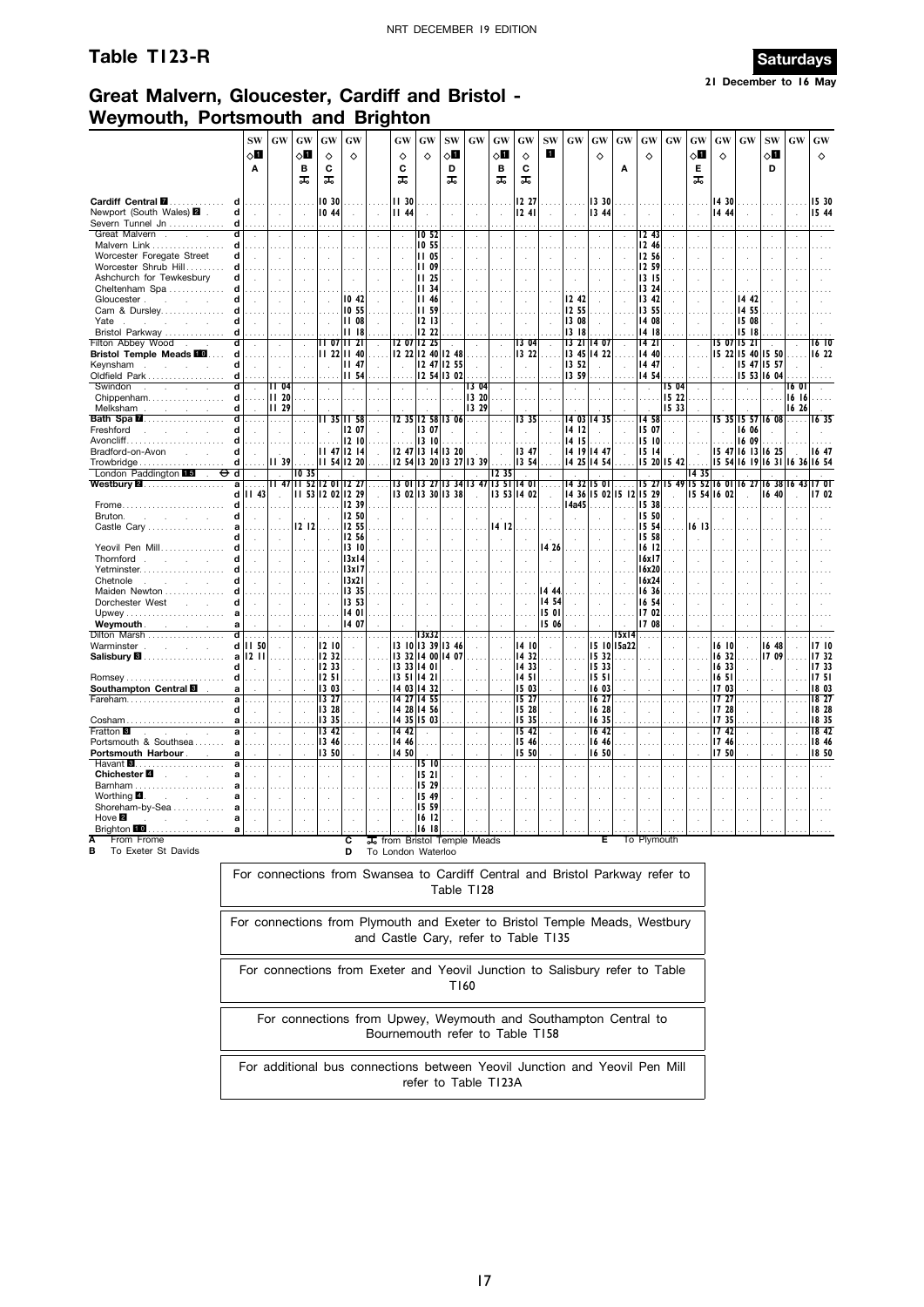## **Table T123-R Saturdays**



## **Great Malvern, Gloucester, Cardiff and Bristol - Weymouth, Portsmouth and Brighton**

|                                                                                                                |                  | <b>SW</b><br>√П<br>Α       | <b>GW</b>                 | GW<br>√Ц<br>в<br>ᠼ                    | <b>GW</b><br>♦<br>C<br>ᠼ         | GW<br>♦                                                                      | GW<br>♦<br>C<br>ᠼ                 | GW<br>♦                                                             | <b>SW</b><br>√П<br>D<br>ᠼ  | <b>GW</b>           | GW<br>⊘П<br>в<br>ᅚ | GW<br>♦<br>С<br>ᠼ                | <b>SW</b><br>ı                            | <b>GW</b>               | GW<br>♦                          | <b>GW</b><br>Α          | GW<br>♦                                  | GW                  | GW<br>◇О<br>Е<br>ᠼ        | GW<br>♦                          | GW                                                       | <b>SW</b><br>√П<br>D | GW             | GW<br>♦                         |
|----------------------------------------------------------------------------------------------------------------|------------------|----------------------------|---------------------------|---------------------------------------|----------------------------------|------------------------------------------------------------------------------|-----------------------------------|---------------------------------------------------------------------|----------------------------|---------------------|--------------------|----------------------------------|-------------------------------------------|-------------------------|----------------------------------|-------------------------|------------------------------------------|---------------------|---------------------------|----------------------------------|----------------------------------------------------------|----------------------|----------------|---------------------------------|
| Cardiff Central <b>M</b><br>Newport (South Wales) 2<br>Severn Tunnel Jn                                        | d<br>d<br>d      | $\ddot{\phantom{a}}$       | i,                        | $\mathbf{r}$<br>$\mathcal{A}$         | 10 30<br>10 44                   |                                                                              | <b>II 30</b><br>II 44             |                                                                     |                            |                     | $\cdots$<br>÷,     | 12 27<br>1241                    | ÷.                                        | ÷,                      | 13 30<br>13 44                   |                         |                                          |                     |                           | 1430<br>14 44                    |                                                          |                      |                | 15 30<br>15 44                  |
| Great Malvern.<br>÷<br>Malvern Link<br>Worcester Foregate Street<br>Worcester Shrub Hill                       | d<br>d<br>d<br>d |                            | $\overline{a}$            |                                       | $\ddot{\phantom{a}}$             |                                                                              | $\lambda$<br>$\ddot{\phantom{a}}$ | 10 52<br>10 55<br>11 05<br><b>II 09</b>                             |                            |                     | J.                 |                                  | $\epsilon$                                | à.                      | $\cdot$                          |                         | I2 43<br>12 46<br>12 56<br>12 59         |                     |                           |                                  |                                                          |                      |                |                                 |
| Ashchurch for Tewkesbury<br>Cheltenham Spa<br>Gloucester.<br><b>College</b><br><b>College</b><br>Cam & Dursley | d<br>d<br>d<br>d |                            |                           |                                       |                                  | 1042<br>10 55                                                                |                                   | <b>II 25</b><br>1134<br><b>II 46</b><br><b>II 59</b>                |                            |                     |                    |                                  |                                           | 12 42<br>12 55          |                                  |                         | 13 15<br>13 24<br>13 42<br>13 55         |                     |                           |                                  | 14 42<br>14 55                                           |                      |                |                                 |
| Yate<br><b>Contract Contract</b><br>Bristol Parkway<br>Filton Abbey Wood                                       | d<br>d<br>d      |                            |                           |                                       | 07                               | 1108<br>1118<br>1121                                                         |                                   | 1213<br>12 22<br>12 07 12 25                                        |                            |                     | $\sim$             | I3 04                            |                                           | 13 08<br>13 18<br>13 21 | 14 07                            |                         | 14 08<br>14 18<br>14 21                  |                     |                           | I5 07                            | 15 08<br>1518<br>1521                                    |                      |                | 16 IO                           |
| <b>Bristol Temple Meads 10</b><br>Keynsham<br>Oldfield Park<br>Swindon<br>S.<br>$\sim$<br>÷                    | d<br>d<br>d<br>d |                            | $\cdots$<br>÷<br>II 04    |                                       |                                  | 22 11 40<br>$II$ 47<br><b>II 54</b>                                          |                                   | 12 22 12 40 12 48                                                   | 12 47 12 55<br>12 54 13 02 | 1304                | $\sim$<br>i,       | 13 22                            |                                           | 13 45<br>13 52<br>13 59 | 14 22                            |                         | 14 40<br>14 47<br>14 54<br>$\mathcal{L}$ | 15 04               |                           |                                  | 15 22 15 40 15 50<br>15 47 15 57<br>15 53 16 04          |                      | 16 O           | 16 22                           |
| Chippenham<br>Melksham<br><b>Service</b><br>Bath Spa <b>M</b>                                                  | d<br>d<br>d      | in Li                      | 1120<br><b>II</b> 29<br>. |                                       |                                  | 35 11 58                                                                     |                                   | 12 35 12 58 13 06                                                   |                            | 13 20<br>13 29<br>. | $\cdots$           | 1335                             | $\sim$                                    |                         | 14 03 14 35                      |                         | 14 58                                    | 15 22<br>15 33<br>. |                           |                                  | 15 35 15 57 16 08                                        |                      | 16 16<br>16 26 | I6 35                           |
| Freshford<br>Avoncliff.<br>Bradford-on-Avon<br><b>Service</b><br>Trowbridge                                    | d<br>d<br>d<br>d |                            | ÷<br>II 39                |                                       |                                  | 12 07<br>1210<br>$11$ 47 12 14<br>11 54 12 20                                |                                   | 13 07<br>13 10<br>12 47 13 14 13 20<br>12 54 13 20 13 27 13 39      |                            |                     |                    | 1347<br>13 54                    |                                           | 14 12<br>14 15          | 14 19 14 47<br>14 25 14 54       |                         | 15 07<br>15 10<br>15 14                  | 15 20 15 42         |                           |                                  | 16 06<br>16 09<br>15 47 16 13 16 25<br>15 54 16 19 16 31 |                      | 1636           | 1647<br>16 54                   |
| London Paddington 15<br>Westbury <b>⊠</b><br>.                                                                 | d<br>a<br>d      | $\mathcal{L}$<br>.<br>1143 | $\sim$<br>II 47           | 1035<br>115212                        | 01                               | 12 27<br>11 53 12 02 12 29                                                   | 13 OI                             | 3 27<br>13 02 13 30 13 38                                           |                            | 13 34 13 47         | 1235<br>13 SI      | 1401<br>13 53 14 02              | $\cdots$<br>$\mathbf{r}$                  |                         | 1432 1501                        | 14 36 15 02 15 12 15 29 |                                          |                     | 1435<br>15 27 15 49 15 52 | 16 OI<br>15 54 16 02             | 16 27                                                    | 1638<br>16 40        | 16             | 17 OT<br>1702                   |
| Frome<br>Bruton.<br>÷<br>Castle Cary                                                                           | d<br>d<br>a      |                            |                           | 12 12<br>$\ddot{\phantom{a}}$         |                                  | 12 39<br>12 50<br>12 55<br>12 56                                             |                                   |                                                                     |                            |                     | 14 12              |                                  |                                           | 14a45                   |                                  |                         | 15 38<br>15 50<br>15 54<br>15 58         |                     | 16 13                     |                                  |                                                          |                      |                |                                 |
| Yeovil Pen Mill<br>Thornford<br><b>College</b><br>$\sim 10^{-1}$<br>Yetminster                                 | d<br>d<br>d      |                            |                           | $\mathcal{L}$                         |                                  | 13 10<br>13x14<br>13x17                                                      |                                   |                                                                     |                            |                     |                    |                                  | 14 26                                     |                         |                                  |                         | 16 12<br>16x17<br>16x20                  |                     |                           |                                  |                                                          |                      |                |                                 |
| Chetnole<br>$\mathcal{L}$<br>Maiden Newton<br>Dorchester West<br>$\sim 10^{-1}$<br>Upwey                       | d<br>d<br>a      |                            |                           |                                       |                                  | 13x21<br>13 35<br>13 53<br>14 01                                             |                                   |                                                                     |                            |                     |                    |                                  | $\bar{z}$<br>14 44<br>14 54<br>15 01      |                         |                                  |                         | 16x24<br>16 36<br>16 54<br>17 02         |                     |                           |                                  |                                                          |                      |                |                                 |
| Weymouth.<br>and the control of<br>Dilton Marsh<br>Warminster .<br>$\mathcal{L}^{\text{max}}$<br>$\sim$        | a<br>ď           | .<br>d   I   50            | .                         | $\sim$<br>$\mathcal{L}_{\mathcal{A}}$ | 12 10                            | 1407<br>a a a<br>$\mathcal{A}$                                               | $\sim$                            | 13x32<br>13 10 13 39 13 46                                          |                            |                     |                    | 14 10                            | 15 06<br>a a a<br>$\ddot{\phantom{a}}$    |                         | $\cdots$                         | 15x14<br>15 10 15a22    | 17 08<br>$\mathbf{r}$                    |                     |                           | $\sim$ $\sim$<br>16 IO           |                                                          | 16 48                |                | 17 10                           |
| Salisbury <b>&amp;</b><br>Southampton Central <b>B</b>                                                         | d<br>d<br>a      | a   12   11                |                           | $\sim$                                | 12 32<br>12 33<br>1251<br>13 03  | $\sim 10$                                                                    | 1351                              | 13 32 14 00 14 07<br>13 33 14 01<br>1421<br>14 03 14 32             |                            |                     |                    | 14 32<br>14 33<br>1451<br>1503   | $\mathcal{L}$                             |                         | 15 32<br>15 33<br>15 51<br>16 03 |                         |                                          |                     |                           | 16 32<br>16 33<br>16 5 I<br>1703 |                                                          | 17 09                |                | 17 32<br>17 33<br>1751<br>18 03 |
| Cosham<br><b>Fratton 8</b><br>n.                                                                               | a<br>a           |                            |                           | $\bar{z}$                             | 13 27<br>13 28<br>13 35<br>13 42 | $\ldots$<br>$\cdot$                                                          | 14 42                             | 14 27 14 55<br>14 28 14 56<br>14 35 15 03                           |                            |                     | ÷                  | 15 27<br>15 28<br>15 35<br>15 42 | $\cdots$<br>$\mathbf{r}$<br>$\mathcal{L}$ | ÷.                      | 16 27<br>16 28<br>16 35<br>16 42 | $\sim$                  | $\cdots$<br>÷<br>à.                      | المتعاد             | $\cdots$                  | 17 27<br>17 28<br>1735<br>1742   |                                                          | ÷.<br>÷.             |                | 1827<br>18 28<br>18 35<br>18 42 |
| Portsmouth & Southsea<br>Portsmouth Harbour.<br>Havant <b>8</b>                                                | a<br>a<br>a      | $\mathbf{A}$               | .                         | $\mathbf{r}$                          | 13 46<br>13 50<br>.              | $\sim$                                                                       | 14 46<br>14 50<br>$\sim 100$      | 15 <sup>10</sup>                                                    | $\cdots$                   |                     | $\ldots$           | 15 46<br>15 50                   | $\bar{z}$<br>$\ldots$                     | J.                      | 16 46<br>1650                    |                         | $\cdots$                                 |                     |                           | 1746<br>1750<br>$\sim$           |                                                          |                      |                | 18 46<br>18 50<br>$\sim 100$    |
| Chichester <sup>1</sup><br>Barnham<br>Worthing $\blacksquare$ .<br>$\sim$<br>Shoreham-by-Sea                   | a<br>a<br>a      |                            |                           |                                       | $\overline{a}$                   | J.                                                                           | $\mathbf{r}$                      | 15 21<br>15 29<br>15 49<br>15 59                                    |                            |                     |                    |                                  |                                           |                         | J.                               |                         |                                          |                     |                           |                                  |                                                          |                      |                |                                 |
| Hove 2<br>Brighton <b>LEU</b><br>From Frome<br>To Exeter St Davids<br>в                                        | a                | $a$                        |                           |                                       |                                  | С<br>D                                                                       |                                   | 16 12<br>1018<br>To from Bristol Temple Meads<br>To London Waterloo |                            |                     |                    |                                  |                                           |                         |                                  |                         | To Plymouth                              |                     |                           |                                  |                                                          | .                    |                | .                               |
|                                                                                                                |                  |                            |                           |                                       |                                  | For connections from Swansea to Cardiff Central and Bristol Parkway refer to |                                   |                                                                     |                            | Table T128          |                    |                                  |                                           |                         |                                  |                         |                                          |                     |                           |                                  |                                                          |                      |                |                                 |
|                                                                                                                |                  |                            |                           |                                       |                                  | For connections from Plymouth and Exeter to Bristol Temple Meads, Westbury   |                                   | and Castle Cary, refer to Table T135                                |                            |                     |                    |                                  |                                           |                         |                                  |                         |                                          |                     |                           |                                  |                                                          |                      |                |                                 |
|                                                                                                                |                  |                            |                           |                                       |                                  | For connections from Exeter and Yeovil Junction to Salisbury refer to Table  |                                   |                                                                     | T160                       |                     |                    |                                  |                                           |                         |                                  |                         |                                          |                     |                           |                                  |                                                          |                      |                |                                 |

For connections from Upwey, Weymouth and Southampton Central to Bournemouth refer to Table T158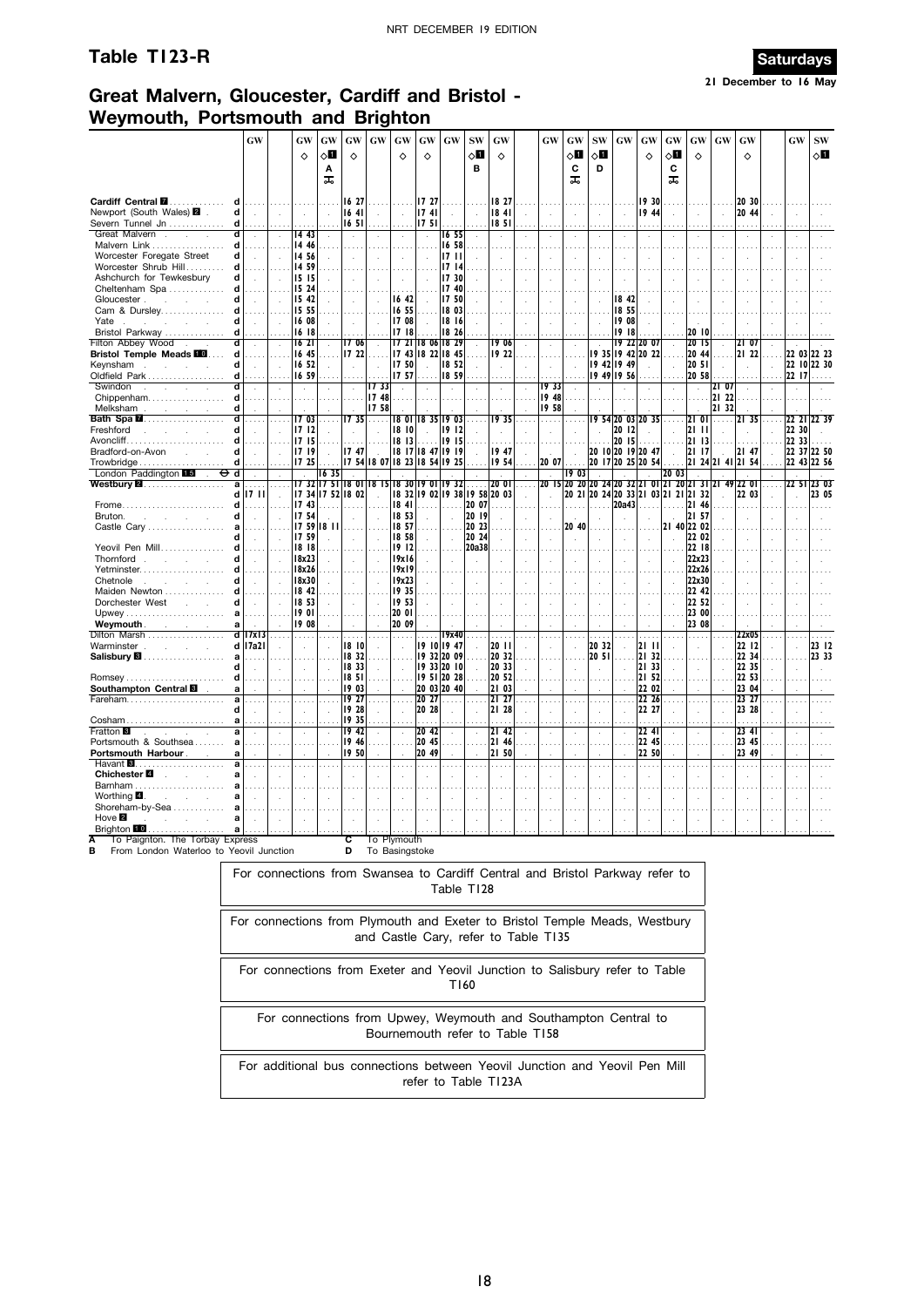### **Table T123-R Saturdays**



## **Great Malvern, Gloucester, Cardiff and Bristol - Weymouth, Portsmouth and Brighton**

|                                                                              | GW                         |                      | GW                   | GW                      | GW                   | GW             | GW                                        | GW                         | $\boldsymbol{\mathbf{G}}\boldsymbol{\mathbf{W}}$ | <b>SW</b>                     | GW                   |           | GW                            | GW                   | $\textbf{SW}$        | $\boldsymbol{\mathsf{G}}\boldsymbol{\mathsf{W}}$ | <b>GW</b>            | GW                         | <b>GW</b>                                             | GW                   | GW                  |               | <b>GW</b>            | $\textbf{SW}$ |
|------------------------------------------------------------------------------|----------------------------|----------------------|----------------------|-------------------------|----------------------|----------------|-------------------------------------------|----------------------------|--------------------------------------------------|-------------------------------|----------------------|-----------|-------------------------------|----------------------|----------------------|--------------------------------------------------|----------------------|----------------------------|-------------------------------------------------------|----------------------|---------------------|---------------|----------------------|---------------|
|                                                                              |                            |                      | $\Diamond$           | $\Diamond \blacksquare$ | $\Diamond$           |                | ♦                                         | $\Diamond$                 |                                                  | $\diamond$ l                  | $\Diamond$           |           |                               | ◇П                   | $\circ$ ii           |                                                  | $\Diamond$           | $\diamond \blacksquare$    | $\Diamond$                                            |                      | $\Diamond$          |               |                      | √П            |
|                                                                              |                            |                      |                      | Α                       |                      |                |                                           |                            |                                                  | в                             |                      |           |                               | C                    | D                    |                                                  |                      | C                          |                                                       |                      |                     |               |                      |               |
|                                                                              |                            |                      |                      | ᠼ                       |                      |                |                                           |                            |                                                  |                               |                      |           |                               | ᠼ                    |                      |                                                  |                      | ᠼ                          |                                                       |                      |                     |               |                      |               |
| Cardiff Central <b>II</b><br>d<br>.                                          |                            |                      |                      |                         | 16 27                |                | $\cdots$                                  | 17 27                      | $\sim$                                           |                               | 18 27                |           |                               |                      |                      |                                                  | 19 30                |                            |                                                       |                      | 20 30               |               |                      |               |
| Newport (South Wales) 2 .<br>d                                               | $\mathcal{A}$              | $\mathcal{L}$        | $\mathcal{L}$        | $\mathcal{L}$           | 1641                 | $\mathcal{L}$  | $\mathcal{A}$                             | 1741                       | $\sim$                                           |                               | 1841                 |           | $\mathcal{L}$                 | $\ddot{\phantom{a}}$ | $\ddot{\phantom{a}}$ | $\ddot{\phantom{a}}$                             | 19 44                |                            |                                                       |                      | 20 44               |               |                      |               |
| Severn Tunnel Jn<br>d                                                        |                            |                      |                      |                         | 16 51                |                |                                           | 17 <sub>51</sub>           |                                                  |                               | 1851                 |           |                               |                      |                      |                                                  |                      |                            |                                                       |                      |                     |               |                      |               |
| Great Malvern.<br>d                                                          |                            |                      | 14 43                |                         | $\mathcal{L}$        |                | $\mathcal{L}_{\mathcal{A}}$               | $\bar{z}$                  | 16 55                                            |                               | ÷.                   |           |                               | $\epsilon$           | $\epsilon$           |                                                  |                      |                            |                                                       |                      |                     |               |                      |               |
| Malvern Link<br>d<br>Worcester Foregate Street<br>d                          |                            |                      | 14 46<br>14 56       |                         |                      |                |                                           |                            | 16 58<br>1711                                    |                               |                      |           |                               |                      |                      |                                                  |                      |                            |                                                       |                      |                     |               |                      |               |
| Worcester Shrub Hill<br>d                                                    | $\overline{a}$             |                      | 14 59                | $\sim$                  | $\mathcal{L}$<br>.   | $\overline{a}$ | $\mathcal{A}$<br>$\sim 100$               |                            | 1714                                             |                               |                      |           | $\mathbf{r}$                  | $\cdot$              | $\ddot{\phantom{a}}$ |                                                  | $\cdot$              | $\cdot$                    | ÷.                                                    |                      |                     | ÷,            |                      |               |
| Ashchurch for Tewkesbury<br>d                                                | $\mathbf{r}$               | з.                   | 15 15                |                         | ÷.                   | ÷              | $\mathcal{A}$                             |                            | 17 30                                            |                               | $\mathcal{L}$        |           | $\mathbf{r}$                  |                      |                      |                                                  |                      |                            |                                                       |                      |                     |               |                      |               |
| Cheltenham Spa<br>d                                                          |                            |                      | 15 24                |                         |                      |                |                                           |                            | 17 40                                            |                               |                      |           |                               |                      |                      |                                                  |                      |                            |                                                       |                      |                     |               |                      |               |
| d<br>Gloucester.<br>and the control                                          | $\mathcal{L}_{\mathbf{a}}$ |                      | 15 42                |                         | $\sim$               |                | 16 42                                     |                            | 17 50                                            |                               |                      |           |                               |                      |                      | 18 42                                            | $\ddot{\phantom{a}}$ |                            |                                                       |                      |                     |               |                      |               |
| Cam & Dursley<br>d                                                           |                            |                      | 15 55<br>16 08       |                         | .                    |                | 16 55<br>17 08                            |                            | 18 03<br>18 16                                   |                               |                      |           |                               |                      |                      | 18 55<br>19 08                                   |                      |                            |                                                       |                      |                     |               |                      |               |
| Yate<br>d<br>Bristol Parkway<br>d                                            |                            |                      | 16 18                |                         | $\mathcal{L}$<br>.   |                | 1718                                      |                            | 18 26                                            |                               |                      |           | .                             |                      |                      | 19 18                                            |                      |                            | 20 10                                                 |                      |                     |               |                      |               |
| Filton Abbey Wood .<br>Ч                                                     | $\ddot{\phantom{a}}$       | $\ddot{\phantom{a}}$ | 16 21                | $\ddot{\phantom{a}}$    | 1706                 |                |                                           | 17 21 18 06 18 29          |                                                  |                               | 19 06                |           | $\ddot{\phantom{a}}$          |                      |                      |                                                  | 19 22 20 07          | $\mathcal{L}_{\mathbf{a}}$ | 2015                                                  | $\ddot{\phantom{a}}$ | 2107                |               |                      |               |
| <b>Bristol Temple Meads FO</b><br>d                                          | .                          |                      | 16 45                | $\cdots$                | 17 22                |                |                                           | 17 43 18 22 18 45          |                                                  |                               | 19 22                |           | $\sim$ $\sim$                 |                      |                      |                                                  | 19 35 19 42 20 22    | is si                      | 20 44                                                 | .                    | 21 22               | .             |                      | 22 03 22 23   |
| Keynsham<br>d                                                                | $\mathbf{r}$               | ÷                    | 16 52                | $\mathcal{L}$           | $\mathcal{L}$        |                | 17 50                                     |                            | 18 52                                            |                               | $\mathcal{L}$        |           | $\mathcal{L}$                 | ÷.                   |                      | 19 42 19 49                                      |                      | $\mathbf{r}$               | 20 51                                                 |                      |                     | $\cdot$       |                      | 22 10 22 30   |
| Oldfield Park<br>d                                                           |                            |                      | 16 59                |                         | $\ldots$             |                | 17 57                                     | $\cdots$                   | 18 59                                            |                               | $\cdots$             |           | $\cdots$                      | $\cdots$             | 19 49 19 56          |                                                  | $\cdots$             |                            | 20 58                                                 |                      |                     | $\cdots$      | 22 17                | $\cdots$      |
| Swindon<br>d<br>$\mathcal{L}^{\text{max}}$<br>$\sim 10^{-11}$<br>$\sim$<br>d | $\mathcal{L}_{\mathbf{a}}$ |                      | $\sim$               | $\sim$                  | $\sim$               | 1733<br>1748   | $\sim$                                    |                            | $\sim$                                           |                               | $\bar{z}$            | $\bar{z}$ | 1933<br>19 48                 |                      | $\mathcal{L}$        | $\cdot$                                          | $\sim$               |                            | $\sim$                                                | 2107<br>21 22        |                     |               | $\ddot{\phantom{a}}$ |               |
| Melksham<br>d<br>and the company of                                          |                            |                      |                      |                         | .                    | 17 58          |                                           |                            |                                                  |                               | $\sim$               |           | 1958                          |                      |                      |                                                  |                      |                            |                                                       | 21 32                |                     |               |                      |               |
| ď<br><b>Bath Spa 2</b>                                                       |                            |                      | I7 03                |                         | 1735                 | .              | 1801                                      | 18 35 19 03                |                                                  |                               | 1935                 |           | .                             |                      |                      |                                                  | 9 54 20 03 20 35     |                            | 21<br>01                                              | $\sim$               | I2I 35              |               | 22 21                |               |
| Freshford<br>d<br>and the state of                                           |                            |                      | 1712                 |                         |                      |                | 18 10                                     |                            | 1912                                             |                               |                      |           | $\ddot{\phantom{a}}$          |                      |                      | 20 12                                            |                      |                            | 2111                                                  |                      |                     |               | 22 30                |               |
| d                                                                            | $\sim$                     |                      | 17 15                |                         |                      |                | 18 13                                     |                            | 19 15                                            |                               | $\sim$ $\sim$ $\sim$ |           |                               |                      |                      | 20 15                                            |                      |                            | 21 13                                                 |                      |                     |               | 22 33                |               |
| Bradford-on-Avon<br>d<br><b>Contract Contract</b>                            | $\sim$                     |                      | 17 19                |                         | 17 47                |                |                                           | 18 17 18 47 19 19          |                                                  |                               | 1947                 |           |                               |                      |                      |                                                  | 20 10 20 19 20 47    |                            | 21 17                                                 |                      | 21 47               |               |                      | 22 37 22 50   |
| Trowbridge<br>d<br>London Paddington 15<br>Φd<br>$\sim$                      | $\cdots$                   |                      | 17 25                | 1635                    |                      |                | 17 54 18 07 18 23 18 54 19 25             |                            |                                                  |                               | 1954                 |           | 20 07<br>$\sim$               | 1903                 |                      |                                                  | 20 17 20 25 20 54    | 20 03                      |                                                       | 21 24 21 41 21 54    |                     |               |                      | 22 43 22 56   |
| Westbury <b>2.</b><br>a                                                      | $\sim$                     | $\sim$               |                      |                         |                      |                | 17 32 17 51 18 01 18 15 18 30 19 01 19 32 |                            |                                                  |                               | 20 OI                | $\sim$    |                               |                      |                      |                                                  |                      |                            | 20 15 20 20 20 24 20 32 21 01 21 20 21 31 21 49 22 01 |                      |                     |               |                      | 22 51 23 03   |
| d                                                                            | 17 I I                     | $\sim$               |                      |                         | 17 34 17 52 18 02    | ÷              |                                           |                            |                                                  | 18 32 19 02 19 38 19 58 20 03 |                      |           |                               |                      |                      |                                                  |                      |                            | 20 21 20 24 20 33 21 03 21 21 21 32                   | $\sim$               | 22 03               |               | $\mathbf{r}$         | 23 05         |
| Frome<br>d                                                                   | .                          |                      | 1743                 |                         |                      |                | 1841                                      | $\cdots$                   | a a c                                            | 20 07                         |                      |           |                               |                      | .                    | 20a43                                            | .                    |                            | 21 46                                                 |                      |                     |               |                      |               |
| Bruton.<br>d                                                                 |                            |                      | 17 54                |                         |                      |                | 18 53                                     |                            |                                                  | 20 19                         |                      |           |                               |                      |                      |                                                  |                      |                            | 21 57                                                 |                      |                     |               |                      |               |
| Castle Cary<br>d                                                             |                            |                      | 17 59 18 11<br>17 59 |                         | $\mathcal{A}$        |                | 18 57<br>18 58                            |                            |                                                  | 20 23<br>20 24                |                      |           | $\overline{a}$                | 20 40                |                      |                                                  | ÷.                   |                            | 21 40 22 02<br>22 02                                  |                      |                     |               |                      |               |
| Yeovil Pen Mill<br>d                                                         | $\cdots$                   |                      | 18 18                |                         | $\cdots$             |                | 1912                                      | .                          |                                                  | 20a38                         |                      |           |                               |                      |                      |                                                  | $\cdots$             |                            | 22 18                                                 |                      |                     |               |                      |               |
| Thornford<br>d                                                               | $\ddot{\phantom{a}}$       | ÷.                   | 18x23                |                         | $\mathcal{L}$        |                | 19x16                                     |                            |                                                  | ÷                             |                      |           |                               |                      |                      |                                                  | ÷.                   |                            | 22x23                                                 |                      |                     |               |                      |               |
| Yetminster<br>d                                                              |                            |                      | 18x26                |                         |                      |                | 19x19                                     |                            |                                                  |                               |                      |           |                               |                      |                      |                                                  |                      |                            | 22x26                                                 |                      |                     |               |                      |               |
| Chetnole<br>d<br><b>College</b><br>$\sim$                                    | $\overline{a}$             |                      | 18x30                |                         | $\mathcal{A}$        |                | 19x23                                     |                            |                                                  |                               |                      |           |                               |                      |                      |                                                  | $\bar{z}$            |                            | 22x30                                                 |                      |                     |               |                      |               |
| Maiden Newton<br>Dorchester West<br>d                                        |                            |                      | 18 42<br>18 53       |                         | .                    |                | 19 35<br>19 53                            |                            |                                                  |                               |                      |           |                               |                      |                      |                                                  |                      |                            | 22 42<br>22 52                                        |                      |                     |               |                      |               |
| a                                                                            |                            |                      | 1901                 |                         | $\ddot{\phantom{a}}$ |                | 20 01                                     |                            |                                                  |                               |                      |           |                               |                      |                      |                                                  |                      |                            | 23 00                                                 |                      |                     |               |                      |               |
| <b>Weymouth</b> .<br>a<br>contractor and the                                 |                            |                      | 1908                 |                         |                      |                | 20 09                                     |                            |                                                  |                               |                      |           |                               |                      |                      |                                                  |                      |                            | 23 08                                                 |                      |                     |               |                      |               |
| Dilton Marsh                                                                 | $d$ 17x13                  | $\cdots$             | is sis               | $\cdots$                | $\sim$               |                | $\cdots$                                  |                            | 19x40                                            |                               | $\sim$               | $\sim$    | $\ldots$ .                    | $\cdots$             | $\sim$ $\sim$        |                                                  | $\sim$               |                            |                                                       |                      | 22x05               |               |                      | $\sim$ $\sim$ |
| Warminster                                                                   | d 17a21                    | ÷                    |                      |                         | 1810                 |                | $\bar{a}$                                 | 19 10 19 47                |                                                  |                               | 20 11                |           | $\mathbf{r}$                  |                      | 20 32                |                                                  | 21 11                |                            |                                                       |                      | 22 12               |               |                      | 23 12         |
| Salisbury <b>8</b><br>a<br>d                                                 |                            |                      |                      |                         | 1832<br>18 33        |                |                                           | 19 32 20 09                |                                                  |                               | 20 32                |           |                               |                      | 20 51                |                                                  | 21 32<br>21 33       |                            |                                                       |                      | 22 34               |               |                      | 23 33         |
| Romsey<br>d                                                                  | $\mathcal{L}_{\mathbf{a}}$ |                      |                      |                         | 18 51                |                | $\cdot$                                   | 19 33 20 10<br>19 51 20 28 |                                                  | $\mathbf{r}$                  | 20 33<br>20 52       |           | $\ddot{\phantom{a}}$          |                      |                      |                                                  | 21 52                |                            |                                                       |                      | 22 35<br>22 53      | ÷.            |                      |               |
| Southampton Central<br>a                                                     |                            |                      |                      |                         | 1903                 |                |                                           | 20 03 20 40                |                                                  |                               | 21 03                |           |                               |                      |                      |                                                  | 22 02                |                            |                                                       |                      | 23 04               |               |                      |               |
| Fareham                                                                      |                            |                      |                      |                         | 19 27                |                | $\sim$ . $\sim$                           | 20 27                      |                                                  |                               | 21 27                |           |                               |                      |                      |                                                  | 22 26                |                            |                                                       |                      | 23 27               |               |                      |               |
|                                                                              |                            |                      |                      |                         | 19 28                |                | $\mathcal{A}$                             | 20 28                      |                                                  |                               | 21 28                |           | $\ddot{\phantom{a}}$          |                      | $\ddot{\phantom{a}}$ |                                                  | 22 27                |                            |                                                       |                      | 23 28               |               |                      |               |
| Cosham<br><b>Fratton 3</b>                                                   | $\sim$ $\sim$ $\sim$       |                      |                      |                         | 1935<br>19 42        | .              | $\mathbb{R}^2$                            | .                          |                                                  |                               | .                    |           | $\cdots$                      |                      | $\cdots$             |                                                  | a a a                |                            | $\sim 100$                                            | $\sim$               | 1.1.1               |               |                      |               |
| a<br>Portsmouth & Southsea<br>a                                              | $\mathbf{r}$               |                      |                      |                         | 19 46                | $\sim$         | $\mathcal{A}$<br>$\sim 100$               | 20 42<br>20 45             | .                                                |                               | 2142<br>21 46        |           | $\mathbf{r}$<br>$\sim$ $\sim$ | ÷                    | $\mathcal{L}$<br>.   |                                                  | 22 41<br>22 45       |                            | $\sim$                                                |                      | $23 \; 41$<br>23 45 | $\sim$ $\sim$ |                      |               |
| Portsmouth Harbour.<br>a                                                     |                            |                      |                      |                         | 1950                 |                | $\ddot{\phantom{a}}$                      | 20 49                      |                                                  |                               | 21 50                |           |                               |                      |                      |                                                  | 22 50                |                            |                                                       |                      | 23 49               |               |                      |               |
| a                                                                            |                            |                      |                      |                         |                      |                |                                           |                            |                                                  |                               |                      |           | $\sim$                        |                      |                      |                                                  |                      |                            |                                                       |                      |                     |               |                      |               |
| Chichester <sup>1</sup><br>a<br><b>Service</b>                               |                            |                      |                      |                         | ÷.                   |                |                                           |                            |                                                  |                               |                      |           |                               |                      |                      |                                                  |                      |                            |                                                       |                      |                     |               |                      |               |
| a                                                                            |                            |                      |                      |                         |                      |                |                                           |                            |                                                  |                               |                      |           |                               |                      |                      |                                                  |                      |                            |                                                       |                      |                     |               |                      |               |
| Worthing $\blacksquare$ .<br>and the control<br>a<br>Shoreham-by-Sea<br>a    |                            |                      |                      |                         |                      |                |                                           |                            |                                                  |                               |                      |           |                               |                      |                      |                                                  |                      |                            |                                                       |                      |                     |               |                      |               |
| Hove $\blacksquare$<br>a                                                     |                            |                      |                      |                         |                      |                |                                           |                            |                                                  |                               |                      |           |                               |                      |                      |                                                  | ÷.                   |                            |                                                       |                      |                     |               |                      |               |
| Brighton <b>10</b>                                                           |                            |                      |                      |                         |                      |                |                                           |                            |                                                  |                               |                      |           |                               |                      |                      |                                                  |                      |                            |                                                       |                      |                     |               |                      |               |
| To Paignton. The Torbay Express                                              |                            |                      |                      |                         | c                    |                | To Plymouth                               |                            |                                                  |                               |                      |           |                               |                      |                      |                                                  |                      |                            |                                                       |                      |                     |               |                      |               |
| в<br>From London Waterloo to Yeovil Junction                                 |                            |                      |                      |                         | D                    |                | To Basingstoke                            |                            |                                                  |                               |                      |           |                               |                      |                      |                                                  |                      |                            |                                                       |                      |                     |               |                      |               |

For connections from Swansea to Cardiff Central and Bristol Parkway refer to Table T128

For connections from Plymouth and Exeter to Bristol Temple Meads, Westbury and Castle Cary, refer to Table T135

For connections from Exeter and Yeovil Junction to Salisbury refer to Table T160

For connections from Upwey, Weymouth and Southampton Central to Bournemouth refer to Table T158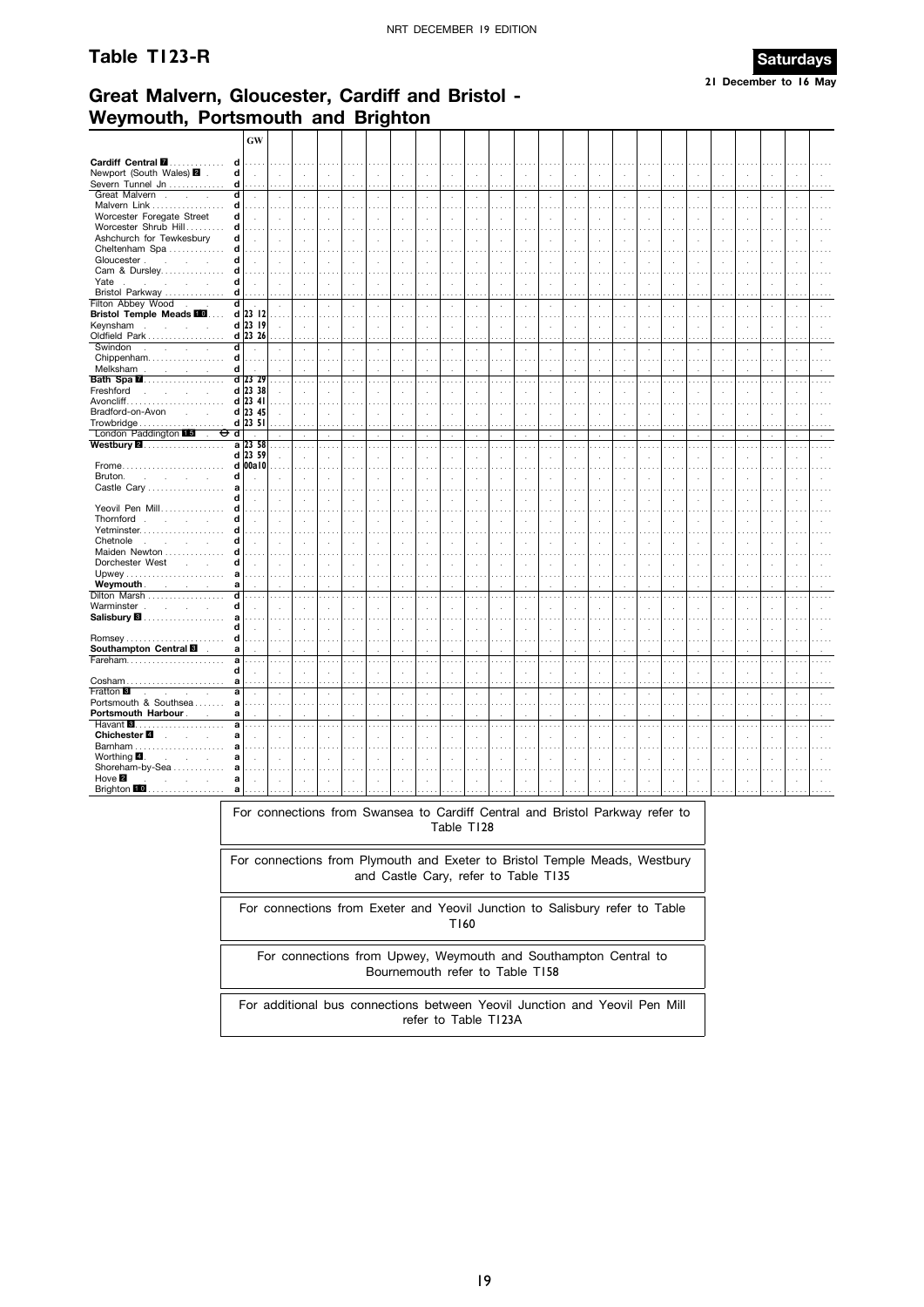#### Table T123-R



# Great Malvern, Gloucester, Cardiff and Bristol -Weymouth, Portsmouth and Brighton

|                                                                 | <b>GW</b>            |                           |                                  |                                  |                                |                          |                                              |                          |                                  |                      |                     |                |                      |                      |                          |                                              |                             |                      |                      |                      |                      |                             |                      |               |
|-----------------------------------------------------------------|----------------------|---------------------------|----------------------------------|----------------------------------|--------------------------------|--------------------------|----------------------------------------------|--------------------------|----------------------------------|----------------------|---------------------|----------------|----------------------|----------------------|--------------------------|----------------------------------------------|-----------------------------|----------------------|----------------------|----------------------|----------------------|-----------------------------|----------------------|---------------|
| Cardiff Central <b>M</b><br>d                                   | $\sim$               | .                         | $\cdots$                         |                                  | .                              |                          | $\cdots$                                     |                          |                                  |                      |                     |                |                      |                      |                          |                                              |                             |                      |                      |                      |                      |                             |                      |               |
| Newport (South Wales) 2<br>d<br>Severn Tunnel Jn<br>d           | $\ddot{\phantom{a}}$ | $\mathcal{L}$             | $\bar{a}$                        | $\mathcal{L}$                    | $\sim$                         | $\epsilon$               | $\ddot{\phantom{a}}$                         | ÷,                       | $\ddot{\phantom{a}}$             | $\ddot{\phantom{a}}$ | $\sim$              | $\cdot$        | $\cdot$              | J.                   | $\cdot$                  | $\lambda$                                    | ÷.                          |                      |                      |                      | $\ddot{\phantom{a}}$ | ÷.                          | $\overline{a}$       |               |
| Great Malvern.<br>$\overline{\mathsf{d}}$<br>$\sim$             | $\cdots$<br>$\sim$   | $\cdots$<br>$\mathcal{L}$ | $\cdots$<br>$\mathcal{L}$        | $\cdots$<br>$\mathcal{L}$        | $\cdots$<br>$\mathcal{L}$      | $\mathcal{L}$            | $\mathcal{L}$                                | $\cdots$<br>$\sim$       | $\ddot{\phantom{a}}$             | $\lambda$            | $\cdots$<br>$\cdot$ | $\cdot$        | $\sim$               | $\epsilon$           | $\cdot$                  | $\lambda$                                    | $\mathcal{L}_{\mathcal{A}}$ | $\cdot$              | $\cdot$              | $\cdot$              | $\mathcal{L}$        | $\sim$                      | $\ddot{\phantom{a}}$ |               |
| Malvern Link<br>d                                               |                      |                           |                                  |                                  |                                |                          |                                              |                          |                                  |                      |                     |                |                      |                      |                          |                                              |                             |                      |                      |                      |                      |                             |                      |               |
| Worcester Foregate Street<br>d                                  | $\bar{a}$            | ÷.                        |                                  |                                  |                                |                          |                                              |                          |                                  |                      |                     |                |                      |                      |                          |                                              |                             |                      |                      |                      |                      |                             |                      |               |
| Worcester Shrub Hill<br>d                                       | .                    | .                         | $\sim$                           |                                  |                                |                          |                                              |                          | $\sim$ $\sim$                    | $\sim$               | i.                  |                |                      |                      |                          |                                              |                             |                      |                      |                      |                      |                             |                      |               |
| Ashchurch for Tewkesbury<br>d                                   | $\overline{a}$       |                           |                                  |                                  | $\mathcal{A}$                  | $\overline{\phantom{a}}$ | $\ddot{\phantom{1}}$                         | ÷.                       | $\ddot{\phantom{a}}$             |                      | ÷.                  |                | $\cdot$              | J.                   | $\lambda$                |                                              | $\mathbf{r}$                |                      |                      |                      | $\ddot{\phantom{a}}$ | $\ddot{\phantom{a}}$        |                      |               |
| d<br>Cheltenham Spa                                             |                      |                           |                                  |                                  |                                |                          |                                              |                          |                                  |                      |                     |                | .                    |                      |                          |                                              |                             |                      |                      |                      |                      |                             |                      |               |
| Gloucester.<br>d<br>and the control                             | $\overline{a}$       | J.                        |                                  |                                  | ÷.                             | J.                       | J.                                           | ÷.                       | $\mathbf{r}$                     |                      | $\mathbf{r}$        |                | $\cdot$              | i,                   | J.                       |                                              | $\overline{a}$              |                      |                      |                      | J.                   | J.                          |                      |               |
| Cam & Dursley<br>d                                              | .                    | .                         | والمرادي                         |                                  | $\sim$ $\sim$                  |                          | $\sim$ $\sim$                                | $\sim$ $\sim$            | $\sim$ $\sim$                    |                      | $\cdots$            |                | $\cdots$             |                      |                          |                                              | $\cdots$                    | والمعاد              |                      |                      |                      | $\cdots$                    |                      |               |
| Yate<br>d<br>i.                                                 | $\mathbf{r}$         |                           |                                  |                                  | ÷.                             | $\lambda$                | $\ddot{\phantom{a}}$                         | ÷.                       | $\mathbf{r}$                     |                      | $\mathbf{r}$        |                | $\mathbf{r}$         | J.                   | ÷.                       |                                              | $\mathbf{r}$                |                      |                      | ÷.                   |                      | ×.                          |                      |               |
| Bristol Parkway<br>d                                            | $\cdots$             | $\sim$                    | $\sim$                           |                                  |                                |                          |                                              |                          |                                  |                      |                     |                |                      |                      |                          |                                              |                             |                      |                      |                      |                      |                             |                      |               |
| Filton Abbey Wood.<br>ď                                         | $\sim$               | $\bar{z}$                 | $\cdot$                          | $\bar{z}$                        | $\epsilon$                     | $\cdot$                  | $\cdot$                                      | $\epsilon$               | $\cdot$                          | $\cdot$              | à,                  | $\cdot$        | à.                   | $\epsilon$           | $\overline{\phantom{a}}$ | i,                                           | $\epsilon$                  | $\cdot$              | i,                   | $\cdot$              | $\cdot$              | $\cdot$                     | $\cdot$              |               |
| <b>Bristol Temple Meads FO</b>                                  | $d$ 23 12            | $\sim$                    | in die                           |                                  | $\sim$                         |                          |                                              |                          |                                  |                      |                     |                |                      |                      |                          |                                              |                             |                      |                      |                      |                      |                             |                      |               |
| Keynsham                                                        | d 23 19              | ÷                         | $\overline{\phantom{a}}$         | $\cdot$                          | $\bar{z}$                      | $\epsilon$               | $\lambda$                                    | ÷,                       | $\mathbf{r}$                     | $\ddot{\phantom{a}}$ | ÷.                  | $\overline{a}$ | $\cdot$              | i,                   | $\cdot$                  | $\mathbf{r}$                                 | $\mathbf{r}$                | $\mathbf{r}$         | $\epsilon$           | $\ddot{\phantom{a}}$ | $\ddot{\phantom{a}}$ | $\mathcal{A}$               | ÷.                   |               |
| Oldfield Park                                                   | d 23 26              | .                         | $\cdots$                         |                                  | $\cdots$                       |                          | $\cdots$                                     | $\cdots$                 | $\cdots$                         |                      |                     |                | $\cdots$             |                      |                          |                                              |                             |                      |                      |                      |                      |                             |                      |               |
| Swindon<br>d l<br>control of the control<br>$\sim$              | $\cdot$              |                           |                                  |                                  | $\sim$                         | $\bar{z}$                | ÷,                                           |                          | $\lambda$                        |                      | ÷.                  |                | $\mathcal{L}$        |                      |                          |                                              |                             |                      |                      |                      |                      | $\lambda$                   |                      |               |
| Chippenham<br>$\mathbf d$                                       | .                    | .                         | .                                | $\cdots$                         | .                              | .                        | $\sim$                                       | $\sim$ $\sim$            | $\cdots$                         |                      | $\sim$              |                | $\ldots$ .           |                      | $\sim$                   | .                                            | .                           | $\sim$               | .                    | $\sim$ $\sim$        | $\cdots$             | $\cdots$                    | 1.11                 |               |
| d                                                               | d 23 29              |                           |                                  |                                  |                                |                          |                                              |                          |                                  |                      |                     |                |                      |                      |                          |                                              |                             |                      |                      |                      |                      |                             |                      |               |
| Bath Spa <b>M</b><br>Freshford<br>and a strategic and           | d 23 38              | .                         | $\cdots$                         |                                  | $\cdots$                       |                          | $\cdots$                                     | $\sim$                   | $\sim$ $\sim$                    | $\sim$ $\sim$        | $\cdots$            |                | $\cdots$             | $\sim$ $\sim$        | $\sim$ $\sim$            | .                                            | $\cdots$                    | $\sim$ $\sim$        |                      |                      |                      | $\cdots$                    |                      |               |
|                                                                 | $d$ 23 41            | J.<br>$\ldots$            | $\cdots$                         |                                  |                                |                          |                                              |                          |                                  |                      |                     |                |                      |                      |                          |                                              |                             |                      |                      |                      |                      |                             |                      |               |
| Bradford-on-Avon<br>$\mathcal{L}^{\text{max}}$ and              | d 23 45              | $\mathcal{L}$             | $\ddot{\phantom{a}}$             | ÷                                | $\ddot{\phantom{a}}$<br>$\sim$ | $\mathbf{r}$             | $\mathbf{r}$                                 | ÷.                       | $\mathbf{r}$                     |                      | ÷.                  |                | $\mathbf{r}$         |                      | $\mathbf{r}$             | $\sim$<br>$\mathbf{r}$                       | ÷                           |                      |                      | $\mathbf{r}$         | $\mathbf{r}$         |                             |                      |               |
| Trowbridge                                                      | $d$ 23 51            | $\cdots$                  | $\cdots$                         | $\cdots$                         | $\mathbf{r}$                   |                          | $\cdots$                                     | $\cdots$                 | $\cdots$                         | ÷.                   | $\cdots$            |                | .                    | k.                   | $\cdots$                 |                                              | $\cdots$                    |                      |                      |                      |                      | $\mathcal{A}$<br>$\cdots$   |                      |               |
| London Paddington <b>15</b><br>⊕<br>al<br>$\sim$                |                      | $\sim$                    | $\bar{z}$                        | $\epsilon$                       | $\cdot$                        | $\cdot$                  | $\cdot$                                      | $\epsilon$               | $\cdot$                          | $\cdot$              | $\cdot$             | $\cdot$        | $\cdot$              | $\epsilon$           | $\epsilon$               | $\cdot$                                      | $\epsilon$                  | $\cdot$              | $\epsilon$           | $\cdot$              | $\cdot$              | $\alpha$                    | $\cdot$              |               |
| Westbury <b>2.</b>                                              | a 23 58              | .                         | a a c                            | .                                | .                              | $\ldots$                 | .                                            | $\ldots$ .               | $\cdots$                         | .                    | $\cdots$            | $\cdots$       | $\ldots$ .           | $\ldots$ .           | $\ldots$                 | .                                            | $\ldots$ .                  | .                    | $\sim$ $\sim$ $\sim$ | $\sim$               | $\cdots$             | .                           | $\ldots$ .           | $\sim 100$    |
|                                                                 | d 23 59              | J.                        |                                  |                                  |                                | à.                       | $\ddot{\phantom{a}}$                         | ÷.                       | $\mathbf{r}$                     | ÷.                   | ÷.                  |                | $\epsilon$           |                      | $\lambda$                |                                              | $\mathbf{r}$                |                      |                      |                      | $\mathbf{r}$         | ÷.                          |                      |               |
|                                                                 | $d$ 00a10            | $\cdots$                  | $\sim$                           |                                  |                                |                          |                                              |                          |                                  |                      |                     |                |                      |                      |                          |                                              |                             |                      |                      |                      |                      |                             |                      |               |
| Bruton.<br>d<br>and the control<br>$\sim$                       | ÷.                   |                           |                                  | ÷                                | ÷.                             | ÷.                       | $\ddot{\phantom{a}}$                         | ÷.                       | $\overline{\phantom{a}}$         | ÷.                   | ÷.                  |                | ÷                    | J.                   | J.                       |                                              | ÷.                          |                      |                      |                      | ÷                    | ÷,                          |                      |               |
| Castle Cary<br>a                                                | $\sim$               | $\sim$                    |                                  |                                  |                                |                          |                                              |                          | $\sim$ $\sim$                    |                      |                     |                | $\cdots$             |                      |                          |                                              | .                           |                      |                      |                      |                      |                             |                      |               |
| d                                                               | $\overline{a}$       |                           |                                  |                                  | ÷,                             |                          |                                              |                          | $\mathbf{r}$                     |                      |                     |                | $\epsilon$           |                      |                          |                                              |                             |                      |                      |                      |                      |                             |                      |               |
| Yeovil Pen Mill<br>d                                            |                      |                           |                                  |                                  | $\sim$ $\sim$                  |                          |                                              |                          | $\cdots$                         |                      |                     |                | $\cdots$             |                      |                          |                                              |                             |                      |                      |                      |                      |                             |                      |               |
| Thornford.<br>d<br><b>Service</b>                               |                      |                           |                                  |                                  | ÷.                             |                          | ÷.                                           | ÷.                       | $\mathbf{r}$                     |                      | ÷.                  |                | $\ddot{\phantom{a}}$ | J.                   | $\lambda$                |                                              |                             |                      |                      |                      |                      |                             |                      |               |
| Yetminster<br>d                                                 |                      |                           |                                  |                                  |                                |                          |                                              |                          |                                  |                      |                     |                |                      |                      |                          |                                              |                             |                      |                      |                      |                      |                             |                      |               |
| Chetnole<br>d<br>and the company of the com-                    | $\overline{a}$       | ÷.                        |                                  | $\mathcal{L}$                    | $\mathbf{r}$                   | ÷,                       | ÷.                                           | ÷.                       | $\mathbf{r}$                     |                      | ÷.                  |                | $\overline{a}$       | i,                   | J.                       |                                              | ×                           |                      |                      |                      | $\overline{a}$       | i,                          |                      |               |
| Maiden Newton<br>d                                              | $\cdots$             | .                         | $\sim$                           |                                  | $\sim$ $\sim$                  |                          |                                              |                          |                                  |                      | $\sim$              |                | .                    |                      |                          |                                              |                             |                      |                      |                      |                      |                             |                      |               |
| Dorchester West<br>d<br><b>Contractor</b>                       | $\sim$               | ÷.                        | $\mathbf{r}$                     | $\mathbf{r}$                     | $\sim$                         | $\mathbf{r}$             | $\mathbf{r}$                                 | ÷.                       | $\mathbf{r}$                     | $\mathbf{r}$         | $\mathbf{r}$        | $\mathbf{r}$   | $\mathbf{r}$         | ÷.                   | $\mathbf{r}$             | $\mathbf{r}$                                 | $\sim$                      |                      |                      | $\mathbf{r}$         | $\mathbf{r}$         | ÷.                          | $\ddot{\phantom{1}}$ |               |
| a<br>Weymouth.<br>a                                             | $\cdots$             | .                         | $\sim$                           |                                  | $\sim$                         |                          | $\sim$ $\sim$                                | $\ldots$                 | $\ldots$                         |                      | $\cdots$            |                | $\cdots$             |                      | $\sim$                   |                                              |                             | $\sim$               |                      |                      |                      | $\mathbf{r}$                |                      |               |
| and the control<br>Dilton Marsh<br>d                            | $\cdot$<br>.         | .                         | $\sim$                           | .                                | .                              | $\sim$                   | $\sim 100$                                   | ÷,<br>$\cdots$           | $\ldots$                         | $\sim$               | $\cdots$            | 1.111          | .                    | $\sim$ $\sim$        | $\cdot$<br>$\ldots$      | .                                            | $\cdots$                    | $\sim$               | $\cdots$             | $\sim$ $\sim$        | $\sim$ $\sim$        | $\ldots$                    | $\sim$               |               |
| Warminster.<br>d<br><b>Sales State</b>                          | ÷.                   | ÷.                        |                                  |                                  | ÷.                             | ÷.                       | $\ddot{\phantom{a}}$                         | ÷.                       | $\lambda$                        | ÷.                   | ÷.                  |                | $\ddot{\phantom{a}}$ | i,                   | $\lambda$                |                                              |                             |                      |                      |                      | J.                   | J.                          |                      |               |
| a                                                               |                      |                           |                                  |                                  |                                |                          |                                              |                          |                                  |                      |                     |                |                      |                      |                          |                                              |                             |                      |                      |                      |                      |                             |                      |               |
| d                                                               | $\mathbf{r}$         | ÷.                        | $\mathbf{r}$                     | $\overline{a}$                   | $\mathcal{L}$                  | $\mathbf{r}$             | $\mathbf{r}$                                 | $\lambda$                | $\overline{\phantom{a}}$         | ÷.                   | ÷.                  |                | $\mathbf{r}$         | J.                   | $\mathbf{r}$             | J.                                           | $\mathbf{r}$                | ÷.                   |                      |                      | $\overline{a}$       | ÷,                          | J.                   |               |
| Romsey<br>d                                                     |                      | $\sim$                    | $\sim$                           |                                  | $\mathbf{r}$                   |                          | $\cdots$                                     |                          | $\sim$                           | $\sim$               | $\cdots$            |                | $\cdots$             |                      | $\cdots$                 | $\sim$                                       | $\mathbf{r}$                | $\sim$               |                      |                      |                      | $\mathbf{r}$                |                      |               |
| Southampton Central <b>8</b><br>a                               |                      |                           |                                  |                                  |                                |                          |                                              |                          |                                  |                      |                     |                |                      |                      |                          |                                              |                             |                      |                      |                      |                      |                             |                      |               |
| a                                                               | .                    | .                         | $\cdots$                         | .                                | .                              | $\cdots$                 | .                                            | .                        | .                                | .                    | $\cdots$            | $\cdots$       | .                    | $\sim$ $\sim$ $\sim$ | .                        | .                                            | $\cdots$                    | .                    | .                    | $\sim$               | .                    | .                           | $\ldots$ .           | $\sim$ $\sim$ |
|                                                                 |                      | ÷.                        | $\mathbf{r}$                     | $\overline{a}$                   | $\mathbf{r}$                   | $\epsilon$               | $\mathcal{A}$                                | $\sim$                   | $\mathbf{r}$                     | $\cdot$              | $\sim$              | $\cdot$        | $\mathcal{L}$        | $\epsilon$           | $\ddot{\phantom{a}}$     | $\mathcal{A}$                                | ÷.                          |                      |                      | $\cdot$              | $\cdot$              | $\mathcal{A}$               | $\lambda$            |               |
| Cosham<br>a<br>Fratton 3<br>a                                   | $\cdots$             | .                         | $\cdots$                         | .                                | $\cdots$                       | .                        | $\cdots$                                     | $\cdots$                 | $\cdots$                         | $\cdots$             | $\cdots$            | $\cdots$       | .                    | $\cdots$             | $\cdots$                 | $\cdots$                                     | .                           | $\cdots$             |                      | $\cdots$             | .                    | $\cdots$                    |                      |               |
| $\mathcal{L}$<br>$\sim$<br>$\sim$<br>Portsmouth & Southsea<br>a | $\bar{z}$<br>.       | $\lambda$<br>$\cdots$     | $\ddot{\phantom{a}}$<br>$\cdots$ | $\ddot{\phantom{a}}$<br>$\cdots$ | $\mathcal{L}$                  | $\epsilon$               | $\mathcal{L}_{\mathcal{A}}$<br>$\sim$ $\sim$ | ÷.                       | $\lambda$                        | $\cdot$              | ÷.<br>$\sim$        |                | ÷.                   | à.                   | $\cdot$                  | ÷,                                           | ÷.                          | $\ddot{\phantom{a}}$ |                      | $\cdot$              | ÷.                   | $\mathcal{L}_{\mathcal{A}}$ | $\cdot$              |               |
| Portsmouth Harbour.<br>a<br>$\sim$                              | $\lambda$            | ÷.                        |                                  |                                  | $\sim$ $\sim$<br>$\sim$        |                          | $\ddot{\phantom{a}}$                         | $\sim$ $\sim$<br>$\cdot$ | $\cdots$<br>$\ddot{\phantom{a}}$ | $\cdots$             | ÷.                  |                | 1.1.1<br>$\cdot$     | ÷,                   | $\cdots$<br>÷,           | .<br>$\mathcal{A}$                           | $\cdots$<br>$\cdot$         | والمعاد              |                      |                      |                      | .<br>÷,                     |                      |               |
| Havant <b>8.</b><br>$\overline{a}$                              | .                    | .                         | $\cdots$                         | $\ldots$                         | $\ldots$                       | $\ldots$                 | $\ldots$                                     | $\cdots$                 | $\ldots$                         | $\cdots$             | $\ldots$            | .              | $\cdots$             | $\cdots$             | $\ldots$                 | .                                            | $\ldots$                    | $\cdots$             | $\cdots$             | $\cdots$             | $\ldots$             | .                           | $\ldots$             |               |
| Chichester <sup>1</sup><br>a                                    | $\overline{a}$       | ÷.                        |                                  |                                  | ÷,                             |                          | ÷,                                           | ÷,                       |                                  |                      |                     |                | $\ddot{\phantom{a}}$ | ł,                   | $\cdot$                  |                                              | $\cdot$                     |                      |                      |                      | l,                   | i,                          |                      |               |
| a                                                               |                      | $\cdots$                  |                                  |                                  |                                |                          |                                              |                          |                                  |                      |                     |                |                      |                      |                          |                                              |                             |                      |                      |                      |                      |                             |                      |               |
| Worthing <b>4.</b><br><b>Carl Carl Car</b><br>a                 |                      |                           |                                  |                                  |                                |                          |                                              |                          |                                  |                      |                     |                |                      |                      |                          |                                              |                             |                      |                      |                      |                      |                             |                      |               |
| Shoreham-by-Sea<br>a                                            |                      |                           |                                  |                                  |                                |                          |                                              |                          |                                  |                      |                     |                |                      |                      |                          |                                              |                             |                      |                      |                      |                      |                             |                      |               |
| Hove 2<br>$\sim$<br>$\sim$<br>a<br>$\sim$ 10                    | $\mathcal{L}$        | $\mathcal{L}$             | $\overline{a}$                   |                                  | ÷.                             | $\mathbf{r}$             | $\mathbf{r}$                                 | ÷.                       | $\overline{a}$                   |                      | $\mathbf{r}$        |                | $\mathbf{r}$         | i,                   | $\mathbf{r}$             |                                              | $\mathbf{r}$                |                      |                      |                      | $\mathbf{r}$         | $\sim$                      | $\mathbf{r}$         |               |
| Brighton 10<br>a                                                | .                    | .                         |                                  |                                  |                                |                          |                                              |                          |                                  |                      |                     |                |                      |                      |                          |                                              |                             |                      |                      |                      |                      |                             |                      |               |
|                                                                 |                      |                           |                                  |                                  | Ear connoctions from           |                          | C                                            |                          |                                  |                      |                     |                |                      |                      |                          | ardiff Control and Priotal Parleway rafar to |                             |                      |                      |                      |                      |                             |                      |               |

For connections from Swansea to Cardiff Central and Bristol Parkway refer to Table T128

For connections from Plymouth and Exeter to Bristol Temple Meads, Westbury and Castle Cary, refer to Table T135

For connections from Exeter and Yeovil Junction to Salisbury refer to Table T160

For connections from Upwey, Weymouth and Southampton Central to Bournemouth refer to Table T158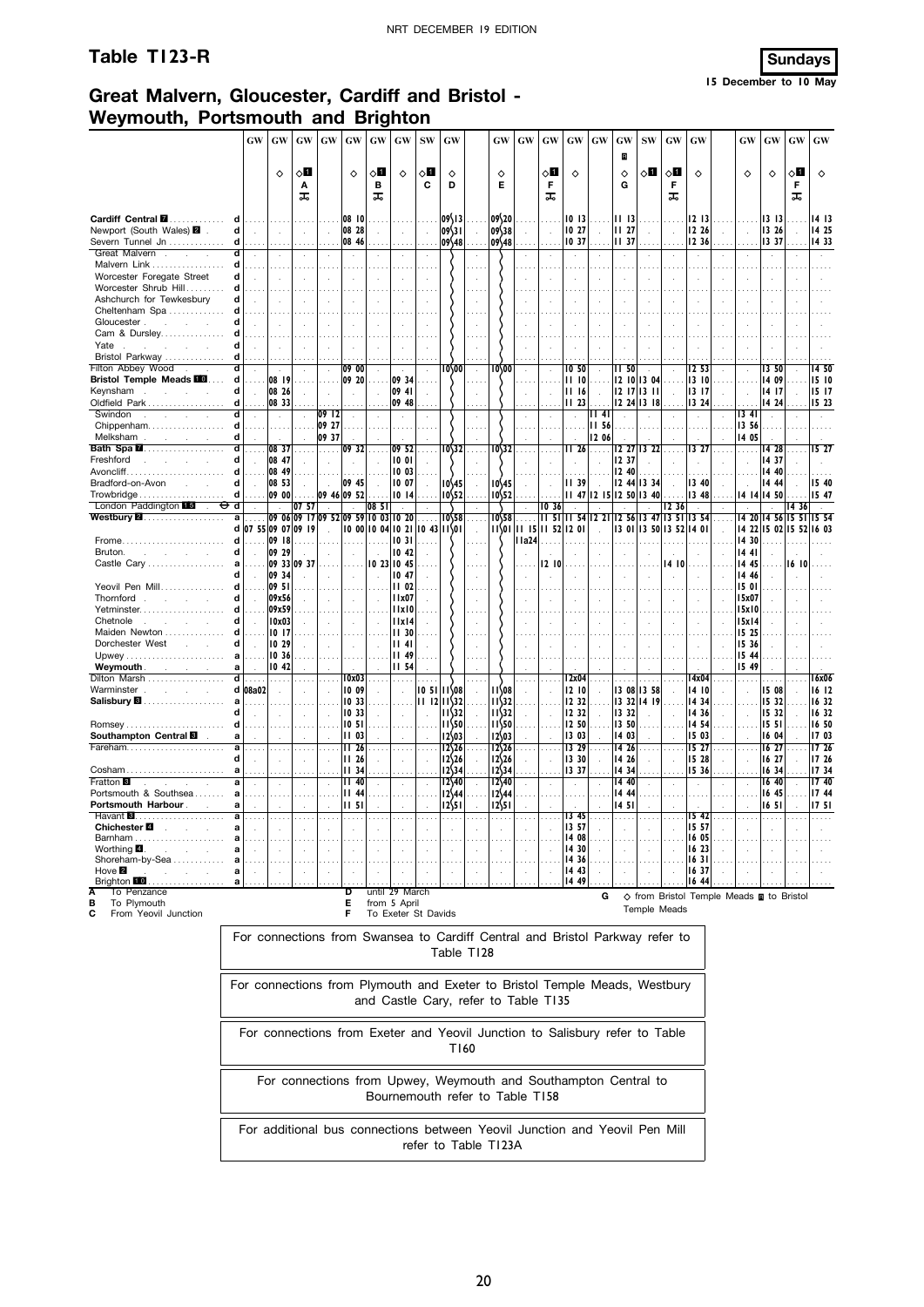## **Table T123-R Sundays**

# **Great Malvern, Gloucester, Cardiff and Bristol - Weymouth, Portsmouth and Brighton**

|                                                  |        | GW                   | GW             | GW                                     | GW    | GW                     | GW       | GW                                  | ${\bf SW}$     | GW                        |            | GW                                                                           | GW     | GW                | GW             | GW                | GW                      | <b>SW</b>           | GW          | GW                                                             | GW             | GW             | GW          | GW             |
|--------------------------------------------------|--------|----------------------|----------------|----------------------------------------|-------|------------------------|----------|-------------------------------------|----------------|---------------------------|------------|------------------------------------------------------------------------------|--------|-------------------|----------------|-------------------|-------------------------|---------------------|-------------|----------------------------------------------------------------|----------------|----------------|-------------|----------------|
|                                                  |        |                      |                |                                        |       |                        |          |                                     |                |                           |            |                                                                              |        |                   |                |                   | R                       |                     |             |                                                                |                |                |             |                |
|                                                  |        |                      | $\Diamond$     | √0<br>Α                                |       | ♦                      | √∏<br>в  | $\Diamond$                          | ◇Ø<br>C        | ♦<br>D                    |            | ♦<br>Е                                                                       |        | ◇П<br>F           | ♦              |                   | ♦<br>G                  | ◇П                  | ू∏<br>F     | ♦                                                              | ♦              | ♦              | ◇Ш<br>F     | $\Diamond$     |
|                                                  |        |                      |                | ᠼ                                      |       |                        | ᠼ        |                                     |                |                           |            |                                                                              |        | ᠼ                 |                |                   |                         |                     | ᠼ           |                                                                |                |                | ᠼ           |                |
| Cardiff Central <b>II</b> .                      | d      |                      |                |                                        |       | 08 10                  |          |                                     |                | 09\13                     |            | 09\20                                                                        |        |                   | 1013           |                   | 1113                    |                     |             | 1213                                                           |                | 13 13          |             | 14 13          |
| Newport (South Wales) 2                          | d      |                      |                |                                        |       | 08 28                  |          |                                     |                | 09\31                     |            | 09\38                                                                        |        |                   | 10 27          |                   | <b>II</b> 27            |                     |             | 12 26                                                          |                | 13 26          |             | 14 25          |
| Severn Tunnel Jn<br>Great Malvern.<br>$\sim$     | d      | $\mathbf{r}$         |                |                                        |       | 08 46<br>$\mathcal{L}$ |          |                                     |                | 09\48                     |            | 09\48                                                                        |        |                   | 10 37          |                   | II 37                   |                     |             | 12 36<br>÷                                                     |                | 1337<br>÷.     |             | 14 33          |
| Malvern Link                                     | d      |                      |                |                                        |       |                        |          |                                     |                |                           |            |                                                                              |        |                   |                |                   |                         |                     |             |                                                                |                |                |             |                |
| Worcester Foregate Street                        | d      |                      |                |                                        |       |                        |          |                                     |                |                           |            |                                                                              |        |                   |                |                   |                         |                     |             |                                                                |                |                |             |                |
| Worcester Shrub Hill<br>Ashchurch for Tewkesbury | d<br>d |                      |                |                                        |       |                        |          |                                     |                |                           |            |                                                                              |        |                   |                |                   |                         |                     |             |                                                                |                |                |             |                |
| Cheltenham Spa                                   | d      |                      |                |                                        |       |                        |          |                                     |                |                           |            |                                                                              |        |                   |                |                   |                         |                     |             |                                                                |                |                |             |                |
| Gloucester.<br>and the state                     | d      |                      |                |                                        |       |                        |          |                                     |                |                           |            |                                                                              |        |                   |                |                   |                         |                     |             |                                                                |                |                |             |                |
| Cam & Dursley                                    | d      |                      |                |                                        |       |                        |          |                                     |                |                           |            |                                                                              |        |                   |                |                   |                         |                     |             |                                                                |                |                |             |                |
| Yate<br><b>Bristol Parkway</b><br>.              | d<br>d |                      |                |                                        |       |                        |          |                                     |                |                           |            |                                                                              |        |                   |                |                   |                         |                     |             |                                                                |                |                |             |                |
| Filton Abbey Wood                                |        | $\mathbf{r}$         | $\sim$         |                                        |       | 09 00                  |          | $\mathbf{r}$                        |                | 10/00                     | $\cdot$    | 10/00                                                                        |        |                   | 10 50          |                   | II 50                   |                     |             | I2 53                                                          |                | 13,50          |             | 14 50          |
| <b>Bristol Temple Meads III</b>                  | d      | $\sim$               | 08 19          |                                        |       | 09 20                  |          | 09 34                               |                |                           |            |                                                                              |        |                   | 1110           |                   |                         | 12 10 13 04         |             | 13 10                                                          |                | 14 09          |             | 15 10          |
| Keynsham                                         | d      | $\bar{a}$            | 08 26          |                                        |       |                        |          | 09 41                               |                |                           |            |                                                                              |        |                   | 1116           | $\mathcal{L}$     |                         | $12$ $17$ $13$ $11$ |             | 13 17                                                          |                | 14 17          |             | 15 17          |
| Oldfield Park<br>Swindon                         | d      |                      | 08 33          |                                        | 09 12 |                        |          | 09 48                               |                |                           |            |                                                                              |        |                   | 11,23          | $\ldots$<br>II 41 |                         | 12 24 13 18         |             | 13 24                                                          | 34             | 14 24          |             | 15 23          |
| Chippenham                                       | d      |                      |                |                                        | 09 27 |                        |          |                                     |                |                           | .          |                                                                              |        |                   |                | <b>II 56</b>      |                         |                     |             |                                                                | 13 56          |                |             |                |
| Melksham                                         | d      |                      |                |                                        | 09 37 |                        |          |                                     |                |                           |            |                                                                              |        |                   |                | 12 06             |                         |                     |             |                                                                | 14 05          |                |             |                |
| Bath Spa <b>M</b><br>Freshford                   | d<br>d | $\cdots$             | 08 37<br>08 47 |                                        | .     | 09 32                  | $\cdots$ | 09 52<br>1001                       | .              | 10\32                     | $\ldots$   | 10\32                                                                        |        | .                 | II 26          |                   | 12 37                   | 12 27 13 22         |             | 13 27                                                          |                | 14 28<br>14 37 |             | 15 27          |
|                                                  | d      |                      | 08 49          |                                        |       |                        |          | 1003                                |                |                           |            |                                                                              |        |                   |                |                   | 12 40                   |                     |             |                                                                |                | 14 40          |             |                |
| Bradford-on-Avon                                 | d      |                      | 08 53          |                                        |       | 09 45                  |          | 10 07                               |                | 10\45                     |            | 10\45                                                                        |        |                   | <b>II</b> 39   |                   |                         | 12 44 13 34         |             | 13 40                                                          |                | 14 44          |             | 15 40          |
| Trowbridge                                       | d      |                      | 09 00          |                                        |       | 09 46 09 52            |          | 1014                                |                | 10\52                     |            | 10\52                                                                        |        |                   |                |                   | 11 47 12 15 12 50 13 40 |                     |             | 13 48                                                          |                | 4  4  4 50     |             | 15 47          |
| London Paddington 15<br>U<br>Westbury <b>2.</b>  | d<br>a |                      |                | 07 57<br>09 06 09 17 09 52 09 59 10 03 |       |                        | 085      | 10 20                               |                | 10\58                     | 1.1.1      | 10\58                                                                        | .      | IO 36             | II 51 II 54    | 221               |                         | 12 56 13 47 13 51   | 1236        | 1354                                                           | 14 20          | 14 56 15       | 1436<br>51  | 15 54          |
|                                                  |        |                      |                | d 07 55 09 07 09 19                    |       |                        |          | 10 00 10 04 10 21                   | 10 43 11\01    |                           | ÷          | $11\sqrt{01}$                                                                |        | 11 15 11 52 12 01 |                | ÷.                | 1301                    |                     | 13 50 13 52 | 14 OI                                                          | 14 22          |                | 15 02 15 52 | 16 03          |
| Frome                                            | d      |                      | 09 18          |                                        |       |                        |          | 1031                                |                |                           |            |                                                                              | I la24 |                   |                |                   |                         |                     |             |                                                                | 14 30          |                |             |                |
| Bruton.<br>$\sim$                                | d      |                      | 09 29          |                                        |       |                        |          | 10 42                               |                |                           |            |                                                                              |        |                   |                |                   |                         |                     |             |                                                                | 14 41          |                |             |                |
| Castle Cary                                      |        |                      | 09 34          | 09 33 09 37                            |       |                        |          | 10 23 10 45<br>1047                 |                |                           |            |                                                                              |        | I2 IO             |                |                   |                         |                     | 14 IO       |                                                                | 14 45<br>14 46 |                | 16 10       |                |
| Yeovil Pen Mill                                  |        |                      | 09 51          |                                        |       |                        |          | <b>II 02</b>                        |                |                           |            |                                                                              |        |                   |                |                   |                         |                     |             |                                                                | 15 01          |                |             |                |
| Thornford.<br>and the                            | d      |                      | 09x56          |                                        |       |                        |          | 11x07                               |                |                           |            |                                                                              |        |                   |                |                   |                         |                     |             |                                                                | 15x07          |                |             |                |
| Yetminster<br>Chetnole<br>$\sim 10^{-1}$         | d      |                      | 09x59<br>10x03 |                                        |       |                        |          | lixi0<br>11x14                      |                |                           |            |                                                                              |        |                   |                |                   |                         |                     |             |                                                                | 15x10<br>15x14 |                |             |                |
| Maiden Newton                                    |        |                      | 1017           |                                        |       |                        |          | II 30                               |                |                           |            |                                                                              |        |                   |                |                   |                         |                     |             |                                                                | 15 25          |                |             |                |
| Dorchester West<br>$\sim$<br>$\sim$ 10 $\pm$     | d      |                      | 10 29          |                                        |       |                        |          | 4                                   |                |                           |            |                                                                              |        |                   |                |                   |                         |                     |             |                                                                | 15 36          |                |             |                |
|                                                  | a      |                      | 10 36          |                                        |       |                        |          | 1149                                |                |                           |            |                                                                              |        |                   |                |                   |                         |                     |             |                                                                | 15 44          |                |             |                |
| Weymouth.<br>and the con-<br>Dilton Marsh        | a<br>d |                      | 10.42          |                                        |       | l 0x03                 |          | <b>II 54</b>                        |                |                           |            |                                                                              |        |                   | l 2x04         |                   |                         |                     |             | l 4x04                                                         | 15 49          |                |             | 16x06          |
| Warminster.<br>s.                                |        | d 08a02              |                |                                        |       | 10 09                  |          |                                     | $105111$ $108$ |                           |            | I I \08                                                                      |        |                   | 1210           |                   |                         | 13 08 13 58         |             | 14 10                                                          |                | 1508           |             | 16 12          |
| Salisbury <b>8</b>                               |        |                      |                |                                        |       | 1033                   |          |                                     | 1112           | $11\overline{32}$         |            | 11\32                                                                        |        |                   | 12 32          |                   | 13 32                   | 14 19               |             | 14 34                                                          |                | 15 32          |             | 16 32          |
|                                                  |        |                      |                |                                        |       | 10 33                  |          |                                     |                | $11\overline{32}$         |            | $11\frac{32}{3}$                                                             |        |                   | 12 32          |                   | 13 32                   |                     |             | 1436                                                           |                | 15 32          |             | 16 32          |
| <b>Romsey</b><br>Southampton Central <b>8</b>    | d<br>a |                      |                |                                        |       | 10 5 I<br>II 03        |          |                                     |                | 11\50<br>12\03            |            | $11$ 50<br>12\03                                                             |        |                   | 12 50<br>13 03 |                   | 13 50<br>14 03          |                     |             | 1454<br>15 03                                                  |                | 1551<br>16 04  |             | 16 50<br>17 03 |
| Fareham                                          | a      |                      |                |                                        |       | 1126                   |          |                                     |                | 12\26                     |            | $12\frac{526}{5}$                                                            |        |                   | 13 29          | $\cdots$          | 14 26                   | $\cdots$            | $\sim$      | 15 27                                                          |                | 16 27          |             | 17 26          |
|                                                  |        |                      |                |                                        |       | <b>II</b> 26           |          |                                     |                | 12\26                     |            | $12\frac{526}{5}$                                                            |        |                   | 13 30          |                   | 14 26                   |                     |             | 15 28                                                          |                | 16 27          |             | 17 26          |
| Cosham.<br>Fratton <b>B</b>                      |        |                      |                |                                        |       | <b>II 34</b><br>II 40  |          |                                     |                | $12\frac{34}{3}$<br>12\40 |            | 12\34<br>12\40                                                               |        |                   | 13 37          |                   | 14 34<br>14 40          |                     |             | 15 36                                                          |                | 16 34<br>16 40 |             | 17 34<br>1740  |
| Portsmouth & Southsea                            |        |                      |                |                                        |       | $II$ 44                |          |                                     |                | $12\frac{44}{3}$          |            | 12\44                                                                        |        |                   |                |                   | 14 44                   |                     |             |                                                                |                | 16 45          |             | 17 44          |
| Portsmouth Harbour.                              |        |                      |                |                                        |       | 1151                   |          |                                     |                | 12\51                     |            | 12\51                                                                        |        |                   |                |                   | 1451                    |                     |             |                                                                |                | 1651           |             | 1751           |
| Havant $\blacksquare$<br>Chichester <b>⊠</b>     |        |                      |                |                                        |       |                        |          |                                     |                |                           |            |                                                                              |        | $\ldots$          | 13 45<br>13 57 |                   |                         |                     |             | 1542<br>15 57                                                  |                | .              |             | .              |
|                                                  | а      |                      |                |                                        |       |                        |          |                                     |                |                           |            |                                                                              |        |                   | 14 08          |                   |                         |                     |             | 16 05                                                          |                |                |             |                |
| Worthing $\blacksquare$ .                        | а      |                      |                |                                        |       |                        |          |                                     |                |                           |            |                                                                              |        |                   | 14 30          |                   |                         |                     |             | 16 23                                                          |                |                |             |                |
| Shoreham-by-Sea<br>Hove $\blacksquare$           | a<br>а |                      |                |                                        |       |                        |          |                                     |                |                           |            |                                                                              |        |                   | 14 36<br>14 43 |                   |                         |                     |             | 16 3 I<br>1637                                                 |                |                |             |                |
| Brighton 10                                      | а      | $\ddot{\phantom{1}}$ |                |                                        |       |                        |          |                                     |                |                           |            |                                                                              |        |                   | 14 49          |                   |                         |                     |             | 16 44                                                          |                |                |             |                |
| To Penzance                                      |        |                      |                |                                        |       | D                      |          | until 29 March                      |                |                           |            |                                                                              |        |                   |                | G                 |                         |                     |             | $\diamond$ from Bristol Temple Meads $\blacksquare$ to Bristol |                |                |             |                |
| To Plymouth<br>в<br>С<br>From Yeovil Junction    |        |                      |                |                                        |       | Е<br>F                 |          | from 5 April<br>To Exeter St Davids |                |                           |            |                                                                              |        |                   |                |                   |                         | Temple Meads        |             |                                                                |                |                |             |                |
|                                                  |        |                      |                |                                        |       |                        |          |                                     |                |                           |            |                                                                              |        |                   |                |                   |                         |                     |             |                                                                |                |                |             |                |
|                                                  |        |                      |                |                                        |       |                        |          |                                     |                |                           |            | For connections from Swansea to Cardiff Central and Bristol Parkway refer to |        |                   |                |                   |                         |                     |             |                                                                |                |                |             |                |
|                                                  |        |                      |                |                                        |       |                        |          |                                     |                |                           | Table T128 |                                                                              |        |                   |                |                   |                         |                     |             |                                                                |                |                |             |                |
|                                                  |        |                      |                |                                        |       |                        |          |                                     |                |                           |            |                                                                              |        |                   |                |                   |                         |                     |             |                                                                |                |                |             |                |
|                                                  |        |                      |                |                                        |       |                        |          |                                     |                |                           |            | For connections from Plymouth and Exeter to Bristol Temple Meads, Westbury   |        |                   |                |                   |                         |                     |             |                                                                |                |                |             |                |
|                                                  |        |                      |                |                                        |       |                        |          |                                     |                |                           |            | and Castle Cary, refer to Table T135                                         |        |                   |                |                   |                         |                     |             |                                                                |                |                |             |                |
|                                                  |        |                      |                |                                        |       |                        |          |                                     |                |                           |            |                                                                              |        |                   |                |                   |                         |                     |             |                                                                |                |                |             |                |
|                                                  |        |                      |                |                                        |       |                        |          |                                     |                |                           |            | For connections from Exeter and Yeovil Junction to Salisbury refer to Table  |        |                   |                |                   |                         |                     |             |                                                                |                |                |             |                |
|                                                  |        |                      |                |                                        |       |                        |          |                                     |                |                           |            |                                                                              |        |                   |                |                   |                         |                     |             |                                                                |                |                |             |                |

For connections from Upwey, Weymouth and Southampton Central to Bournemouth refer to Table T158

T160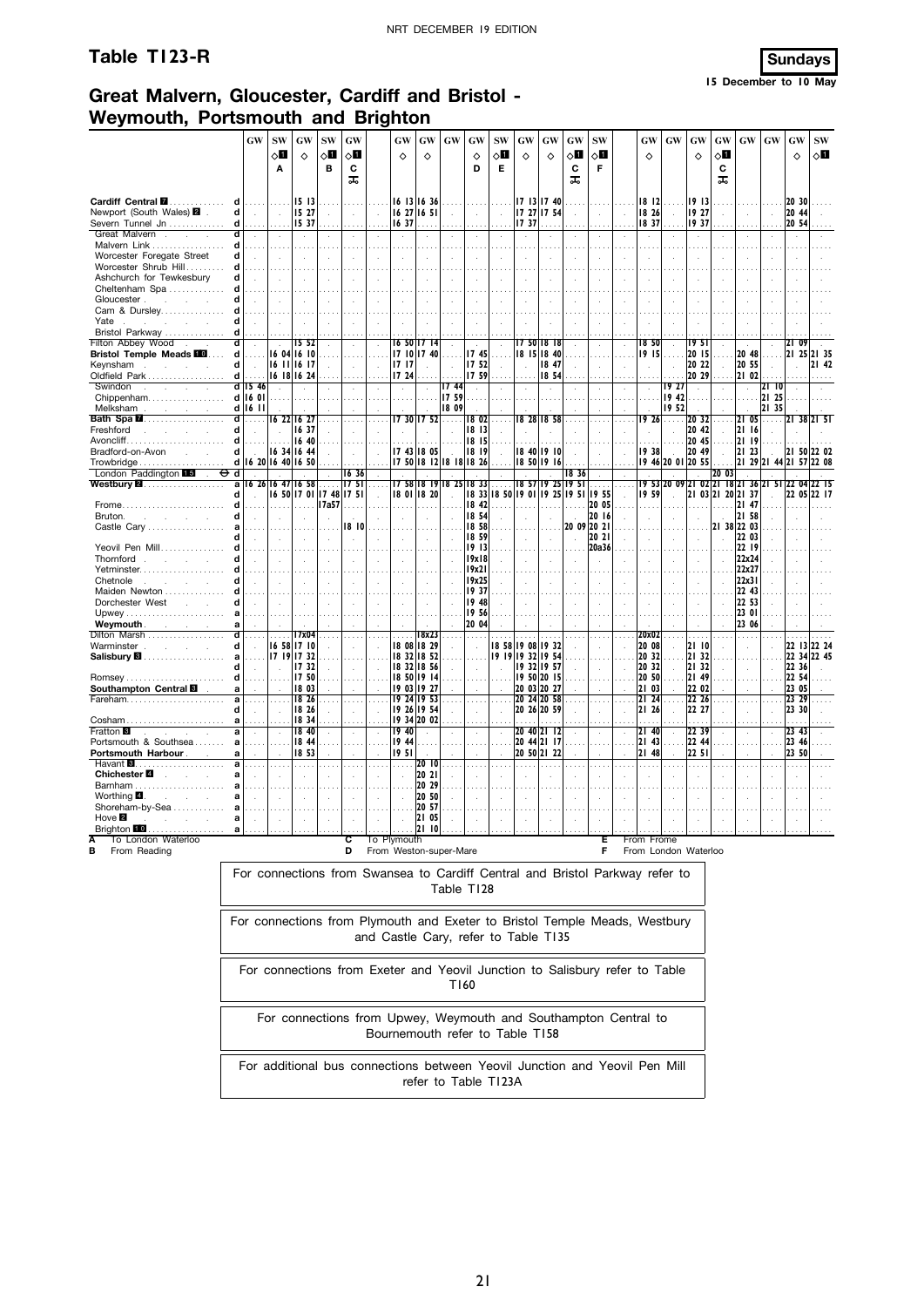## **Table T123-R Sundays**



**15 December to 10 May**

## **Great Malvern, Gloucester, Cardiff and Bristol - Weymouth, Portsmouth and Brighton**

|                                                                                                                                                                                                                                                                                            |                  | <b>GW</b>                                         | <b>SW</b><br>◇О<br>Α                             | GW<br>♦                                        | SW<br>◇Ø<br>в                                | GW<br>◇Ø<br>c<br>ᠼ                                      |                    | GW<br>♦                               | <b>GW</b><br>♦                                           | $\boldsymbol{\mathbf{G}}\boldsymbol{\mathbf{W}}$ | GW<br>♦<br>D                                                                                                       | <b>SW</b><br>√П<br>Е             | <b>GW</b><br>♦                                 | GW<br>♦                     |        | GW<br>◇Ⅱ<br>C<br>ᠼ | <b>SW</b><br>$\circ$ l<br>F              |               | GW<br>♦                     | GW                         | GW<br>♦                      | GW<br>◇Ⅱ<br>С<br>ᠼ                   | <b>GW</b>                        | <b>GW</b>                                  | GW<br>$\Diamond$                       | <b>SW</b><br>8П |
|--------------------------------------------------------------------------------------------------------------------------------------------------------------------------------------------------------------------------------------------------------------------------------------------|------------------|---------------------------------------------------|--------------------------------------------------|------------------------------------------------|----------------------------------------------|---------------------------------------------------------|--------------------|---------------------------------------|----------------------------------------------------------|--------------------------------------------------|--------------------------------------------------------------------------------------------------------------------|----------------------------------|------------------------------------------------|-----------------------------|--------|--------------------|------------------------------------------|---------------|-----------------------------|----------------------------|------------------------------|--------------------------------------|----------------------------------|--------------------------------------------|----------------------------------------|-----------------|
| Cardiff Central <b>M</b><br>Newport (South Wales) 2 .<br>Severn Tunnel Jn                                                                                                                                                                                                                  | d<br>d<br>d      | $\sim$                                            | .<br>$\sim$<br>.                                 | 15 13<br>15 27<br>15 37                        | $\sim$                                       | $\sim$<br>$\ldots$                                      | $\mathcal{L}$      | 16 37                                 | 16 13 16 36<br>16 27 16 51<br>$\ldots$ .                 | $\sim$                                           | $\mathcal{L}_{\mathcal{A}}$<br>$\ldots$ .                                                                          | $\sim$<br>$\cdots$               | 17 13 17 40<br>17 27 17 54<br>1737             | .                           |        | ÷                  | $\cdot$<br>.                             | $\sim$        | 18 12<br>18 26<br>18 37     | .<br>$\sim$                | 19 13<br>19 27<br>19 37      | $\sim$                               | $\sim$                           | $\sim$                                     | 20 30<br>20 44<br>20 54                |                 |
| Great Malvern<br>Malvern Link<br>Worcester Foregate Street                                                                                                                                                                                                                                 | d<br>d<br>d      | $\ddot{\phantom{a}}$<br>.<br>$\ddot{\phantom{a}}$ | $\cdot$                                          |                                                |                                              | $\cdot$<br>.<br>÷.                                      | i,                 | $\cdot$<br>$\sim$ $\sim$<br>$\bar{z}$ | $\sim$<br>$\sim$ $\sim$<br>÷.                            | $\sim$ $\sim$<br>$\mathbf{r}$                    | $\cdot$<br>.                                                                                                       | $\cdot$<br>$\mathcal{L}$         |                                                | ÷                           |        |                    | $\cdot$                                  |               |                             |                            | $\cdot$<br>.                 | $\cdot$<br>$\sim$ $\sim$<br>l.       | $\cdot$<br>$\cdots$              | $\cdot$                                    |                                        |                 |
| Worcester Shrub Hill<br>Ashchurch for Tewkesbury<br>Cheltenham Spa                                                                                                                                                                                                                         | d<br>d           | $\ddot{\phantom{a}}$                              | $\sim$<br>.                                      |                                                |                                              |                                                         | ÷                  | $\mathbf{r}$                          | ÷.                                                       | $\overline{\phantom{a}}$                         | $\mathbf{r}$                                                                                                       |                                  |                                                | ÷                           |        |                    | ÷.                                       |               |                             |                            |                              |                                      |                                  |                                            |                                        |                 |
| Gloucester.<br>and the control of<br>Cam & Dursley<br>Yate<br>and the control of<br>Bristol Parkway                                                                                                                                                                                        | d<br>d<br>d      | $\mathbf{r}$                                      | $\sim$                                           |                                                |                                              |                                                         |                    |                                       |                                                          |                                                  |                                                                                                                    |                                  |                                                |                             |        |                    |                                          |               |                             |                            |                              |                                      |                                  |                                            |                                        |                 |
| Filton Abbey Wood.<br><b>Bristol Temple Meads</b><br>Keynsham<br>$\sim$<br><b>College</b>                                                                                                                                                                                                  | ď<br>d<br>d      | $\mathcal{L}$<br>$\mathcal{A}$                    | $\sim$                                           | 15 <sub>52</sub><br>16 04 16 10<br>16 11 16 17 |                                              | $\mathcal{L}$<br>$\cdots$<br>$\mathcal{L}_{\mathbf{r}}$ | v.                 | 1717                                  | 16 50 17 14<br>17 10 17 40                               |                                                  | 1745<br>17 52                                                                                                      | $\mathcal{L}$<br>$\cdots$        | 17 50 18 18<br>18 15 18 40                     | 18 47                       |        |                    | ÷<br>$\cdots$<br>$\cdot$                 |               | 1850<br>19 15               |                            | 1951<br>20 15<br>20 22       | $\sim$<br>$\ddot{\phantom{a}}$       | 20 48<br>20 55                   | $\sim$<br>$\ldots$<br>$\ddot{\phantom{a}}$ | 09<br>12 I<br>21 25                    | 21 35<br>21 42  |
| Oldfield Park<br>Swindon<br>$\sim$<br><b>Service</b><br>Chippenham                                                                                                                                                                                                                         | d l              | d 15 46<br>d 16 01                                | $\sim$                                           | 16 18 16 24                                    |                                              | $\sim$<br>÷                                             |                    | 17 24<br>$\mathcal{A}$                | 1.1.1                                                    | 1744<br>1759                                     | 17 59<br>$\mathbf{r}$                                                                                              |                                  |                                                | 18 54<br>$\mathcal{L}$      |        |                    |                                          |               |                             | 1927<br>19 42              | 20 29<br>$\mathcal{L}$       |                                      | 21 02<br>$\sim$                  | 21 IO<br>21 25                             |                                        |                 |
| Melksham show a show a state of the state of the state of the state of the state of the state of the state of the state of the state of the state of the state of the state of the state of the state of the state of the stat<br>Bath Spa <b>M</b><br>Freshford<br>and the company of the | ď<br>d           | d   16   1<br>.                                   |                                                  | 16 22 16 27<br>16 37                           | $\cdots$                                     | $\cdots$                                                |                    |                                       | 7 30  7 52                                               | 18 09<br>.                                       | 18 02<br>18 13                                                                                                     | $\cdots$                         | 18 28                                          | 18 58                       |        |                    |                                          |               | I9 26                       | 1952<br>.                  | 20 32<br>20 42               | $\cdots$<br>t,                       | 21<br>05<br>2116                 | 21 35<br>.  21 38 21 51                    |                                        |                 |
| Avoncliff<br>Bradford-on-Avon<br>Trowbridge<br>London Paddington 15<br>$\sim$                                                                                                                                                                                                              | d<br>d<br>Φd     | $\sim$                                            | .<br>d 16 20 16 40 16 50                         | 16 40<br>16 34 16 44                           |                                              | .<br>$\sim$<br>1636                                     |                    |                                       | 1.1.1<br>17 43 18 05                                     | .<br>$\sim$                                      | 18 15<br>18 19<br>17 50 18 12 18 18 18 26                                                                          | $\sim$                           | 18 40 19 10<br>18 50 19 16                     |                             |        | 1836               |                                          |               | 19 38                       | .<br>$\sim$<br>19 46 20 01 | 20 45<br>20 49<br>20 55      | $\sim$ 100 $\sim$<br>$\sim$<br>20 03 | 21 19<br>21 23                   | $\sim$<br>21 29 21 44 21 57                | 21 50 22 02                            | 22 08           |
| Westbury <b>2.</b> .<br><b>Frome</b>                                                                                                                                                                                                                                                       | a                |                                                   | 16 26 16 47 16 58<br>.                           |                                                | $\ldots$<br>16 50 17 01 17 48 17 51<br>17a57 | 1751                                                    | $\ldots$           |                                       | 17 58 18 19 18 25<br>18 01 18 20                         |                                                  | 1833<br>18 42                                                                                                      | $\cdots$                         | 18 57<br>18 33 18 50 19 01                     | 19 25                       |        | 19 <sub>51</sub>   | $\ldots$ .<br>19 25 19 51 19 55<br>20 05 | .             | 19 59                       | 19 53 20 09 21 02 21 18 21 |                              | 21 03 21 20 21 37                    | 36 21<br>21 47                   | -51                                        | 22 05                                  | 22 17           |
| Bruton.<br>and a strategic and<br>Castle Carv                                                                                                                                                                                                                                              | d                |                                                   | з.<br>$\mathcal{L}$                              |                                                |                                              | 18 IO                                                   |                    |                                       | ÷.<br>$\sim$                                             | $\mathbf{r}$                                     | 18 54<br>18 58<br>18 59                                                                                            |                                  |                                                | $\mathcal{L}_{\mathcal{A}}$ | $\sim$ |                    | 20 16<br>20 09 20 21<br>20 21            |               |                             |                            |                              | $\cdot$                              | 2158<br>21 38 22 03<br>22 03     |                                            |                                        |                 |
| Yeovil Pen Mill<br>Thornford<br>Yetminster<br>Chetnole<br>and a strategic and                                                                                                                                                                                                              | d                | $\sim$                                            | .<br>$\sim$<br>$\sim$                            | $\mathbf{r}$                                   |                                              | $\mathcal{L}$                                           | $\mathcal{L}$<br>÷ | $\sim$<br>$\mathbf{r}$                | $\sim 100$<br>$\sim$<br>$\sim$                           | $\overline{a}$                                   | 19 13<br>19x18<br>19x21<br>19x25                                                                                   | $\mathcal{L}$<br>$\mathcal{L}$   |                                                | $\cdots$                    |        |                    | 20a36<br>$\overline{a}$                  |               |                             |                            |                              | $\cdot$<br>$\mathbf{r}$              | 22 19<br>22x24<br>22x27<br>22x31 |                                            |                                        |                 |
| Maiden Newton<br>Dorchester West<br><b>Contractor</b>                                                                                                                                                                                                                                      | a                | .                                                 | ÷<br>$\cdots$                                    |                                                |                                              | .                                                       |                    |                                       |                                                          |                                                  | 19 37<br>19 48<br>19 56                                                                                            | .                                |                                                |                             |        |                    |                                          |               |                             |                            |                              | $\ddot{\phantom{a}}$<br>$\cdots$     | 22 43<br>22 53<br>23 01          |                                            |                                        |                 |
| <b>Weymouth Contract Contract Contract Contract Contract Contract Contract Contract Contract Contract Contract Contract Contract Contract Contract Contract Contract Contract Contract Contract Contract Contract Contract Con</b><br>Dilton Marsh<br>Warminster                           | a<br>d           | $\mathbf{r}$                                      |                                                  | 17x04<br>16 58 17 10<br>17 19 17 32            |                                              | ÷                                                       |                    |                                       | 18x23<br>18 08 18 29                                     |                                                  | 20 04<br>$\mathbf{r}$                                                                                              |                                  | 18 58 19 08 19 32<br>19 19 19 32 19 54         |                             |        |                    |                                          | $\mathcal{L}$ | 20x02<br>20 08<br>20 32     |                            | 2110<br>21 32                |                                      | 23 06<br>$\sim$                  | $\sim$                                     | 22 13 22 24                            |                 |
| Salisbury <b>8</b><br>Southampton Central                                                                                                                                                                                                                                                  | a<br>Ч<br>d<br>a |                                                   |                                                  | 1732<br>17 50<br>1803                          |                                              | $\ddot{\phantom{a}}$<br>$\cdots$                        |                    |                                       | 18 32 18 52<br>18 32 18 56<br>18 50 19 14<br>19 03 19 27 |                                                  |                                                                                                                    |                                  | 19 32 19 57<br>19 50 20 15<br>20 03 20 27      |                             |        |                    |                                          |               | 20 32<br>20 50<br>21 03     |                            | 21 32<br>21 49<br>22 02      |                                      |                                  |                                            | 22 34 22 45<br>22 36<br>22 54<br>23 05 |                 |
| Fareham<br>$\mathsf{Cosham}\ldots\ldots\ldots\ldots\ldots\ldots\ldots\ldots\ldots$<br>Fratton 3                                                                                                                                                                                            | a<br>d<br>a      |                                                   |                                                  | 18 26<br>18 26<br>18 34                        |                                              | $\sim$<br>$\cdots$                                      |                    |                                       | 19 24 19 53<br>19 26 19 54<br>19 34 20 02                |                                                  |                                                                                                                    |                                  | 20 24 20 58<br>20 26 20 59<br>.                |                             |        |                    |                                          |               | 21 24<br>21 26<br>.         |                            | 22 26<br>22 27<br>.          |                                      |                                  |                                            | 23 29<br>23 30                         |                 |
| $\sim$<br>Portsmouth & Southsea<br>Portsmouth Harbour<br>Havant $\blacksquare$                                                                                                                                                                                                             | a<br>a<br>a<br>a | $\mathcal{L}$<br>.                                | ÷<br>$\cdots$                                    | 18 40<br>18 44<br>18 53<br>.                   | $\cdots$                                     | $\mathcal{L}$<br>$\ldots$<br>$\mathcal{L}$<br>$\sim$    |                    | 19,40<br>19 44<br>1951<br>$\ldots$ .  | $\mathcal{L}_{\mathcal{A}}$<br>2010                      | $\cdots$                                         | $\cdots$                                                                                                           | $\ddot{\phantom{a}}$<br>$\cdots$ | 20 40 21 12<br>20 44 21 17<br>20 50 21 22<br>. | .                           |        |                    | $\mathcal{L}$<br>$\cdots$                | $\mathcal{L}$ | 2140<br>21 43<br>21 48<br>. |                            | 22 39<br>22 44<br>22 51<br>. |                                      | $\ddot{\phantom{a}}$<br>$\sim$   | $\sim$<br>$\cdots$                         | 23 43<br>23 46<br>23 50                |                 |
| Chichester <sup>1</sup><br>and the control<br>Worthing $\blacksquare$<br>and the control                                                                                                                                                                                                   | a<br>a           |                                                   |                                                  | .                                              |                                              |                                                         |                    | $\bar{z}$<br>$\sim 100$<br>$\sim$     | 20 21<br>20 29<br>20 50                                  |                                                  |                                                                                                                    |                                  |                                                |                             |        |                    |                                          |               |                             |                            |                              |                                      |                                  |                                            |                                        |                 |
| Shoreham-by-Sea<br>Hove $\blacksquare$<br>Brighton <b>Let</b><br>To London Waterloo<br>А                                                                                                                                                                                                   | a                |                                                   | $\mathbf{a}$ $\ldots$ $\ldots$ $\ldots$ $\ldots$ |                                                |                                              | С                                                       |                    | To Plymouth                           | 20 57<br>2105                                            |                                                  | . <mark>[2] 0</mark> <sub>.</sub>                                                                                  |                                  |                                                |                             |        |                    |                                          |               | From Frome                  |                            |                              |                                      |                                  |                                            |                                        |                 |
| From Reading<br>в                                                                                                                                                                                                                                                                          |                  |                                                   |                                                  |                                                |                                              | D                                                       |                    |                                       | From Weston-super-Mare                                   |                                                  | For connections from Swansea to Cardiff Central and Bristol Parkway refer to                                       |                                  |                                                |                             |        |                    | Е<br>F                                   |               |                             | From London Waterloo       |                              |                                      |                                  |                                            |                                        |                 |
|                                                                                                                                                                                                                                                                                            |                  |                                                   |                                                  |                                                |                                              |                                                         |                    |                                       |                                                          |                                                  | Table T128                                                                                                         |                                  |                                                |                             |        |                    |                                          |               |                             |                            |                              |                                      |                                  |                                            |                                        |                 |
|                                                                                                                                                                                                                                                                                            |                  |                                                   |                                                  |                                                |                                              |                                                         |                    |                                       |                                                          |                                                  | For connections from Plymouth and Exeter to Bristol Temple Meads, Westbury<br>and Castle Cary, refer to Table T135 |                                  |                                                |                             |        |                    |                                          |               |                             |                            |                              |                                      |                                  |                                            |                                        |                 |
|                                                                                                                                                                                                                                                                                            |                  |                                                   |                                                  |                                                |                                              |                                                         |                    |                                       |                                                          |                                                  | For connections from Exeter and Yeovil Junction to Salisbury refer to Table<br>T160                                |                                  |                                                |                             |        |                    |                                          |               |                             |                            |                              |                                      |                                  |                                            |                                        |                 |
|                                                                                                                                                                                                                                                                                            |                  |                                                   |                                                  |                                                |                                              |                                                         |                    |                                       |                                                          |                                                  | For connections from Upwey, Weymouth and Southampton Central to<br>Bournemouth refer to Table T158                 |                                  |                                                |                             |        |                    |                                          |               |                             |                            |                              |                                      |                                  |                                            |                                        |                 |
|                                                                                                                                                                                                                                                                                            |                  |                                                   |                                                  |                                                |                                              |                                                         |                    |                                       |                                                          |                                                  | For additional bus connections between Yeovil Junction and Yeovil Pen Mill<br>refer to Table T123A                 |                                  |                                                |                             |        |                    |                                          |               |                             |                            |                              |                                      |                                  |                                            |                                        |                 |